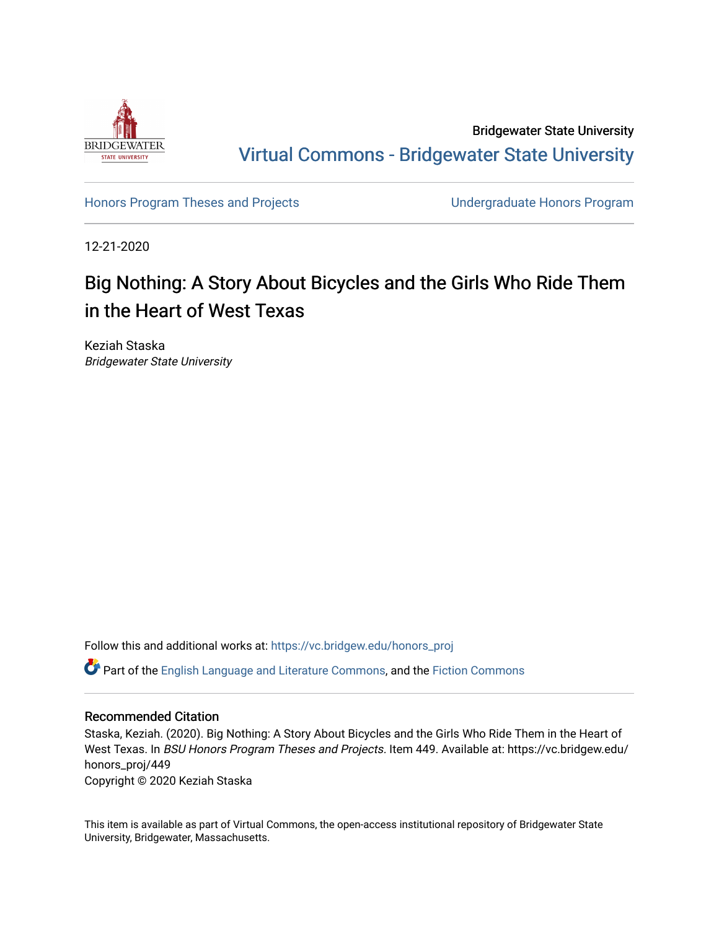

Bridgewater State University [Virtual Commons - Bridgewater State University](https://vc.bridgew.edu/) 

[Honors Program Theses and Projects](https://vc.bridgew.edu/honors_proj) **No. 2018** Undergraduate Honors Program

12-21-2020

## Big Nothing: A Story About Bicycles and the Girls Who Ride Them in the Heart of West Texas

Keziah Staska Bridgewater State University

Follow this and additional works at: [https://vc.bridgew.edu/honors\\_proj](https://vc.bridgew.edu/honors_proj?utm_source=vc.bridgew.edu%2Fhonors_proj%2F449&utm_medium=PDF&utm_campaign=PDFCoverPages)

Part of the [English Language and Literature Commons](http://network.bepress.com/hgg/discipline/455?utm_source=vc.bridgew.edu%2Fhonors_proj%2F449&utm_medium=PDF&utm_campaign=PDFCoverPages), and the [Fiction Commons](http://network.bepress.com/hgg/discipline/1151?utm_source=vc.bridgew.edu%2Fhonors_proj%2F449&utm_medium=PDF&utm_campaign=PDFCoverPages)

## Recommended Citation

Staska, Keziah. (2020). Big Nothing: A Story About Bicycles and the Girls Who Ride Them in the Heart of West Texas. In BSU Honors Program Theses and Projects. Item 449. Available at: https://vc.bridgew.edu/ honors\_proj/449 Copyright © 2020 Keziah Staska

This item is available as part of Virtual Commons, the open-access institutional repository of Bridgewater State University, Bridgewater, Massachusetts.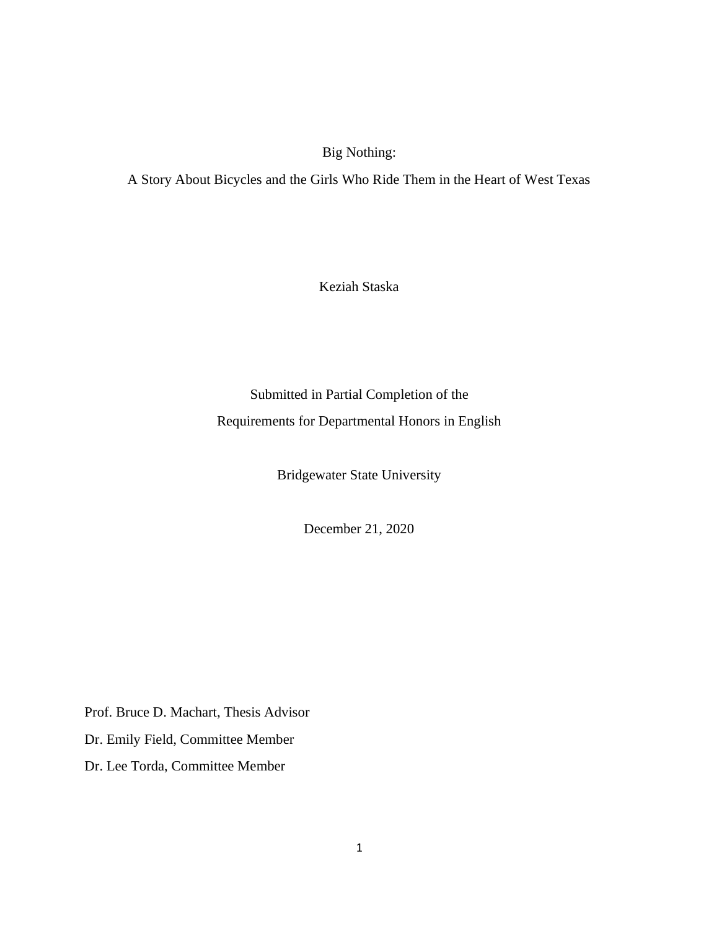Big Nothing:

A Story About Bicycles and the Girls Who Ride Them in the Heart of West Texas

Keziah Staska

Submitted in Partial Completion of the Requirements for Departmental Honors in English

Bridgewater State University

December 21, 2020

Prof. Bruce D. Machart, Thesis Advisor

Dr. Emily Field, Committee Member

Dr. Lee Torda, Committee Member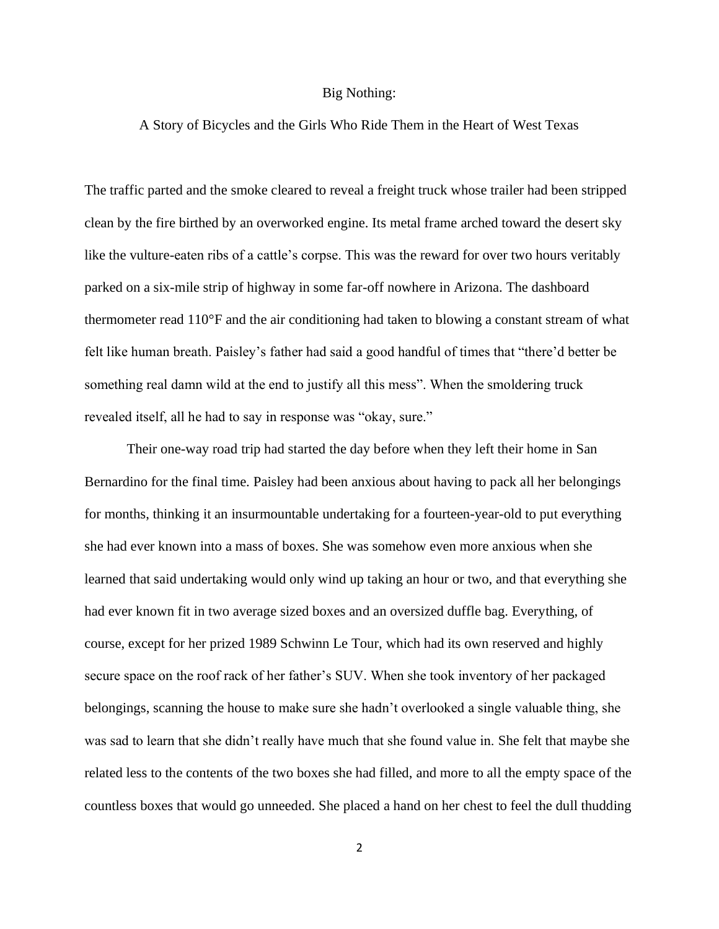## Big Nothing:

## A Story of Bicycles and the Girls Who Ride Them in the Heart of West Texas

The traffic parted and the smoke cleared to reveal a freight truck whose trailer had been stripped clean by the fire birthed by an overworked engine. Its metal frame arched toward the desert sky like the vulture-eaten ribs of a cattle's corpse. This was the reward for over two hours veritably parked on a six-mile strip of highway in some far-off nowhere in Arizona. The dashboard thermometer read 110°F and the air conditioning had taken to blowing a constant stream of what felt like human breath. Paisley's father had said a good handful of times that "there'd better be something real damn wild at the end to justify all this mess". When the smoldering truck revealed itself, all he had to say in response was "okay, sure."

Their one-way road trip had started the day before when they left their home in San Bernardino for the final time. Paisley had been anxious about having to pack all her belongings for months, thinking it an insurmountable undertaking for a fourteen-year-old to put everything she had ever known into a mass of boxes. She was somehow even more anxious when she learned that said undertaking would only wind up taking an hour or two, and that everything she had ever known fit in two average sized boxes and an oversized duffle bag. Everything, of course, except for her prized 1989 Schwinn Le Tour, which had its own reserved and highly secure space on the roof rack of her father's SUV. When she took inventory of her packaged belongings, scanning the house to make sure she hadn't overlooked a single valuable thing, she was sad to learn that she didn't really have much that she found value in. She felt that maybe she related less to the contents of the two boxes she had filled, and more to all the empty space of the countless boxes that would go unneeded. She placed a hand on her chest to feel the dull thudding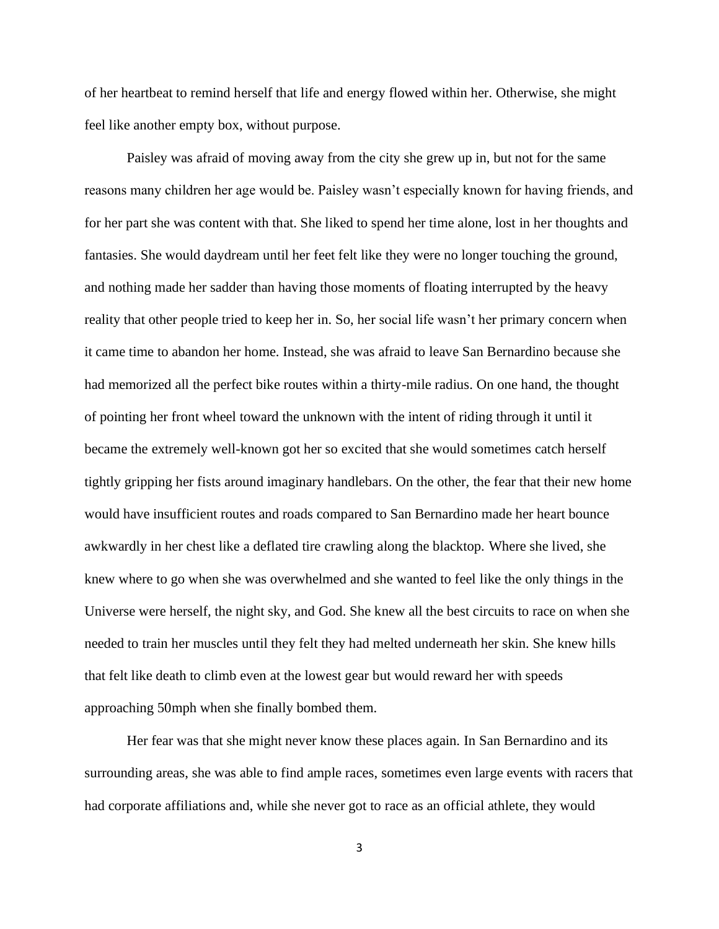of her heartbeat to remind herself that life and energy flowed within her. Otherwise, she might feel like another empty box, without purpose.

Paisley was afraid of moving away from the city she grew up in, but not for the same reasons many children her age would be. Paisley wasn't especially known for having friends, and for her part she was content with that. She liked to spend her time alone, lost in her thoughts and fantasies. She would daydream until her feet felt like they were no longer touching the ground, and nothing made her sadder than having those moments of floating interrupted by the heavy reality that other people tried to keep her in. So, her social life wasn't her primary concern when it came time to abandon her home. Instead, she was afraid to leave San Bernardino because she had memorized all the perfect bike routes within a thirty-mile radius. On one hand, the thought of pointing her front wheel toward the unknown with the intent of riding through it until it became the extremely well-known got her so excited that she would sometimes catch herself tightly gripping her fists around imaginary handlebars. On the other, the fear that their new home would have insufficient routes and roads compared to San Bernardino made her heart bounce awkwardly in her chest like a deflated tire crawling along the blacktop. Where she lived, she knew where to go when she was overwhelmed and she wanted to feel like the only things in the Universe were herself, the night sky, and God. She knew all the best circuits to race on when she needed to train her muscles until they felt they had melted underneath her skin. She knew hills that felt like death to climb even at the lowest gear but would reward her with speeds approaching 50mph when she finally bombed them.

Her fear was that she might never know these places again. In San Bernardino and its surrounding areas, she was able to find ample races, sometimes even large events with racers that had corporate affiliations and, while she never got to race as an official athlete, they would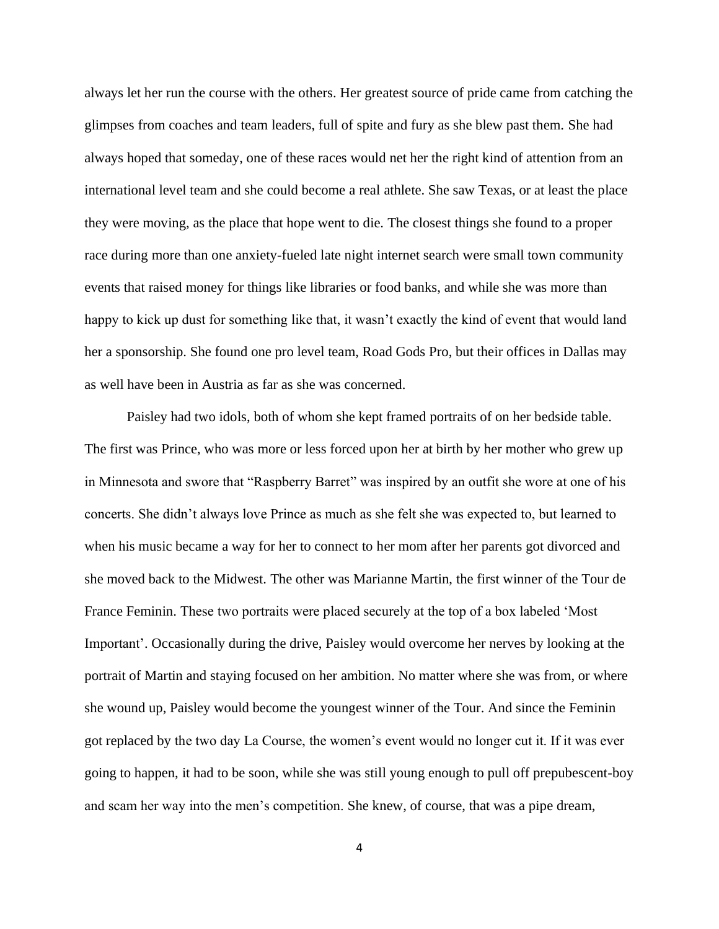always let her run the course with the others. Her greatest source of pride came from catching the glimpses from coaches and team leaders, full of spite and fury as she blew past them. She had always hoped that someday, one of these races would net her the right kind of attention from an international level team and she could become a real athlete. She saw Texas, or at least the place they were moving, as the place that hope went to die. The closest things she found to a proper race during more than one anxiety-fueled late night internet search were small town community events that raised money for things like libraries or food banks, and while she was more than happy to kick up dust for something like that, it wasn't exactly the kind of event that would land her a sponsorship. She found one pro level team, Road Gods Pro, but their offices in Dallas may as well have been in Austria as far as she was concerned.

Paisley had two idols, both of whom she kept framed portraits of on her bedside table. The first was Prince, who was more or less forced upon her at birth by her mother who grew up in Minnesota and swore that "Raspberry Barret" was inspired by an outfit she wore at one of his concerts. She didn't always love Prince as much as she felt she was expected to, but learned to when his music became a way for her to connect to her mom after her parents got divorced and she moved back to the Midwest. The other was Marianne Martin, the first winner of the Tour de France Feminin. These two portraits were placed securely at the top of a box labeled 'Most Important'. Occasionally during the drive, Paisley would overcome her nerves by looking at the portrait of Martin and staying focused on her ambition. No matter where she was from, or where she wound up, Paisley would become the youngest winner of the Tour. And since the Feminin got replaced by the two day La Course, the women's event would no longer cut it. If it was ever going to happen, it had to be soon, while she was still young enough to pull off prepubescent-boy and scam her way into the men's competition. She knew, of course, that was a pipe dream,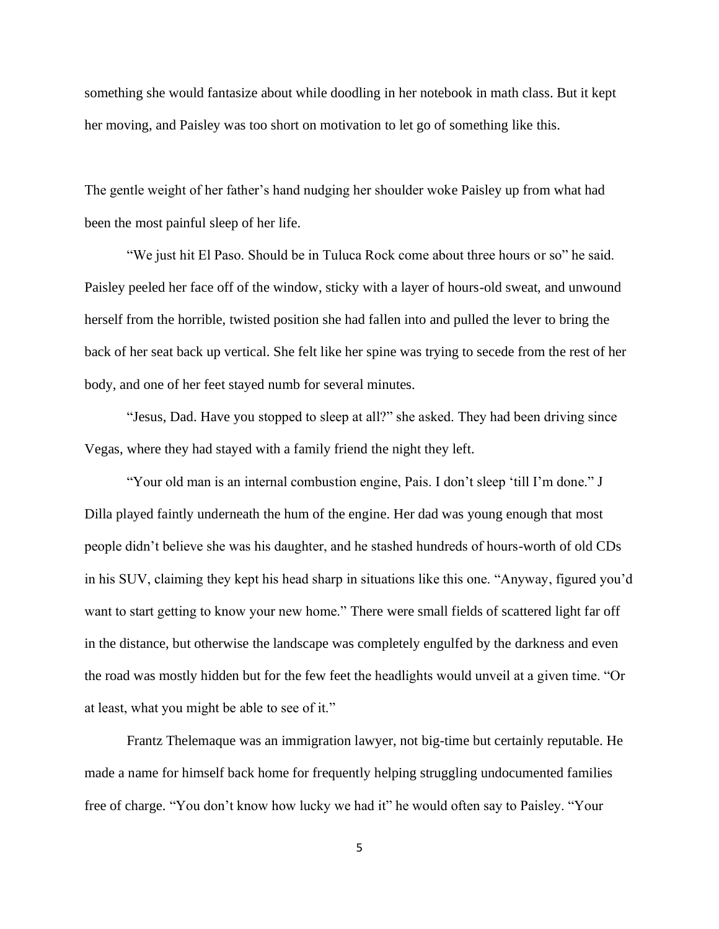something she would fantasize about while doodling in her notebook in math class. But it kept her moving, and Paisley was too short on motivation to let go of something like this.

The gentle weight of her father's hand nudging her shoulder woke Paisley up from what had been the most painful sleep of her life.

"We just hit El Paso. Should be in Tuluca Rock come about three hours or so" he said. Paisley peeled her face off of the window, sticky with a layer of hours-old sweat, and unwound herself from the horrible, twisted position she had fallen into and pulled the lever to bring the back of her seat back up vertical. She felt like her spine was trying to secede from the rest of her body, and one of her feet stayed numb for several minutes.

"Jesus, Dad. Have you stopped to sleep at all?" she asked. They had been driving since Vegas, where they had stayed with a family friend the night they left.

"Your old man is an internal combustion engine, Pais. I don't sleep 'till I'm done." J Dilla played faintly underneath the hum of the engine. Her dad was young enough that most people didn't believe she was his daughter, and he stashed hundreds of hours-worth of old CDs in his SUV, claiming they kept his head sharp in situations like this one. "Anyway, figured you'd want to start getting to know your new home." There were small fields of scattered light far off in the distance, but otherwise the landscape was completely engulfed by the darkness and even the road was mostly hidden but for the few feet the headlights would unveil at a given time. "Or at least, what you might be able to see of it."

Frantz Thelemaque was an immigration lawyer, not big-time but certainly reputable. He made a name for himself back home for frequently helping struggling undocumented families free of charge. "You don't know how lucky we had it" he would often say to Paisley. "Your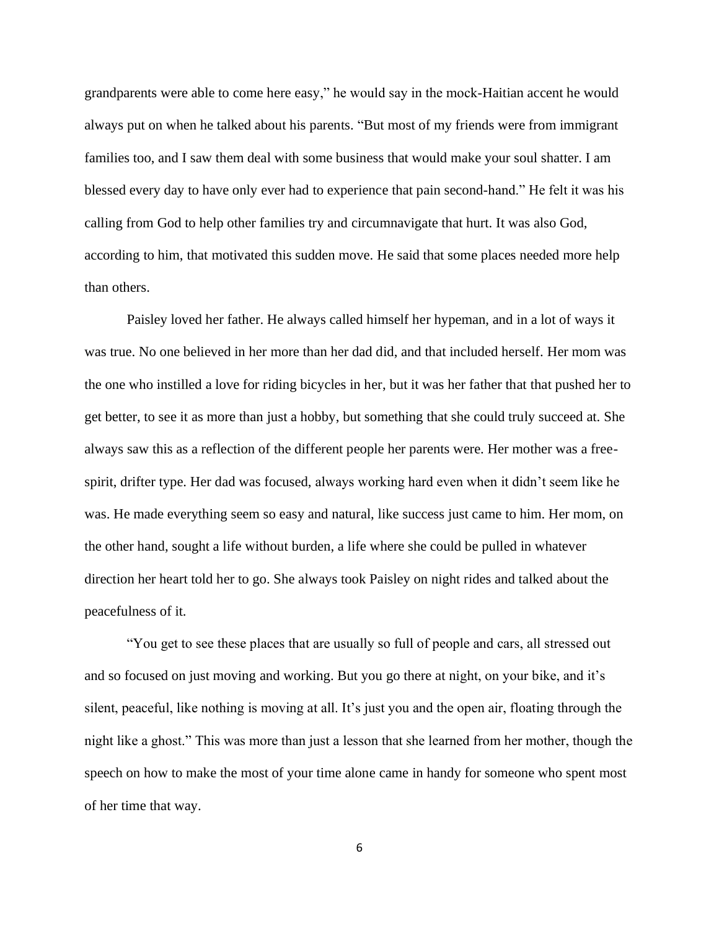grandparents were able to come here easy," he would say in the mock-Haitian accent he would always put on when he talked about his parents. "But most of my friends were from immigrant families too, and I saw them deal with some business that would make your soul shatter. I am blessed every day to have only ever had to experience that pain second-hand." He felt it was his calling from God to help other families try and circumnavigate that hurt. It was also God, according to him, that motivated this sudden move. He said that some places needed more help than others.

Paisley loved her father. He always called himself her hypeman, and in a lot of ways it was true. No one believed in her more than her dad did, and that included herself. Her mom was the one who instilled a love for riding bicycles in her, but it was her father that that pushed her to get better, to see it as more than just a hobby, but something that she could truly succeed at. She always saw this as a reflection of the different people her parents were. Her mother was a freespirit, drifter type. Her dad was focused, always working hard even when it didn't seem like he was. He made everything seem so easy and natural, like success just came to him. Her mom, on the other hand, sought a life without burden, a life where she could be pulled in whatever direction her heart told her to go. She always took Paisley on night rides and talked about the peacefulness of it.

"You get to see these places that are usually so full of people and cars, all stressed out and so focused on just moving and working. But you go there at night, on your bike, and it's silent, peaceful, like nothing is moving at all. It's just you and the open air, floating through the night like a ghost." This was more than just a lesson that she learned from her mother, though the speech on how to make the most of your time alone came in handy for someone who spent most of her time that way.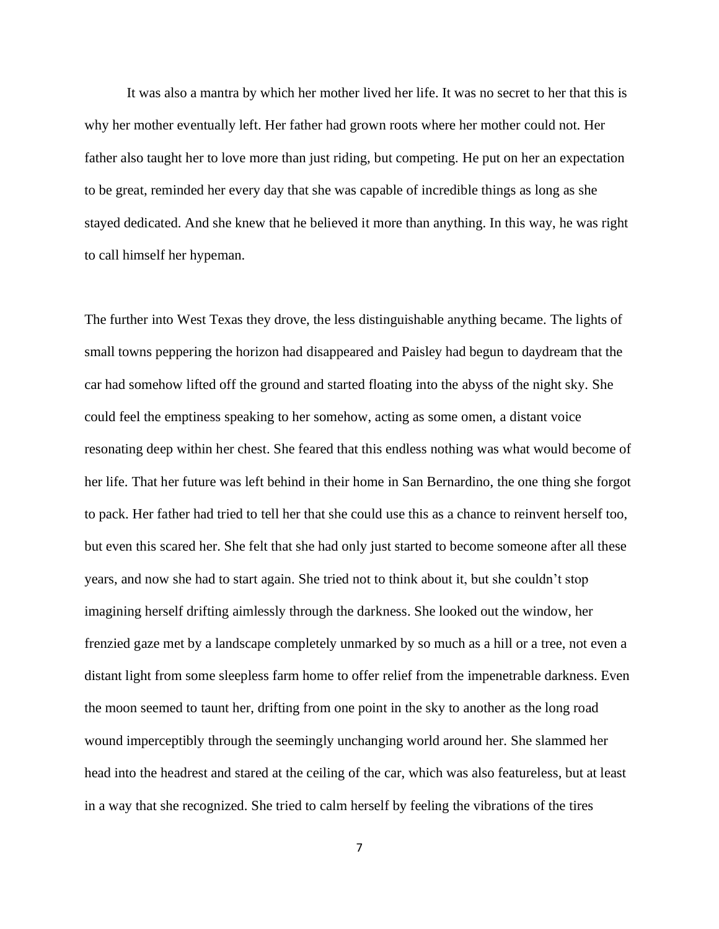It was also a mantra by which her mother lived her life. It was no secret to her that this is why her mother eventually left. Her father had grown roots where her mother could not. Her father also taught her to love more than just riding, but competing. He put on her an expectation to be great, reminded her every day that she was capable of incredible things as long as she stayed dedicated. And she knew that he believed it more than anything. In this way, he was right to call himself her hypeman.

The further into West Texas they drove, the less distinguishable anything became. The lights of small towns peppering the horizon had disappeared and Paisley had begun to daydream that the car had somehow lifted off the ground and started floating into the abyss of the night sky. She could feel the emptiness speaking to her somehow, acting as some omen, a distant voice resonating deep within her chest. She feared that this endless nothing was what would become of her life. That her future was left behind in their home in San Bernardino, the one thing she forgot to pack. Her father had tried to tell her that she could use this as a chance to reinvent herself too, but even this scared her. She felt that she had only just started to become someone after all these years, and now she had to start again. She tried not to think about it, but she couldn't stop imagining herself drifting aimlessly through the darkness. She looked out the window, her frenzied gaze met by a landscape completely unmarked by so much as a hill or a tree, not even a distant light from some sleepless farm home to offer relief from the impenetrable darkness. Even the moon seemed to taunt her, drifting from one point in the sky to another as the long road wound imperceptibly through the seemingly unchanging world around her. She slammed her head into the headrest and stared at the ceiling of the car, which was also featureless, but at least in a way that she recognized. She tried to calm herself by feeling the vibrations of the tires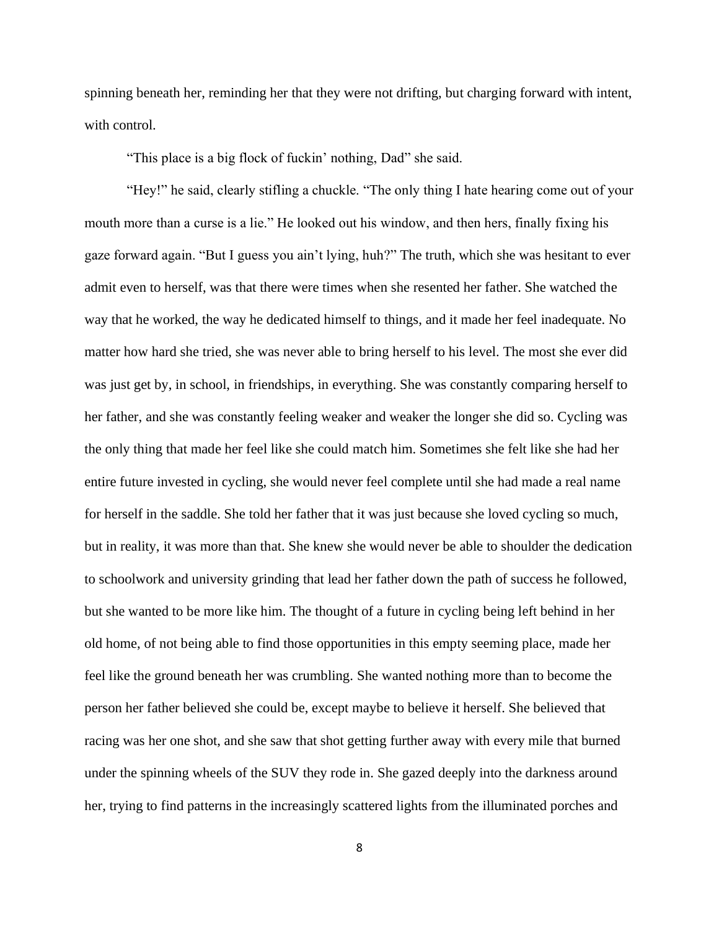spinning beneath her, reminding her that they were not drifting, but charging forward with intent, with control.

"This place is a big flock of fuckin' nothing, Dad" she said.

"Hey!" he said, clearly stifling a chuckle. "The only thing I hate hearing come out of your mouth more than a curse is a lie." He looked out his window, and then hers, finally fixing his gaze forward again. "But I guess you ain't lying, huh?" The truth, which she was hesitant to ever admit even to herself, was that there were times when she resented her father. She watched the way that he worked, the way he dedicated himself to things, and it made her feel inadequate. No matter how hard she tried, she was never able to bring herself to his level. The most she ever did was just get by, in school, in friendships, in everything. She was constantly comparing herself to her father, and she was constantly feeling weaker and weaker the longer she did so. Cycling was the only thing that made her feel like she could match him. Sometimes she felt like she had her entire future invested in cycling, she would never feel complete until she had made a real name for herself in the saddle. She told her father that it was just because she loved cycling so much, but in reality, it was more than that. She knew she would never be able to shoulder the dedication to schoolwork and university grinding that lead her father down the path of success he followed, but she wanted to be more like him. The thought of a future in cycling being left behind in her old home, of not being able to find those opportunities in this empty seeming place, made her feel like the ground beneath her was crumbling. She wanted nothing more than to become the person her father believed she could be, except maybe to believe it herself. She believed that racing was her one shot, and she saw that shot getting further away with every mile that burned under the spinning wheels of the SUV they rode in. She gazed deeply into the darkness around her, trying to find patterns in the increasingly scattered lights from the illuminated porches and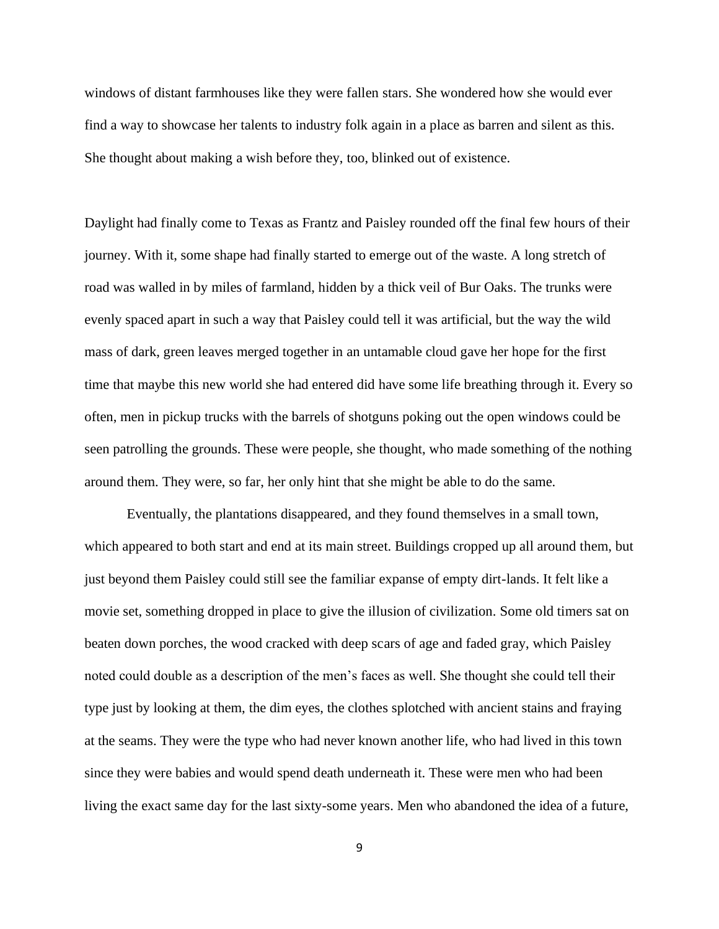windows of distant farmhouses like they were fallen stars. She wondered how she would ever find a way to showcase her talents to industry folk again in a place as barren and silent as this. She thought about making a wish before they, too, blinked out of existence.

Daylight had finally come to Texas as Frantz and Paisley rounded off the final few hours of their journey. With it, some shape had finally started to emerge out of the waste. A long stretch of road was walled in by miles of farmland, hidden by a thick veil of Bur Oaks. The trunks were evenly spaced apart in such a way that Paisley could tell it was artificial, but the way the wild mass of dark, green leaves merged together in an untamable cloud gave her hope for the first time that maybe this new world she had entered did have some life breathing through it. Every so often, men in pickup trucks with the barrels of shotguns poking out the open windows could be seen patrolling the grounds. These were people, she thought, who made something of the nothing around them. They were, so far, her only hint that she might be able to do the same.

Eventually, the plantations disappeared, and they found themselves in a small town, which appeared to both start and end at its main street. Buildings cropped up all around them, but just beyond them Paisley could still see the familiar expanse of empty dirt-lands. It felt like a movie set, something dropped in place to give the illusion of civilization. Some old timers sat on beaten down porches, the wood cracked with deep scars of age and faded gray, which Paisley noted could double as a description of the men's faces as well. She thought she could tell their type just by looking at them, the dim eyes, the clothes splotched with ancient stains and fraying at the seams. They were the type who had never known another life, who had lived in this town since they were babies and would spend death underneath it. These were men who had been living the exact same day for the last sixty-some years. Men who abandoned the idea of a future,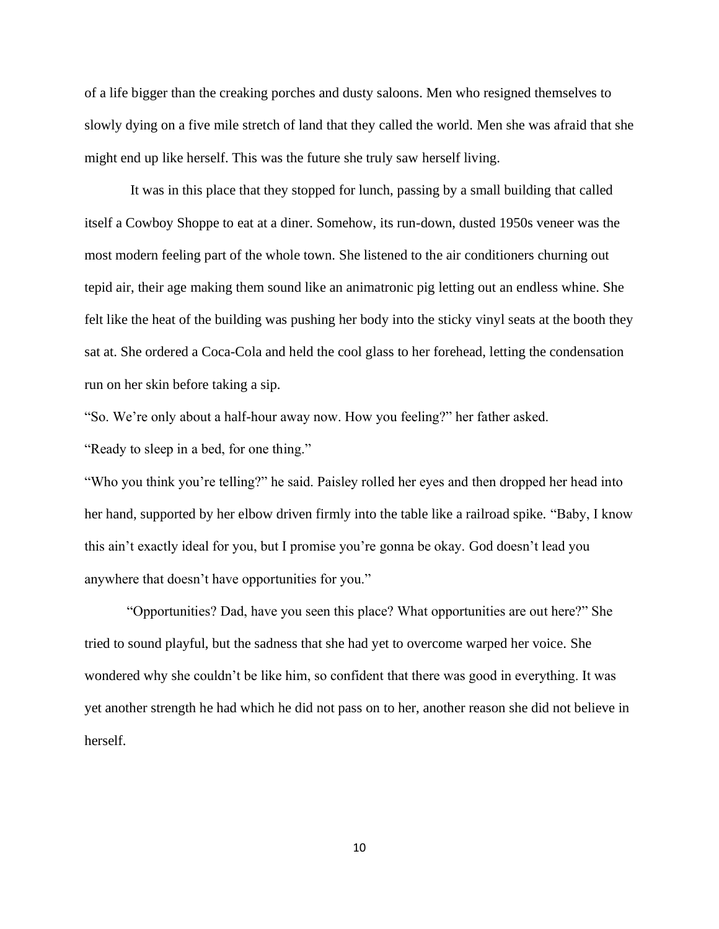of a life bigger than the creaking porches and dusty saloons. Men who resigned themselves to slowly dying on a five mile stretch of land that they called the world. Men she was afraid that she might end up like herself. This was the future she truly saw herself living.

It was in this place that they stopped for lunch, passing by a small building that called itself a Cowboy Shoppe to eat at a diner. Somehow, its run-down, dusted 1950s veneer was the most modern feeling part of the whole town. She listened to the air conditioners churning out tepid air, their age making them sound like an animatronic pig letting out an endless whine. She felt like the heat of the building was pushing her body into the sticky vinyl seats at the booth they sat at. She ordered a Coca-Cola and held the cool glass to her forehead, letting the condensation run on her skin before taking a sip.

"So. We're only about a half-hour away now. How you feeling?" her father asked.

"Ready to sleep in a bed, for one thing."

"Who you think you're telling?" he said. Paisley rolled her eyes and then dropped her head into her hand, supported by her elbow driven firmly into the table like a railroad spike. "Baby, I know this ain't exactly ideal for you, but I promise you're gonna be okay. God doesn't lead you anywhere that doesn't have opportunities for you."

"Opportunities? Dad, have you seen this place? What opportunities are out here?" She tried to sound playful, but the sadness that she had yet to overcome warped her voice. She wondered why she couldn't be like him, so confident that there was good in everything. It was yet another strength he had which he did not pass on to her, another reason she did not believe in herself.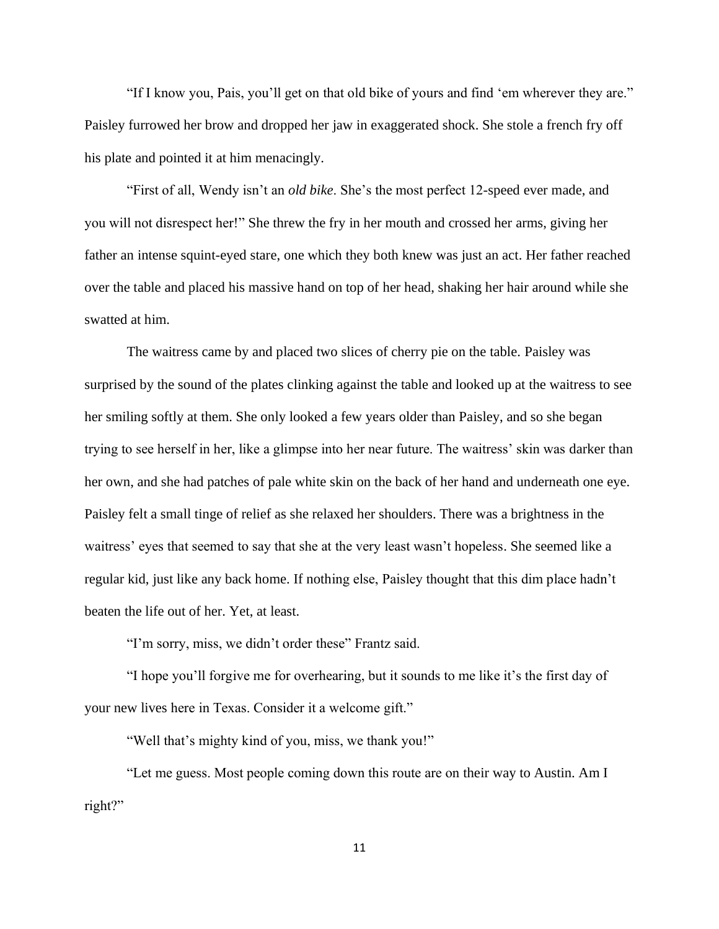"If I know you, Pais, you'll get on that old bike of yours and find 'em wherever they are." Paisley furrowed her brow and dropped her jaw in exaggerated shock. She stole a french fry off his plate and pointed it at him menacingly.

"First of all, Wendy isn't an *old bike*. She's the most perfect 12-speed ever made, and you will not disrespect her!" She threw the fry in her mouth and crossed her arms, giving her father an intense squint-eyed stare, one which they both knew was just an act. Her father reached over the table and placed his massive hand on top of her head, shaking her hair around while she swatted at him.

The waitress came by and placed two slices of cherry pie on the table. Paisley was surprised by the sound of the plates clinking against the table and looked up at the waitress to see her smiling softly at them. She only looked a few years older than Paisley, and so she began trying to see herself in her, like a glimpse into her near future. The waitress' skin was darker than her own, and she had patches of pale white skin on the back of her hand and underneath one eye. Paisley felt a small tinge of relief as she relaxed her shoulders. There was a brightness in the waitress' eyes that seemed to say that she at the very least wasn't hopeless. She seemed like a regular kid, just like any back home. If nothing else, Paisley thought that this dim place hadn't beaten the life out of her. Yet, at least.

"I'm sorry, miss, we didn't order these" Frantz said.

"I hope you'll forgive me for overhearing, but it sounds to me like it's the first day of your new lives here in Texas. Consider it a welcome gift."

"Well that's mighty kind of you, miss, we thank you!"

"Let me guess. Most people coming down this route are on their way to Austin. Am I right?"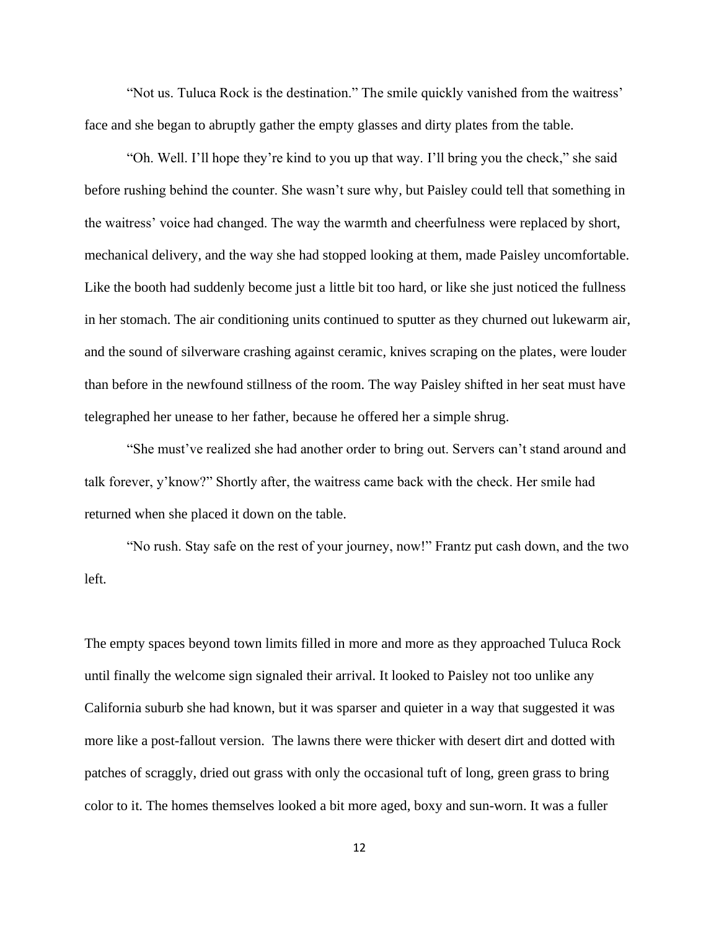"Not us. Tuluca Rock is the destination." The smile quickly vanished from the waitress' face and she began to abruptly gather the empty glasses and dirty plates from the table.

"Oh. Well. I'll hope they're kind to you up that way. I'll bring you the check," she said before rushing behind the counter. She wasn't sure why, but Paisley could tell that something in the waitress' voice had changed. The way the warmth and cheerfulness were replaced by short, mechanical delivery, and the way she had stopped looking at them, made Paisley uncomfortable. Like the booth had suddenly become just a little bit too hard, or like she just noticed the fullness in her stomach. The air conditioning units continued to sputter as they churned out lukewarm air, and the sound of silverware crashing against ceramic, knives scraping on the plates, were louder than before in the newfound stillness of the room. The way Paisley shifted in her seat must have telegraphed her unease to her father, because he offered her a simple shrug.

"She must've realized she had another order to bring out. Servers can't stand around and talk forever, y'know?" Shortly after, the waitress came back with the check. Her smile had returned when she placed it down on the table.

"No rush. Stay safe on the rest of your journey, now!" Frantz put cash down, and the two left.

The empty spaces beyond town limits filled in more and more as they approached Tuluca Rock until finally the welcome sign signaled their arrival. It looked to Paisley not too unlike any California suburb she had known, but it was sparser and quieter in a way that suggested it was more like a post-fallout version. The lawns there were thicker with desert dirt and dotted with patches of scraggly, dried out grass with only the occasional tuft of long, green grass to bring color to it. The homes themselves looked a bit more aged, boxy and sun-worn. It was a fuller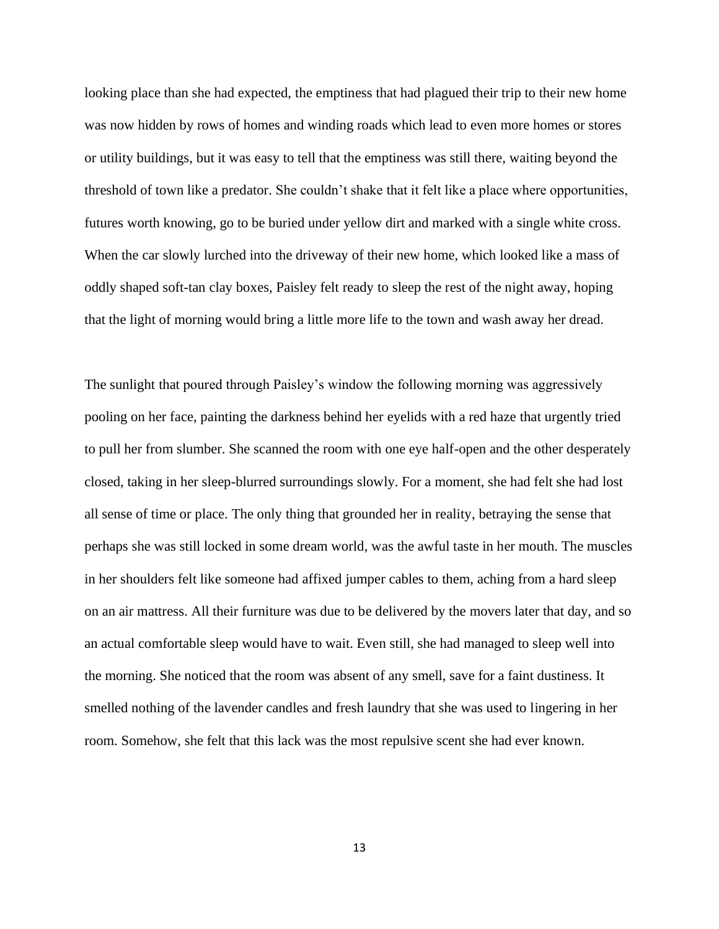looking place than she had expected, the emptiness that had plagued their trip to their new home was now hidden by rows of homes and winding roads which lead to even more homes or stores or utility buildings, but it was easy to tell that the emptiness was still there, waiting beyond the threshold of town like a predator. She couldn't shake that it felt like a place where opportunities, futures worth knowing, go to be buried under yellow dirt and marked with a single white cross. When the car slowly lurched into the driveway of their new home, which looked like a mass of oddly shaped soft-tan clay boxes, Paisley felt ready to sleep the rest of the night away, hoping that the light of morning would bring a little more life to the town and wash away her dread.

The sunlight that poured through Paisley's window the following morning was aggressively pooling on her face, painting the darkness behind her eyelids with a red haze that urgently tried to pull her from slumber. She scanned the room with one eye half-open and the other desperately closed, taking in her sleep-blurred surroundings slowly. For a moment, she had felt she had lost all sense of time or place. The only thing that grounded her in reality, betraying the sense that perhaps she was still locked in some dream world, was the awful taste in her mouth. The muscles in her shoulders felt like someone had affixed jumper cables to them, aching from a hard sleep on an air mattress. All their furniture was due to be delivered by the movers later that day, and so an actual comfortable sleep would have to wait. Even still, she had managed to sleep well into the morning. She noticed that the room was absent of any smell, save for a faint dustiness. It smelled nothing of the lavender candles and fresh laundry that she was used to lingering in her room. Somehow, she felt that this lack was the most repulsive scent she had ever known.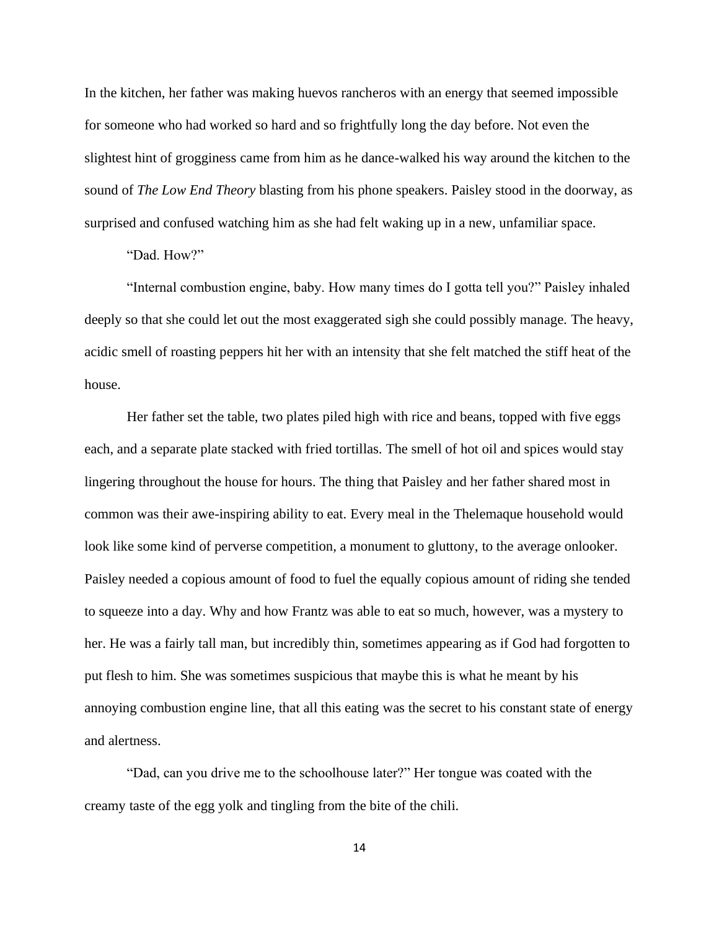In the kitchen, her father was making huevos rancheros with an energy that seemed impossible for someone who had worked so hard and so frightfully long the day before. Not even the slightest hint of grogginess came from him as he dance-walked his way around the kitchen to the sound of *The Low End Theory* blasting from his phone speakers. Paisley stood in the doorway, as surprised and confused watching him as she had felt waking up in a new, unfamiliar space.

"Dad. How?"

"Internal combustion engine, baby. How many times do I gotta tell you?" Paisley inhaled deeply so that she could let out the most exaggerated sigh she could possibly manage. The heavy, acidic smell of roasting peppers hit her with an intensity that she felt matched the stiff heat of the house.

Her father set the table, two plates piled high with rice and beans, topped with five eggs each, and a separate plate stacked with fried tortillas. The smell of hot oil and spices would stay lingering throughout the house for hours. The thing that Paisley and her father shared most in common was their awe-inspiring ability to eat. Every meal in the Thelemaque household would look like some kind of perverse competition, a monument to gluttony, to the average onlooker. Paisley needed a copious amount of food to fuel the equally copious amount of riding she tended to squeeze into a day. Why and how Frantz was able to eat so much, however, was a mystery to her. He was a fairly tall man, but incredibly thin, sometimes appearing as if God had forgotten to put flesh to him. She was sometimes suspicious that maybe this is what he meant by his annoying combustion engine line, that all this eating was the secret to his constant state of energy and alertness.

"Dad, can you drive me to the schoolhouse later?" Her tongue was coated with the creamy taste of the egg yolk and tingling from the bite of the chili.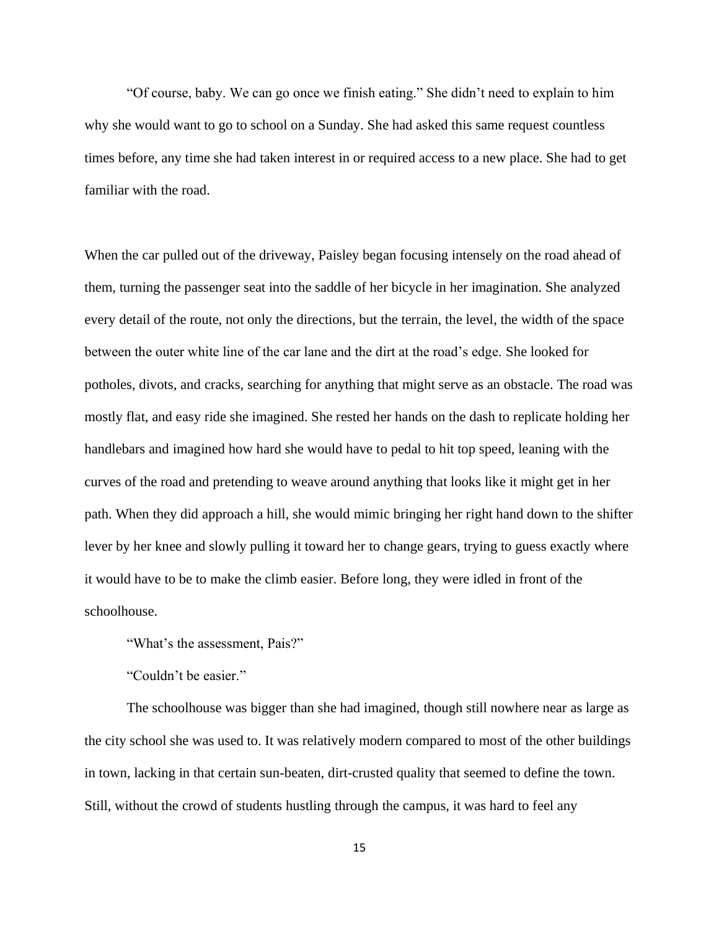"Of course, baby. We can go once we finish eating." She didn't need to explain to him why she would want to go to school on a Sunday. She had asked this same request countless times before, any time she had taken interest in or required access to a new place. She had to get familiar with the road.

When the car pulled out of the driveway, Paisley began focusing intensely on the road ahead of them, turning the passenger seat into the saddle of her bicycle in her imagination. She analyzed every detail of the route, not only the directions, but the terrain, the level, the width of the space between the outer white line of the car lane and the dirt at the road's edge. She looked for potholes, divots, and cracks, searching for anything that might serve as an obstacle. The road was mostly flat, and easy ride she imagined. She rested her hands on the dash to replicate holding her handlebars and imagined how hard she would have to pedal to hit top speed, leaning with the curves of the road and pretending to weave around anything that looks like it might get in her path. When they did approach a hill, she would mimic bringing her right hand down to the shifter lever by her knee and slowly pulling it toward her to change gears, trying to guess exactly where it would have to be to make the climb easier. Before long, they were idled in front of the schoolhouse.

"What's the assessment, Pais?"

"Couldn't be easier."

The schoolhouse was bigger than she had imagined, though still nowhere near as large as the city school she was used to. It was relatively modern compared to most of the other buildings in town, lacking in that certain sun-beaten, dirt-crusted quality that seemed to define the town. Still, without the crowd of students hustling through the campus, it was hard to feel any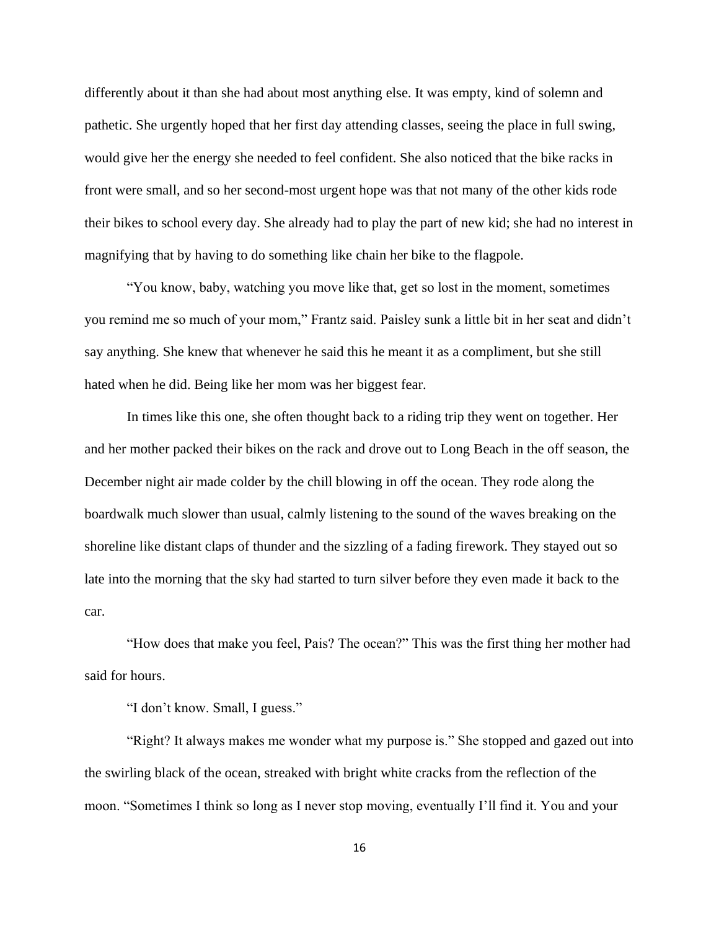differently about it than she had about most anything else. It was empty, kind of solemn and pathetic. She urgently hoped that her first day attending classes, seeing the place in full swing, would give her the energy she needed to feel confident. She also noticed that the bike racks in front were small, and so her second-most urgent hope was that not many of the other kids rode their bikes to school every day. She already had to play the part of new kid; she had no interest in magnifying that by having to do something like chain her bike to the flagpole.

"You know, baby, watching you move like that, get so lost in the moment, sometimes you remind me so much of your mom," Frantz said. Paisley sunk a little bit in her seat and didn't say anything. She knew that whenever he said this he meant it as a compliment, but she still hated when he did. Being like her mom was her biggest fear.

In times like this one, she often thought back to a riding trip they went on together. Her and her mother packed their bikes on the rack and drove out to Long Beach in the off season, the December night air made colder by the chill blowing in off the ocean. They rode along the boardwalk much slower than usual, calmly listening to the sound of the waves breaking on the shoreline like distant claps of thunder and the sizzling of a fading firework. They stayed out so late into the morning that the sky had started to turn silver before they even made it back to the car.

"How does that make you feel, Pais? The ocean?" This was the first thing her mother had said for hours.

"I don't know. Small, I guess."

"Right? It always makes me wonder what my purpose is." She stopped and gazed out into the swirling black of the ocean, streaked with bright white cracks from the reflection of the moon. "Sometimes I think so long as I never stop moving, eventually I'll find it. You and your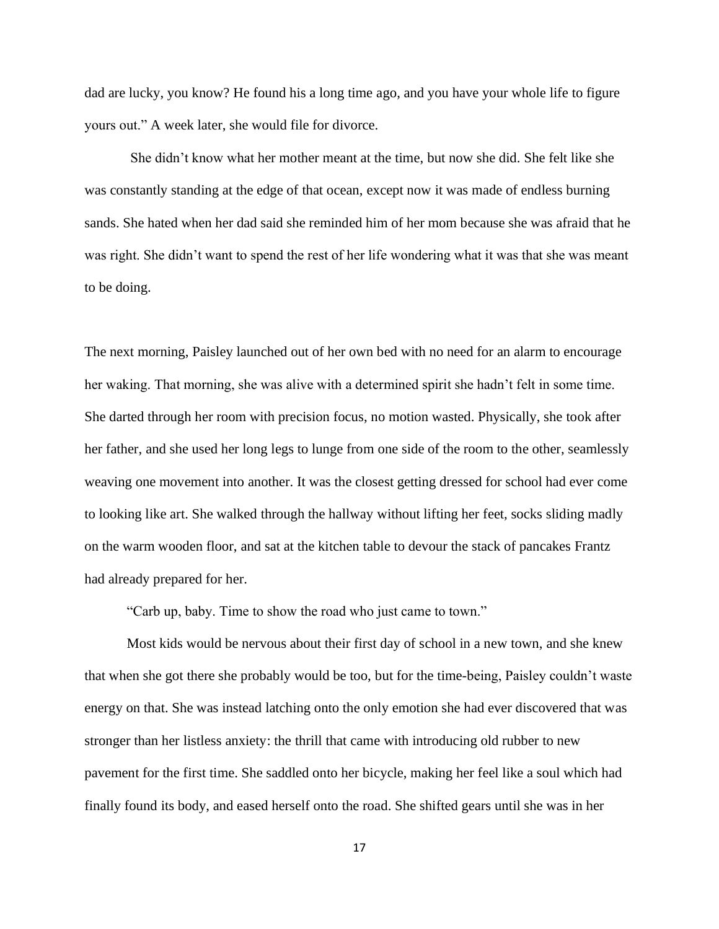dad are lucky, you know? He found his a long time ago, and you have your whole life to figure yours out." A week later, she would file for divorce.

She didn't know what her mother meant at the time, but now she did. She felt like she was constantly standing at the edge of that ocean, except now it was made of endless burning sands. She hated when her dad said she reminded him of her mom because she was afraid that he was right. She didn't want to spend the rest of her life wondering what it was that she was meant to be doing.

The next morning, Paisley launched out of her own bed with no need for an alarm to encourage her waking. That morning, she was alive with a determined spirit she hadn't felt in some time. She darted through her room with precision focus, no motion wasted. Physically, she took after her father, and she used her long legs to lunge from one side of the room to the other, seamlessly weaving one movement into another. It was the closest getting dressed for school had ever come to looking like art. She walked through the hallway without lifting her feet, socks sliding madly on the warm wooden floor, and sat at the kitchen table to devour the stack of pancakes Frantz had already prepared for her.

"Carb up, baby. Time to show the road who just came to town."

Most kids would be nervous about their first day of school in a new town, and she knew that when she got there she probably would be too, but for the time-being, Paisley couldn't waste energy on that. She was instead latching onto the only emotion she had ever discovered that was stronger than her listless anxiety: the thrill that came with introducing old rubber to new pavement for the first time. She saddled onto her bicycle, making her feel like a soul which had finally found its body, and eased herself onto the road. She shifted gears until she was in her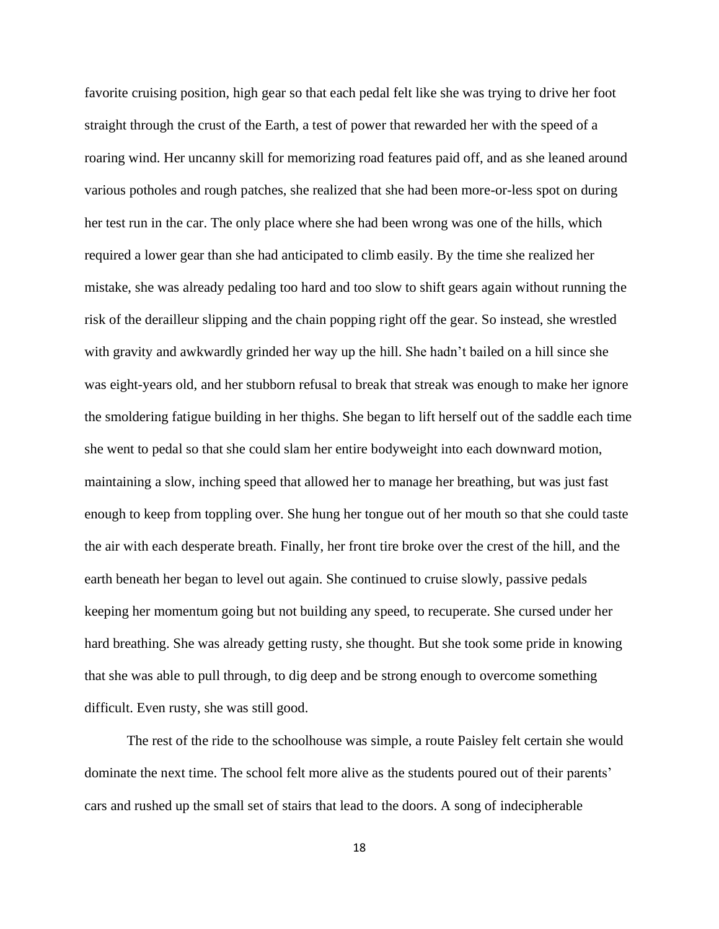favorite cruising position, high gear so that each pedal felt like she was trying to drive her foot straight through the crust of the Earth, a test of power that rewarded her with the speed of a roaring wind. Her uncanny skill for memorizing road features paid off, and as she leaned around various potholes and rough patches, she realized that she had been more-or-less spot on during her test run in the car. The only place where she had been wrong was one of the hills, which required a lower gear than she had anticipated to climb easily. By the time she realized her mistake, she was already pedaling too hard and too slow to shift gears again without running the risk of the derailleur slipping and the chain popping right off the gear. So instead, she wrestled with gravity and awkwardly grinded her way up the hill. She hadn't bailed on a hill since she was eight-years old, and her stubborn refusal to break that streak was enough to make her ignore the smoldering fatigue building in her thighs. She began to lift herself out of the saddle each time she went to pedal so that she could slam her entire bodyweight into each downward motion, maintaining a slow, inching speed that allowed her to manage her breathing, but was just fast enough to keep from toppling over. She hung her tongue out of her mouth so that she could taste the air with each desperate breath. Finally, her front tire broke over the crest of the hill, and the earth beneath her began to level out again. She continued to cruise slowly, passive pedals keeping her momentum going but not building any speed, to recuperate. She cursed under her hard breathing. She was already getting rusty, she thought. But she took some pride in knowing that she was able to pull through, to dig deep and be strong enough to overcome something difficult. Even rusty, she was still good.

The rest of the ride to the schoolhouse was simple, a route Paisley felt certain she would dominate the next time. The school felt more alive as the students poured out of their parents' cars and rushed up the small set of stairs that lead to the doors. A song of indecipherable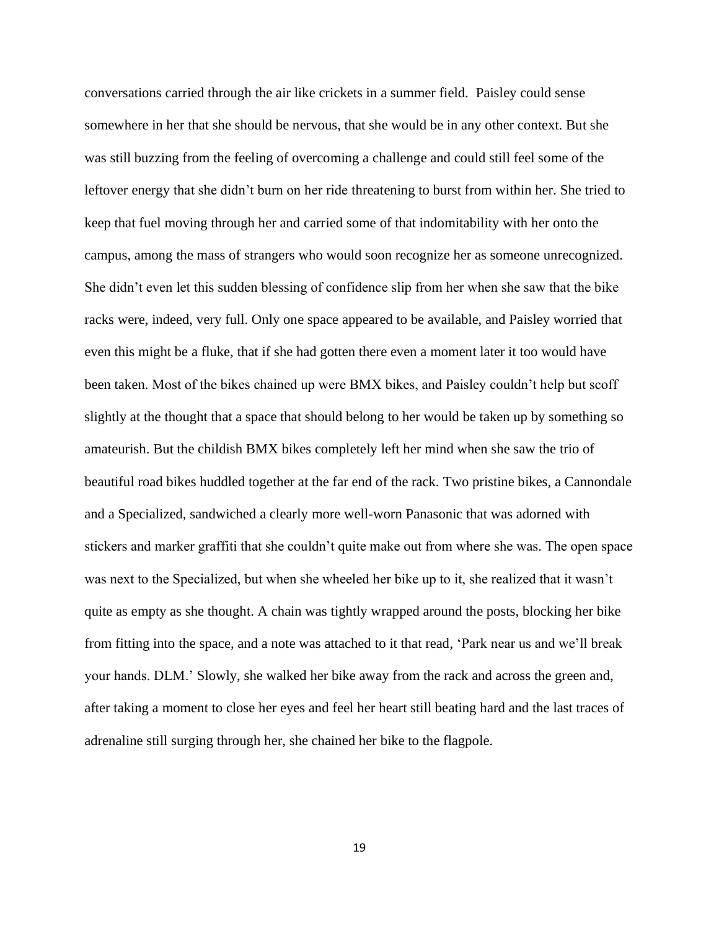conversations carried through the air like crickets in a summer field. Paisley could sense somewhere in her that she should be nervous, that she would be in any other context. But she was still buzzing from the feeling of overcoming a challenge and could still feel some of the leftover energy that she didn't burn on her ride threatening to burst from within her. She tried to keep that fuel moving through her and carried some of that indomitability with her onto the campus, among the mass of strangers who would soon recognize her as someone unrecognized. She didn't even let this sudden blessing of confidence slip from her when she saw that the bike racks were, indeed, very full. Only one space appeared to be available, and Paisley worried that even this might be a fluke, that if she had gotten there even a moment later it too would have been taken. Most of the bikes chained up were BMX bikes, and Paisley couldn't help but scoff slightly at the thought that a space that should belong to her would be taken up by something so amateurish. But the childish BMX bikes completely left her mind when she saw the trio of beautiful road bikes huddled together at the far end of the rack. Two pristine bikes, a Cannondale and a Specialized, sandwiched a clearly more well-worn Panasonic that was adorned with stickers and marker graffiti that she couldn't quite make out from where she was. The open space was next to the Specialized, but when she wheeled her bike up to it, she realized that it wasn't quite as empty as she thought. A chain was tightly wrapped around the posts, blocking her bike from fitting into the space, and a note was attached to it that read, 'Park near us and we'll break your hands. DLM.' Slowly, she walked her bike away from the rack and across the green and, after taking a moment to close her eyes and feel her heart still beating hard and the last traces of adrenaline still surging through her, she chained her bike to the flagpole.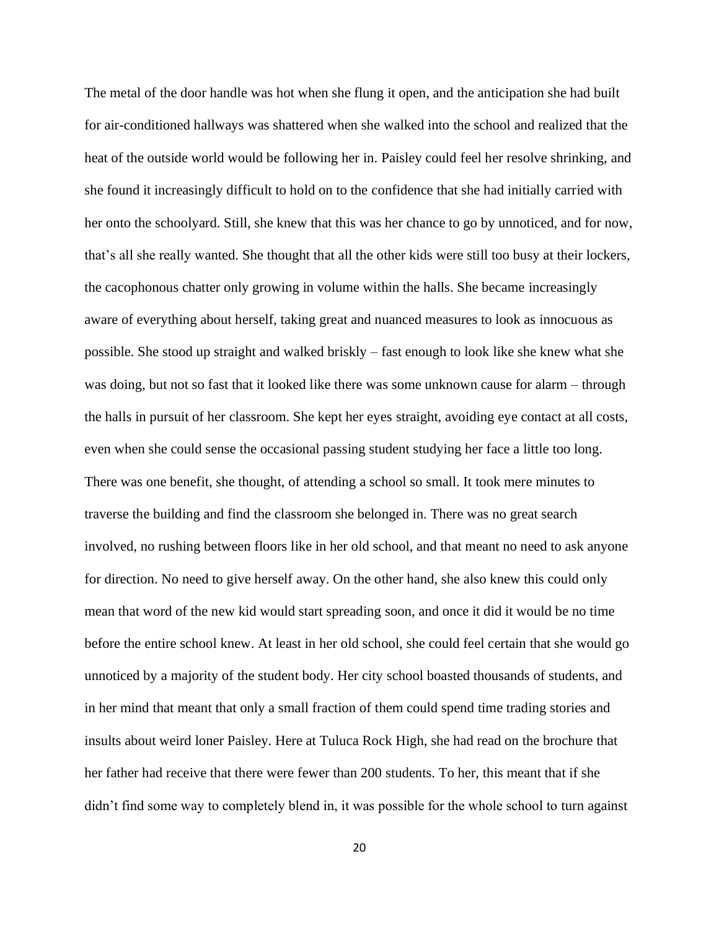The metal of the door handle was hot when she flung it open, and the anticipation she had built for air-conditioned hallways was shattered when she walked into the school and realized that the heat of the outside world would be following her in. Paisley could feel her resolve shrinking, and she found it increasingly difficult to hold on to the confidence that she had initially carried with her onto the schoolyard. Still, she knew that this was her chance to go by unnoticed, and for now, that's all she really wanted. She thought that all the other kids were still too busy at their lockers, the cacophonous chatter only growing in volume within the halls. She became increasingly aware of everything about herself, taking great and nuanced measures to look as innocuous as possible. She stood up straight and walked briskly – fast enough to look like she knew what she was doing, but not so fast that it looked like there was some unknown cause for alarm – through the halls in pursuit of her classroom. She kept her eyes straight, avoiding eye contact at all costs, even when she could sense the occasional passing student studying her face a little too long. There was one benefit, she thought, of attending a school so small. It took mere minutes to traverse the building and find the classroom she belonged in. There was no great search involved, no rushing between floors like in her old school, and that meant no need to ask anyone for direction. No need to give herself away. On the other hand, she also knew this could only mean that word of the new kid would start spreading soon, and once it did it would be no time before the entire school knew. At least in her old school, she could feel certain that she would go unnoticed by a majority of the student body. Her city school boasted thousands of students, and in her mind that meant that only a small fraction of them could spend time trading stories and insults about weird loner Paisley. Here at Tuluca Rock High, she had read on the brochure that her father had receive that there were fewer than 200 students. To her, this meant that if she didn't find some way to completely blend in, it was possible for the whole school to turn against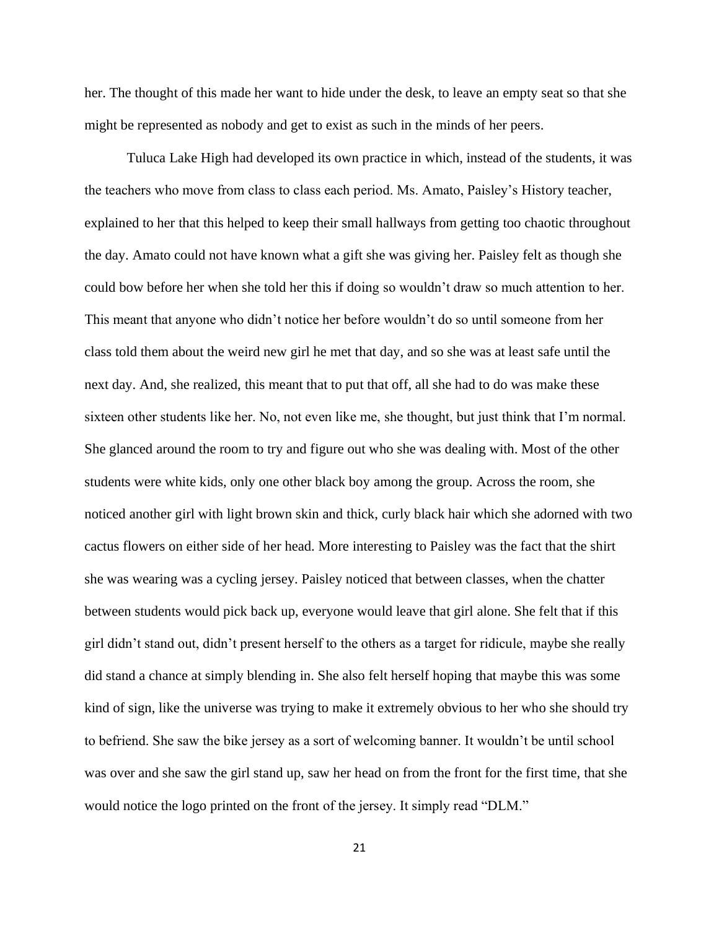her. The thought of this made her want to hide under the desk, to leave an empty seat so that she might be represented as nobody and get to exist as such in the minds of her peers.

Tuluca Lake High had developed its own practice in which, instead of the students, it was the teachers who move from class to class each period. Ms. Amato, Paisley's History teacher, explained to her that this helped to keep their small hallways from getting too chaotic throughout the day. Amato could not have known what a gift she was giving her. Paisley felt as though she could bow before her when she told her this if doing so wouldn't draw so much attention to her. This meant that anyone who didn't notice her before wouldn't do so until someone from her class told them about the weird new girl he met that day, and so she was at least safe until the next day. And, she realized, this meant that to put that off, all she had to do was make these sixteen other students like her. No, not even like me, she thought, but just think that I'm normal. She glanced around the room to try and figure out who she was dealing with. Most of the other students were white kids, only one other black boy among the group. Across the room, she noticed another girl with light brown skin and thick, curly black hair which she adorned with two cactus flowers on either side of her head. More interesting to Paisley was the fact that the shirt she was wearing was a cycling jersey. Paisley noticed that between classes, when the chatter between students would pick back up, everyone would leave that girl alone. She felt that if this girl didn't stand out, didn't present herself to the others as a target for ridicule, maybe she really did stand a chance at simply blending in. She also felt herself hoping that maybe this was some kind of sign, like the universe was trying to make it extremely obvious to her who she should try to befriend. She saw the bike jersey as a sort of welcoming banner. It wouldn't be until school was over and she saw the girl stand up, saw her head on from the front for the first time, that she would notice the logo printed on the front of the jersey. It simply read "DLM."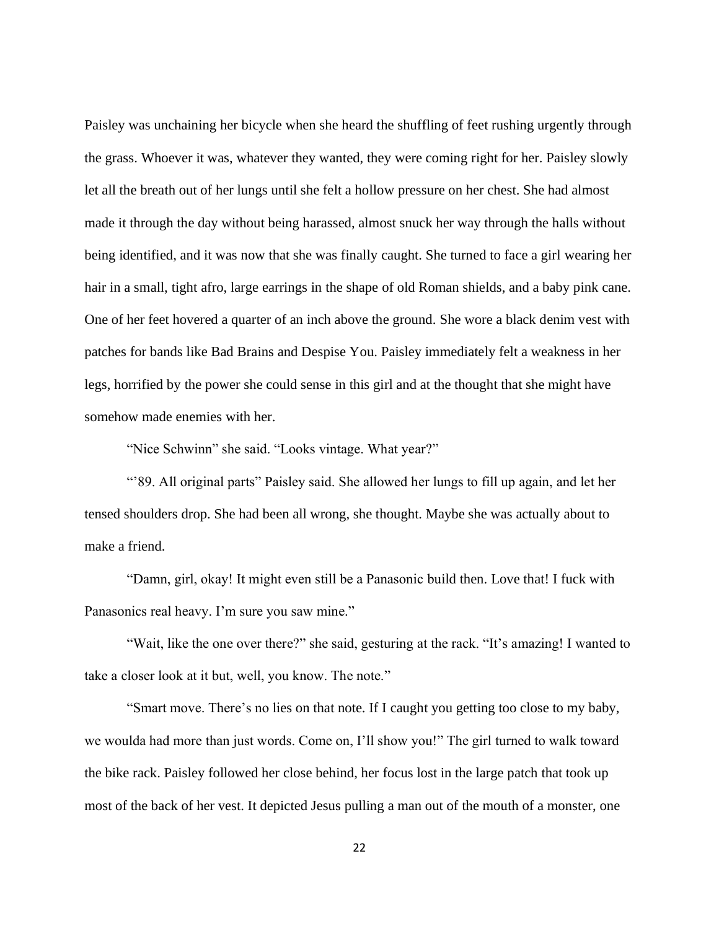Paisley was unchaining her bicycle when she heard the shuffling of feet rushing urgently through the grass. Whoever it was, whatever they wanted, they were coming right for her. Paisley slowly let all the breath out of her lungs until she felt a hollow pressure on her chest. She had almost made it through the day without being harassed, almost snuck her way through the halls without being identified, and it was now that she was finally caught. She turned to face a girl wearing her hair in a small, tight afro, large earrings in the shape of old Roman shields, and a baby pink cane. One of her feet hovered a quarter of an inch above the ground. She wore a black denim vest with patches for bands like Bad Brains and Despise You. Paisley immediately felt a weakness in her legs, horrified by the power she could sense in this girl and at the thought that she might have somehow made enemies with her.

"Nice Schwinn" she said. "Looks vintage. What year?"

"'89. All original parts" Paisley said. She allowed her lungs to fill up again, and let her tensed shoulders drop. She had been all wrong, she thought. Maybe she was actually about to make a friend.

"Damn, girl, okay! It might even still be a Panasonic build then. Love that! I fuck with Panasonics real heavy. I'm sure you saw mine."

"Wait, like the one over there?" she said, gesturing at the rack. "It's amazing! I wanted to take a closer look at it but, well, you know. The note."

"Smart move. There's no lies on that note. If I caught you getting too close to my baby, we woulda had more than just words. Come on, I'll show you!" The girl turned to walk toward the bike rack. Paisley followed her close behind, her focus lost in the large patch that took up most of the back of her vest. It depicted Jesus pulling a man out of the mouth of a monster, one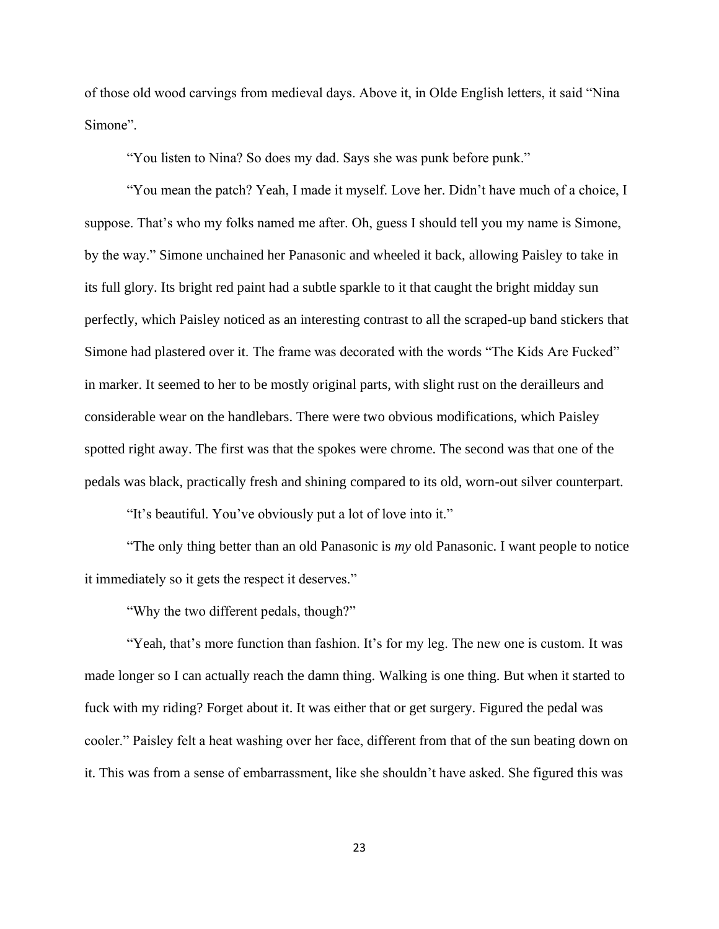of those old wood carvings from medieval days. Above it, in Olde English letters, it said "Nina Simone".

"You listen to Nina? So does my dad. Says she was punk before punk."

"You mean the patch? Yeah, I made it myself. Love her. Didn't have much of a choice, I suppose. That's who my folks named me after. Oh, guess I should tell you my name is Simone, by the way." Simone unchained her Panasonic and wheeled it back, allowing Paisley to take in its full glory. Its bright red paint had a subtle sparkle to it that caught the bright midday sun perfectly, which Paisley noticed as an interesting contrast to all the scraped-up band stickers that Simone had plastered over it. The frame was decorated with the words "The Kids Are Fucked" in marker. It seemed to her to be mostly original parts, with slight rust on the derailleurs and considerable wear on the handlebars. There were two obvious modifications, which Paisley spotted right away. The first was that the spokes were chrome. The second was that one of the pedals was black, practically fresh and shining compared to its old, worn-out silver counterpart.

"It's beautiful. You've obviously put a lot of love into it."

"The only thing better than an old Panasonic is *my* old Panasonic. I want people to notice it immediately so it gets the respect it deserves."

"Why the two different pedals, though?"

"Yeah, that's more function than fashion. It's for my leg. The new one is custom. It was made longer so I can actually reach the damn thing. Walking is one thing. But when it started to fuck with my riding? Forget about it. It was either that or get surgery. Figured the pedal was cooler." Paisley felt a heat washing over her face, different from that of the sun beating down on it. This was from a sense of embarrassment, like she shouldn't have asked. She figured this was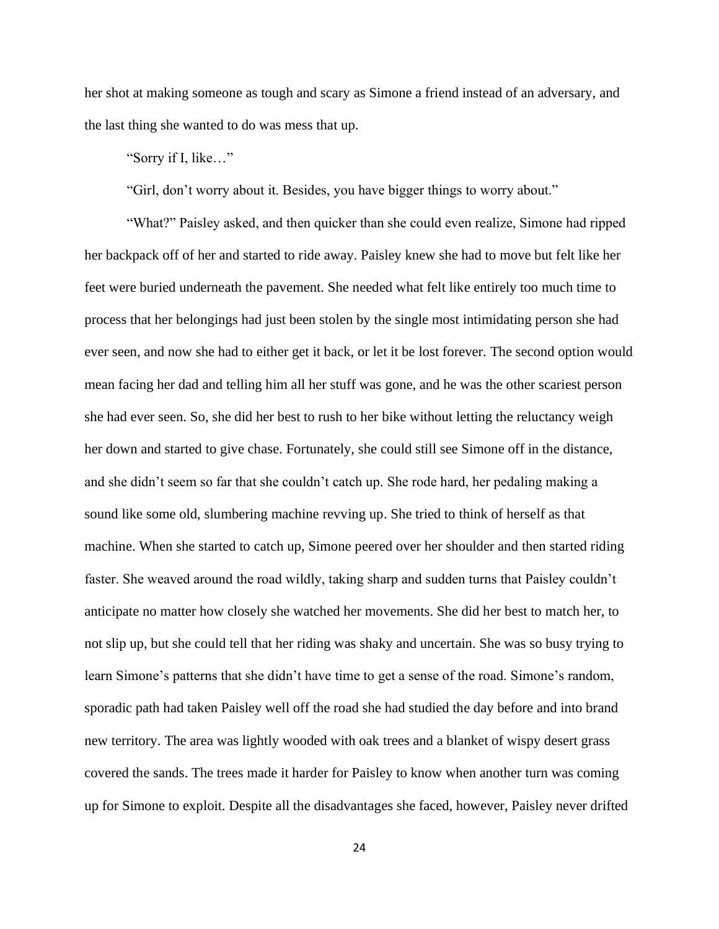her shot at making someone as tough and scary as Simone a friend instead of an adversary, and the last thing she wanted to do was mess that up.

"Sorry if I, like…"

"Girl, don't worry about it. Besides, you have bigger things to worry about."

"What?" Paisley asked, and then quicker than she could even realize, Simone had ripped her backpack off of her and started to ride away. Paisley knew she had to move but felt like her feet were buried underneath the pavement. She needed what felt like entirely too much time to process that her belongings had just been stolen by the single most intimidating person she had ever seen, and now she had to either get it back, or let it be lost forever. The second option would mean facing her dad and telling him all her stuff was gone, and he was the other scariest person she had ever seen. So, she did her best to rush to her bike without letting the reluctancy weigh her down and started to give chase. Fortunately, she could still see Simone off in the distance, and she didn't seem so far that she couldn't catch up. She rode hard, her pedaling making a sound like some old, slumbering machine revving up. She tried to think of herself as that machine. When she started to catch up, Simone peered over her shoulder and then started riding faster. She weaved around the road wildly, taking sharp and sudden turns that Paisley couldn't anticipate no matter how closely she watched her movements. She did her best to match her, to not slip up, but she could tell that her riding was shaky and uncertain. She was so busy trying to learn Simone's patterns that she didn't have time to get a sense of the road. Simone's random, sporadic path had taken Paisley well off the road she had studied the day before and into brand new territory. The area was lightly wooded with oak trees and a blanket of wispy desert grass covered the sands. The trees made it harder for Paisley to know when another turn was coming up for Simone to exploit. Despite all the disadvantages she faced, however, Paisley never drifted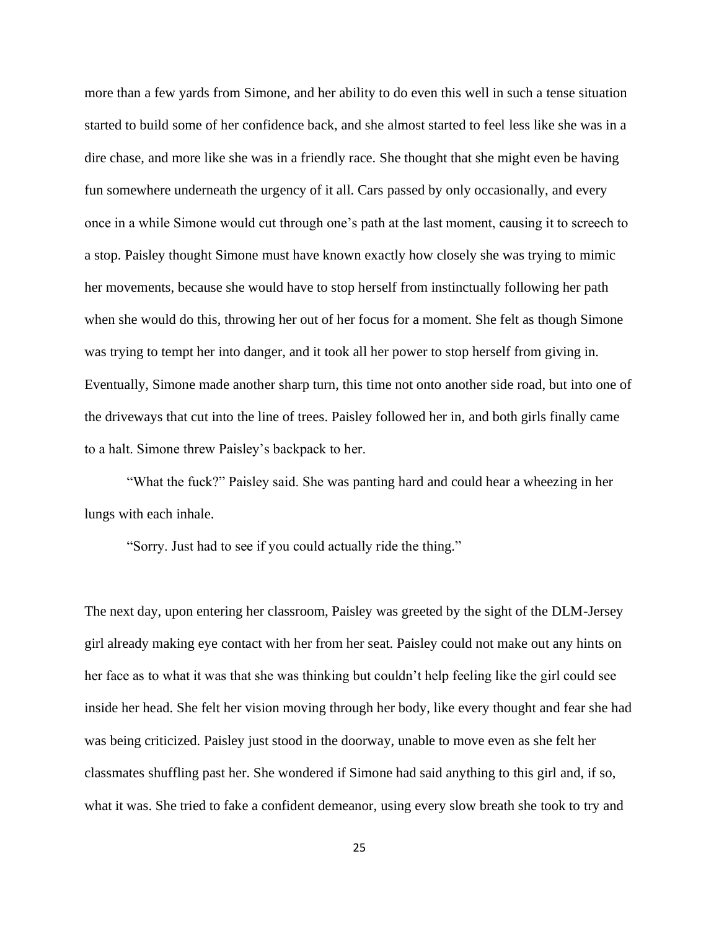more than a few yards from Simone, and her ability to do even this well in such a tense situation started to build some of her confidence back, and she almost started to feel less like she was in a dire chase, and more like she was in a friendly race. She thought that she might even be having fun somewhere underneath the urgency of it all. Cars passed by only occasionally, and every once in a while Simone would cut through one's path at the last moment, causing it to screech to a stop. Paisley thought Simone must have known exactly how closely she was trying to mimic her movements, because she would have to stop herself from instinctually following her path when she would do this, throwing her out of her focus for a moment. She felt as though Simone was trying to tempt her into danger, and it took all her power to stop herself from giving in. Eventually, Simone made another sharp turn, this time not onto another side road, but into one of the driveways that cut into the line of trees. Paisley followed her in, and both girls finally came to a halt. Simone threw Paisley's backpack to her.

"What the fuck?" Paisley said. She was panting hard and could hear a wheezing in her lungs with each inhale.

"Sorry. Just had to see if you could actually ride the thing."

The next day, upon entering her classroom, Paisley was greeted by the sight of the DLM-Jersey girl already making eye contact with her from her seat. Paisley could not make out any hints on her face as to what it was that she was thinking but couldn't help feeling like the girl could see inside her head. She felt her vision moving through her body, like every thought and fear she had was being criticized. Paisley just stood in the doorway, unable to move even as she felt her classmates shuffling past her. She wondered if Simone had said anything to this girl and, if so, what it was. She tried to fake a confident demeanor, using every slow breath she took to try and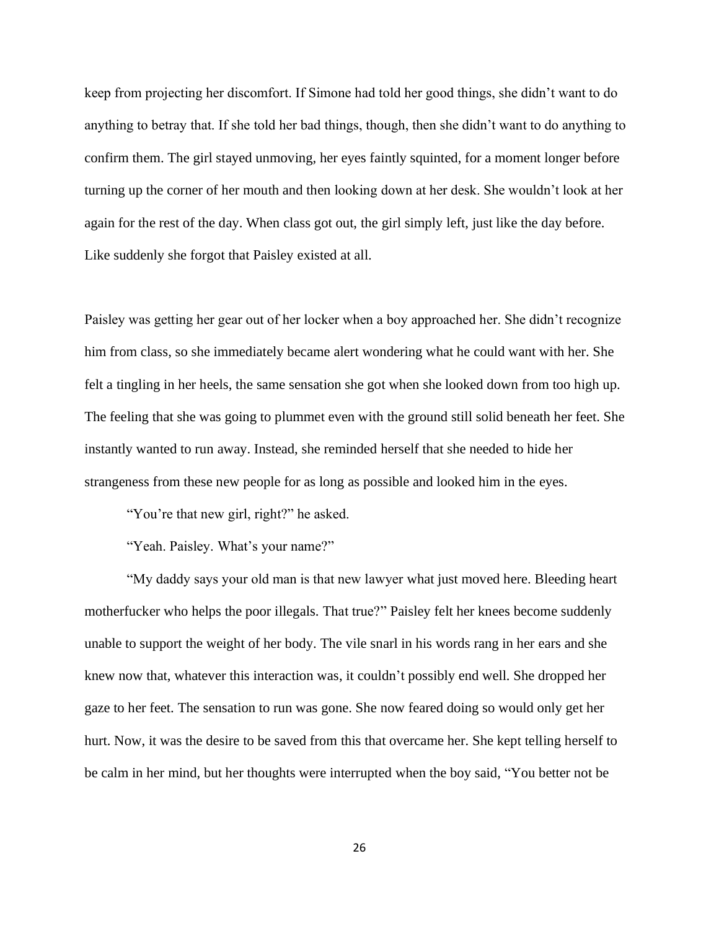keep from projecting her discomfort. If Simone had told her good things, she didn't want to do anything to betray that. If she told her bad things, though, then she didn't want to do anything to confirm them. The girl stayed unmoving, her eyes faintly squinted, for a moment longer before turning up the corner of her mouth and then looking down at her desk. She wouldn't look at her again for the rest of the day. When class got out, the girl simply left, just like the day before. Like suddenly she forgot that Paisley existed at all.

Paisley was getting her gear out of her locker when a boy approached her. She didn't recognize him from class, so she immediately became alert wondering what he could want with her. She felt a tingling in her heels, the same sensation she got when she looked down from too high up. The feeling that she was going to plummet even with the ground still solid beneath her feet. She instantly wanted to run away. Instead, she reminded herself that she needed to hide her strangeness from these new people for as long as possible and looked him in the eyes.

"You're that new girl, right?" he asked.

"Yeah. Paisley. What's your name?"

"My daddy says your old man is that new lawyer what just moved here. Bleeding heart motherfucker who helps the poor illegals. That true?" Paisley felt her knees become suddenly unable to support the weight of her body. The vile snarl in his words rang in her ears and she knew now that, whatever this interaction was, it couldn't possibly end well. She dropped her gaze to her feet. The sensation to run was gone. She now feared doing so would only get her hurt. Now, it was the desire to be saved from this that overcame her. She kept telling herself to be calm in her mind, but her thoughts were interrupted when the boy said, "You better not be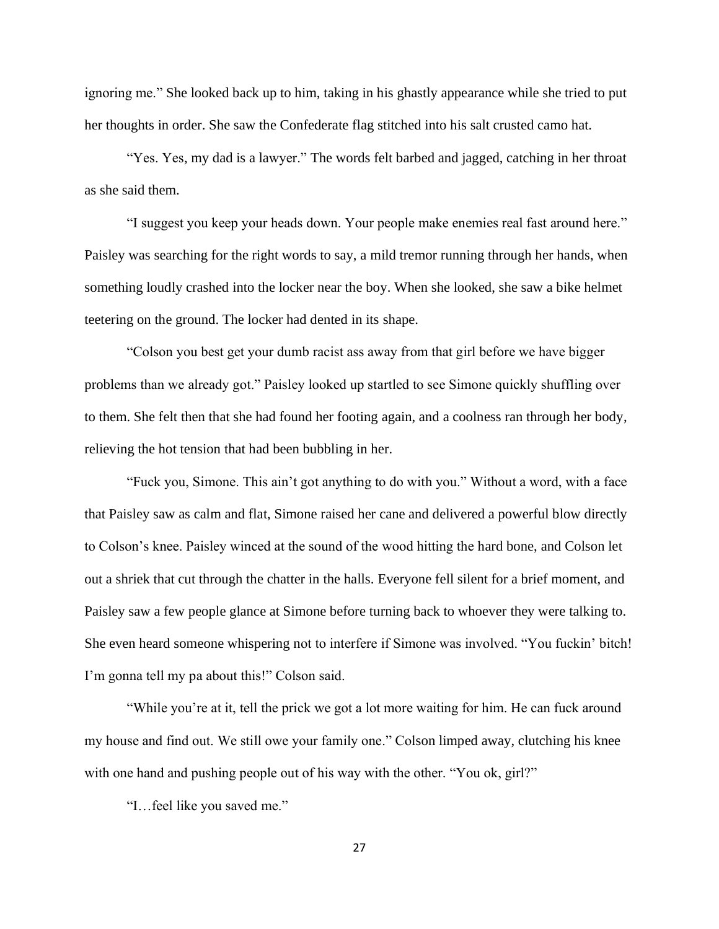ignoring me." She looked back up to him, taking in his ghastly appearance while she tried to put her thoughts in order. She saw the Confederate flag stitched into his salt crusted camo hat.

"Yes. Yes, my dad is a lawyer." The words felt barbed and jagged, catching in her throat as she said them.

"I suggest you keep your heads down. Your people make enemies real fast around here." Paisley was searching for the right words to say, a mild tremor running through her hands, when something loudly crashed into the locker near the boy. When she looked, she saw a bike helmet teetering on the ground. The locker had dented in its shape.

"Colson you best get your dumb racist ass away from that girl before we have bigger problems than we already got." Paisley looked up startled to see Simone quickly shuffling over to them. She felt then that she had found her footing again, and a coolness ran through her body, relieving the hot tension that had been bubbling in her.

"Fuck you, Simone. This ain't got anything to do with you." Without a word, with a face that Paisley saw as calm and flat, Simone raised her cane and delivered a powerful blow directly to Colson's knee. Paisley winced at the sound of the wood hitting the hard bone, and Colson let out a shriek that cut through the chatter in the halls. Everyone fell silent for a brief moment, and Paisley saw a few people glance at Simone before turning back to whoever they were talking to. She even heard someone whispering not to interfere if Simone was involved. "You fuckin' bitch! I'm gonna tell my pa about this!" Colson said.

"While you're at it, tell the prick we got a lot more waiting for him. He can fuck around my house and find out. We still owe your family one." Colson limped away, clutching his knee with one hand and pushing people out of his way with the other. "You ok, girl?"

"I…feel like you saved me."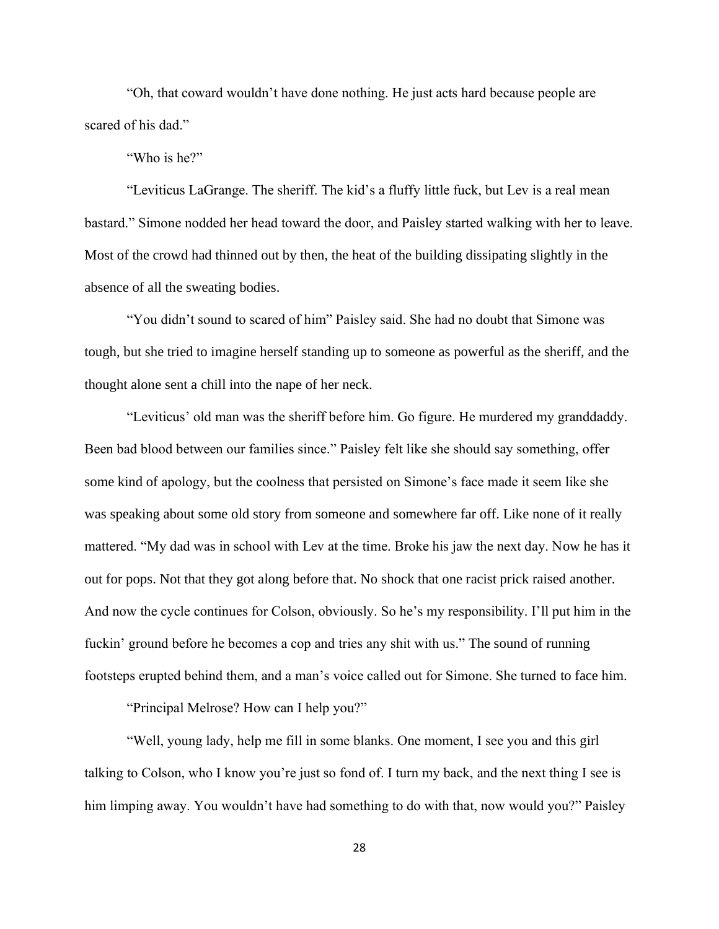"Oh, that coward wouldn't have done nothing. He just acts hard because people are scared of his dad."

"Who is he?"

"Leviticus LaGrange. The sheriff. The kid's a fluffy little fuck, but Lev is a real mean bastard." Simone nodded her head toward the door, and Paisley started walking with her to leave. Most of the crowd had thinned out by then, the heat of the building dissipating slightly in the absence of all the sweating bodies.

"You didn't sound to scared of him" Paisley said. She had no doubt that Simone was tough, but she tried to imagine herself standing up to someone as powerful as the sheriff, and the thought alone sent a chill into the nape of her neck.

"Leviticus' old man was the sheriff before him. Go figure. He murdered my granddaddy. Been bad blood between our families since." Paisley felt like she should say something, offer some kind of apology, but the coolness that persisted on Simone's face made it seem like she was speaking about some old story from someone and somewhere far off. Like none of it really mattered. "My dad was in school with Lev at the time. Broke his jaw the next day. Now he has it out for pops. Not that they got along before that. No shock that one racist prick raised another. And now the cycle continues for Colson, obviously. So he's my responsibility. I'll put him in the fuckin' ground before he becomes a cop and tries any shit with us." The sound of running footsteps erupted behind them, and a man's voice called out for Simone. She turned to face him.

"Principal Melrose? How can I help you?"

"Well, young lady, help me fill in some blanks. One moment, I see you and this girl talking to Colson, who I know you're just so fond of. I turn my back, and the next thing I see is him limping away. You wouldn't have had something to do with that, now would you?" Paisley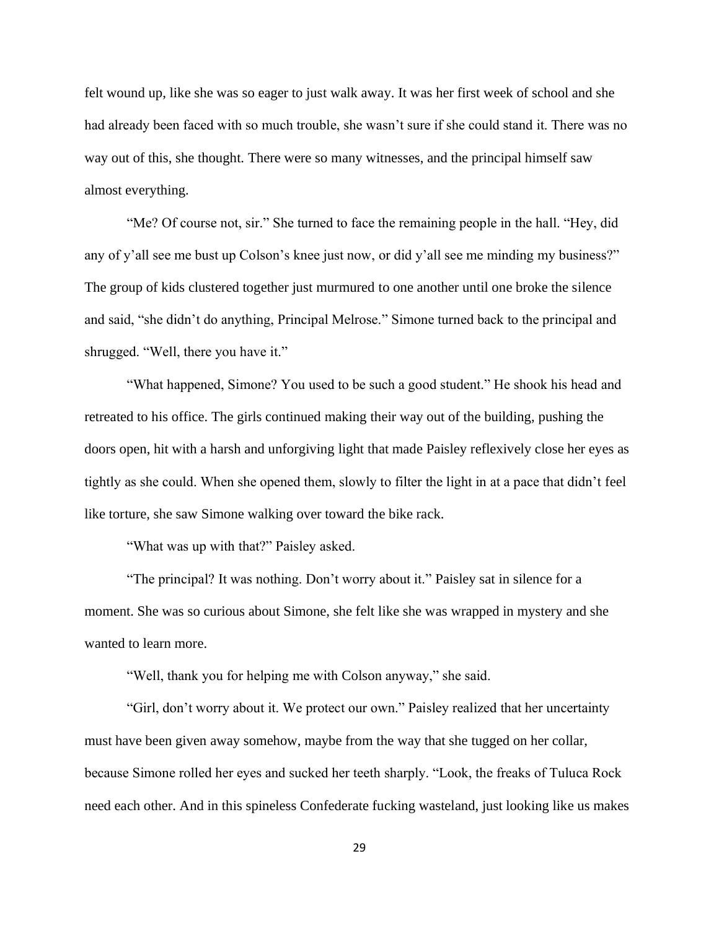felt wound up, like she was so eager to just walk away. It was her first week of school and she had already been faced with so much trouble, she wasn't sure if she could stand it. There was no way out of this, she thought. There were so many witnesses, and the principal himself saw almost everything.

"Me? Of course not, sir." She turned to face the remaining people in the hall. "Hey, did any of y'all see me bust up Colson's knee just now, or did y'all see me minding my business?" The group of kids clustered together just murmured to one another until one broke the silence and said, "she didn't do anything, Principal Melrose." Simone turned back to the principal and shrugged. "Well, there you have it."

"What happened, Simone? You used to be such a good student." He shook his head and retreated to his office. The girls continued making their way out of the building, pushing the doors open, hit with a harsh and unforgiving light that made Paisley reflexively close her eyes as tightly as she could. When she opened them, slowly to filter the light in at a pace that didn't feel like torture, she saw Simone walking over toward the bike rack.

"What was up with that?" Paisley asked.

"The principal? It was nothing. Don't worry about it." Paisley sat in silence for a moment. She was so curious about Simone, she felt like she was wrapped in mystery and she wanted to learn more.

"Well, thank you for helping me with Colson anyway," she said.

"Girl, don't worry about it. We protect our own." Paisley realized that her uncertainty must have been given away somehow, maybe from the way that she tugged on her collar, because Simone rolled her eyes and sucked her teeth sharply. "Look, the freaks of Tuluca Rock need each other. And in this spineless Confederate fucking wasteland, just looking like us makes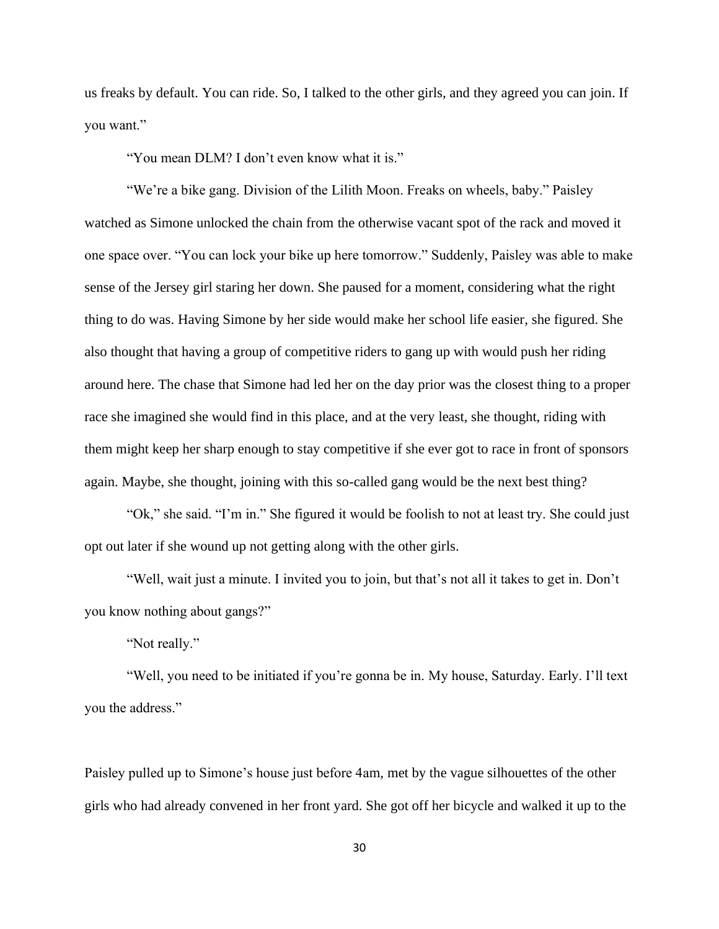us freaks by default. You can ride. So, I talked to the other girls, and they agreed you can join. If you want."

"You mean DLM? I don't even know what it is."

"We're a bike gang. Division of the Lilith Moon. Freaks on wheels, baby." Paisley watched as Simone unlocked the chain from the otherwise vacant spot of the rack and moved it one space over. "You can lock your bike up here tomorrow." Suddenly, Paisley was able to make sense of the Jersey girl staring her down. She paused for a moment, considering what the right thing to do was. Having Simone by her side would make her school life easier, she figured. She also thought that having a group of competitive riders to gang up with would push her riding around here. The chase that Simone had led her on the day prior was the closest thing to a proper race she imagined she would find in this place, and at the very least, she thought, riding with them might keep her sharp enough to stay competitive if she ever got to race in front of sponsors again. Maybe, she thought, joining with this so-called gang would be the next best thing?

"Ok," she said. "I'm in." She figured it would be foolish to not at least try. She could just opt out later if she wound up not getting along with the other girls.

"Well, wait just a minute. I invited you to join, but that's not all it takes to get in. Don't you know nothing about gangs?"

"Not really."

"Well, you need to be initiated if you're gonna be in. My house, Saturday. Early. I'll text you the address."

Paisley pulled up to Simone's house just before 4am, met by the vague silhouettes of the other girls who had already convened in her front yard. She got off her bicycle and walked it up to the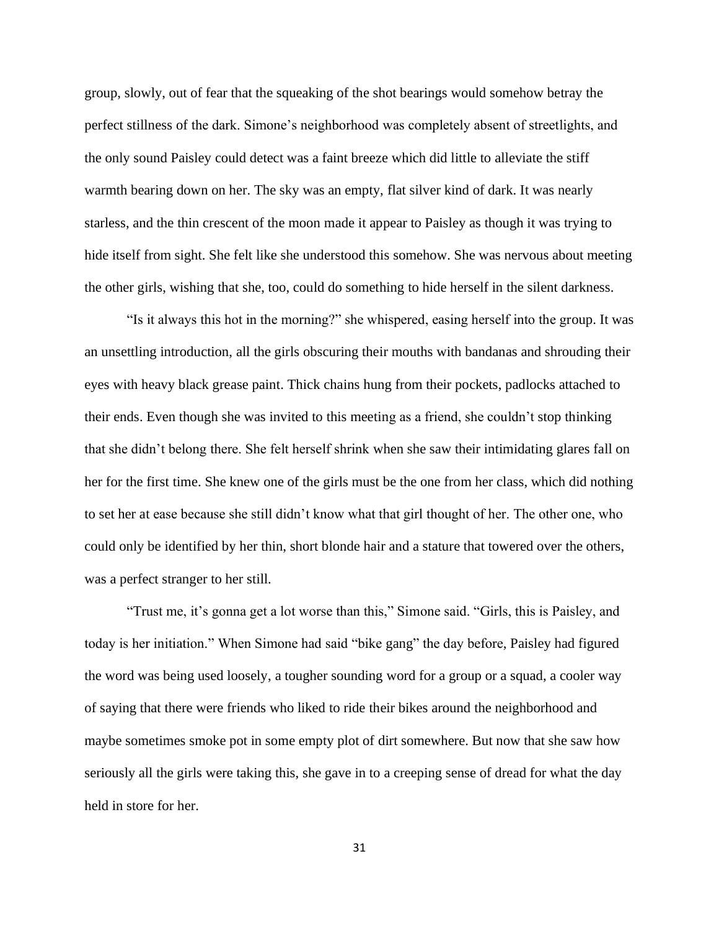group, slowly, out of fear that the squeaking of the shot bearings would somehow betray the perfect stillness of the dark. Simone's neighborhood was completely absent of streetlights, and the only sound Paisley could detect was a faint breeze which did little to alleviate the stiff warmth bearing down on her. The sky was an empty, flat silver kind of dark. It was nearly starless, and the thin crescent of the moon made it appear to Paisley as though it was trying to hide itself from sight. She felt like she understood this somehow. She was nervous about meeting the other girls, wishing that she, too, could do something to hide herself in the silent darkness.

"Is it always this hot in the morning?" she whispered, easing herself into the group. It was an unsettling introduction, all the girls obscuring their mouths with bandanas and shrouding their eyes with heavy black grease paint. Thick chains hung from their pockets, padlocks attached to their ends. Even though she was invited to this meeting as a friend, she couldn't stop thinking that she didn't belong there. She felt herself shrink when she saw their intimidating glares fall on her for the first time. She knew one of the girls must be the one from her class, which did nothing to set her at ease because she still didn't know what that girl thought of her. The other one, who could only be identified by her thin, short blonde hair and a stature that towered over the others, was a perfect stranger to her still.

"Trust me, it's gonna get a lot worse than this," Simone said. "Girls, this is Paisley, and today is her initiation." When Simone had said "bike gang" the day before, Paisley had figured the word was being used loosely, a tougher sounding word for a group or a squad, a cooler way of saying that there were friends who liked to ride their bikes around the neighborhood and maybe sometimes smoke pot in some empty plot of dirt somewhere. But now that she saw how seriously all the girls were taking this, she gave in to a creeping sense of dread for what the day held in store for her.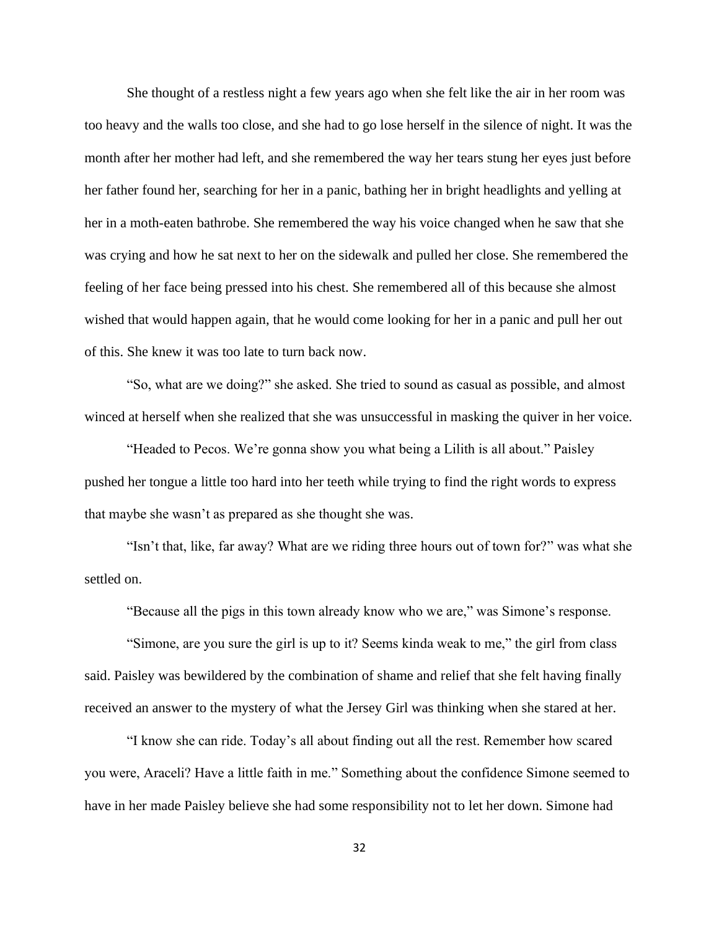She thought of a restless night a few years ago when she felt like the air in her room was too heavy and the walls too close, and she had to go lose herself in the silence of night. It was the month after her mother had left, and she remembered the way her tears stung her eyes just before her father found her, searching for her in a panic, bathing her in bright headlights and yelling at her in a moth-eaten bathrobe. She remembered the way his voice changed when he saw that she was crying and how he sat next to her on the sidewalk and pulled her close. She remembered the feeling of her face being pressed into his chest. She remembered all of this because she almost wished that would happen again, that he would come looking for her in a panic and pull her out of this. She knew it was too late to turn back now.

"So, what are we doing?" she asked. She tried to sound as casual as possible, and almost winced at herself when she realized that she was unsuccessful in masking the quiver in her voice.

"Headed to Pecos. We're gonna show you what being a Lilith is all about." Paisley pushed her tongue a little too hard into her teeth while trying to find the right words to express that maybe she wasn't as prepared as she thought she was.

"Isn't that, like, far away? What are we riding three hours out of town for?" was what she settled on.

"Because all the pigs in this town already know who we are," was Simone's response.

"Simone, are you sure the girl is up to it? Seems kinda weak to me," the girl from class said. Paisley was bewildered by the combination of shame and relief that she felt having finally received an answer to the mystery of what the Jersey Girl was thinking when she stared at her.

"I know she can ride. Today's all about finding out all the rest. Remember how scared you were, Araceli? Have a little faith in me." Something about the confidence Simone seemed to have in her made Paisley believe she had some responsibility not to let her down. Simone had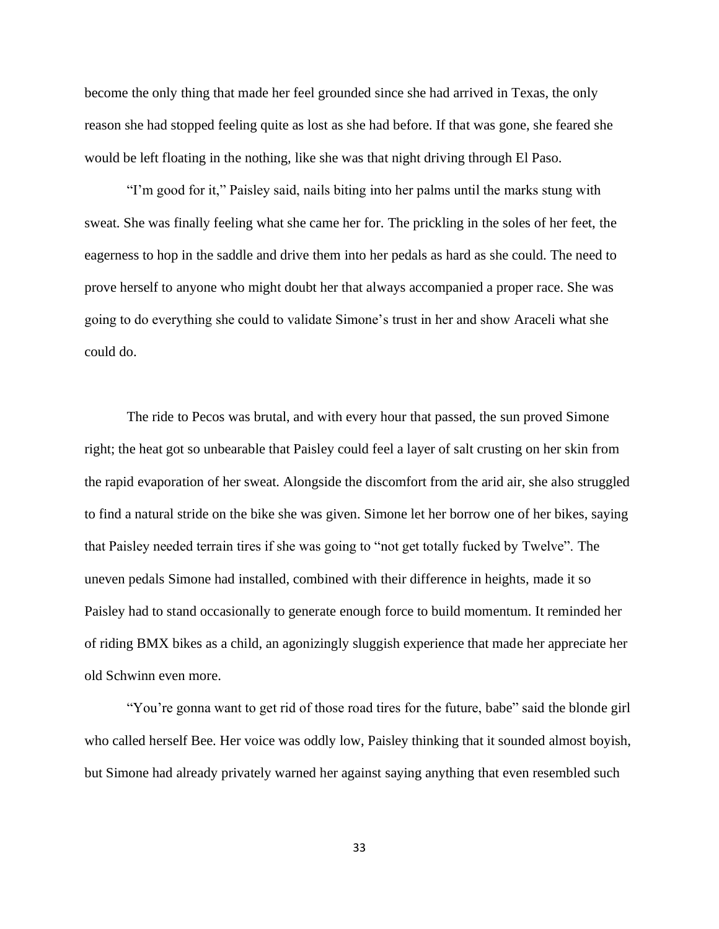become the only thing that made her feel grounded since she had arrived in Texas, the only reason she had stopped feeling quite as lost as she had before. If that was gone, she feared she would be left floating in the nothing, like she was that night driving through El Paso.

"I'm good for it," Paisley said, nails biting into her palms until the marks stung with sweat. She was finally feeling what she came her for. The prickling in the soles of her feet, the eagerness to hop in the saddle and drive them into her pedals as hard as she could. The need to prove herself to anyone who might doubt her that always accompanied a proper race. She was going to do everything she could to validate Simone's trust in her and show Araceli what she could do.

The ride to Pecos was brutal, and with every hour that passed, the sun proved Simone right; the heat got so unbearable that Paisley could feel a layer of salt crusting on her skin from the rapid evaporation of her sweat. Alongside the discomfort from the arid air, she also struggled to find a natural stride on the bike she was given. Simone let her borrow one of her bikes, saying that Paisley needed terrain tires if she was going to "not get totally fucked by Twelve". The uneven pedals Simone had installed, combined with their difference in heights, made it so Paisley had to stand occasionally to generate enough force to build momentum. It reminded her of riding BMX bikes as a child, an agonizingly sluggish experience that made her appreciate her old Schwinn even more.

"You're gonna want to get rid of those road tires for the future, babe" said the blonde girl who called herself Bee. Her voice was oddly low, Paisley thinking that it sounded almost boyish, but Simone had already privately warned her against saying anything that even resembled such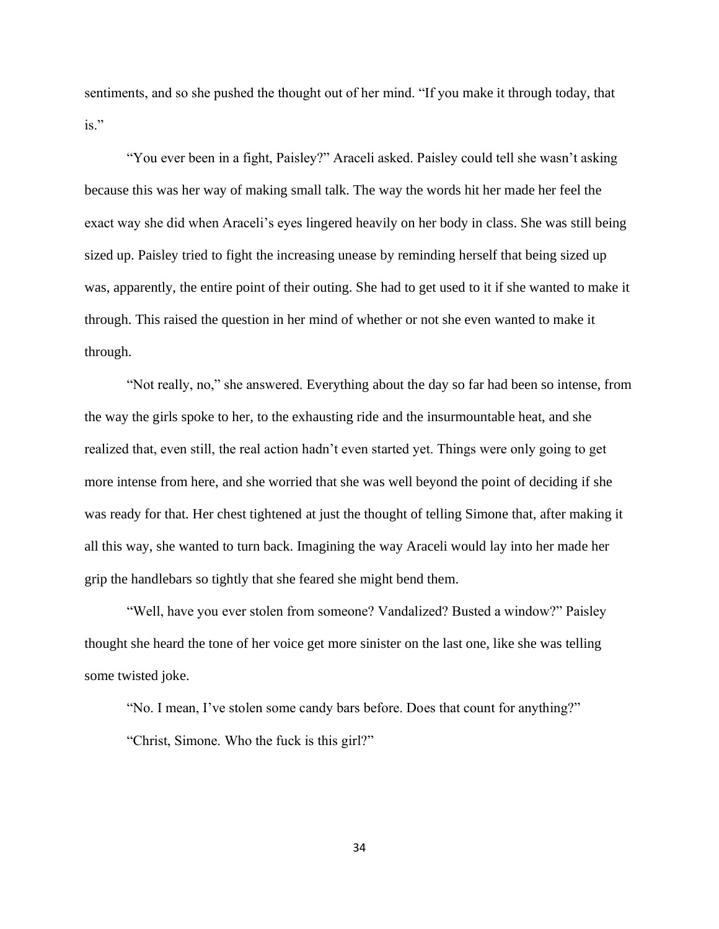sentiments, and so she pushed the thought out of her mind. "If you make it through today, that is."

"You ever been in a fight, Paisley?" Araceli asked. Paisley could tell she wasn't asking because this was her way of making small talk. The way the words hit her made her feel the exact way she did when Araceli's eyes lingered heavily on her body in class. She was still being sized up. Paisley tried to fight the increasing unease by reminding herself that being sized up was, apparently, the entire point of their outing. She had to get used to it if she wanted to make it through. This raised the question in her mind of whether or not she even wanted to make it through.

"Not really, no," she answered. Everything about the day so far had been so intense, from the way the girls spoke to her, to the exhausting ride and the insurmountable heat, and she realized that, even still, the real action hadn't even started yet. Things were only going to get more intense from here, and she worried that she was well beyond the point of deciding if she was ready for that. Her chest tightened at just the thought of telling Simone that, after making it all this way, she wanted to turn back. Imagining the way Araceli would lay into her made her grip the handlebars so tightly that she feared she might bend them.

"Well, have you ever stolen from someone? Vandalized? Busted a window?" Paisley thought she heard the tone of her voice get more sinister on the last one, like she was telling some twisted joke.

"No. I mean, I've stolen some candy bars before. Does that count for anything?" "Christ, Simone. Who the fuck is this girl?"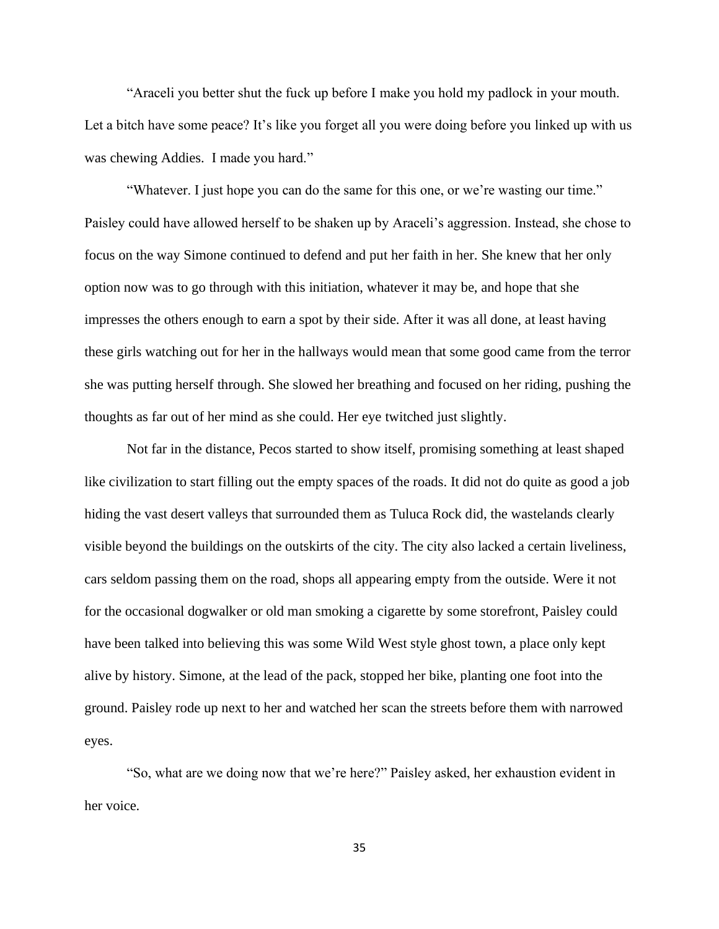"Araceli you better shut the fuck up before I make you hold my padlock in your mouth. Let a bitch have some peace? It's like you forget all you were doing before you linked up with us was chewing Addies. I made you hard."

"Whatever. I just hope you can do the same for this one, or we're wasting our time." Paisley could have allowed herself to be shaken up by Araceli's aggression. Instead, she chose to focus on the way Simone continued to defend and put her faith in her. She knew that her only option now was to go through with this initiation, whatever it may be, and hope that she impresses the others enough to earn a spot by their side. After it was all done, at least having these girls watching out for her in the hallways would mean that some good came from the terror she was putting herself through. She slowed her breathing and focused on her riding, pushing the thoughts as far out of her mind as she could. Her eye twitched just slightly.

Not far in the distance, Pecos started to show itself, promising something at least shaped like civilization to start filling out the empty spaces of the roads. It did not do quite as good a job hiding the vast desert valleys that surrounded them as Tuluca Rock did, the wastelands clearly visible beyond the buildings on the outskirts of the city. The city also lacked a certain liveliness, cars seldom passing them on the road, shops all appearing empty from the outside. Were it not for the occasional dogwalker or old man smoking a cigarette by some storefront, Paisley could have been talked into believing this was some Wild West style ghost town, a place only kept alive by history. Simone, at the lead of the pack, stopped her bike, planting one foot into the ground. Paisley rode up next to her and watched her scan the streets before them with narrowed eyes.

"So, what are we doing now that we're here?" Paisley asked, her exhaustion evident in her voice.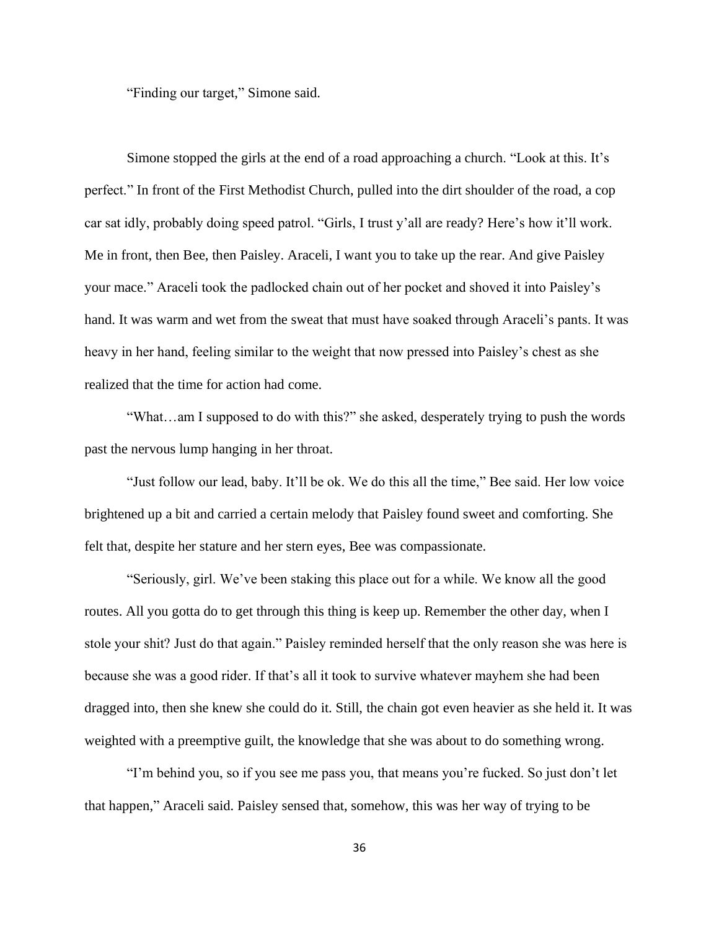"Finding our target," Simone said.

Simone stopped the girls at the end of a road approaching a church. "Look at this. It's perfect." In front of the First Methodist Church, pulled into the dirt shoulder of the road, a cop car sat idly, probably doing speed patrol. "Girls, I trust y'all are ready? Here's how it'll work. Me in front, then Bee, then Paisley. Araceli, I want you to take up the rear. And give Paisley your mace." Araceli took the padlocked chain out of her pocket and shoved it into Paisley's hand. It was warm and wet from the sweat that must have soaked through Araceli's pants. It was heavy in her hand, feeling similar to the weight that now pressed into Paisley's chest as she realized that the time for action had come.

"What…am I supposed to do with this?" she asked, desperately trying to push the words past the nervous lump hanging in her throat.

"Just follow our lead, baby. It'll be ok. We do this all the time," Bee said. Her low voice brightened up a bit and carried a certain melody that Paisley found sweet and comforting. She felt that, despite her stature and her stern eyes, Bee was compassionate.

"Seriously, girl. We've been staking this place out for a while. We know all the good routes. All you gotta do to get through this thing is keep up. Remember the other day, when I stole your shit? Just do that again." Paisley reminded herself that the only reason she was here is because she was a good rider. If that's all it took to survive whatever mayhem she had been dragged into, then she knew she could do it. Still, the chain got even heavier as she held it. It was weighted with a preemptive guilt, the knowledge that she was about to do something wrong.

"I'm behind you, so if you see me pass you, that means you're fucked. So just don't let that happen," Araceli said. Paisley sensed that, somehow, this was her way of trying to be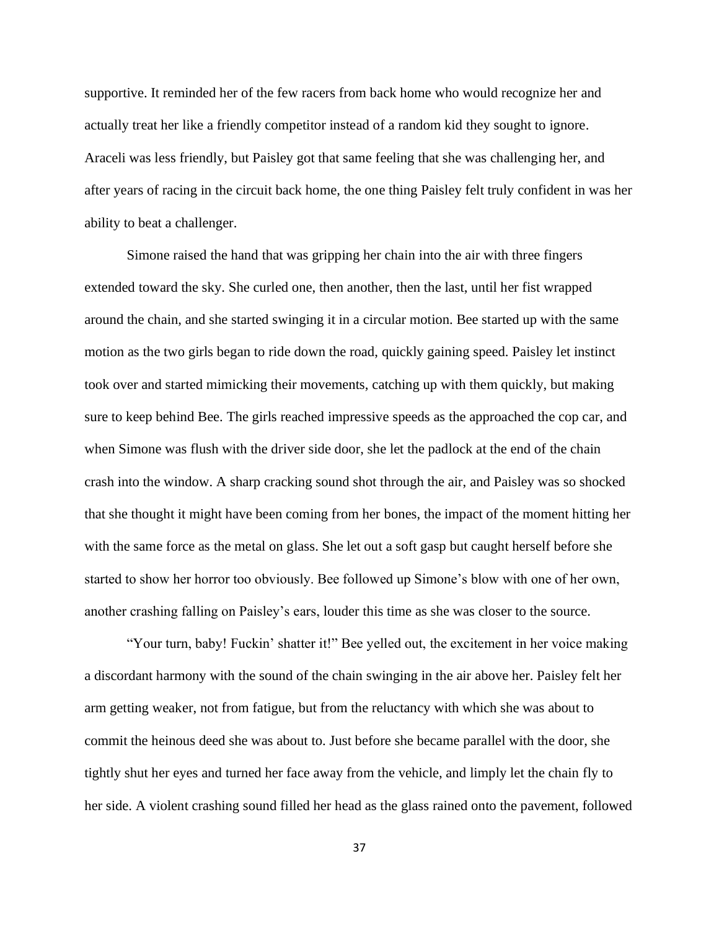supportive. It reminded her of the few racers from back home who would recognize her and actually treat her like a friendly competitor instead of a random kid they sought to ignore. Araceli was less friendly, but Paisley got that same feeling that she was challenging her, and after years of racing in the circuit back home, the one thing Paisley felt truly confident in was her ability to beat a challenger.

Simone raised the hand that was gripping her chain into the air with three fingers extended toward the sky. She curled one, then another, then the last, until her fist wrapped around the chain, and she started swinging it in a circular motion. Bee started up with the same motion as the two girls began to ride down the road, quickly gaining speed. Paisley let instinct took over and started mimicking their movements, catching up with them quickly, but making sure to keep behind Bee. The girls reached impressive speeds as the approached the cop car, and when Simone was flush with the driver side door, she let the padlock at the end of the chain crash into the window. A sharp cracking sound shot through the air, and Paisley was so shocked that she thought it might have been coming from her bones, the impact of the moment hitting her with the same force as the metal on glass. She let out a soft gasp but caught herself before she started to show her horror too obviously. Bee followed up Simone's blow with one of her own, another crashing falling on Paisley's ears, louder this time as she was closer to the source.

"Your turn, baby! Fuckin' shatter it!" Bee yelled out, the excitement in her voice making a discordant harmony with the sound of the chain swinging in the air above her. Paisley felt her arm getting weaker, not from fatigue, but from the reluctancy with which she was about to commit the heinous deed she was about to. Just before she became parallel with the door, she tightly shut her eyes and turned her face away from the vehicle, and limply let the chain fly to her side. A violent crashing sound filled her head as the glass rained onto the pavement, followed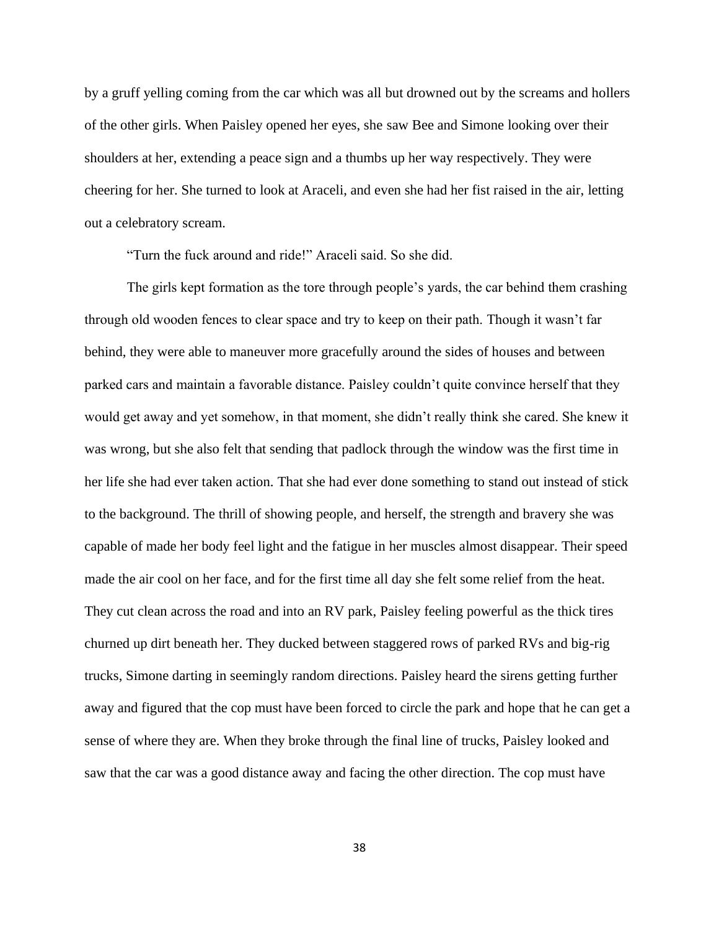by a gruff yelling coming from the car which was all but drowned out by the screams and hollers of the other girls. When Paisley opened her eyes, she saw Bee and Simone looking over their shoulders at her, extending a peace sign and a thumbs up her way respectively. They were cheering for her. She turned to look at Araceli, and even she had her fist raised in the air, letting out a celebratory scream.

"Turn the fuck around and ride!" Araceli said. So she did.

The girls kept formation as the tore through people's yards, the car behind them crashing through old wooden fences to clear space and try to keep on their path. Though it wasn't far behind, they were able to maneuver more gracefully around the sides of houses and between parked cars and maintain a favorable distance. Paisley couldn't quite convince herself that they would get away and yet somehow, in that moment, she didn't really think she cared. She knew it was wrong, but she also felt that sending that padlock through the window was the first time in her life she had ever taken action. That she had ever done something to stand out instead of stick to the background. The thrill of showing people, and herself, the strength and bravery she was capable of made her body feel light and the fatigue in her muscles almost disappear. Their speed made the air cool on her face, and for the first time all day she felt some relief from the heat. They cut clean across the road and into an RV park, Paisley feeling powerful as the thick tires churned up dirt beneath her. They ducked between staggered rows of parked RVs and big-rig trucks, Simone darting in seemingly random directions. Paisley heard the sirens getting further away and figured that the cop must have been forced to circle the park and hope that he can get a sense of where they are. When they broke through the final line of trucks, Paisley looked and saw that the car was a good distance away and facing the other direction. The cop must have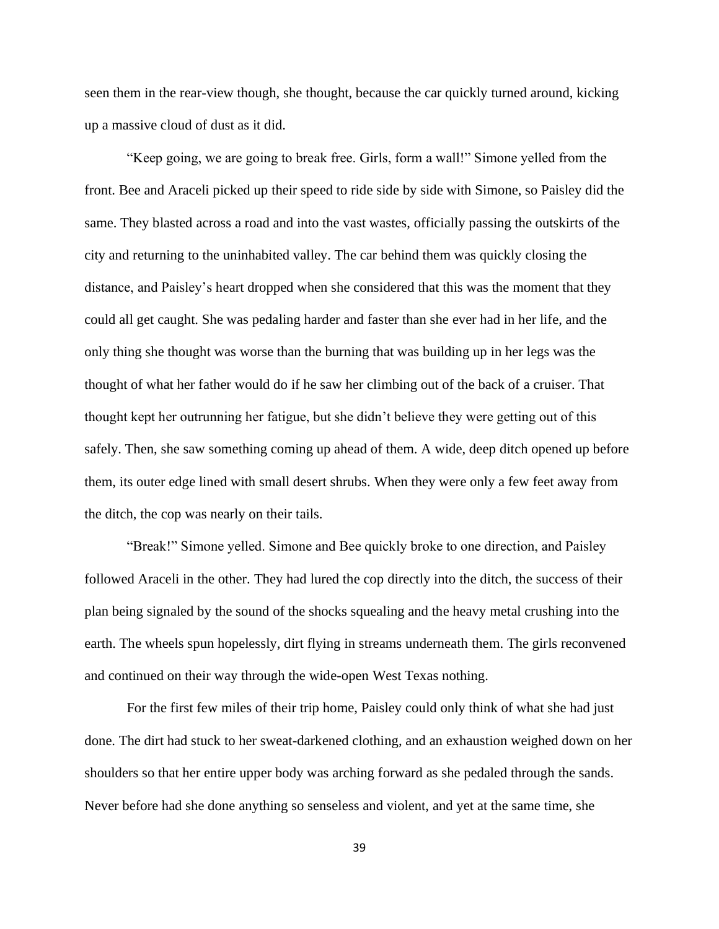seen them in the rear-view though, she thought, because the car quickly turned around, kicking up a massive cloud of dust as it did.

"Keep going, we are going to break free. Girls, form a wall!" Simone yelled from the front. Bee and Araceli picked up their speed to ride side by side with Simone, so Paisley did the same. They blasted across a road and into the vast wastes, officially passing the outskirts of the city and returning to the uninhabited valley. The car behind them was quickly closing the distance, and Paisley's heart dropped when she considered that this was the moment that they could all get caught. She was pedaling harder and faster than she ever had in her life, and the only thing she thought was worse than the burning that was building up in her legs was the thought of what her father would do if he saw her climbing out of the back of a cruiser. That thought kept her outrunning her fatigue, but she didn't believe they were getting out of this safely. Then, she saw something coming up ahead of them. A wide, deep ditch opened up before them, its outer edge lined with small desert shrubs. When they were only a few feet away from the ditch, the cop was nearly on their tails.

"Break!" Simone yelled. Simone and Bee quickly broke to one direction, and Paisley followed Araceli in the other. They had lured the cop directly into the ditch, the success of their plan being signaled by the sound of the shocks squealing and the heavy metal crushing into the earth. The wheels spun hopelessly, dirt flying in streams underneath them. The girls reconvened and continued on their way through the wide-open West Texas nothing.

For the first few miles of their trip home, Paisley could only think of what she had just done. The dirt had stuck to her sweat-darkened clothing, and an exhaustion weighed down on her shoulders so that her entire upper body was arching forward as she pedaled through the sands. Never before had she done anything so senseless and violent, and yet at the same time, she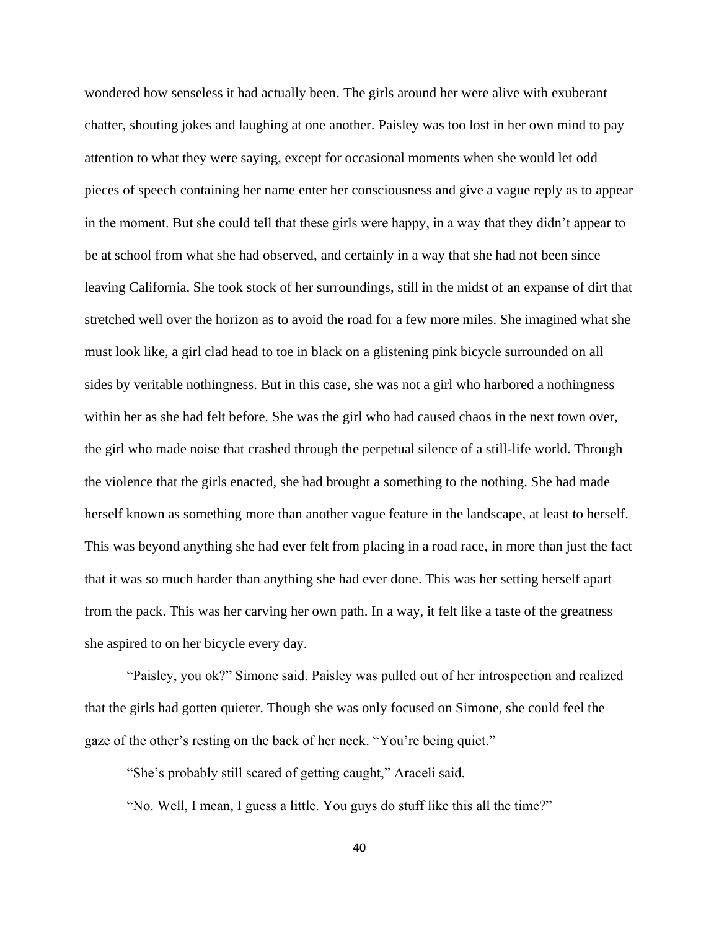wondered how senseless it had actually been. The girls around her were alive with exuberant chatter, shouting jokes and laughing at one another. Paisley was too lost in her own mind to pay attention to what they were saying, except for occasional moments when she would let odd pieces of speech containing her name enter her consciousness and give a vague reply as to appear in the moment. But she could tell that these girls were happy, in a way that they didn't appear to be at school from what she had observed, and certainly in a way that she had not been since leaving California. She took stock of her surroundings, still in the midst of an expanse of dirt that stretched well over the horizon as to avoid the road for a few more miles. She imagined what she must look like, a girl clad head to toe in black on a glistening pink bicycle surrounded on all sides by veritable nothingness. But in this case, she was not a girl who harbored a nothingness within her as she had felt before. She was the girl who had caused chaos in the next town over, the girl who made noise that crashed through the perpetual silence of a still-life world. Through the violence that the girls enacted, she had brought a something to the nothing. She had made herself known as something more than another vague feature in the landscape, at least to herself. This was beyond anything she had ever felt from placing in a road race, in more than just the fact that it was so much harder than anything she had ever done. This was her setting herself apart from the pack. This was her carving her own path. In a way, it felt like a taste of the greatness she aspired to on her bicycle every day.

"Paisley, you ok?" Simone said. Paisley was pulled out of her introspection and realized that the girls had gotten quieter. Though she was only focused on Simone, she could feel the gaze of the other's resting on the back of her neck. "You're being quiet."

"She's probably still scared of getting caught," Araceli said.

"No. Well, I mean, I guess a little. You guys do stuff like this all the time?"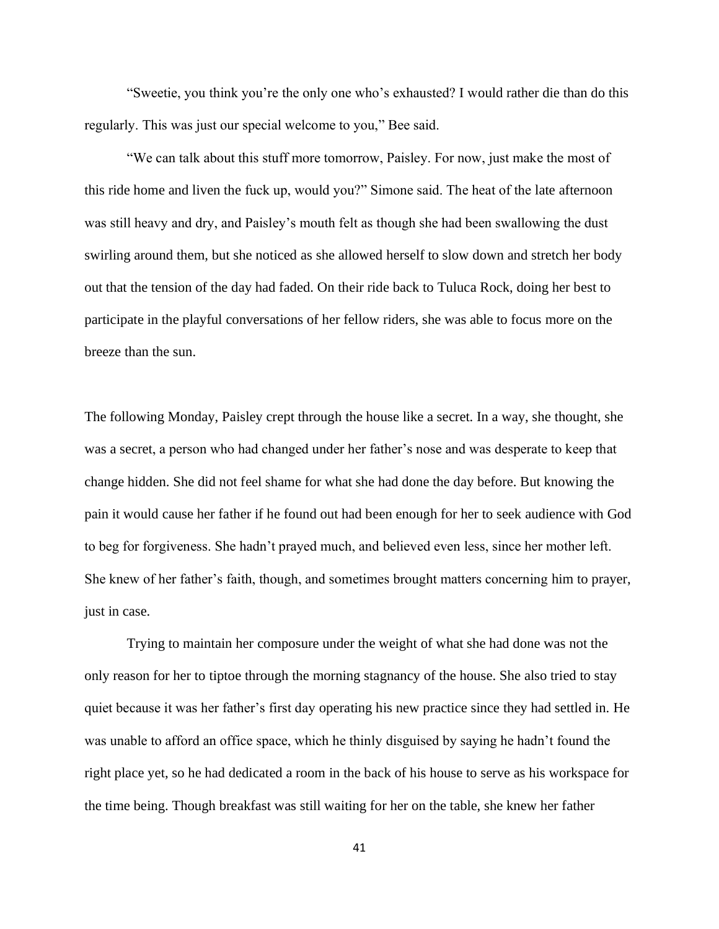"Sweetie, you think you're the only one who's exhausted? I would rather die than do this regularly. This was just our special welcome to you," Bee said.

"We can talk about this stuff more tomorrow, Paisley. For now, just make the most of this ride home and liven the fuck up, would you?" Simone said. The heat of the late afternoon was still heavy and dry, and Paisley's mouth felt as though she had been swallowing the dust swirling around them, but she noticed as she allowed herself to slow down and stretch her body out that the tension of the day had faded. On their ride back to Tuluca Rock, doing her best to participate in the playful conversations of her fellow riders, she was able to focus more on the breeze than the sun.

The following Monday, Paisley crept through the house like a secret. In a way, she thought, she was a secret, a person who had changed under her father's nose and was desperate to keep that change hidden. She did not feel shame for what she had done the day before. But knowing the pain it would cause her father if he found out had been enough for her to seek audience with God to beg for forgiveness. She hadn't prayed much, and believed even less, since her mother left. She knew of her father's faith, though, and sometimes brought matters concerning him to prayer, just in case.

Trying to maintain her composure under the weight of what she had done was not the only reason for her to tiptoe through the morning stagnancy of the house. She also tried to stay quiet because it was her father's first day operating his new practice since they had settled in. He was unable to afford an office space, which he thinly disguised by saying he hadn't found the right place yet, so he had dedicated a room in the back of his house to serve as his workspace for the time being. Though breakfast was still waiting for her on the table, she knew her father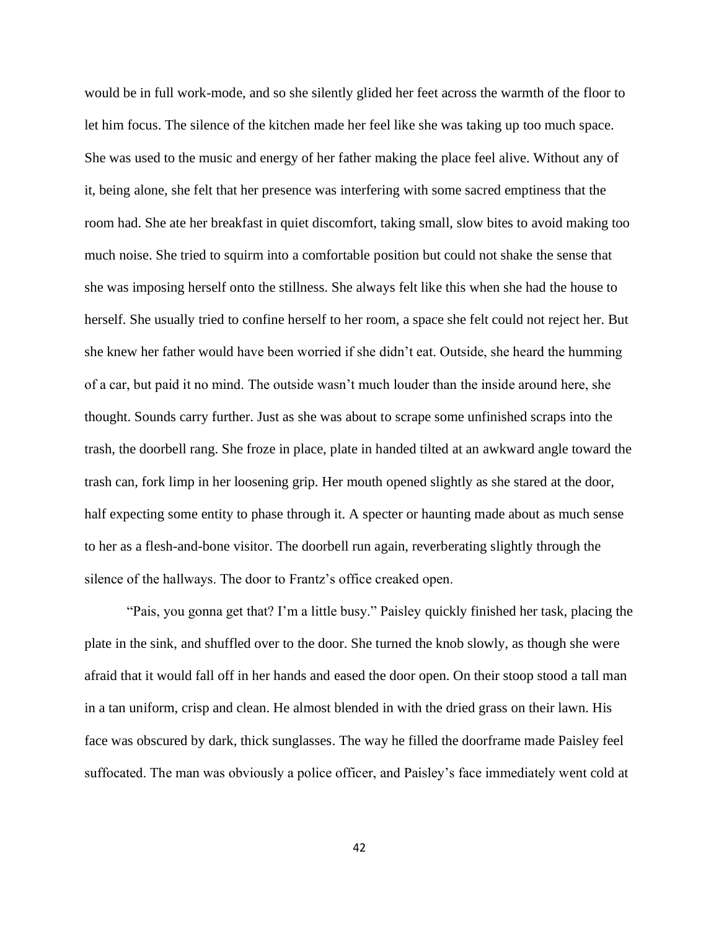would be in full work-mode, and so she silently glided her feet across the warmth of the floor to let him focus. The silence of the kitchen made her feel like she was taking up too much space. She was used to the music and energy of her father making the place feel alive. Without any of it, being alone, she felt that her presence was interfering with some sacred emptiness that the room had. She ate her breakfast in quiet discomfort, taking small, slow bites to avoid making too much noise. She tried to squirm into a comfortable position but could not shake the sense that she was imposing herself onto the stillness. She always felt like this when she had the house to herself. She usually tried to confine herself to her room, a space she felt could not reject her. But she knew her father would have been worried if she didn't eat. Outside, she heard the humming of a car, but paid it no mind. The outside wasn't much louder than the inside around here, she thought. Sounds carry further. Just as she was about to scrape some unfinished scraps into the trash, the doorbell rang. She froze in place, plate in handed tilted at an awkward angle toward the trash can, fork limp in her loosening grip. Her mouth opened slightly as she stared at the door, half expecting some entity to phase through it. A specter or haunting made about as much sense to her as a flesh-and-bone visitor. The doorbell run again, reverberating slightly through the silence of the hallways. The door to Frantz's office creaked open.

"Pais, you gonna get that? I'm a little busy." Paisley quickly finished her task, placing the plate in the sink, and shuffled over to the door. She turned the knob slowly, as though she were afraid that it would fall off in her hands and eased the door open. On their stoop stood a tall man in a tan uniform, crisp and clean. He almost blended in with the dried grass on their lawn. His face was obscured by dark, thick sunglasses. The way he filled the doorframe made Paisley feel suffocated. The man was obviously a police officer, and Paisley's face immediately went cold at

42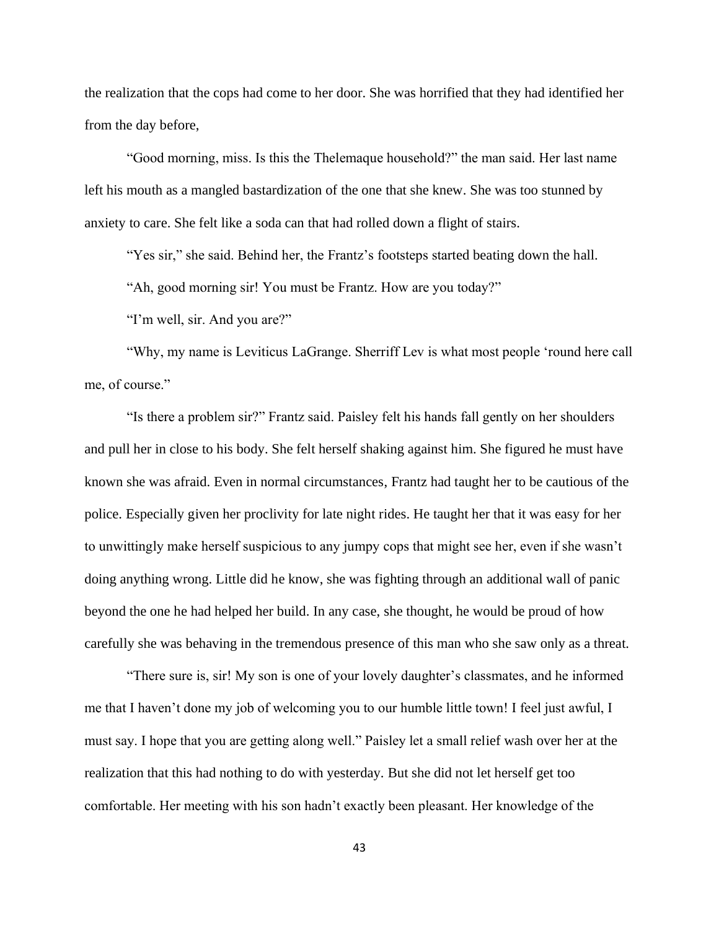the realization that the cops had come to her door. She was horrified that they had identified her from the day before,

"Good morning, miss. Is this the Thelemaque household?" the man said. Her last name left his mouth as a mangled bastardization of the one that she knew. She was too stunned by anxiety to care. She felt like a soda can that had rolled down a flight of stairs.

"Yes sir," she said. Behind her, the Frantz's footsteps started beating down the hall.

"Ah, good morning sir! You must be Frantz. How are you today?"

"I'm well, sir. And you are?"

"Why, my name is Leviticus LaGrange. Sherriff Lev is what most people 'round here call me, of course."

"Is there a problem sir?" Frantz said. Paisley felt his hands fall gently on her shoulders and pull her in close to his body. She felt herself shaking against him. She figured he must have known she was afraid. Even in normal circumstances, Frantz had taught her to be cautious of the police. Especially given her proclivity for late night rides. He taught her that it was easy for her to unwittingly make herself suspicious to any jumpy cops that might see her, even if she wasn't doing anything wrong. Little did he know, she was fighting through an additional wall of panic beyond the one he had helped her build. In any case, she thought, he would be proud of how carefully she was behaving in the tremendous presence of this man who she saw only as a threat.

"There sure is, sir! My son is one of your lovely daughter's classmates, and he informed me that I haven't done my job of welcoming you to our humble little town! I feel just awful, I must say. I hope that you are getting along well." Paisley let a small relief wash over her at the realization that this had nothing to do with yesterday. But she did not let herself get too comfortable. Her meeting with his son hadn't exactly been pleasant. Her knowledge of the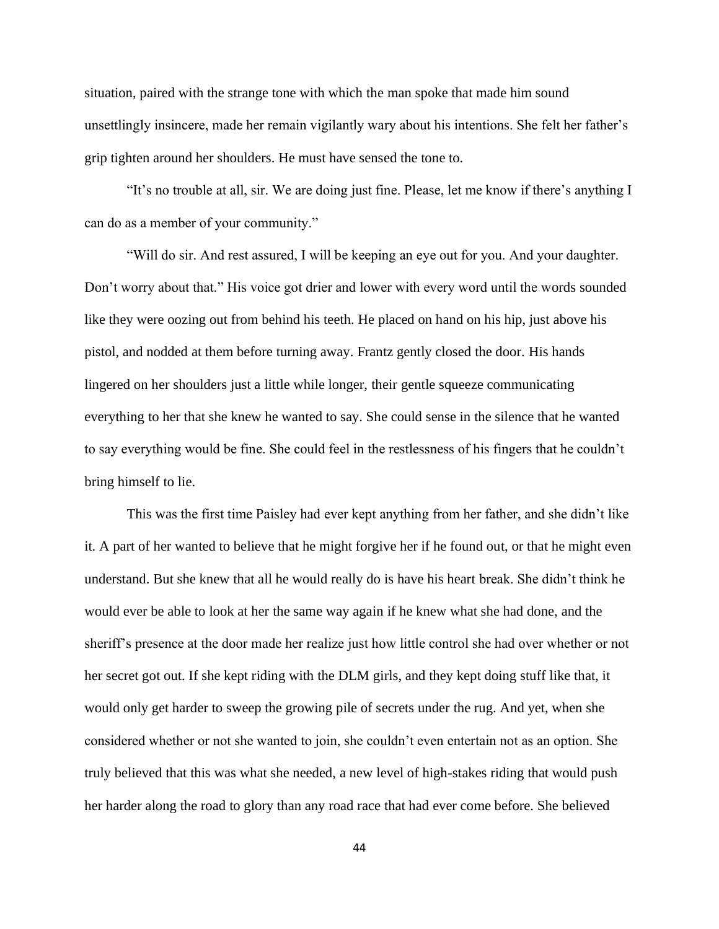situation, paired with the strange tone with which the man spoke that made him sound unsettlingly insincere, made her remain vigilantly wary about his intentions. She felt her father's grip tighten around her shoulders. He must have sensed the tone to.

"It's no trouble at all, sir. We are doing just fine. Please, let me know if there's anything I can do as a member of your community."

"Will do sir. And rest assured, I will be keeping an eye out for you. And your daughter. Don't worry about that." His voice got drier and lower with every word until the words sounded like they were oozing out from behind his teeth. He placed on hand on his hip, just above his pistol, and nodded at them before turning away. Frantz gently closed the door. His hands lingered on her shoulders just a little while longer, their gentle squeeze communicating everything to her that she knew he wanted to say. She could sense in the silence that he wanted to say everything would be fine. She could feel in the restlessness of his fingers that he couldn't bring himself to lie.

This was the first time Paisley had ever kept anything from her father, and she didn't like it. A part of her wanted to believe that he might forgive her if he found out, or that he might even understand. But she knew that all he would really do is have his heart break. She didn't think he would ever be able to look at her the same way again if he knew what she had done, and the sheriff's presence at the door made her realize just how little control she had over whether or not her secret got out. If she kept riding with the DLM girls, and they kept doing stuff like that, it would only get harder to sweep the growing pile of secrets under the rug. And yet, when she considered whether or not she wanted to join, she couldn't even entertain not as an option. She truly believed that this was what she needed, a new level of high-stakes riding that would push her harder along the road to glory than any road race that had ever come before. She believed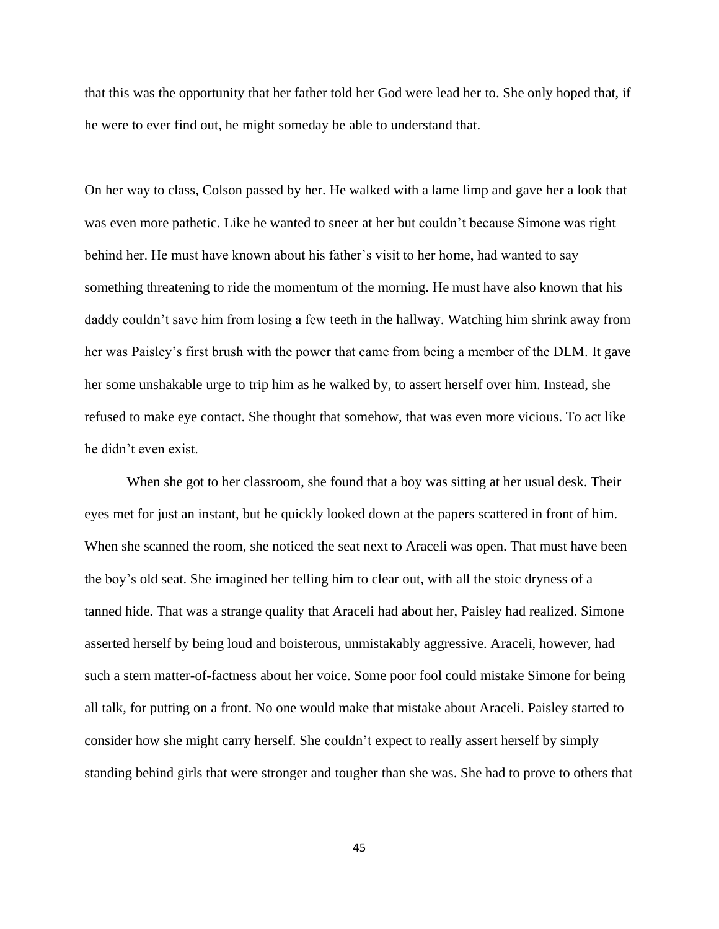that this was the opportunity that her father told her God were lead her to. She only hoped that, if he were to ever find out, he might someday be able to understand that.

On her way to class, Colson passed by her. He walked with a lame limp and gave her a look that was even more pathetic. Like he wanted to sneer at her but couldn't because Simone was right behind her. He must have known about his father's visit to her home, had wanted to say something threatening to ride the momentum of the morning. He must have also known that his daddy couldn't save him from losing a few teeth in the hallway. Watching him shrink away from her was Paisley's first brush with the power that came from being a member of the DLM. It gave her some unshakable urge to trip him as he walked by, to assert herself over him. Instead, she refused to make eye contact. She thought that somehow, that was even more vicious. To act like he didn't even exist.

When she got to her classroom, she found that a boy was sitting at her usual desk. Their eyes met for just an instant, but he quickly looked down at the papers scattered in front of him. When she scanned the room, she noticed the seat next to Araceli was open. That must have been the boy's old seat. She imagined her telling him to clear out, with all the stoic dryness of a tanned hide. That was a strange quality that Araceli had about her, Paisley had realized. Simone asserted herself by being loud and boisterous, unmistakably aggressive. Araceli, however, had such a stern matter-of-factness about her voice. Some poor fool could mistake Simone for being all talk, for putting on a front. No one would make that mistake about Araceli. Paisley started to consider how she might carry herself. She couldn't expect to really assert herself by simply standing behind girls that were stronger and tougher than she was. She had to prove to others that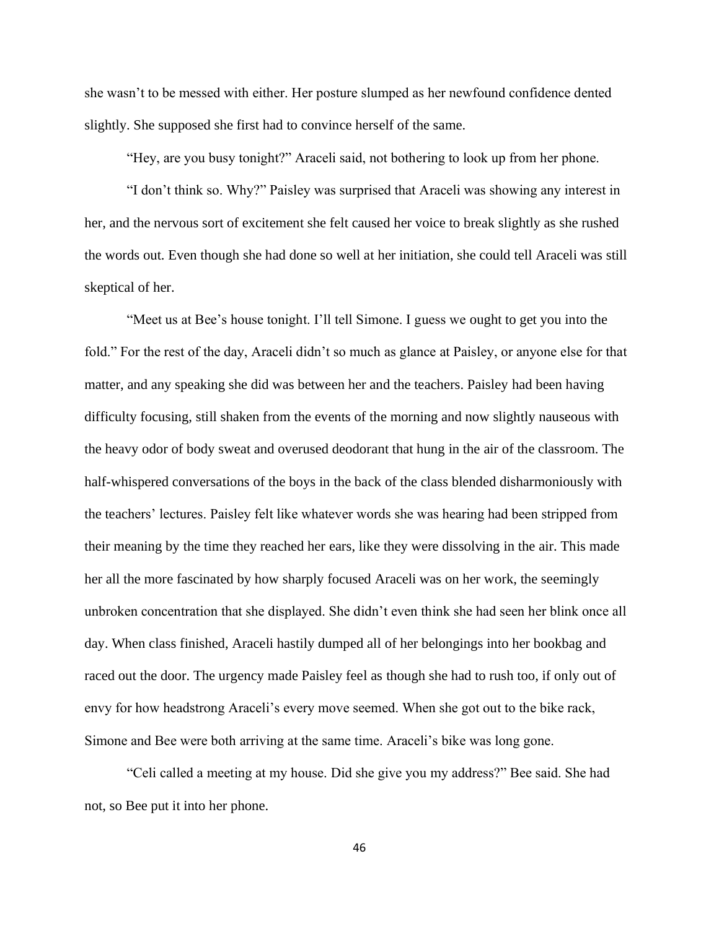she wasn't to be messed with either. Her posture slumped as her newfound confidence dented slightly. She supposed she first had to convince herself of the same.

"Hey, are you busy tonight?" Araceli said, not bothering to look up from her phone.

"I don't think so. Why?" Paisley was surprised that Araceli was showing any interest in her, and the nervous sort of excitement she felt caused her voice to break slightly as she rushed the words out. Even though she had done so well at her initiation, she could tell Araceli was still skeptical of her.

"Meet us at Bee's house tonight. I'll tell Simone. I guess we ought to get you into the fold." For the rest of the day, Araceli didn't so much as glance at Paisley, or anyone else for that matter, and any speaking she did was between her and the teachers. Paisley had been having difficulty focusing, still shaken from the events of the morning and now slightly nauseous with the heavy odor of body sweat and overused deodorant that hung in the air of the classroom. The half-whispered conversations of the boys in the back of the class blended disharmoniously with the teachers' lectures. Paisley felt like whatever words she was hearing had been stripped from their meaning by the time they reached her ears, like they were dissolving in the air. This made her all the more fascinated by how sharply focused Araceli was on her work, the seemingly unbroken concentration that she displayed. She didn't even think she had seen her blink once all day. When class finished, Araceli hastily dumped all of her belongings into her bookbag and raced out the door. The urgency made Paisley feel as though she had to rush too, if only out of envy for how headstrong Araceli's every move seemed. When she got out to the bike rack, Simone and Bee were both arriving at the same time. Araceli's bike was long gone.

"Celi called a meeting at my house. Did she give you my address?" Bee said. She had not, so Bee put it into her phone.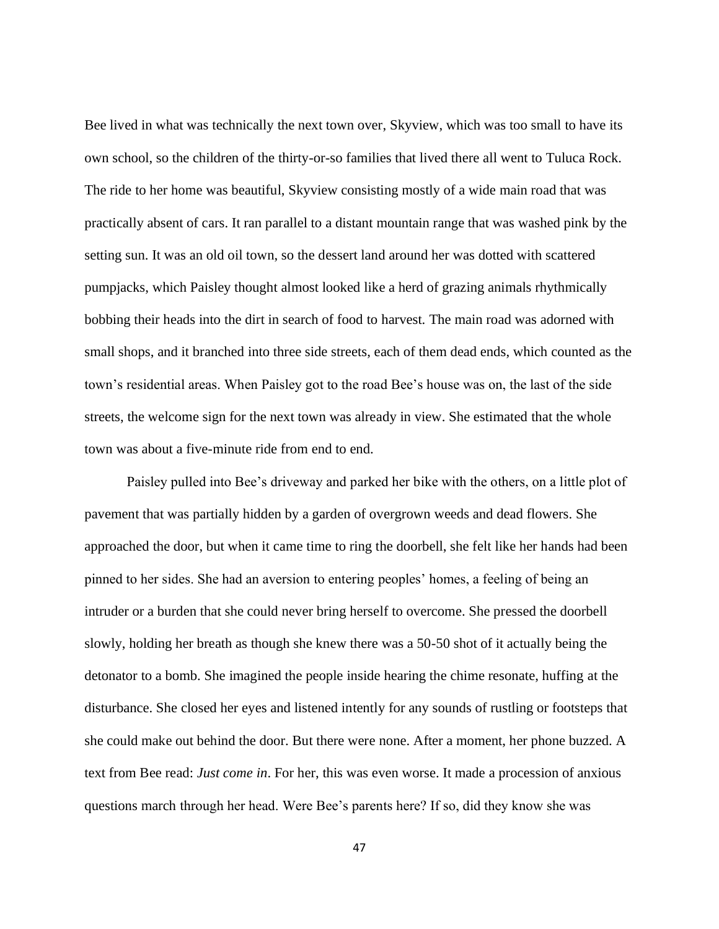Bee lived in what was technically the next town over, Skyview, which was too small to have its own school, so the children of the thirty-or-so families that lived there all went to Tuluca Rock. The ride to her home was beautiful, Skyview consisting mostly of a wide main road that was practically absent of cars. It ran parallel to a distant mountain range that was washed pink by the setting sun. It was an old oil town, so the dessert land around her was dotted with scattered pumpjacks, which Paisley thought almost looked like a herd of grazing animals rhythmically bobbing their heads into the dirt in search of food to harvest. The main road was adorned with small shops, and it branched into three side streets, each of them dead ends, which counted as the town's residential areas. When Paisley got to the road Bee's house was on, the last of the side streets, the welcome sign for the next town was already in view. She estimated that the whole town was about a five-minute ride from end to end.

Paisley pulled into Bee's driveway and parked her bike with the others, on a little plot of pavement that was partially hidden by a garden of overgrown weeds and dead flowers. She approached the door, but when it came time to ring the doorbell, she felt like her hands had been pinned to her sides. She had an aversion to entering peoples' homes, a feeling of being an intruder or a burden that she could never bring herself to overcome. She pressed the doorbell slowly, holding her breath as though she knew there was a 50-50 shot of it actually being the detonator to a bomb. She imagined the people inside hearing the chime resonate, huffing at the disturbance. She closed her eyes and listened intently for any sounds of rustling or footsteps that she could make out behind the door. But there were none. After a moment, her phone buzzed. A text from Bee read: *Just come in*. For her, this was even worse. It made a procession of anxious questions march through her head. Were Bee's parents here? If so, did they know she was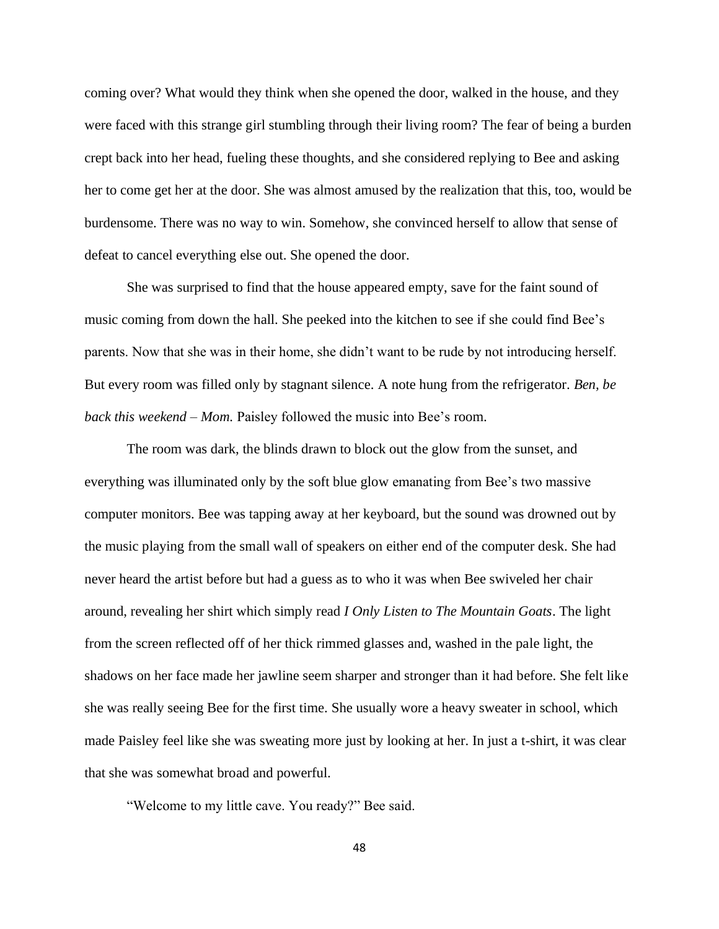coming over? What would they think when she opened the door, walked in the house, and they were faced with this strange girl stumbling through their living room? The fear of being a burden crept back into her head, fueling these thoughts, and she considered replying to Bee and asking her to come get her at the door. She was almost amused by the realization that this, too, would be burdensome. There was no way to win. Somehow, she convinced herself to allow that sense of defeat to cancel everything else out. She opened the door.

She was surprised to find that the house appeared empty, save for the faint sound of music coming from down the hall. She peeked into the kitchen to see if she could find Bee's parents. Now that she was in their home, she didn't want to be rude by not introducing herself. But every room was filled only by stagnant silence. A note hung from the refrigerator. *Ben, be back this weekend – Mom.* Paisley followed the music into Bee's room.

The room was dark, the blinds drawn to block out the glow from the sunset, and everything was illuminated only by the soft blue glow emanating from Bee's two massive computer monitors. Bee was tapping away at her keyboard, but the sound was drowned out by the music playing from the small wall of speakers on either end of the computer desk. She had never heard the artist before but had a guess as to who it was when Bee swiveled her chair around, revealing her shirt which simply read *I Only Listen to The Mountain Goats*. The light from the screen reflected off of her thick rimmed glasses and, washed in the pale light, the shadows on her face made her jawline seem sharper and stronger than it had before. She felt like she was really seeing Bee for the first time. She usually wore a heavy sweater in school, which made Paisley feel like she was sweating more just by looking at her. In just a t-shirt, it was clear that she was somewhat broad and powerful.

"Welcome to my little cave. You ready?" Bee said.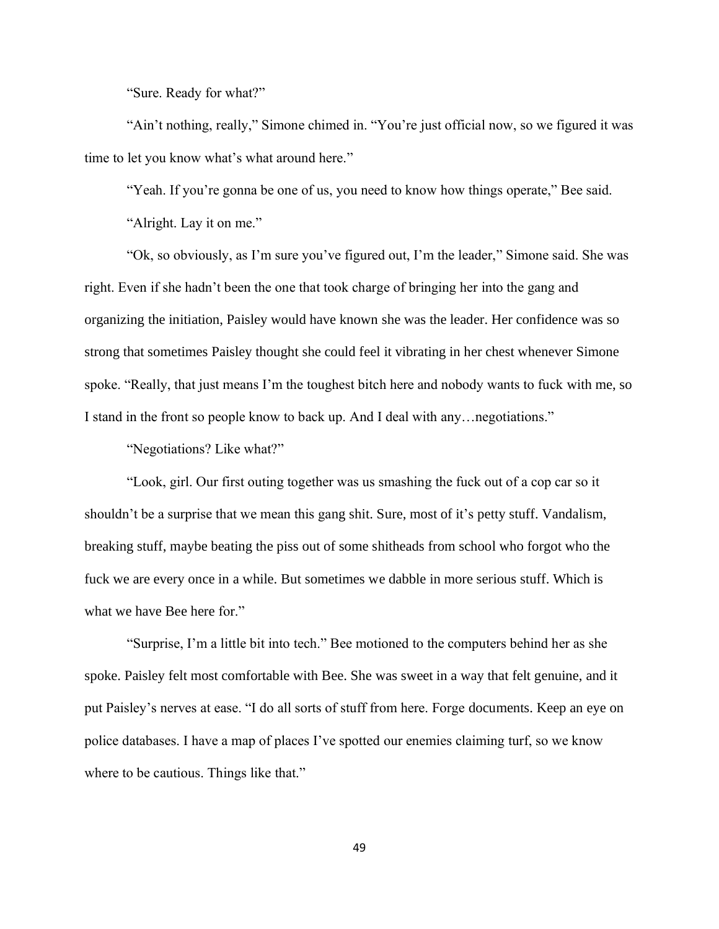"Sure. Ready for what?"

"Ain't nothing, really," Simone chimed in. "You're just official now, so we figured it was time to let you know what's what around here."

"Yeah. If you're gonna be one of us, you need to know how things operate," Bee said.

"Alright. Lay it on me."

"Ok, so obviously, as I'm sure you've figured out, I'm the leader," Simone said. She was right. Even if she hadn't been the one that took charge of bringing her into the gang and organizing the initiation, Paisley would have known she was the leader. Her confidence was so strong that sometimes Paisley thought she could feel it vibrating in her chest whenever Simone spoke. "Really, that just means I'm the toughest bitch here and nobody wants to fuck with me, so I stand in the front so people know to back up. And I deal with any…negotiations."

"Negotiations? Like what?"

"Look, girl. Our first outing together was us smashing the fuck out of a cop car so it shouldn't be a surprise that we mean this gang shit. Sure, most of it's petty stuff. Vandalism, breaking stuff, maybe beating the piss out of some shitheads from school who forgot who the fuck we are every once in a while. But sometimes we dabble in more serious stuff. Which is what we have Bee here for."

"Surprise, I'm a little bit into tech." Bee motioned to the computers behind her as she spoke. Paisley felt most comfortable with Bee. She was sweet in a way that felt genuine, and it put Paisley's nerves at ease. "I do all sorts of stuff from here. Forge documents. Keep an eye on police databases. I have a map of places I've spotted our enemies claiming turf, so we know where to be cautious. Things like that."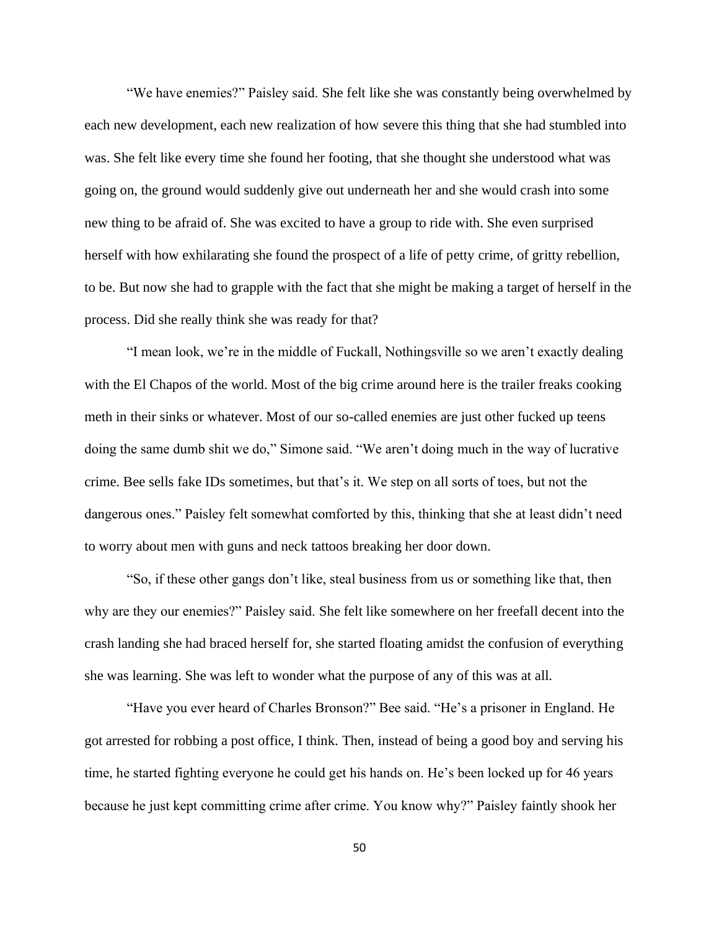"We have enemies?" Paisley said. She felt like she was constantly being overwhelmed by each new development, each new realization of how severe this thing that she had stumbled into was. She felt like every time she found her footing, that she thought she understood what was going on, the ground would suddenly give out underneath her and she would crash into some new thing to be afraid of. She was excited to have a group to ride with. She even surprised herself with how exhilarating she found the prospect of a life of petty crime, of gritty rebellion, to be. But now she had to grapple with the fact that she might be making a target of herself in the process. Did she really think she was ready for that?

"I mean look, we're in the middle of Fuckall, Nothingsville so we aren't exactly dealing with the El Chapos of the world. Most of the big crime around here is the trailer freaks cooking meth in their sinks or whatever. Most of our so-called enemies are just other fucked up teens doing the same dumb shit we do," Simone said. "We aren't doing much in the way of lucrative crime. Bee sells fake IDs sometimes, but that's it. We step on all sorts of toes, but not the dangerous ones." Paisley felt somewhat comforted by this, thinking that she at least didn't need to worry about men with guns and neck tattoos breaking her door down.

"So, if these other gangs don't like, steal business from us or something like that, then why are they our enemies?" Paisley said. She felt like somewhere on her freefall decent into the crash landing she had braced herself for, she started floating amidst the confusion of everything she was learning. She was left to wonder what the purpose of any of this was at all.

"Have you ever heard of Charles Bronson?" Bee said. "He's a prisoner in England. He got arrested for robbing a post office, I think. Then, instead of being a good boy and serving his time, he started fighting everyone he could get his hands on. He's been locked up for 46 years because he just kept committing crime after crime. You know why?" Paisley faintly shook her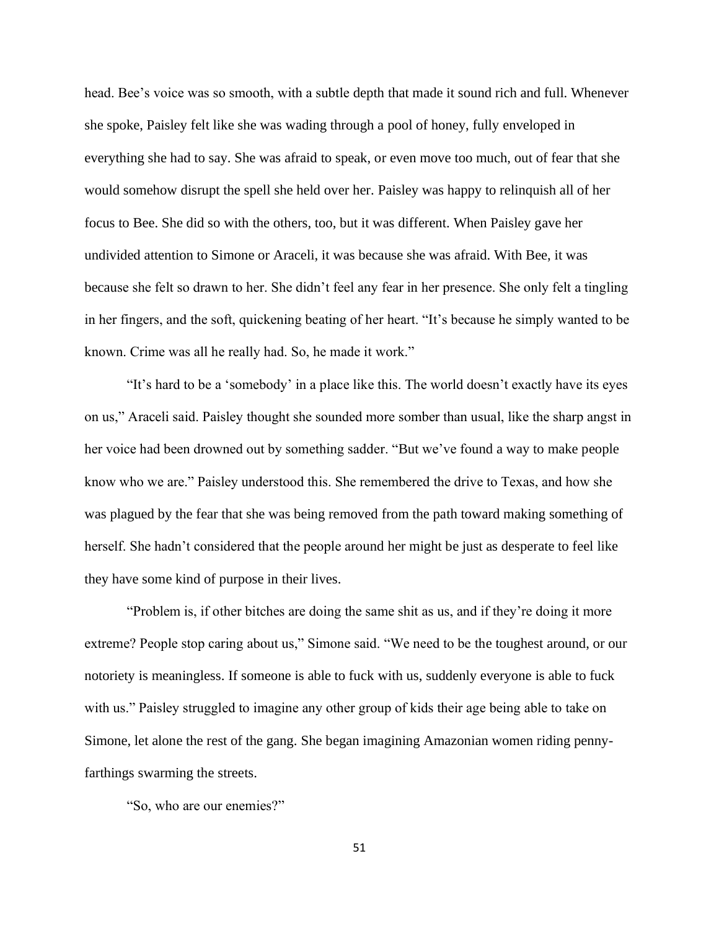head. Bee's voice was so smooth, with a subtle depth that made it sound rich and full. Whenever she spoke, Paisley felt like she was wading through a pool of honey, fully enveloped in everything she had to say. She was afraid to speak, or even move too much, out of fear that she would somehow disrupt the spell she held over her. Paisley was happy to relinquish all of her focus to Bee. She did so with the others, too, but it was different. When Paisley gave her undivided attention to Simone or Araceli, it was because she was afraid. With Bee, it was because she felt so drawn to her. She didn't feel any fear in her presence. She only felt a tingling in her fingers, and the soft, quickening beating of her heart. "It's because he simply wanted to be known. Crime was all he really had. So, he made it work."

"It's hard to be a 'somebody' in a place like this. The world doesn't exactly have its eyes on us," Araceli said. Paisley thought she sounded more somber than usual, like the sharp angst in her voice had been drowned out by something sadder. "But we've found a way to make people know who we are." Paisley understood this. She remembered the drive to Texas, and how she was plagued by the fear that she was being removed from the path toward making something of herself. She hadn't considered that the people around her might be just as desperate to feel like they have some kind of purpose in their lives.

"Problem is, if other bitches are doing the same shit as us, and if they're doing it more extreme? People stop caring about us," Simone said. "We need to be the toughest around, or our notoriety is meaningless. If someone is able to fuck with us, suddenly everyone is able to fuck with us." Paisley struggled to imagine any other group of kids their age being able to take on Simone, let alone the rest of the gang. She began imagining Amazonian women riding pennyfarthings swarming the streets.

"So, who are our enemies?"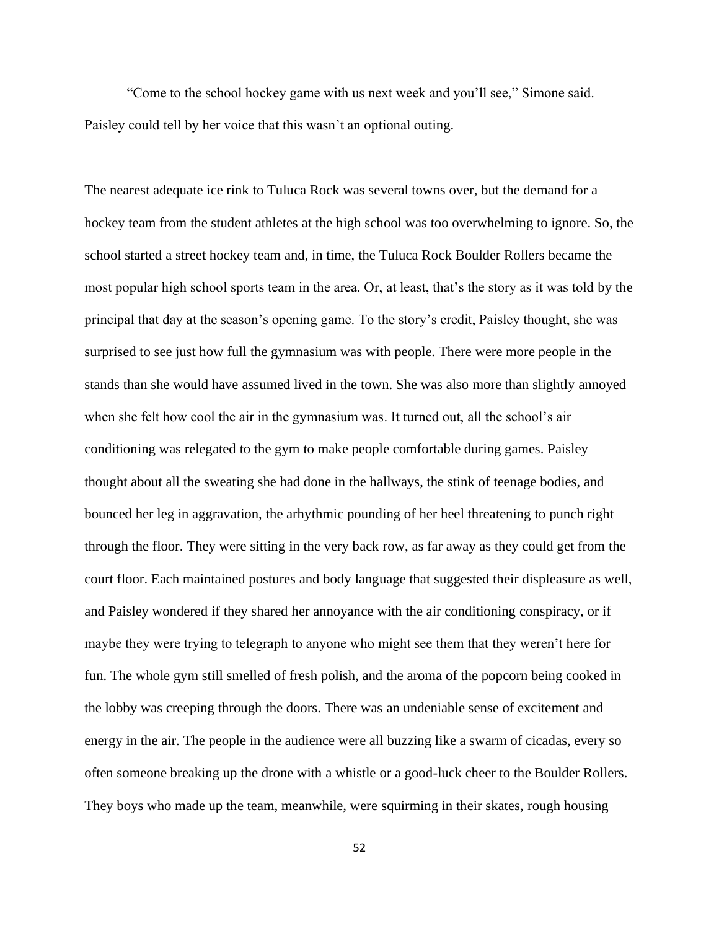"Come to the school hockey game with us next week and you'll see," Simone said. Paisley could tell by her voice that this wasn't an optional outing.

The nearest adequate ice rink to Tuluca Rock was several towns over, but the demand for a hockey team from the student athletes at the high school was too overwhelming to ignore. So, the school started a street hockey team and, in time, the Tuluca Rock Boulder Rollers became the most popular high school sports team in the area. Or, at least, that's the story as it was told by the principal that day at the season's opening game. To the story's credit, Paisley thought, she was surprised to see just how full the gymnasium was with people. There were more people in the stands than she would have assumed lived in the town. She was also more than slightly annoyed when she felt how cool the air in the gymnasium was. It turned out, all the school's air conditioning was relegated to the gym to make people comfortable during games. Paisley thought about all the sweating she had done in the hallways, the stink of teenage bodies, and bounced her leg in aggravation, the arhythmic pounding of her heel threatening to punch right through the floor. They were sitting in the very back row, as far away as they could get from the court floor. Each maintained postures and body language that suggested their displeasure as well, and Paisley wondered if they shared her annoyance with the air conditioning conspiracy, or if maybe they were trying to telegraph to anyone who might see them that they weren't here for fun. The whole gym still smelled of fresh polish, and the aroma of the popcorn being cooked in the lobby was creeping through the doors. There was an undeniable sense of excitement and energy in the air. The people in the audience were all buzzing like a swarm of cicadas, every so often someone breaking up the drone with a whistle or a good-luck cheer to the Boulder Rollers. They boys who made up the team, meanwhile, were squirming in their skates, rough housing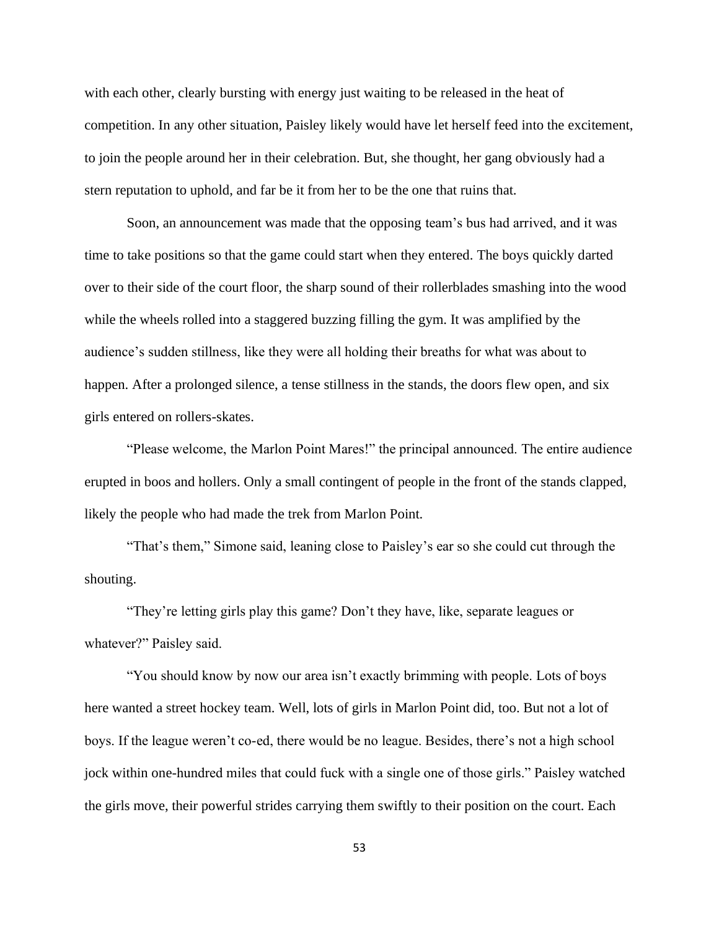with each other, clearly bursting with energy just waiting to be released in the heat of competition. In any other situation, Paisley likely would have let herself feed into the excitement, to join the people around her in their celebration. But, she thought, her gang obviously had a stern reputation to uphold, and far be it from her to be the one that ruins that.

Soon, an announcement was made that the opposing team's bus had arrived, and it was time to take positions so that the game could start when they entered. The boys quickly darted over to their side of the court floor, the sharp sound of their rollerblades smashing into the wood while the wheels rolled into a staggered buzzing filling the gym. It was amplified by the audience's sudden stillness, like they were all holding their breaths for what was about to happen. After a prolonged silence, a tense stillness in the stands, the doors flew open, and six girls entered on rollers-skates.

"Please welcome, the Marlon Point Mares!" the principal announced. The entire audience erupted in boos and hollers. Only a small contingent of people in the front of the stands clapped, likely the people who had made the trek from Marlon Point.

"That's them," Simone said, leaning close to Paisley's ear so she could cut through the shouting.

"They're letting girls play this game? Don't they have, like, separate leagues or whatever?" Paisley said.

"You should know by now our area isn't exactly brimming with people. Lots of boys here wanted a street hockey team. Well, lots of girls in Marlon Point did, too. But not a lot of boys. If the league weren't co-ed, there would be no league. Besides, there's not a high school jock within one-hundred miles that could fuck with a single one of those girls." Paisley watched the girls move, their powerful strides carrying them swiftly to their position on the court. Each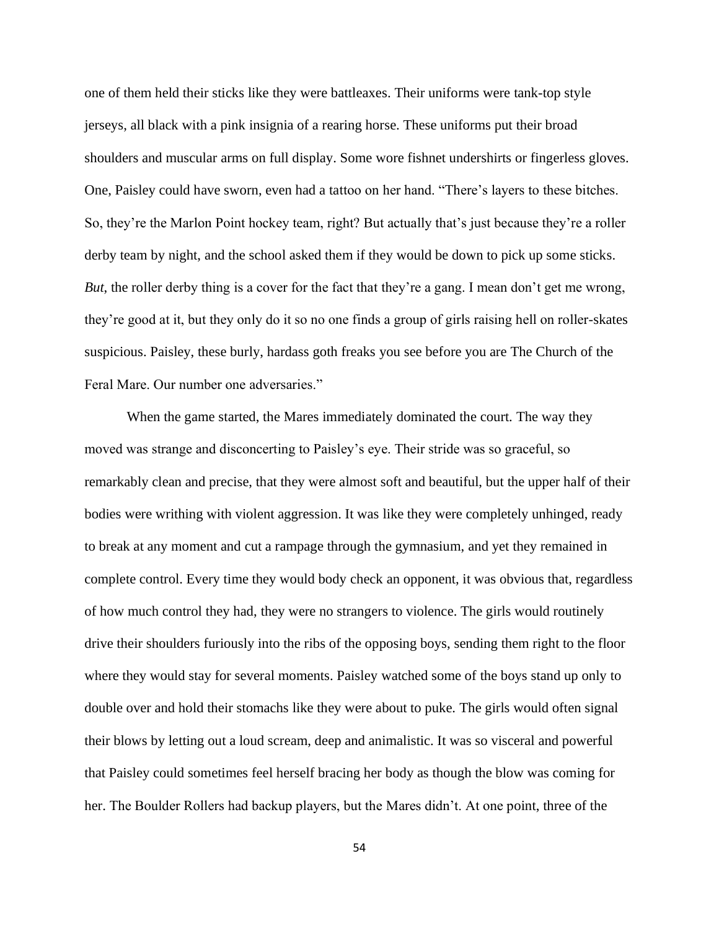one of them held their sticks like they were battleaxes. Their uniforms were tank-top style jerseys, all black with a pink insignia of a rearing horse. These uniforms put their broad shoulders and muscular arms on full display. Some wore fishnet undershirts or fingerless gloves. One, Paisley could have sworn, even had a tattoo on her hand. "There's layers to these bitches. So, they're the Marlon Point hockey team, right? But actually that's just because they're a roller derby team by night, and the school asked them if they would be down to pick up some sticks. *But*, the roller derby thing is a cover for the fact that they're a gang. I mean don't get me wrong, they're good at it, but they only do it so no one finds a group of girls raising hell on roller-skates suspicious. Paisley, these burly, hardass goth freaks you see before you are The Church of the Feral Mare. Our number one adversaries."

When the game started, the Mares immediately dominated the court. The way they moved was strange and disconcerting to Paisley's eye. Their stride was so graceful, so remarkably clean and precise, that they were almost soft and beautiful, but the upper half of their bodies were writhing with violent aggression. It was like they were completely unhinged, ready to break at any moment and cut a rampage through the gymnasium, and yet they remained in complete control. Every time they would body check an opponent, it was obvious that, regardless of how much control they had, they were no strangers to violence. The girls would routinely drive their shoulders furiously into the ribs of the opposing boys, sending them right to the floor where they would stay for several moments. Paisley watched some of the boys stand up only to double over and hold their stomachs like they were about to puke. The girls would often signal their blows by letting out a loud scream, deep and animalistic. It was so visceral and powerful that Paisley could sometimes feel herself bracing her body as though the blow was coming for her. The Boulder Rollers had backup players, but the Mares didn't. At one point, three of the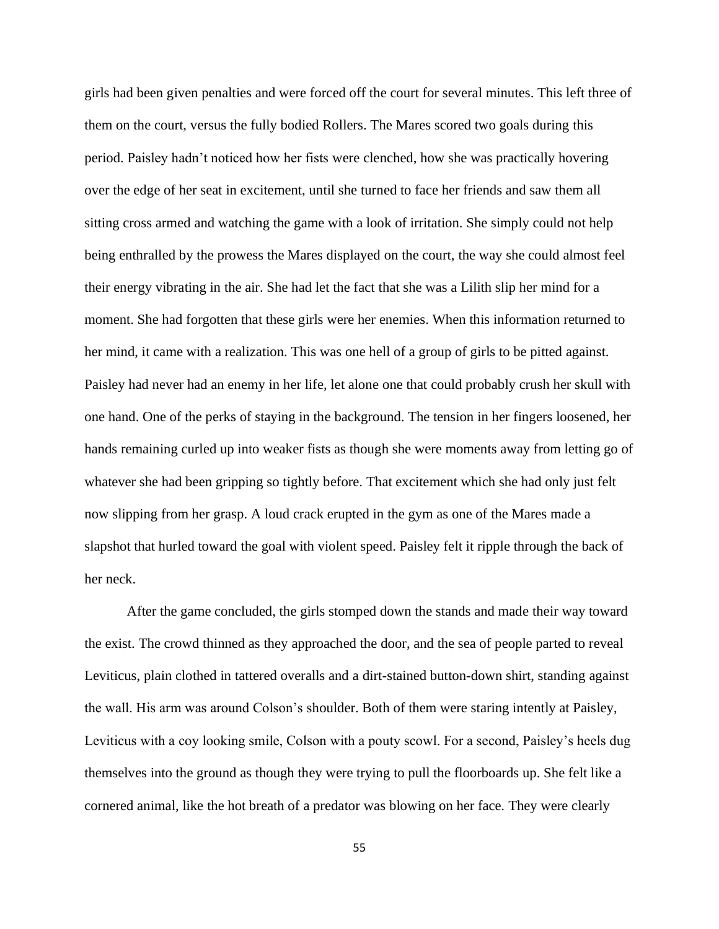girls had been given penalties and were forced off the court for several minutes. This left three of them on the court, versus the fully bodied Rollers. The Mares scored two goals during this period. Paisley hadn't noticed how her fists were clenched, how she was practically hovering over the edge of her seat in excitement, until she turned to face her friends and saw them all sitting cross armed and watching the game with a look of irritation. She simply could not help being enthralled by the prowess the Mares displayed on the court, the way she could almost feel their energy vibrating in the air. She had let the fact that she was a Lilith slip her mind for a moment. She had forgotten that these girls were her enemies. When this information returned to her mind, it came with a realization. This was one hell of a group of girls to be pitted against. Paisley had never had an enemy in her life, let alone one that could probably crush her skull with one hand. One of the perks of staying in the background. The tension in her fingers loosened, her hands remaining curled up into weaker fists as though she were moments away from letting go of whatever she had been gripping so tightly before. That excitement which she had only just felt now slipping from her grasp. A loud crack erupted in the gym as one of the Mares made a slapshot that hurled toward the goal with violent speed. Paisley felt it ripple through the back of her neck.

After the game concluded, the girls stomped down the stands and made their way toward the exist. The crowd thinned as they approached the door, and the sea of people parted to reveal Leviticus, plain clothed in tattered overalls and a dirt-stained button-down shirt, standing against the wall. His arm was around Colson's shoulder. Both of them were staring intently at Paisley, Leviticus with a coy looking smile, Colson with a pouty scowl. For a second, Paisley's heels dug themselves into the ground as though they were trying to pull the floorboards up. She felt like a cornered animal, like the hot breath of a predator was blowing on her face. They were clearly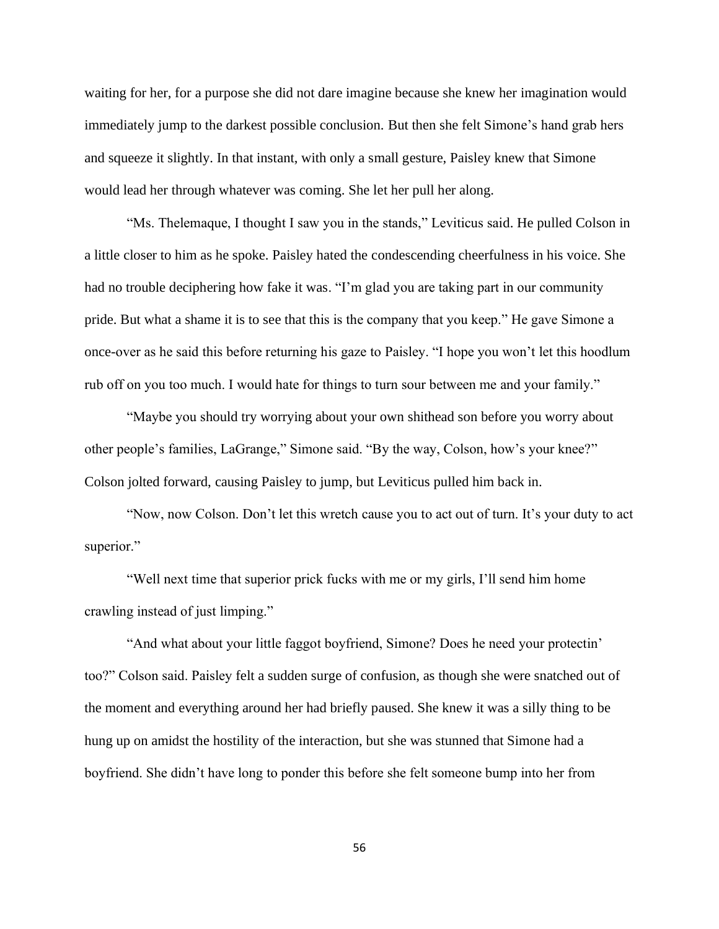waiting for her, for a purpose she did not dare imagine because she knew her imagination would immediately jump to the darkest possible conclusion. But then she felt Simone's hand grab hers and squeeze it slightly. In that instant, with only a small gesture, Paisley knew that Simone would lead her through whatever was coming. She let her pull her along.

"Ms. Thelemaque, I thought I saw you in the stands," Leviticus said. He pulled Colson in a little closer to him as he spoke. Paisley hated the condescending cheerfulness in his voice. She had no trouble deciphering how fake it was. "I'm glad you are taking part in our community pride. But what a shame it is to see that this is the company that you keep." He gave Simone a once-over as he said this before returning his gaze to Paisley. "I hope you won't let this hoodlum rub off on you too much. I would hate for things to turn sour between me and your family."

"Maybe you should try worrying about your own shithead son before you worry about other people's families, LaGrange," Simone said. "By the way, Colson, how's your knee?" Colson jolted forward, causing Paisley to jump, but Leviticus pulled him back in.

"Now, now Colson. Don't let this wretch cause you to act out of turn. It's your duty to act superior."

"Well next time that superior prick fucks with me or my girls, I'll send him home crawling instead of just limping."

"And what about your little faggot boyfriend, Simone? Does he need your protectin' too?" Colson said. Paisley felt a sudden surge of confusion, as though she were snatched out of the moment and everything around her had briefly paused. She knew it was a silly thing to be hung up on amidst the hostility of the interaction, but she was stunned that Simone had a boyfriend. She didn't have long to ponder this before she felt someone bump into her from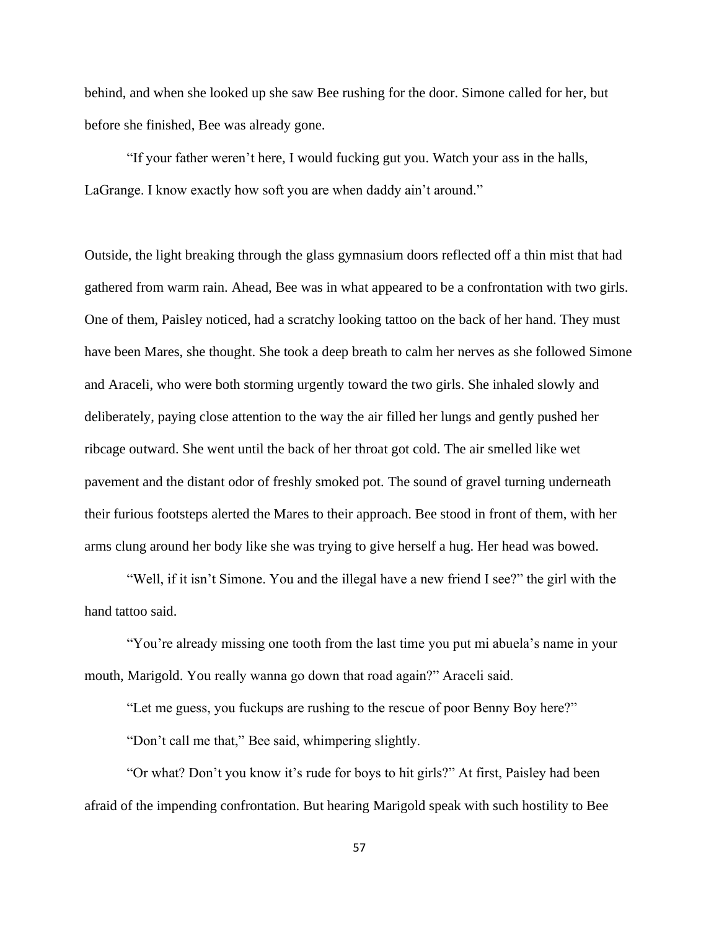behind, and when she looked up she saw Bee rushing for the door. Simone called for her, but before she finished, Bee was already gone.

"If your father weren't here, I would fucking gut you. Watch your ass in the halls, LaGrange. I know exactly how soft you are when daddy ain't around."

Outside, the light breaking through the glass gymnasium doors reflected off a thin mist that had gathered from warm rain. Ahead, Bee was in what appeared to be a confrontation with two girls. One of them, Paisley noticed, had a scratchy looking tattoo on the back of her hand. They must have been Mares, she thought. She took a deep breath to calm her nerves as she followed Simone and Araceli, who were both storming urgently toward the two girls. She inhaled slowly and deliberately, paying close attention to the way the air filled her lungs and gently pushed her ribcage outward. She went until the back of her throat got cold. The air smelled like wet pavement and the distant odor of freshly smoked pot. The sound of gravel turning underneath their furious footsteps alerted the Mares to their approach. Bee stood in front of them, with her arms clung around her body like she was trying to give herself a hug. Her head was bowed.

"Well, if it isn't Simone. You and the illegal have a new friend I see?" the girl with the hand tattoo said.

"You're already missing one tooth from the last time you put mi abuela's name in your mouth, Marigold. You really wanna go down that road again?" Araceli said.

"Let me guess, you fuckups are rushing to the rescue of poor Benny Boy here?"

"Don't call me that," Bee said, whimpering slightly.

"Or what? Don't you know it's rude for boys to hit girls?" At first, Paisley had been afraid of the impending confrontation. But hearing Marigold speak with such hostility to Bee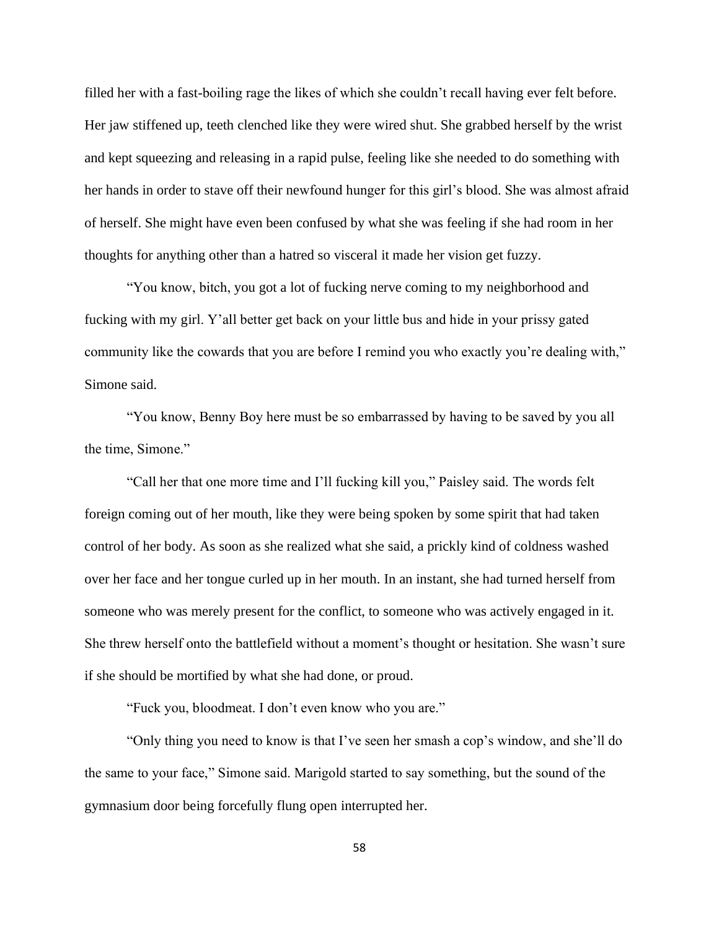filled her with a fast-boiling rage the likes of which she couldn't recall having ever felt before. Her jaw stiffened up, teeth clenched like they were wired shut. She grabbed herself by the wrist and kept squeezing and releasing in a rapid pulse, feeling like she needed to do something with her hands in order to stave off their newfound hunger for this girl's blood. She was almost afraid of herself. She might have even been confused by what she was feeling if she had room in her thoughts for anything other than a hatred so visceral it made her vision get fuzzy.

"You know, bitch, you got a lot of fucking nerve coming to my neighborhood and fucking with my girl. Y'all better get back on your little bus and hide in your prissy gated community like the cowards that you are before I remind you who exactly you're dealing with," Simone said.

"You know, Benny Boy here must be so embarrassed by having to be saved by you all the time, Simone."

"Call her that one more time and I'll fucking kill you," Paisley said. The words felt foreign coming out of her mouth, like they were being spoken by some spirit that had taken control of her body. As soon as she realized what she said, a prickly kind of coldness washed over her face and her tongue curled up in her mouth. In an instant, she had turned herself from someone who was merely present for the conflict, to someone who was actively engaged in it. She threw herself onto the battlefield without a moment's thought or hesitation. She wasn't sure if she should be mortified by what she had done, or proud.

"Fuck you, bloodmeat. I don't even know who you are."

"Only thing you need to know is that I've seen her smash a cop's window, and she'll do the same to your face," Simone said. Marigold started to say something, but the sound of the gymnasium door being forcefully flung open interrupted her.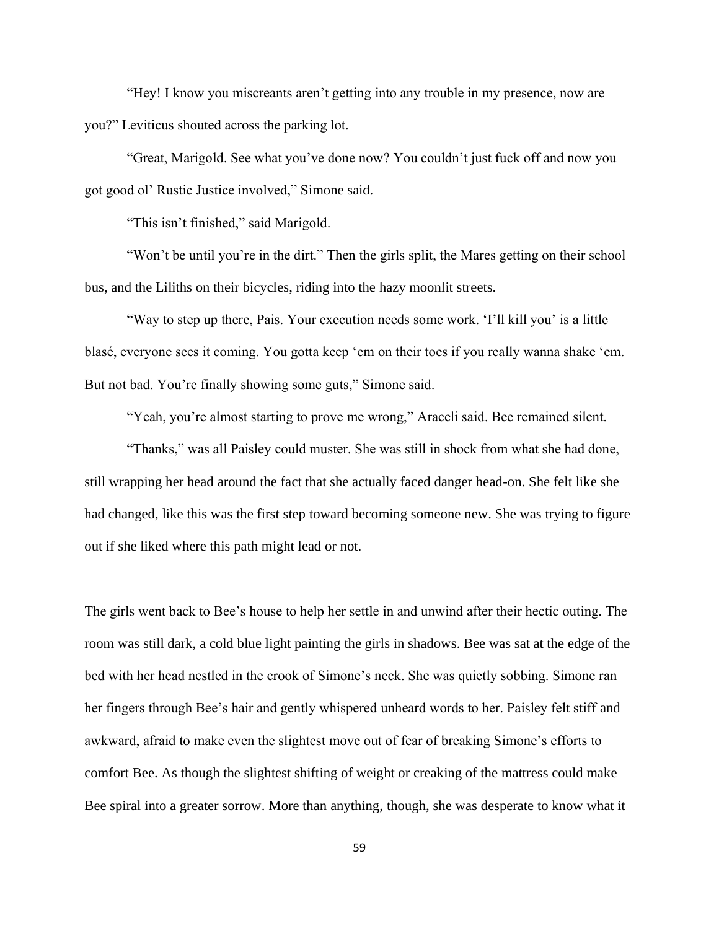"Hey! I know you miscreants aren't getting into any trouble in my presence, now are you?" Leviticus shouted across the parking lot.

"Great, Marigold. See what you've done now? You couldn't just fuck off and now you got good ol' Rustic Justice involved," Simone said.

"This isn't finished," said Marigold.

"Won't be until you're in the dirt." Then the girls split, the Mares getting on their school bus, and the Liliths on their bicycles, riding into the hazy moonlit streets.

"Way to step up there, Pais. Your execution needs some work. 'I'll kill you' is a little blasé, everyone sees it coming. You gotta keep 'em on their toes if you really wanna shake 'em. But not bad. You're finally showing some guts," Simone said.

"Yeah, you're almost starting to prove me wrong," Araceli said. Bee remained silent.

"Thanks," was all Paisley could muster. She was still in shock from what she had done, still wrapping her head around the fact that she actually faced danger head-on. She felt like she had changed, like this was the first step toward becoming someone new. She was trying to figure out if she liked where this path might lead or not.

The girls went back to Bee's house to help her settle in and unwind after their hectic outing. The room was still dark, a cold blue light painting the girls in shadows. Bee was sat at the edge of the bed with her head nestled in the crook of Simone's neck. She was quietly sobbing. Simone ran her fingers through Bee's hair and gently whispered unheard words to her. Paisley felt stiff and awkward, afraid to make even the slightest move out of fear of breaking Simone's efforts to comfort Bee. As though the slightest shifting of weight or creaking of the mattress could make Bee spiral into a greater sorrow. More than anything, though, she was desperate to know what it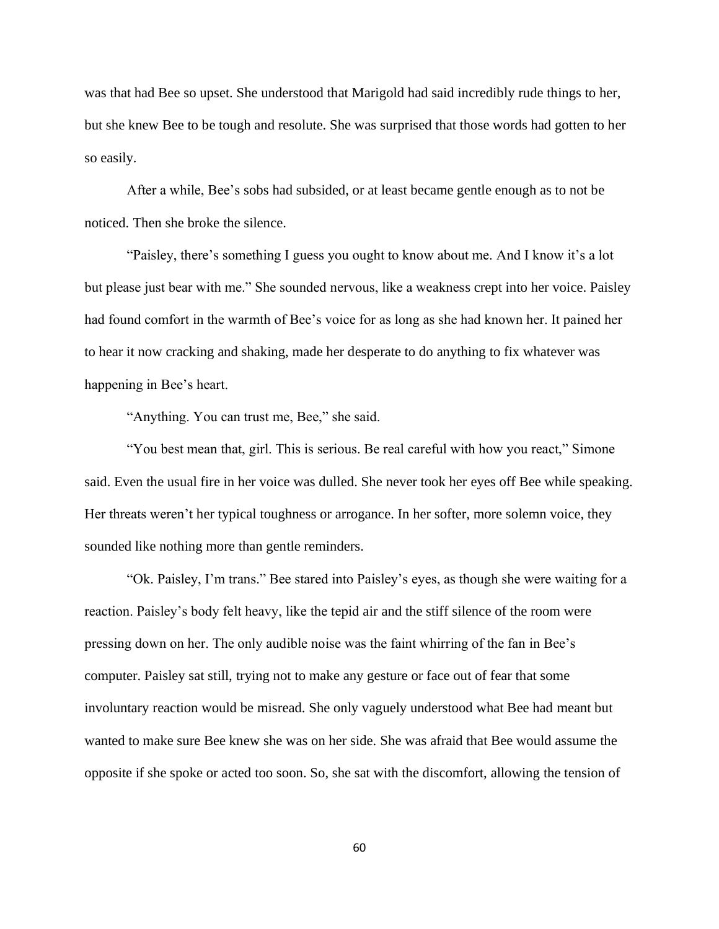was that had Bee so upset. She understood that Marigold had said incredibly rude things to her, but she knew Bee to be tough and resolute. She was surprised that those words had gotten to her so easily.

After a while, Bee's sobs had subsided, or at least became gentle enough as to not be noticed. Then she broke the silence.

"Paisley, there's something I guess you ought to know about me. And I know it's a lot but please just bear with me." She sounded nervous, like a weakness crept into her voice. Paisley had found comfort in the warmth of Bee's voice for as long as she had known her. It pained her to hear it now cracking and shaking, made her desperate to do anything to fix whatever was happening in Bee's heart.

"Anything. You can trust me, Bee," she said.

"You best mean that, girl. This is serious. Be real careful with how you react," Simone said. Even the usual fire in her voice was dulled. She never took her eyes off Bee while speaking. Her threats weren't her typical toughness or arrogance. In her softer, more solemn voice, they sounded like nothing more than gentle reminders.

"Ok. Paisley, I'm trans." Bee stared into Paisley's eyes, as though she were waiting for a reaction. Paisley's body felt heavy, like the tepid air and the stiff silence of the room were pressing down on her. The only audible noise was the faint whirring of the fan in Bee's computer. Paisley sat still, trying not to make any gesture or face out of fear that some involuntary reaction would be misread. She only vaguely understood what Bee had meant but wanted to make sure Bee knew she was on her side. She was afraid that Bee would assume the opposite if she spoke or acted too soon. So, she sat with the discomfort, allowing the tension of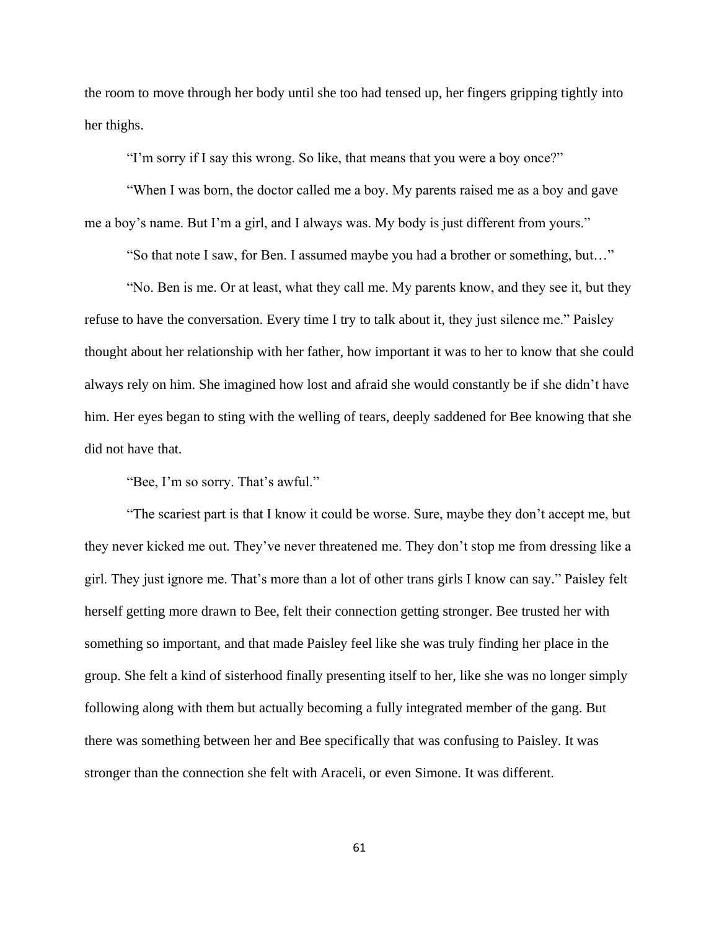the room to move through her body until she too had tensed up, her fingers gripping tightly into her thighs.

"I'm sorry if I say this wrong. So like, that means that you were a boy once?"

"When I was born, the doctor called me a boy. My parents raised me as a boy and gave me a boy's name. But I'm a girl, and I always was. My body is just different from yours."

"So that note I saw, for Ben. I assumed maybe you had a brother or something, but…"

"No. Ben is me. Or at least, what they call me. My parents know, and they see it, but they refuse to have the conversation. Every time I try to talk about it, they just silence me." Paisley thought about her relationship with her father, how important it was to her to know that she could always rely on him. She imagined how lost and afraid she would constantly be if she didn't have him. Her eyes began to sting with the welling of tears, deeply saddened for Bee knowing that she did not have that.

"Bee, I'm so sorry. That's awful."

"The scariest part is that I know it could be worse. Sure, maybe they don't accept me, but they never kicked me out. They've never threatened me. They don't stop me from dressing like a girl. They just ignore me. That's more than a lot of other trans girls I know can say." Paisley felt herself getting more drawn to Bee, felt their connection getting stronger. Bee trusted her with something so important, and that made Paisley feel like she was truly finding her place in the group. She felt a kind of sisterhood finally presenting itself to her, like she was no longer simply following along with them but actually becoming a fully integrated member of the gang. But there was something between her and Bee specifically that was confusing to Paisley. It was stronger than the connection she felt with Araceli, or even Simone. It was different.

61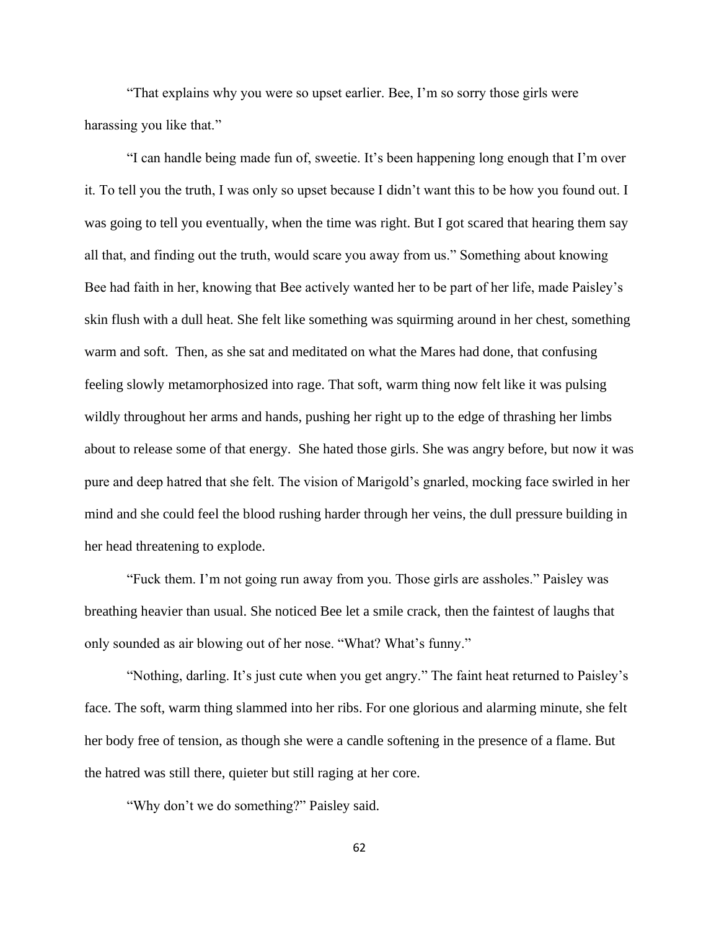"That explains why you were so upset earlier. Bee, I'm so sorry those girls were harassing you like that."

"I can handle being made fun of, sweetie. It's been happening long enough that I'm over it. To tell you the truth, I was only so upset because I didn't want this to be how you found out. I was going to tell you eventually, when the time was right. But I got scared that hearing them say all that, and finding out the truth, would scare you away from us." Something about knowing Bee had faith in her, knowing that Bee actively wanted her to be part of her life, made Paisley's skin flush with a dull heat. She felt like something was squirming around in her chest, something warm and soft. Then, as she sat and meditated on what the Mares had done, that confusing feeling slowly metamorphosized into rage. That soft, warm thing now felt like it was pulsing wildly throughout her arms and hands, pushing her right up to the edge of thrashing her limbs about to release some of that energy. She hated those girls. She was angry before, but now it was pure and deep hatred that she felt. The vision of Marigold's gnarled, mocking face swirled in her mind and she could feel the blood rushing harder through her veins, the dull pressure building in her head threatening to explode.

"Fuck them. I'm not going run away from you. Those girls are assholes." Paisley was breathing heavier than usual. She noticed Bee let a smile crack, then the faintest of laughs that only sounded as air blowing out of her nose. "What? What's funny."

"Nothing, darling. It's just cute when you get angry." The faint heat returned to Paisley's face. The soft, warm thing slammed into her ribs. For one glorious and alarming minute, she felt her body free of tension, as though she were a candle softening in the presence of a flame. But the hatred was still there, quieter but still raging at her core.

"Why don't we do something?" Paisley said.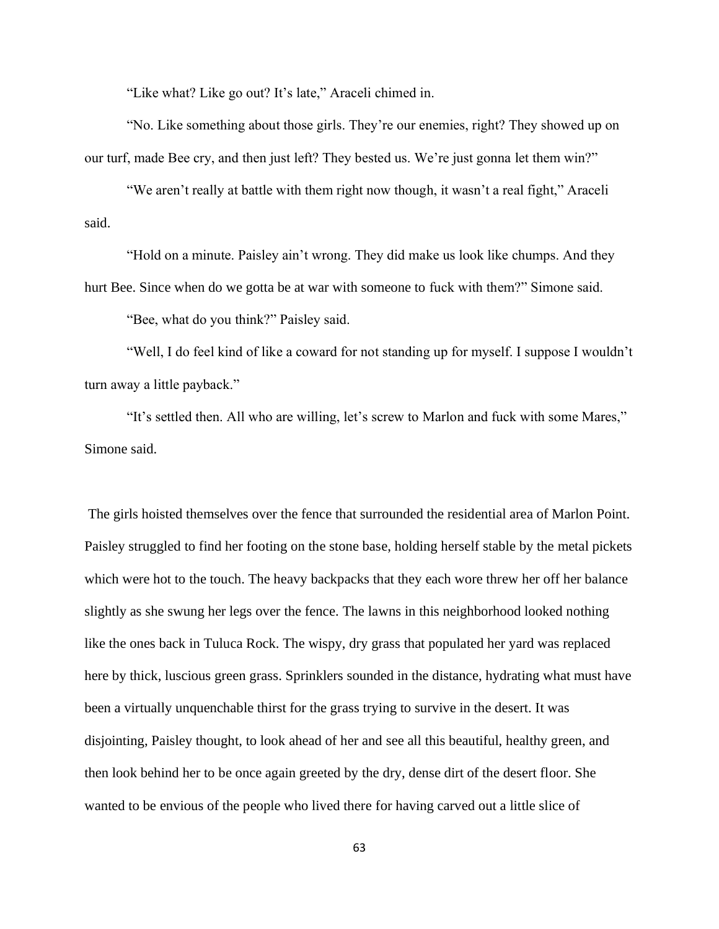"Like what? Like go out? It's late," Araceli chimed in.

"No. Like something about those girls. They're our enemies, right? They showed up on our turf, made Bee cry, and then just left? They bested us. We're just gonna let them win?"

"We aren't really at battle with them right now though, it wasn't a real fight," Araceli said.

"Hold on a minute. Paisley ain't wrong. They did make us look like chumps. And they hurt Bee. Since when do we gotta be at war with someone to fuck with them?" Simone said.

"Bee, what do you think?" Paisley said.

"Well, I do feel kind of like a coward for not standing up for myself. I suppose I wouldn't turn away a little payback."

"It's settled then. All who are willing, let's screw to Marlon and fuck with some Mares," Simone said.

The girls hoisted themselves over the fence that surrounded the residential area of Marlon Point. Paisley struggled to find her footing on the stone base, holding herself stable by the metal pickets which were hot to the touch. The heavy backpacks that they each wore threw her off her balance slightly as she swung her legs over the fence. The lawns in this neighborhood looked nothing like the ones back in Tuluca Rock. The wispy, dry grass that populated her yard was replaced here by thick, luscious green grass. Sprinklers sounded in the distance, hydrating what must have been a virtually unquenchable thirst for the grass trying to survive in the desert. It was disjointing, Paisley thought, to look ahead of her and see all this beautiful, healthy green, and then look behind her to be once again greeted by the dry, dense dirt of the desert floor. She wanted to be envious of the people who lived there for having carved out a little slice of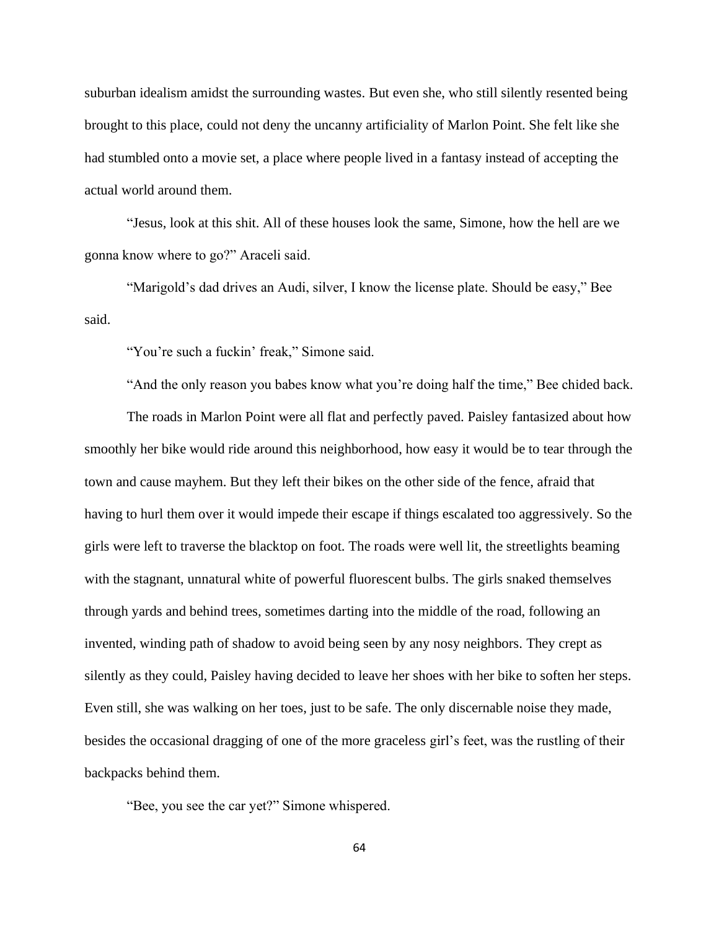suburban idealism amidst the surrounding wastes. But even she, who still silently resented being brought to this place, could not deny the uncanny artificiality of Marlon Point. She felt like she had stumbled onto a movie set, a place where people lived in a fantasy instead of accepting the actual world around them.

"Jesus, look at this shit. All of these houses look the same, Simone, how the hell are we gonna know where to go?" Araceli said.

"Marigold's dad drives an Audi, silver, I know the license plate. Should be easy," Bee said.

"You're such a fuckin' freak," Simone said.

"And the only reason you babes know what you're doing half the time," Bee chided back.

The roads in Marlon Point were all flat and perfectly paved. Paisley fantasized about how smoothly her bike would ride around this neighborhood, how easy it would be to tear through the town and cause mayhem. But they left their bikes on the other side of the fence, afraid that having to hurl them over it would impede their escape if things escalated too aggressively. So the girls were left to traverse the blacktop on foot. The roads were well lit, the streetlights beaming with the stagnant, unnatural white of powerful fluorescent bulbs. The girls snaked themselves through yards and behind trees, sometimes darting into the middle of the road, following an invented, winding path of shadow to avoid being seen by any nosy neighbors. They crept as silently as they could, Paisley having decided to leave her shoes with her bike to soften her steps. Even still, she was walking on her toes, just to be safe. The only discernable noise they made, besides the occasional dragging of one of the more graceless girl's feet, was the rustling of their backpacks behind them.

"Bee, you see the car yet?" Simone whispered.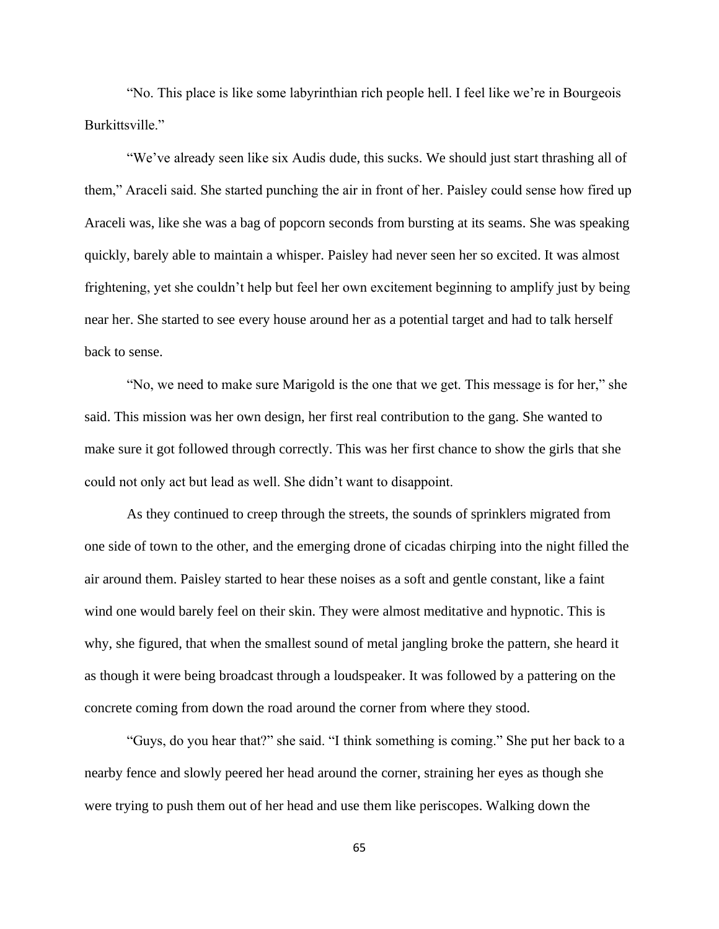"No. This place is like some labyrinthian rich people hell. I feel like we're in Bourgeois Burkittsville."

"We've already seen like six Audis dude, this sucks. We should just start thrashing all of them," Araceli said. She started punching the air in front of her. Paisley could sense how fired up Araceli was, like she was a bag of popcorn seconds from bursting at its seams. She was speaking quickly, barely able to maintain a whisper. Paisley had never seen her so excited. It was almost frightening, yet she couldn't help but feel her own excitement beginning to amplify just by being near her. She started to see every house around her as a potential target and had to talk herself back to sense.

"No, we need to make sure Marigold is the one that we get. This message is for her," she said. This mission was her own design, her first real contribution to the gang. She wanted to make sure it got followed through correctly. This was her first chance to show the girls that she could not only act but lead as well. She didn't want to disappoint.

As they continued to creep through the streets, the sounds of sprinklers migrated from one side of town to the other, and the emerging drone of cicadas chirping into the night filled the air around them. Paisley started to hear these noises as a soft and gentle constant, like a faint wind one would barely feel on their skin. They were almost meditative and hypnotic. This is why, she figured, that when the smallest sound of metal jangling broke the pattern, she heard it as though it were being broadcast through a loudspeaker. It was followed by a pattering on the concrete coming from down the road around the corner from where they stood.

"Guys, do you hear that?" she said. "I think something is coming." She put her back to a nearby fence and slowly peered her head around the corner, straining her eyes as though she were trying to push them out of her head and use them like periscopes. Walking down the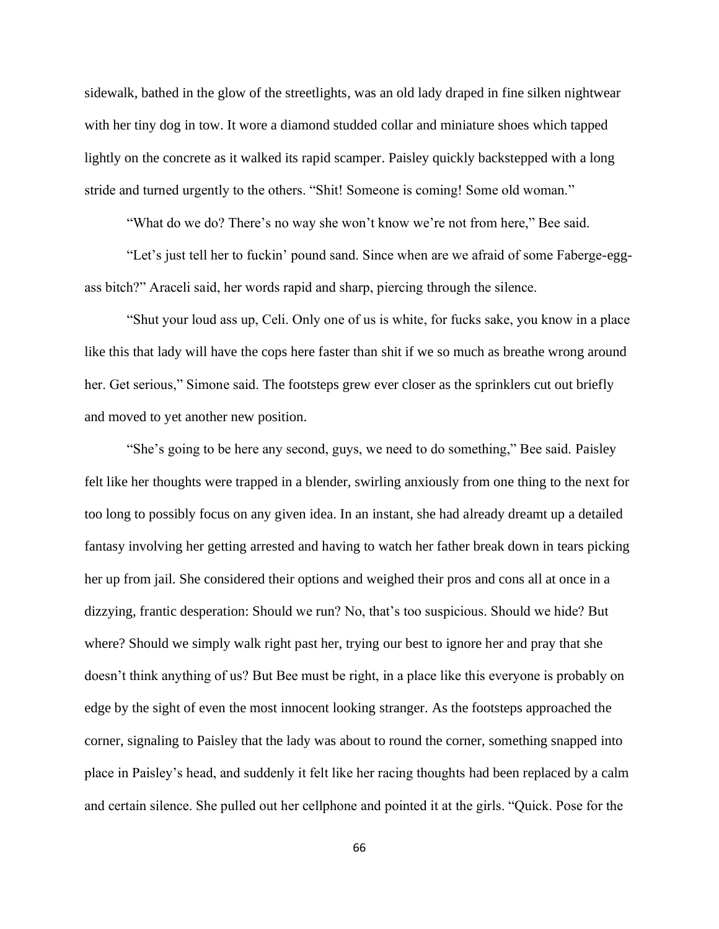sidewalk, bathed in the glow of the streetlights, was an old lady draped in fine silken nightwear with her tiny dog in tow. It wore a diamond studded collar and miniature shoes which tapped lightly on the concrete as it walked its rapid scamper. Paisley quickly backstepped with a long stride and turned urgently to the others. "Shit! Someone is coming! Some old woman."

"What do we do? There's no way she won't know we're not from here," Bee said.

"Let's just tell her to fuckin' pound sand. Since when are we afraid of some Faberge-eggass bitch?" Araceli said, her words rapid and sharp, piercing through the silence.

"Shut your loud ass up, Celi. Only one of us is white, for fucks sake, you know in a place like this that lady will have the cops here faster than shit if we so much as breathe wrong around her. Get serious," Simone said. The footsteps grew ever closer as the sprinklers cut out briefly and moved to yet another new position.

"She's going to be here any second, guys, we need to do something," Bee said. Paisley felt like her thoughts were trapped in a blender, swirling anxiously from one thing to the next for too long to possibly focus on any given idea. In an instant, she had already dreamt up a detailed fantasy involving her getting arrested and having to watch her father break down in tears picking her up from jail. She considered their options and weighed their pros and cons all at once in a dizzying, frantic desperation: Should we run? No, that's too suspicious. Should we hide? But where? Should we simply walk right past her, trying our best to ignore her and pray that she doesn't think anything of us? But Bee must be right, in a place like this everyone is probably on edge by the sight of even the most innocent looking stranger. As the footsteps approached the corner, signaling to Paisley that the lady was about to round the corner, something snapped into place in Paisley's head, and suddenly it felt like her racing thoughts had been replaced by a calm and certain silence. She pulled out her cellphone and pointed it at the girls. "Quick. Pose for the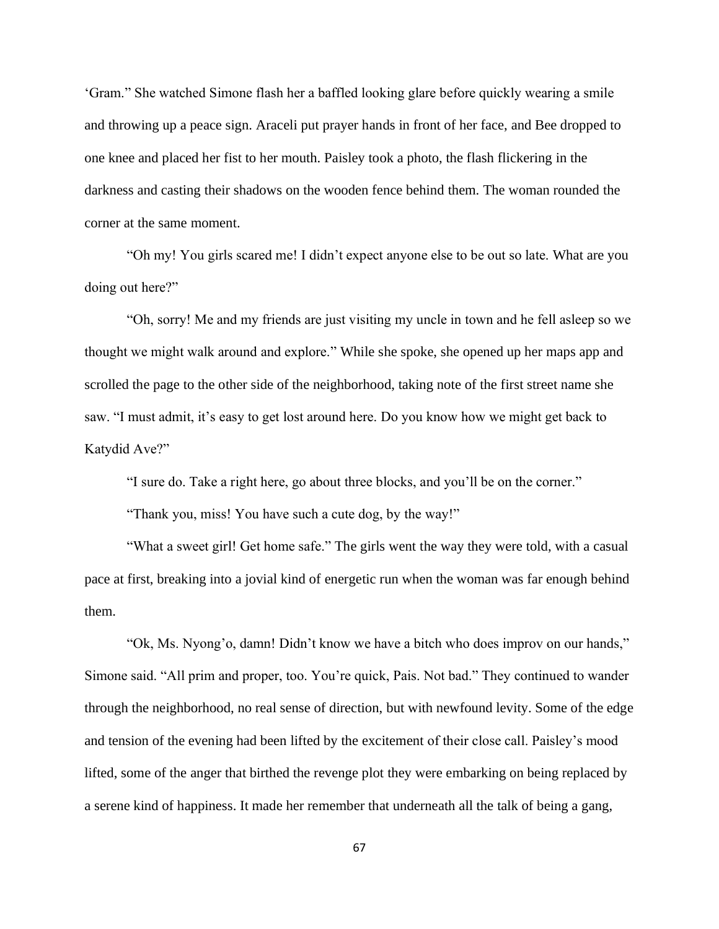'Gram." She watched Simone flash her a baffled looking glare before quickly wearing a smile and throwing up a peace sign. Araceli put prayer hands in front of her face, and Bee dropped to one knee and placed her fist to her mouth. Paisley took a photo, the flash flickering in the darkness and casting their shadows on the wooden fence behind them. The woman rounded the corner at the same moment.

"Oh my! You girls scared me! I didn't expect anyone else to be out so late. What are you doing out here?"

"Oh, sorry! Me and my friends are just visiting my uncle in town and he fell asleep so we thought we might walk around and explore." While she spoke, she opened up her maps app and scrolled the page to the other side of the neighborhood, taking note of the first street name she saw. "I must admit, it's easy to get lost around here. Do you know how we might get back to Katydid Ave?"

"I sure do. Take a right here, go about three blocks, and you'll be on the corner."

"Thank you, miss! You have such a cute dog, by the way!"

"What a sweet girl! Get home safe." The girls went the way they were told, with a casual pace at first, breaking into a jovial kind of energetic run when the woman was far enough behind them.

"Ok, Ms. Nyong'o, damn! Didn't know we have a bitch who does improv on our hands," Simone said. "All prim and proper, too. You're quick, Pais. Not bad." They continued to wander through the neighborhood, no real sense of direction, but with newfound levity. Some of the edge and tension of the evening had been lifted by the excitement of their close call. Paisley's mood lifted, some of the anger that birthed the revenge plot they were embarking on being replaced by a serene kind of happiness. It made her remember that underneath all the talk of being a gang,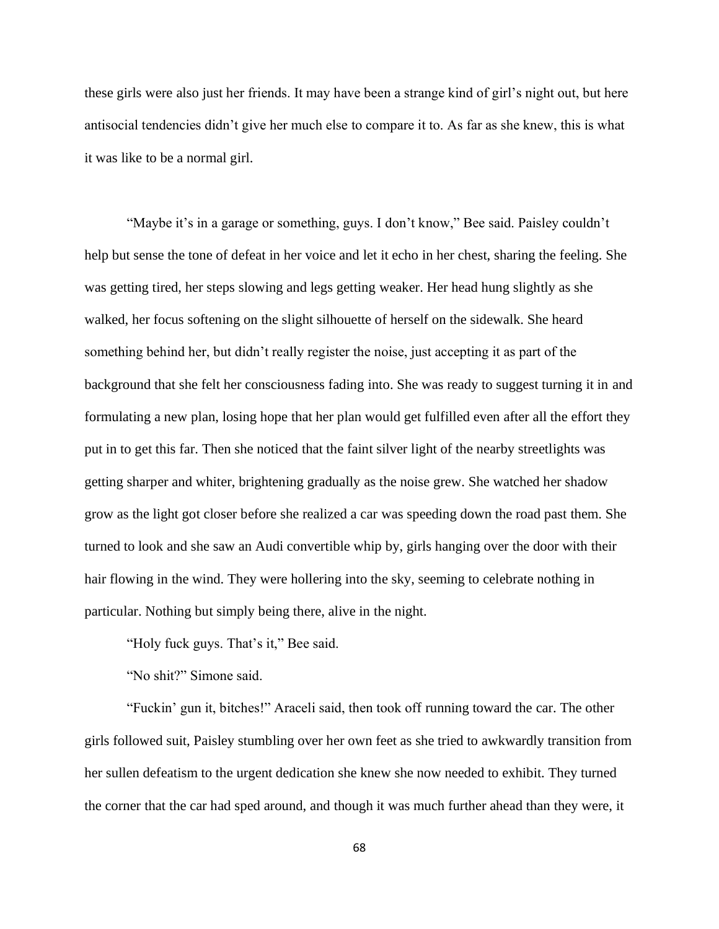these girls were also just her friends. It may have been a strange kind of girl's night out, but here antisocial tendencies didn't give her much else to compare it to. As far as she knew, this is what it was like to be a normal girl.

"Maybe it's in a garage or something, guys. I don't know," Bee said. Paisley couldn't help but sense the tone of defeat in her voice and let it echo in her chest, sharing the feeling. She was getting tired, her steps slowing and legs getting weaker. Her head hung slightly as she walked, her focus softening on the slight silhouette of herself on the sidewalk. She heard something behind her, but didn't really register the noise, just accepting it as part of the background that she felt her consciousness fading into. She was ready to suggest turning it in and formulating a new plan, losing hope that her plan would get fulfilled even after all the effort they put in to get this far. Then she noticed that the faint silver light of the nearby streetlights was getting sharper and whiter, brightening gradually as the noise grew. She watched her shadow grow as the light got closer before she realized a car was speeding down the road past them. She turned to look and she saw an Audi convertible whip by, girls hanging over the door with their hair flowing in the wind. They were hollering into the sky, seeming to celebrate nothing in particular. Nothing but simply being there, alive in the night.

"Holy fuck guys. That's it," Bee said.

"No shit?" Simone said.

"Fuckin' gun it, bitches!" Araceli said, then took off running toward the car. The other girls followed suit, Paisley stumbling over her own feet as she tried to awkwardly transition from her sullen defeatism to the urgent dedication she knew she now needed to exhibit. They turned the corner that the car had sped around, and though it was much further ahead than they were, it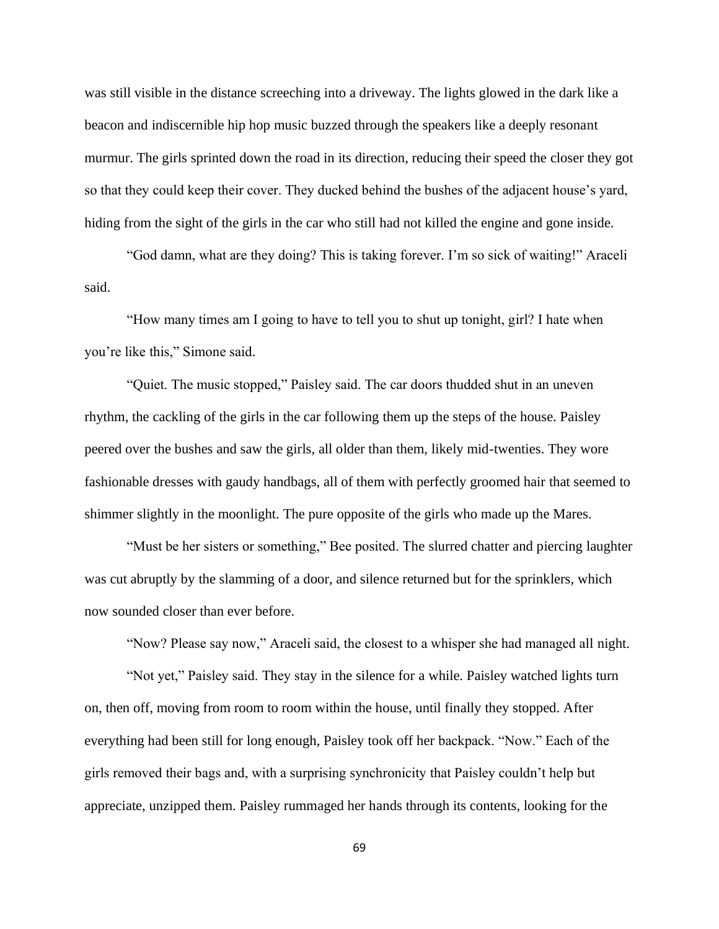was still visible in the distance screeching into a driveway. The lights glowed in the dark like a beacon and indiscernible hip hop music buzzed through the speakers like a deeply resonant murmur. The girls sprinted down the road in its direction, reducing their speed the closer they got so that they could keep their cover. They ducked behind the bushes of the adjacent house's yard, hiding from the sight of the girls in the car who still had not killed the engine and gone inside.

"God damn, what are they doing? This is taking forever. I'm so sick of waiting!" Araceli said.

"How many times am I going to have to tell you to shut up tonight, girl? I hate when you're like this," Simone said.

"Quiet. The music stopped," Paisley said. The car doors thudded shut in an uneven rhythm, the cackling of the girls in the car following them up the steps of the house. Paisley peered over the bushes and saw the girls, all older than them, likely mid-twenties. They wore fashionable dresses with gaudy handbags, all of them with perfectly groomed hair that seemed to shimmer slightly in the moonlight. The pure opposite of the girls who made up the Mares.

"Must be her sisters or something," Bee posited. The slurred chatter and piercing laughter was cut abruptly by the slamming of a door, and silence returned but for the sprinklers, which now sounded closer than ever before.

"Now? Please say now," Araceli said, the closest to a whisper she had managed all night.

"Not yet," Paisley said. They stay in the silence for a while. Paisley watched lights turn on, then off, moving from room to room within the house, until finally they stopped. After everything had been still for long enough, Paisley took off her backpack. "Now." Each of the girls removed their bags and, with a surprising synchronicity that Paisley couldn't help but appreciate, unzipped them. Paisley rummaged her hands through its contents, looking for the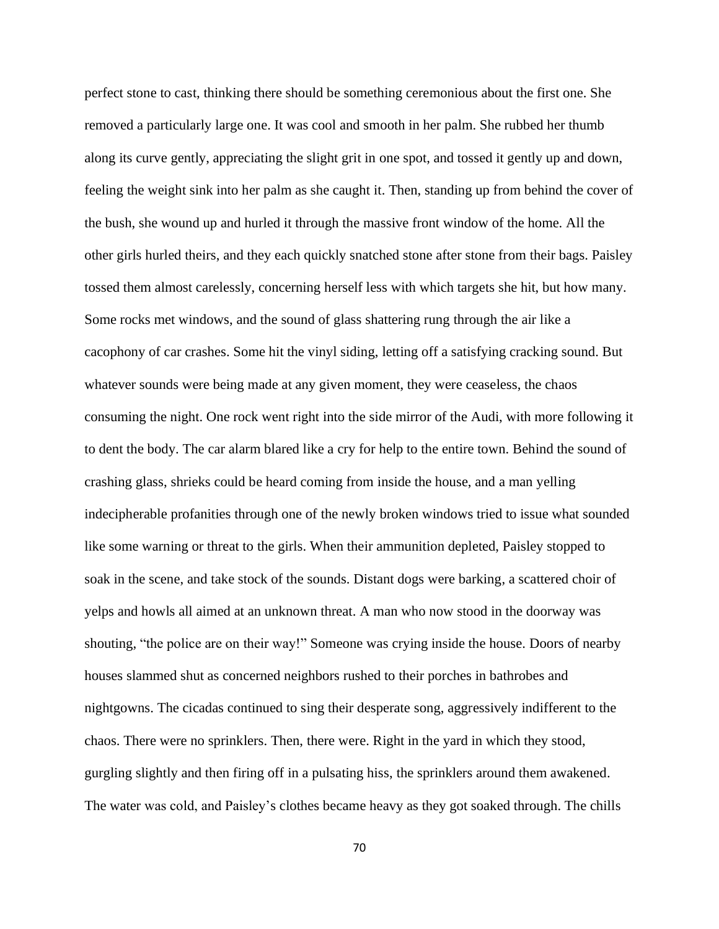perfect stone to cast, thinking there should be something ceremonious about the first one. She removed a particularly large one. It was cool and smooth in her palm. She rubbed her thumb along its curve gently, appreciating the slight grit in one spot, and tossed it gently up and down, feeling the weight sink into her palm as she caught it. Then, standing up from behind the cover of the bush, she wound up and hurled it through the massive front window of the home. All the other girls hurled theirs, and they each quickly snatched stone after stone from their bags. Paisley tossed them almost carelessly, concerning herself less with which targets she hit, but how many. Some rocks met windows, and the sound of glass shattering rung through the air like a cacophony of car crashes. Some hit the vinyl siding, letting off a satisfying cracking sound. But whatever sounds were being made at any given moment, they were ceaseless, the chaos consuming the night. One rock went right into the side mirror of the Audi, with more following it to dent the body. The car alarm blared like a cry for help to the entire town. Behind the sound of crashing glass, shrieks could be heard coming from inside the house, and a man yelling indecipherable profanities through one of the newly broken windows tried to issue what sounded like some warning or threat to the girls. When their ammunition depleted, Paisley stopped to soak in the scene, and take stock of the sounds. Distant dogs were barking, a scattered choir of yelps and howls all aimed at an unknown threat. A man who now stood in the doorway was shouting, "the police are on their way!" Someone was crying inside the house. Doors of nearby houses slammed shut as concerned neighbors rushed to their porches in bathrobes and nightgowns. The cicadas continued to sing their desperate song, aggressively indifferent to the chaos. There were no sprinklers. Then, there were. Right in the yard in which they stood, gurgling slightly and then firing off in a pulsating hiss, the sprinklers around them awakened. The water was cold, and Paisley's clothes became heavy as they got soaked through. The chills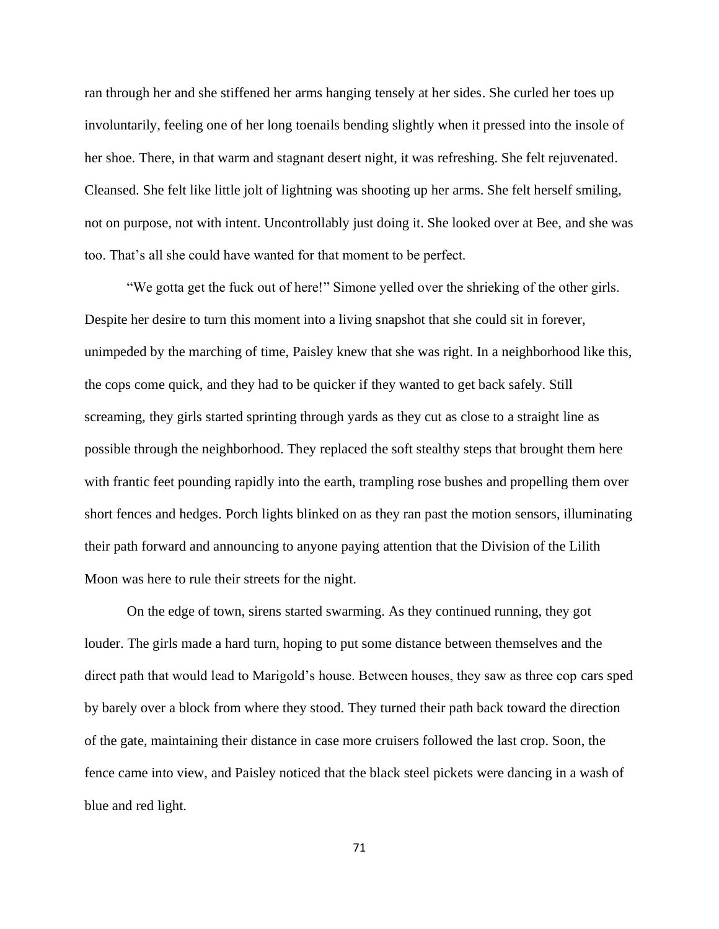ran through her and she stiffened her arms hanging tensely at her sides. She curled her toes up involuntarily, feeling one of her long toenails bending slightly when it pressed into the insole of her shoe. There, in that warm and stagnant desert night, it was refreshing. She felt rejuvenated. Cleansed. She felt like little jolt of lightning was shooting up her arms. She felt herself smiling, not on purpose, not with intent. Uncontrollably just doing it. She looked over at Bee, and she was too. That's all she could have wanted for that moment to be perfect.

"We gotta get the fuck out of here!" Simone yelled over the shrieking of the other girls. Despite her desire to turn this moment into a living snapshot that she could sit in forever, unimpeded by the marching of time, Paisley knew that she was right. In a neighborhood like this, the cops come quick, and they had to be quicker if they wanted to get back safely. Still screaming, they girls started sprinting through yards as they cut as close to a straight line as possible through the neighborhood. They replaced the soft stealthy steps that brought them here with frantic feet pounding rapidly into the earth, trampling rose bushes and propelling them over short fences and hedges. Porch lights blinked on as they ran past the motion sensors, illuminating their path forward and announcing to anyone paying attention that the Division of the Lilith Moon was here to rule their streets for the night.

On the edge of town, sirens started swarming. As they continued running, they got louder. The girls made a hard turn, hoping to put some distance between themselves and the direct path that would lead to Marigold's house. Between houses, they saw as three cop cars sped by barely over a block from where they stood. They turned their path back toward the direction of the gate, maintaining their distance in case more cruisers followed the last crop. Soon, the fence came into view, and Paisley noticed that the black steel pickets were dancing in a wash of blue and red light.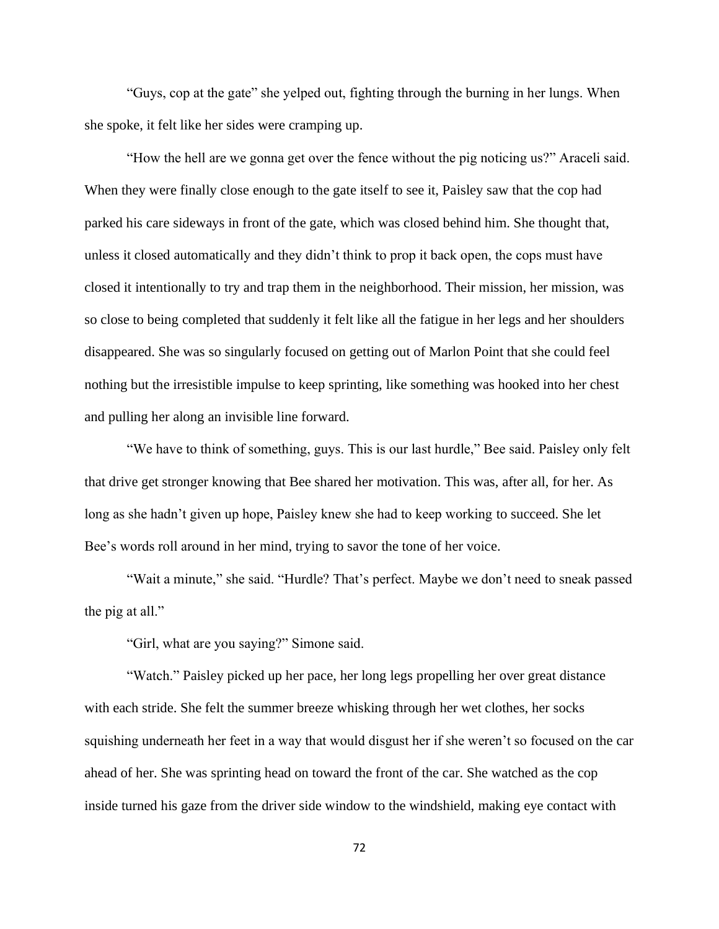"Guys, cop at the gate" she yelped out, fighting through the burning in her lungs. When she spoke, it felt like her sides were cramping up.

"How the hell are we gonna get over the fence without the pig noticing us?" Araceli said. When they were finally close enough to the gate itself to see it, Paisley saw that the cop had parked his care sideways in front of the gate, which was closed behind him. She thought that, unless it closed automatically and they didn't think to prop it back open, the cops must have closed it intentionally to try and trap them in the neighborhood. Their mission, her mission, was so close to being completed that suddenly it felt like all the fatigue in her legs and her shoulders disappeared. She was so singularly focused on getting out of Marlon Point that she could feel nothing but the irresistible impulse to keep sprinting, like something was hooked into her chest and pulling her along an invisible line forward.

"We have to think of something, guys. This is our last hurdle," Bee said. Paisley only felt that drive get stronger knowing that Bee shared her motivation. This was, after all, for her. As long as she hadn't given up hope, Paisley knew she had to keep working to succeed. She let Bee's words roll around in her mind, trying to savor the tone of her voice.

"Wait a minute," she said. "Hurdle? That's perfect. Maybe we don't need to sneak passed the pig at all."

"Girl, what are you saying?" Simone said.

"Watch." Paisley picked up her pace, her long legs propelling her over great distance with each stride. She felt the summer breeze whisking through her wet clothes, her socks squishing underneath her feet in a way that would disgust her if she weren't so focused on the car ahead of her. She was sprinting head on toward the front of the car. She watched as the cop inside turned his gaze from the driver side window to the windshield, making eye contact with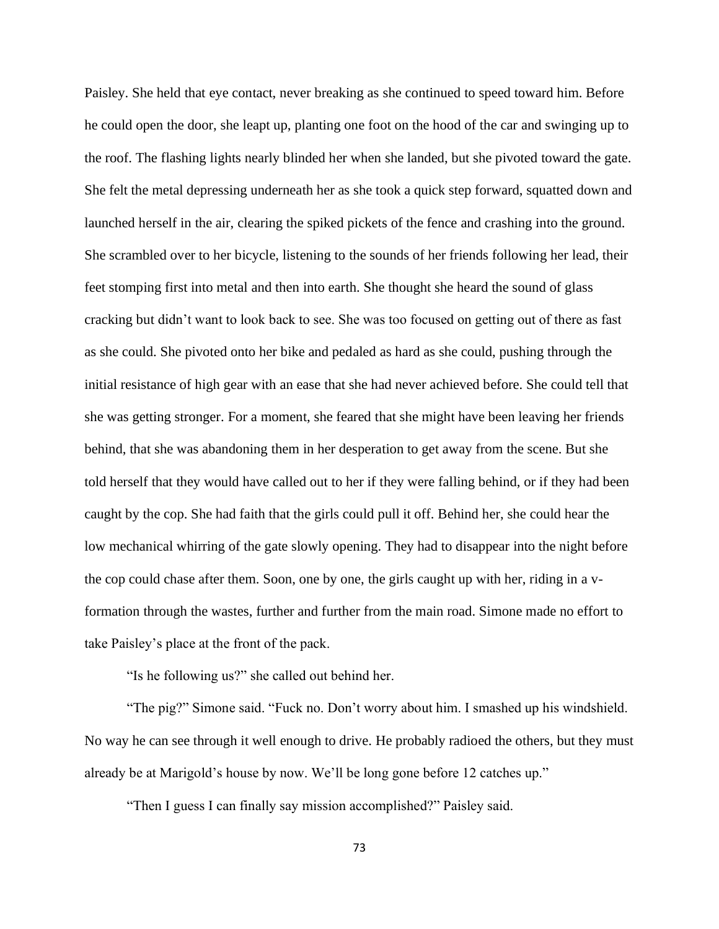Paisley. She held that eye contact, never breaking as she continued to speed toward him. Before he could open the door, she leapt up, planting one foot on the hood of the car and swinging up to the roof. The flashing lights nearly blinded her when she landed, but she pivoted toward the gate. She felt the metal depressing underneath her as she took a quick step forward, squatted down and launched herself in the air, clearing the spiked pickets of the fence and crashing into the ground. She scrambled over to her bicycle, listening to the sounds of her friends following her lead, their feet stomping first into metal and then into earth. She thought she heard the sound of glass cracking but didn't want to look back to see. She was too focused on getting out of there as fast as she could. She pivoted onto her bike and pedaled as hard as she could, pushing through the initial resistance of high gear with an ease that she had never achieved before. She could tell that she was getting stronger. For a moment, she feared that she might have been leaving her friends behind, that she was abandoning them in her desperation to get away from the scene. But she told herself that they would have called out to her if they were falling behind, or if they had been caught by the cop. She had faith that the girls could pull it off. Behind her, she could hear the low mechanical whirring of the gate slowly opening. They had to disappear into the night before the cop could chase after them. Soon, one by one, the girls caught up with her, riding in a vformation through the wastes, further and further from the main road. Simone made no effort to take Paisley's place at the front of the pack.

"Is he following us?" she called out behind her.

"The pig?" Simone said. "Fuck no. Don't worry about him. I smashed up his windshield. No way he can see through it well enough to drive. He probably radioed the others, but they must already be at Marigold's house by now. We'll be long gone before 12 catches up."

"Then I guess I can finally say mission accomplished?" Paisley said.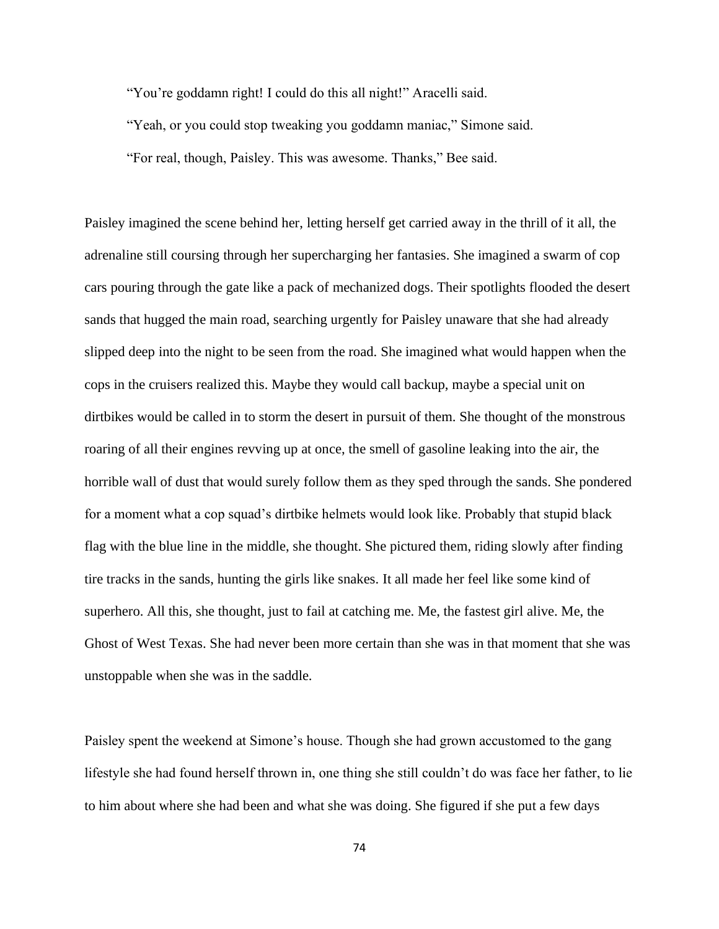"You're goddamn right! I could do this all night!" Aracelli said.

"Yeah, or you could stop tweaking you goddamn maniac," Simone said.

"For real, though, Paisley. This was awesome. Thanks," Bee said.

Paisley imagined the scene behind her, letting herself get carried away in the thrill of it all, the adrenaline still coursing through her supercharging her fantasies. She imagined a swarm of cop cars pouring through the gate like a pack of mechanized dogs. Their spotlights flooded the desert sands that hugged the main road, searching urgently for Paisley unaware that she had already slipped deep into the night to be seen from the road. She imagined what would happen when the cops in the cruisers realized this. Maybe they would call backup, maybe a special unit on dirtbikes would be called in to storm the desert in pursuit of them. She thought of the monstrous roaring of all their engines revving up at once, the smell of gasoline leaking into the air, the horrible wall of dust that would surely follow them as they sped through the sands. She pondered for a moment what a cop squad's dirtbike helmets would look like. Probably that stupid black flag with the blue line in the middle, she thought. She pictured them, riding slowly after finding tire tracks in the sands, hunting the girls like snakes. It all made her feel like some kind of superhero. All this, she thought, just to fail at catching me. Me, the fastest girl alive. Me, the Ghost of West Texas. She had never been more certain than she was in that moment that she was unstoppable when she was in the saddle.

Paisley spent the weekend at Simone's house. Though she had grown accustomed to the gang lifestyle she had found herself thrown in, one thing she still couldn't do was face her father, to lie to him about where she had been and what she was doing. She figured if she put a few days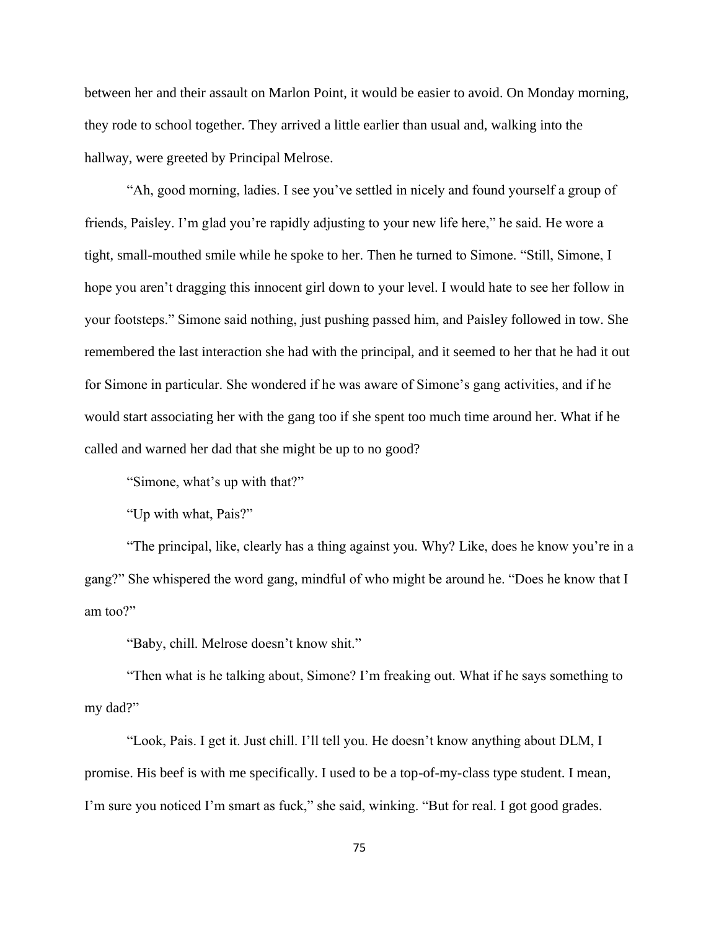between her and their assault on Marlon Point, it would be easier to avoid. On Monday morning, they rode to school together. They arrived a little earlier than usual and, walking into the hallway, were greeted by Principal Melrose.

"Ah, good morning, ladies. I see you've settled in nicely and found yourself a group of friends, Paisley. I'm glad you're rapidly adjusting to your new life here," he said. He wore a tight, small-mouthed smile while he spoke to her. Then he turned to Simone. "Still, Simone, I hope you aren't dragging this innocent girl down to your level. I would hate to see her follow in your footsteps." Simone said nothing, just pushing passed him, and Paisley followed in tow. She remembered the last interaction she had with the principal, and it seemed to her that he had it out for Simone in particular. She wondered if he was aware of Simone's gang activities, and if he would start associating her with the gang too if she spent too much time around her. What if he called and warned her dad that she might be up to no good?

"Simone, what's up with that?"

"Up with what, Pais?"

"The principal, like, clearly has a thing against you. Why? Like, does he know you're in a gang?" She whispered the word gang, mindful of who might be around he. "Does he know that I am too?"

"Baby, chill. Melrose doesn't know shit."

"Then what is he talking about, Simone? I'm freaking out. What if he says something to my dad?"

"Look, Pais. I get it. Just chill. I'll tell you. He doesn't know anything about DLM, I promise. His beef is with me specifically. I used to be a top-of-my-class type student. I mean, I'm sure you noticed I'm smart as fuck," she said, winking. "But for real. I got good grades.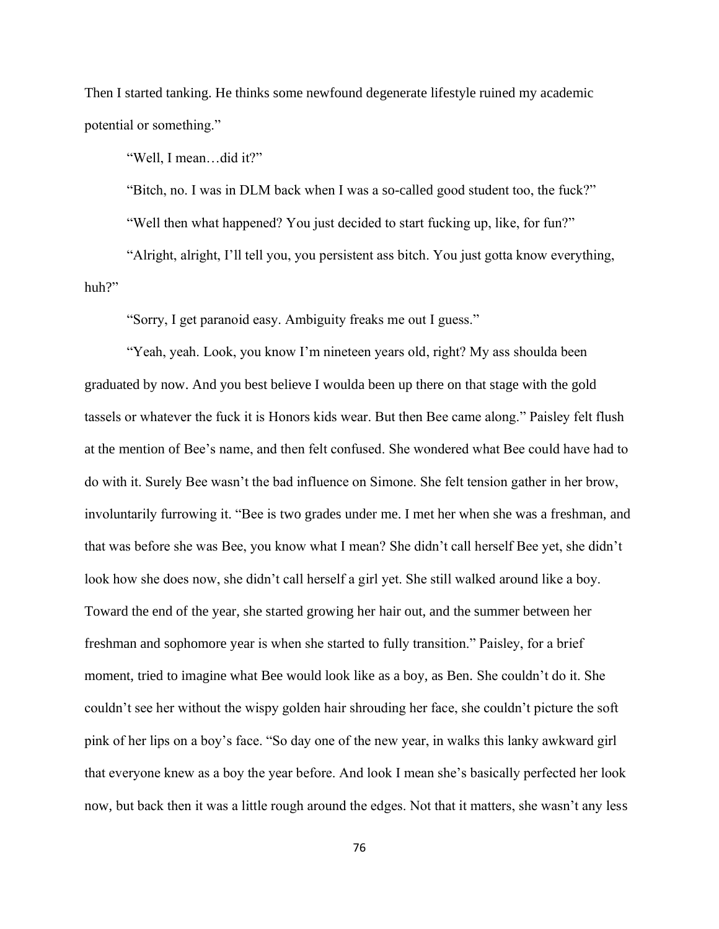Then I started tanking. He thinks some newfound degenerate lifestyle ruined my academic potential or something."

"Well, I mean…did it?"

"Bitch, no. I was in DLM back when I was a so-called good student too, the fuck?"

"Well then what happened? You just decided to start fucking up, like, for fun?"

"Alright, alright, I'll tell you, you persistent ass bitch. You just gotta know everything, huh?"

"Sorry, I get paranoid easy. Ambiguity freaks me out I guess."

"Yeah, yeah. Look, you know I'm nineteen years old, right? My ass shoulda been graduated by now. And you best believe I woulda been up there on that stage with the gold tassels or whatever the fuck it is Honors kids wear. But then Bee came along." Paisley felt flush at the mention of Bee's name, and then felt confused. She wondered what Bee could have had to do with it. Surely Bee wasn't the bad influence on Simone. She felt tension gather in her brow, involuntarily furrowing it. "Bee is two grades under me. I met her when she was a freshman, and that was before she was Bee, you know what I mean? She didn't call herself Bee yet, she didn't look how she does now, she didn't call herself a girl yet. She still walked around like a boy. Toward the end of the year, she started growing her hair out, and the summer between her freshman and sophomore year is when she started to fully transition." Paisley, for a brief moment, tried to imagine what Bee would look like as a boy, as Ben. She couldn't do it. She couldn't see her without the wispy golden hair shrouding her face, she couldn't picture the soft pink of her lips on a boy's face. "So day one of the new year, in walks this lanky awkward girl that everyone knew as a boy the year before. And look I mean she's basically perfected her look now, but back then it was a little rough around the edges. Not that it matters, she wasn't any less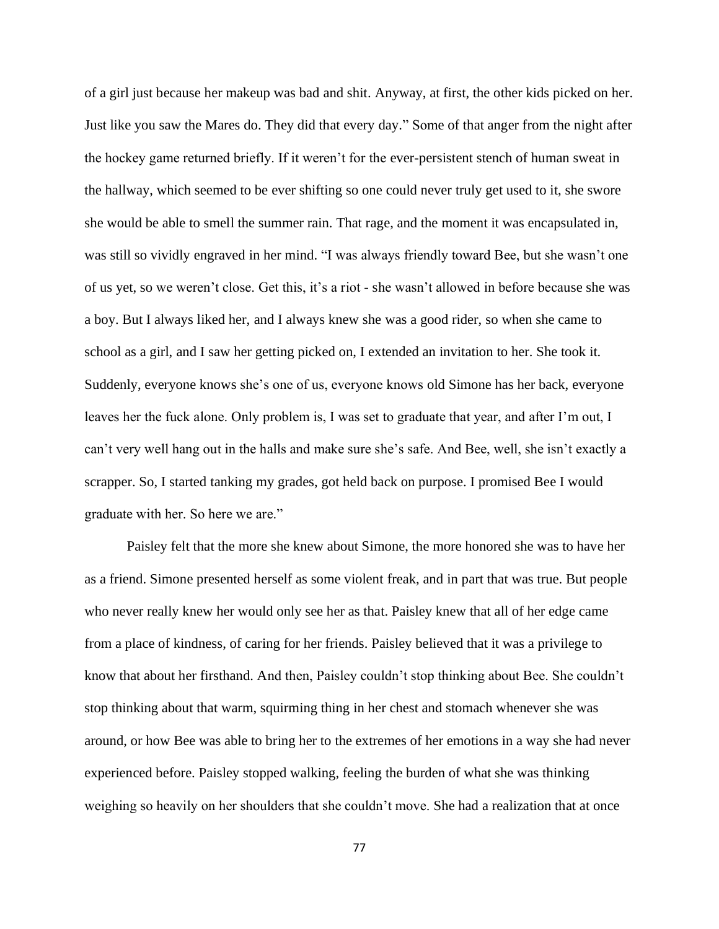of a girl just because her makeup was bad and shit. Anyway, at first, the other kids picked on her. Just like you saw the Mares do. They did that every day." Some of that anger from the night after the hockey game returned briefly. If it weren't for the ever-persistent stench of human sweat in the hallway, which seemed to be ever shifting so one could never truly get used to it, she swore she would be able to smell the summer rain. That rage, and the moment it was encapsulated in, was still so vividly engraved in her mind. "I was always friendly toward Bee, but she wasn't one of us yet, so we weren't close. Get this, it's a riot - she wasn't allowed in before because she was a boy. But I always liked her, and I always knew she was a good rider, so when she came to school as a girl, and I saw her getting picked on, I extended an invitation to her. She took it. Suddenly, everyone knows she's one of us, everyone knows old Simone has her back, everyone leaves her the fuck alone. Only problem is, I was set to graduate that year, and after I'm out, I can't very well hang out in the halls and make sure she's safe. And Bee, well, she isn't exactly a scrapper. So, I started tanking my grades, got held back on purpose. I promised Bee I would graduate with her. So here we are."

Paisley felt that the more she knew about Simone, the more honored she was to have her as a friend. Simone presented herself as some violent freak, and in part that was true. But people who never really knew her would only see her as that. Paisley knew that all of her edge came from a place of kindness, of caring for her friends. Paisley believed that it was a privilege to know that about her firsthand. And then, Paisley couldn't stop thinking about Bee. She couldn't stop thinking about that warm, squirming thing in her chest and stomach whenever she was around, or how Bee was able to bring her to the extremes of her emotions in a way she had never experienced before. Paisley stopped walking, feeling the burden of what she was thinking weighing so heavily on her shoulders that she couldn't move. She had a realization that at once

77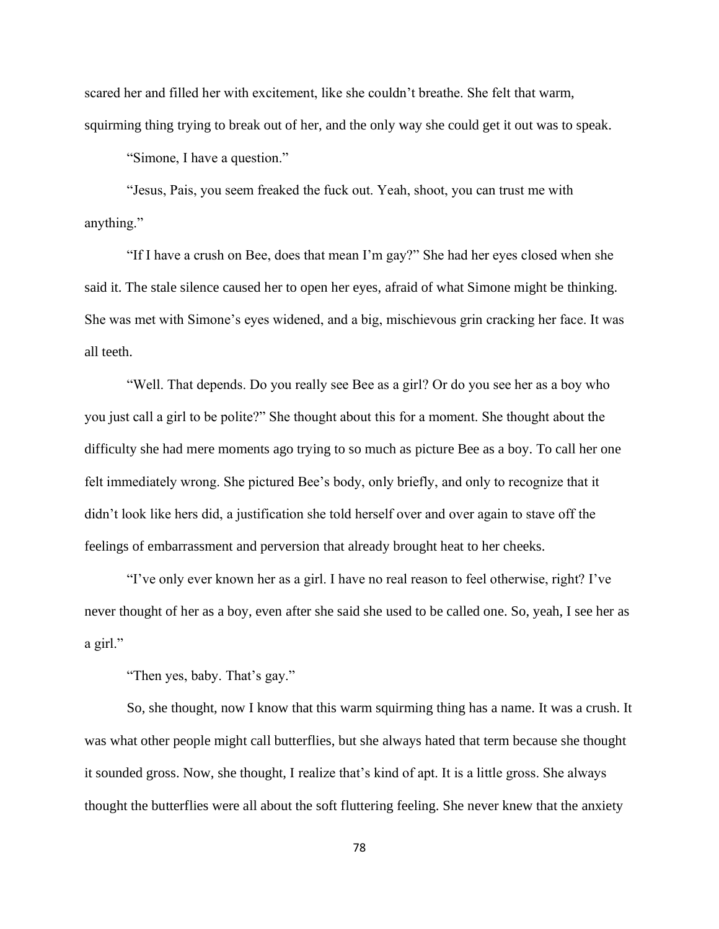scared her and filled her with excitement, like she couldn't breathe. She felt that warm, squirming thing trying to break out of her, and the only way she could get it out was to speak.

"Simone, I have a question."

"Jesus, Pais, you seem freaked the fuck out. Yeah, shoot, you can trust me with anything."

"If I have a crush on Bee, does that mean I'm gay?" She had her eyes closed when she said it. The stale silence caused her to open her eyes, afraid of what Simone might be thinking. She was met with Simone's eyes widened, and a big, mischievous grin cracking her face. It was all teeth.

"Well. That depends. Do you really see Bee as a girl? Or do you see her as a boy who you just call a girl to be polite?" She thought about this for a moment. She thought about the difficulty she had mere moments ago trying to so much as picture Bee as a boy. To call her one felt immediately wrong. She pictured Bee's body, only briefly, and only to recognize that it didn't look like hers did, a justification she told herself over and over again to stave off the feelings of embarrassment and perversion that already brought heat to her cheeks.

"I've only ever known her as a girl. I have no real reason to feel otherwise, right? I've never thought of her as a boy, even after she said she used to be called one. So, yeah, I see her as a girl."

"Then yes, baby. That's gay."

So, she thought, now I know that this warm squirming thing has a name. It was a crush. It was what other people might call butterflies, but she always hated that term because she thought it sounded gross. Now, she thought, I realize that's kind of apt. It is a little gross. She always thought the butterflies were all about the soft fluttering feeling. She never knew that the anxiety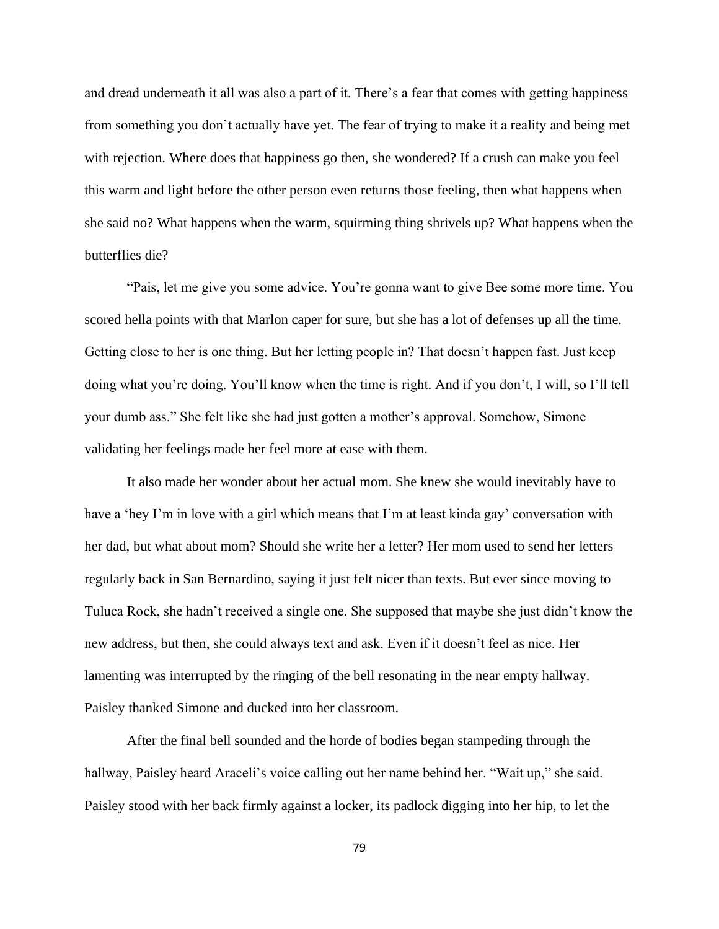and dread underneath it all was also a part of it. There's a fear that comes with getting happiness from something you don't actually have yet. The fear of trying to make it a reality and being met with rejection. Where does that happiness go then, she wondered? If a crush can make you feel this warm and light before the other person even returns those feeling, then what happens when she said no? What happens when the warm, squirming thing shrivels up? What happens when the butterflies die?

"Pais, let me give you some advice. You're gonna want to give Bee some more time. You scored hella points with that Marlon caper for sure, but she has a lot of defenses up all the time. Getting close to her is one thing. But her letting people in? That doesn't happen fast. Just keep doing what you're doing. You'll know when the time is right. And if you don't, I will, so I'll tell your dumb ass." She felt like she had just gotten a mother's approval. Somehow, Simone validating her feelings made her feel more at ease with them.

It also made her wonder about her actual mom. She knew she would inevitably have to have a 'hey I'm in love with a girl which means that I'm at least kinda gay' conversation with her dad, but what about mom? Should she write her a letter? Her mom used to send her letters regularly back in San Bernardino, saying it just felt nicer than texts. But ever since moving to Tuluca Rock, she hadn't received a single one. She supposed that maybe she just didn't know the new address, but then, she could always text and ask. Even if it doesn't feel as nice. Her lamenting was interrupted by the ringing of the bell resonating in the near empty hallway. Paisley thanked Simone and ducked into her classroom.

After the final bell sounded and the horde of bodies began stampeding through the hallway, Paisley heard Araceli's voice calling out her name behind her. "Wait up," she said. Paisley stood with her back firmly against a locker, its padlock digging into her hip, to let the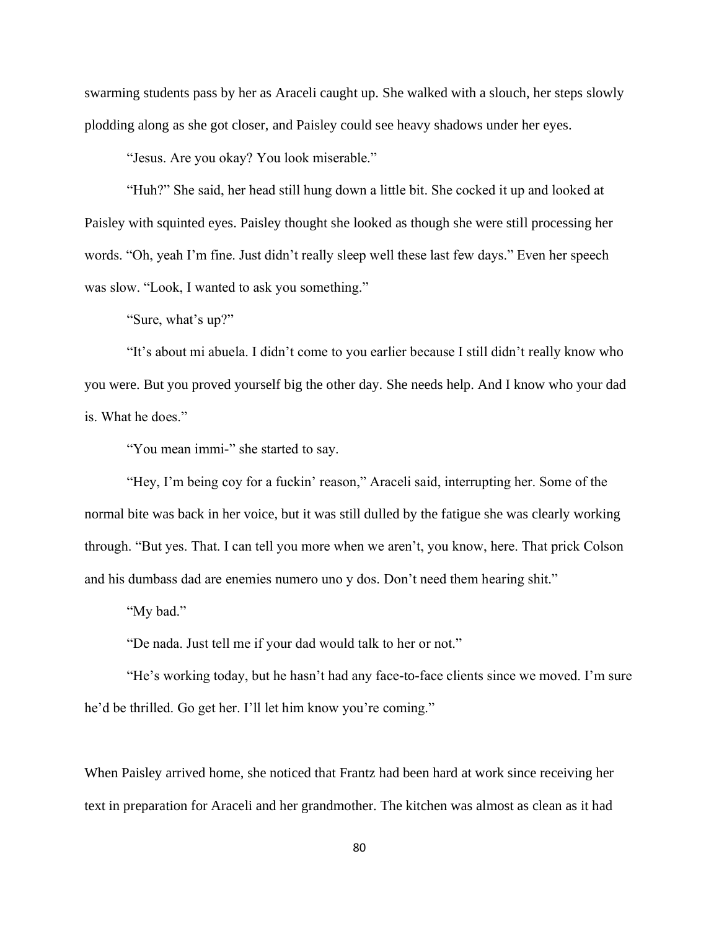swarming students pass by her as Araceli caught up. She walked with a slouch, her steps slowly plodding along as she got closer, and Paisley could see heavy shadows under her eyes.

"Jesus. Are you okay? You look miserable."

"Huh?" She said, her head still hung down a little bit. She cocked it up and looked at Paisley with squinted eyes. Paisley thought she looked as though she were still processing her words. "Oh, yeah I'm fine. Just didn't really sleep well these last few days." Even her speech was slow. "Look, I wanted to ask you something."

"Sure, what's up?"

"It's about mi abuela. I didn't come to you earlier because I still didn't really know who you were. But you proved yourself big the other day. She needs help. And I know who your dad is. What he does."

"You mean immi-" she started to say.

"Hey, I'm being coy for a fuckin' reason," Araceli said, interrupting her. Some of the normal bite was back in her voice, but it was still dulled by the fatigue she was clearly working through. "But yes. That. I can tell you more when we aren't, you know, here. That prick Colson and his dumbass dad are enemies numero uno y dos. Don't need them hearing shit."

"My bad."

"De nada. Just tell me if your dad would talk to her or not."

"He's working today, but he hasn't had any face-to-face clients since we moved. I'm sure he'd be thrilled. Go get her. I'll let him know you're coming."

When Paisley arrived home, she noticed that Frantz had been hard at work since receiving her text in preparation for Araceli and her grandmother. The kitchen was almost as clean as it had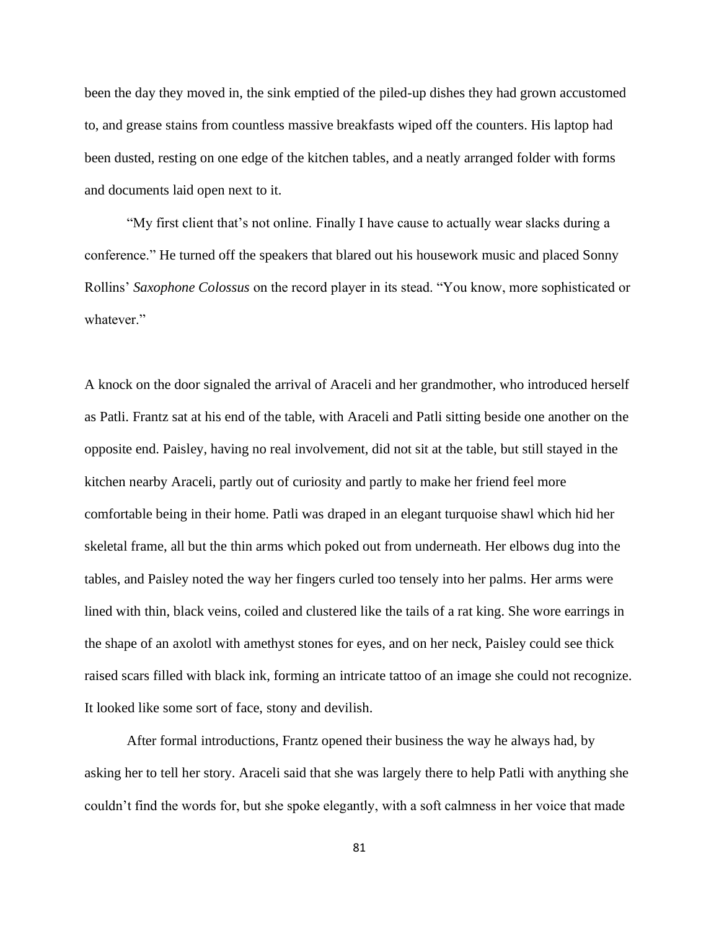been the day they moved in, the sink emptied of the piled-up dishes they had grown accustomed to, and grease stains from countless massive breakfasts wiped off the counters. His laptop had been dusted, resting on one edge of the kitchen tables, and a neatly arranged folder with forms and documents laid open next to it.

"My first client that's not online. Finally I have cause to actually wear slacks during a conference." He turned off the speakers that blared out his housework music and placed Sonny Rollins' *Saxophone Colossus* on the record player in its stead. "You know, more sophisticated or whatever."

A knock on the door signaled the arrival of Araceli and her grandmother, who introduced herself as Patli. Frantz sat at his end of the table, with Araceli and Patli sitting beside one another on the opposite end. Paisley, having no real involvement, did not sit at the table, but still stayed in the kitchen nearby Araceli, partly out of curiosity and partly to make her friend feel more comfortable being in their home. Patli was draped in an elegant turquoise shawl which hid her skeletal frame, all but the thin arms which poked out from underneath. Her elbows dug into the tables, and Paisley noted the way her fingers curled too tensely into her palms. Her arms were lined with thin, black veins, coiled and clustered like the tails of a rat king. She wore earrings in the shape of an axolotl with amethyst stones for eyes, and on her neck, Paisley could see thick raised scars filled with black ink, forming an intricate tattoo of an image she could not recognize. It looked like some sort of face, stony and devilish.

After formal introductions, Frantz opened their business the way he always had, by asking her to tell her story. Araceli said that she was largely there to help Patli with anything she couldn't find the words for, but she spoke elegantly, with a soft calmness in her voice that made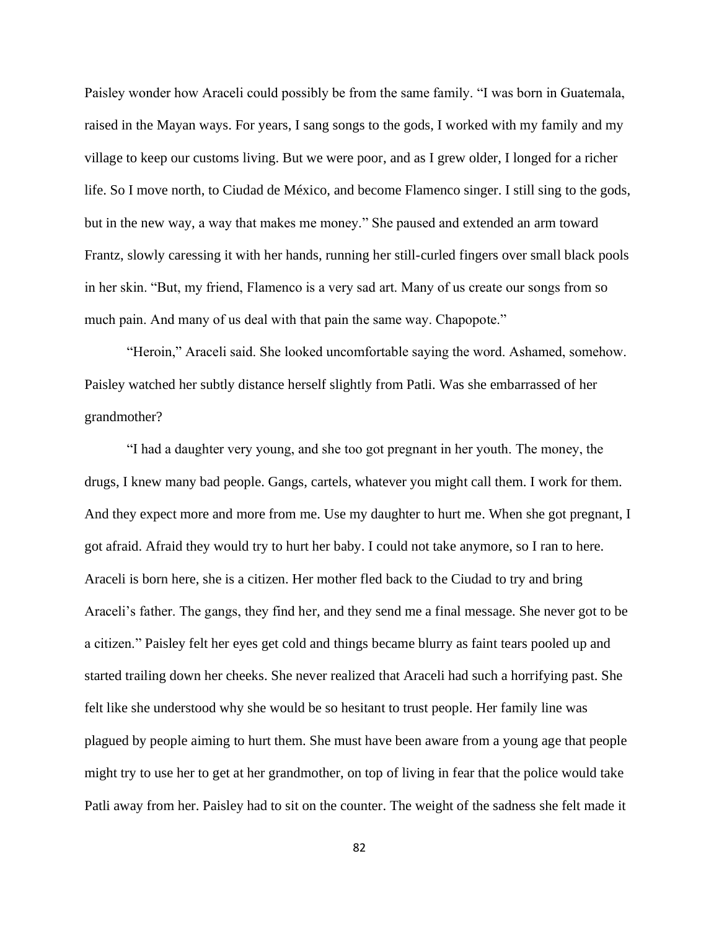Paisley wonder how Araceli could possibly be from the same family. "I was born in Guatemala, raised in the Mayan ways. For years, I sang songs to the gods, I worked with my family and my village to keep our customs living. But we were poor, and as I grew older, I longed for a richer life. So I move north, to Ciudad de México, and become Flamenco singer. I still sing to the gods, but in the new way, a way that makes me money." She paused and extended an arm toward Frantz, slowly caressing it with her hands, running her still-curled fingers over small black pools in her skin. "But, my friend, Flamenco is a very sad art. Many of us create our songs from so much pain. And many of us deal with that pain the same way. Chapopote."

"Heroin," Araceli said. She looked uncomfortable saying the word. Ashamed, somehow. Paisley watched her subtly distance herself slightly from Patli. Was she embarrassed of her grandmother?

"I had a daughter very young, and she too got pregnant in her youth. The money, the drugs, I knew many bad people. Gangs, cartels, whatever you might call them. I work for them. And they expect more and more from me. Use my daughter to hurt me. When she got pregnant, I got afraid. Afraid they would try to hurt her baby. I could not take anymore, so I ran to here. Araceli is born here, she is a citizen. Her mother fled back to the Ciudad to try and bring Araceli's father. The gangs, they find her, and they send me a final message. She never got to be a citizen." Paisley felt her eyes get cold and things became blurry as faint tears pooled up and started trailing down her cheeks. She never realized that Araceli had such a horrifying past. She felt like she understood why she would be so hesitant to trust people. Her family line was plagued by people aiming to hurt them. She must have been aware from a young age that people might try to use her to get at her grandmother, on top of living in fear that the police would take Patli away from her. Paisley had to sit on the counter. The weight of the sadness she felt made it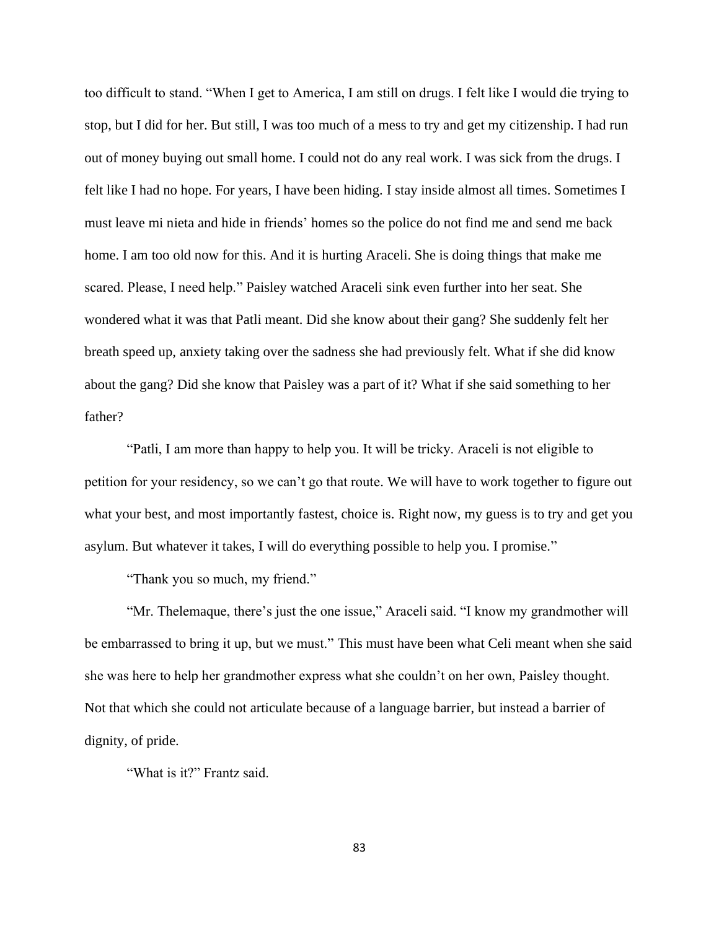too difficult to stand. "When I get to America, I am still on drugs. I felt like I would die trying to stop, but I did for her. But still, I was too much of a mess to try and get my citizenship. I had run out of money buying out small home. I could not do any real work. I was sick from the drugs. I felt like I had no hope. For years, I have been hiding. I stay inside almost all times. Sometimes I must leave mi nieta and hide in friends' homes so the police do not find me and send me back home. I am too old now for this. And it is hurting Araceli. She is doing things that make me scared. Please, I need help." Paisley watched Araceli sink even further into her seat. She wondered what it was that Patli meant. Did she know about their gang? She suddenly felt her breath speed up, anxiety taking over the sadness she had previously felt. What if she did know about the gang? Did she know that Paisley was a part of it? What if she said something to her father?

"Patli, I am more than happy to help you. It will be tricky. Araceli is not eligible to petition for your residency, so we can't go that route. We will have to work together to figure out what your best, and most importantly fastest, choice is. Right now, my guess is to try and get you asylum. But whatever it takes, I will do everything possible to help you. I promise."

"Thank you so much, my friend."

"Mr. Thelemaque, there's just the one issue," Araceli said. "I know my grandmother will be embarrassed to bring it up, but we must." This must have been what Celi meant when she said she was here to help her grandmother express what she couldn't on her own, Paisley thought. Not that which she could not articulate because of a language barrier, but instead a barrier of dignity, of pride.

"What is it?" Frantz said.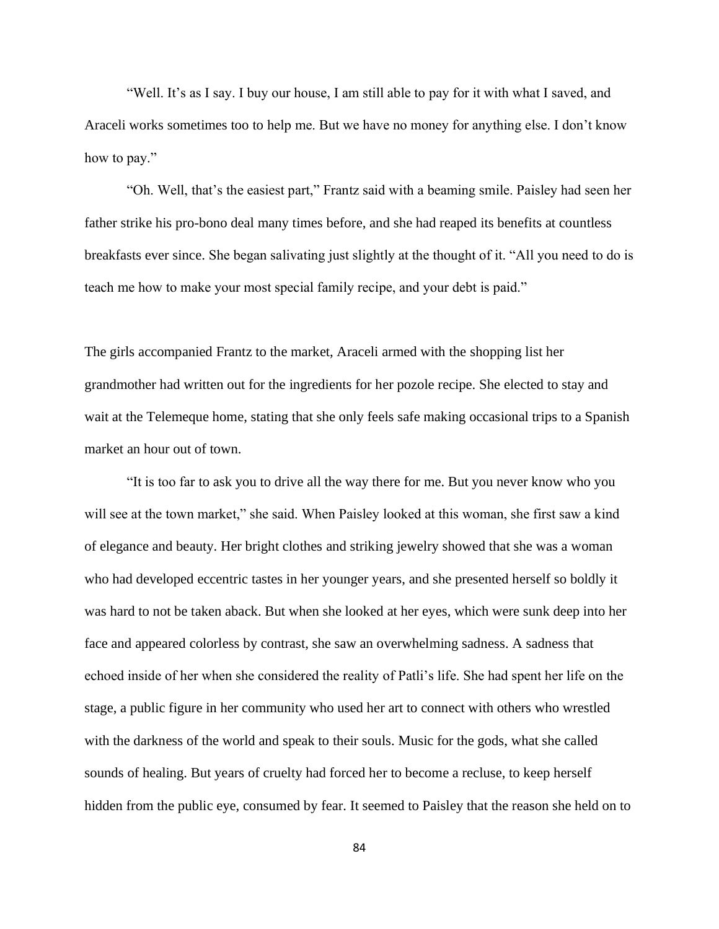"Well. It's as I say. I buy our house, I am still able to pay for it with what I saved, and Araceli works sometimes too to help me. But we have no money for anything else. I don't know how to pay."

"Oh. Well, that's the easiest part," Frantz said with a beaming smile. Paisley had seen her father strike his pro-bono deal many times before, and she had reaped its benefits at countless breakfasts ever since. She began salivating just slightly at the thought of it. "All you need to do is teach me how to make your most special family recipe, and your debt is paid."

The girls accompanied Frantz to the market, Araceli armed with the shopping list her grandmother had written out for the ingredients for her pozole recipe. She elected to stay and wait at the Telemeque home, stating that she only feels safe making occasional trips to a Spanish market an hour out of town.

"It is too far to ask you to drive all the way there for me. But you never know who you will see at the town market," she said. When Paisley looked at this woman, she first saw a kind of elegance and beauty. Her bright clothes and striking jewelry showed that she was a woman who had developed eccentric tastes in her younger years, and she presented herself so boldly it was hard to not be taken aback. But when she looked at her eyes, which were sunk deep into her face and appeared colorless by contrast, she saw an overwhelming sadness. A sadness that echoed inside of her when she considered the reality of Patli's life. She had spent her life on the stage, a public figure in her community who used her art to connect with others who wrestled with the darkness of the world and speak to their souls. Music for the gods, what she called sounds of healing. But years of cruelty had forced her to become a recluse, to keep herself hidden from the public eye, consumed by fear. It seemed to Paisley that the reason she held on to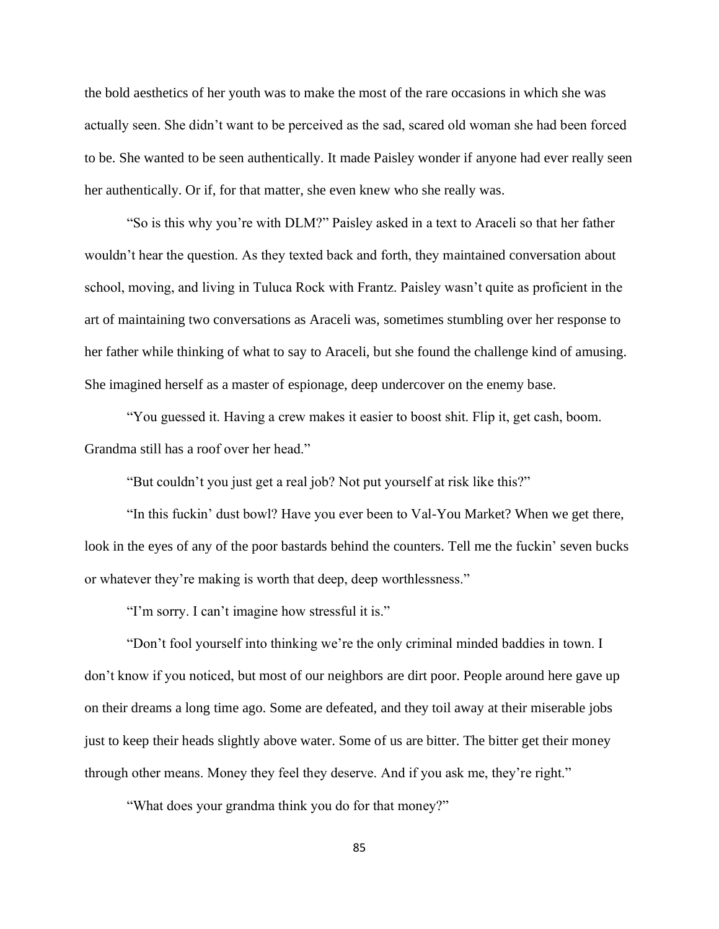the bold aesthetics of her youth was to make the most of the rare occasions in which she was actually seen. She didn't want to be perceived as the sad, scared old woman she had been forced to be. She wanted to be seen authentically. It made Paisley wonder if anyone had ever really seen her authentically. Or if, for that matter, she even knew who she really was.

"So is this why you're with DLM?" Paisley asked in a text to Araceli so that her father wouldn't hear the question. As they texted back and forth, they maintained conversation about school, moving, and living in Tuluca Rock with Frantz. Paisley wasn't quite as proficient in the art of maintaining two conversations as Araceli was, sometimes stumbling over her response to her father while thinking of what to say to Araceli, but she found the challenge kind of amusing. She imagined herself as a master of espionage, deep undercover on the enemy base.

"You guessed it. Having a crew makes it easier to boost shit. Flip it, get cash, boom. Grandma still has a roof over her head."

"But couldn't you just get a real job? Not put yourself at risk like this?"

"In this fuckin' dust bowl? Have you ever been to Val-You Market? When we get there, look in the eyes of any of the poor bastards behind the counters. Tell me the fuckin' seven bucks or whatever they're making is worth that deep, deep worthlessness."

"I'm sorry. I can't imagine how stressful it is."

"Don't fool yourself into thinking we're the only criminal minded baddies in town. I don't know if you noticed, but most of our neighbors are dirt poor. People around here gave up on their dreams a long time ago. Some are defeated, and they toil away at their miserable jobs just to keep their heads slightly above water. Some of us are bitter. The bitter get their money through other means. Money they feel they deserve. And if you ask me, they're right."

"What does your grandma think you do for that money?"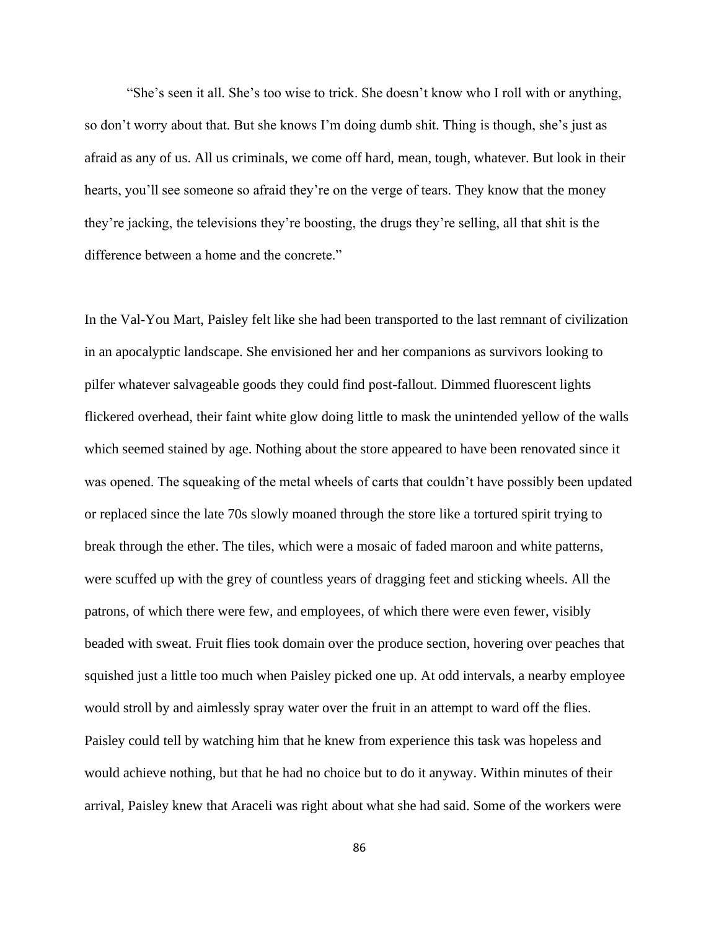"She's seen it all. She's too wise to trick. She doesn't know who I roll with or anything, so don't worry about that. But she knows I'm doing dumb shit. Thing is though, she's just as afraid as any of us. All us criminals, we come off hard, mean, tough, whatever. But look in their hearts, you'll see someone so afraid they're on the verge of tears. They know that the money they're jacking, the televisions they're boosting, the drugs they're selling, all that shit is the difference between a home and the concrete."

In the Val-You Mart, Paisley felt like she had been transported to the last remnant of civilization in an apocalyptic landscape. She envisioned her and her companions as survivors looking to pilfer whatever salvageable goods they could find post-fallout. Dimmed fluorescent lights flickered overhead, their faint white glow doing little to mask the unintended yellow of the walls which seemed stained by age. Nothing about the store appeared to have been renovated since it was opened. The squeaking of the metal wheels of carts that couldn't have possibly been updated or replaced since the late 70s slowly moaned through the store like a tortured spirit trying to break through the ether. The tiles, which were a mosaic of faded maroon and white patterns, were scuffed up with the grey of countless years of dragging feet and sticking wheels. All the patrons, of which there were few, and employees, of which there were even fewer, visibly beaded with sweat. Fruit flies took domain over the produce section, hovering over peaches that squished just a little too much when Paisley picked one up. At odd intervals, a nearby employee would stroll by and aimlessly spray water over the fruit in an attempt to ward off the flies. Paisley could tell by watching him that he knew from experience this task was hopeless and would achieve nothing, but that he had no choice but to do it anyway. Within minutes of their arrival, Paisley knew that Araceli was right about what she had said. Some of the workers were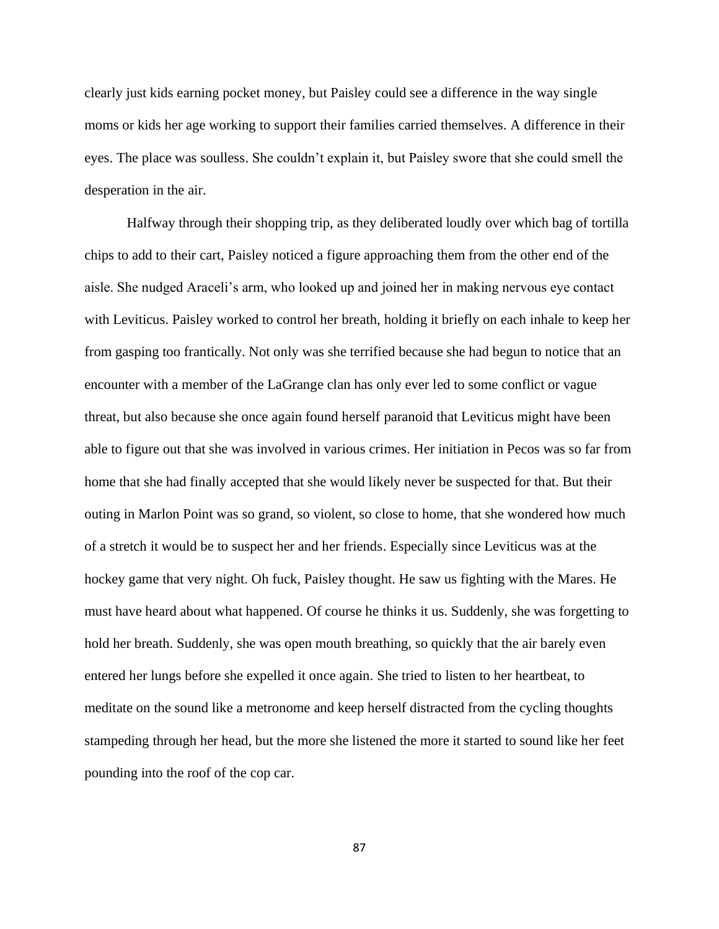clearly just kids earning pocket money, but Paisley could see a difference in the way single moms or kids her age working to support their families carried themselves. A difference in their eyes. The place was soulless. She couldn't explain it, but Paisley swore that she could smell the desperation in the air.

Halfway through their shopping trip, as they deliberated loudly over which bag of tortilla chips to add to their cart, Paisley noticed a figure approaching them from the other end of the aisle. She nudged Araceli's arm, who looked up and joined her in making nervous eye contact with Leviticus. Paisley worked to control her breath, holding it briefly on each inhale to keep her from gasping too frantically. Not only was she terrified because she had begun to notice that an encounter with a member of the LaGrange clan has only ever led to some conflict or vague threat, but also because she once again found herself paranoid that Leviticus might have been able to figure out that she was involved in various crimes. Her initiation in Pecos was so far from home that she had finally accepted that she would likely never be suspected for that. But their outing in Marlon Point was so grand, so violent, so close to home, that she wondered how much of a stretch it would be to suspect her and her friends. Especially since Leviticus was at the hockey game that very night. Oh fuck, Paisley thought. He saw us fighting with the Mares. He must have heard about what happened. Of course he thinks it us. Suddenly, she was forgetting to hold her breath. Suddenly, she was open mouth breathing, so quickly that the air barely even entered her lungs before she expelled it once again. She tried to listen to her heartbeat, to meditate on the sound like a metronome and keep herself distracted from the cycling thoughts stampeding through her head, but the more she listened the more it started to sound like her feet pounding into the roof of the cop car.

87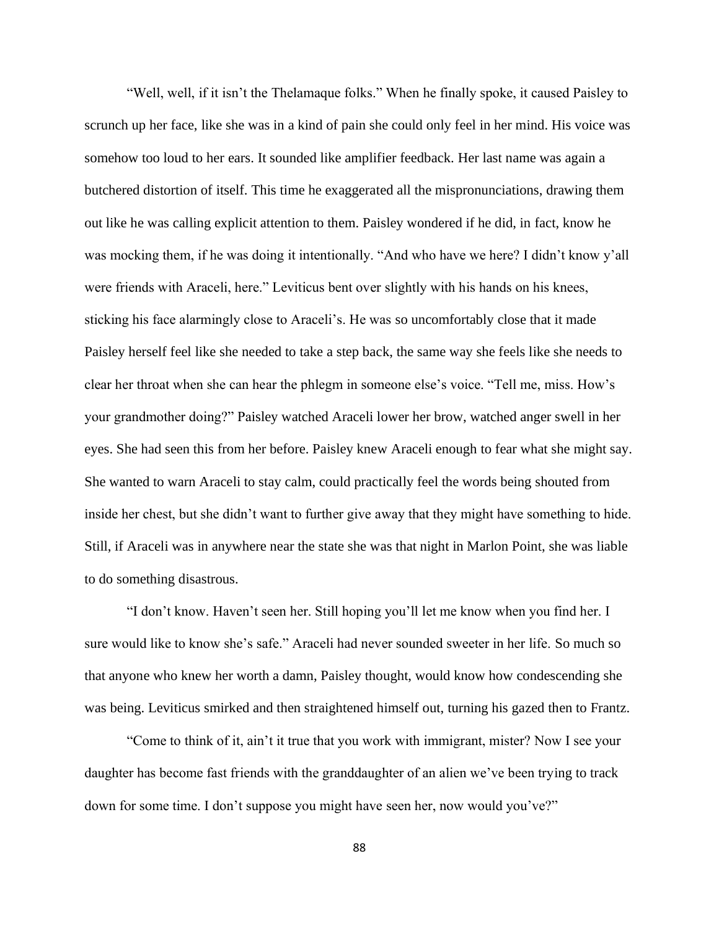"Well, well, if it isn't the Thelamaque folks." When he finally spoke, it caused Paisley to scrunch up her face, like she was in a kind of pain she could only feel in her mind. His voice was somehow too loud to her ears. It sounded like amplifier feedback. Her last name was again a butchered distortion of itself. This time he exaggerated all the mispronunciations, drawing them out like he was calling explicit attention to them. Paisley wondered if he did, in fact, know he was mocking them, if he was doing it intentionally. "And who have we here? I didn't know y'all were friends with Araceli, here." Leviticus bent over slightly with his hands on his knees, sticking his face alarmingly close to Araceli's. He was so uncomfortably close that it made Paisley herself feel like she needed to take a step back, the same way she feels like she needs to clear her throat when she can hear the phlegm in someone else's voice. "Tell me, miss. How's your grandmother doing?" Paisley watched Araceli lower her brow, watched anger swell in her eyes. She had seen this from her before. Paisley knew Araceli enough to fear what she might say. She wanted to warn Araceli to stay calm, could practically feel the words being shouted from inside her chest, but she didn't want to further give away that they might have something to hide. Still, if Araceli was in anywhere near the state she was that night in Marlon Point, she was liable to do something disastrous.

"I don't know. Haven't seen her. Still hoping you'll let me know when you find her. I sure would like to know she's safe." Araceli had never sounded sweeter in her life. So much so that anyone who knew her worth a damn, Paisley thought, would know how condescending she was being. Leviticus smirked and then straightened himself out, turning his gazed then to Frantz.

"Come to think of it, ain't it true that you work with immigrant, mister? Now I see your daughter has become fast friends with the granddaughter of an alien we've been trying to track down for some time. I don't suppose you might have seen her, now would you've?"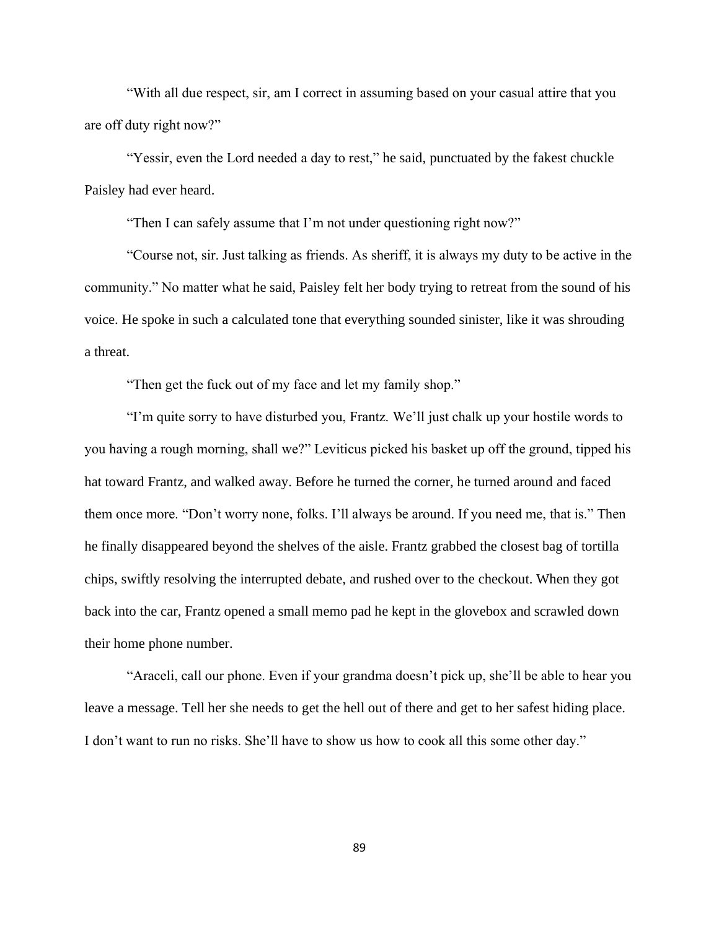"With all due respect, sir, am I correct in assuming based on your casual attire that you are off duty right now?"

"Yessir, even the Lord needed a day to rest," he said, punctuated by the fakest chuckle Paisley had ever heard.

"Then I can safely assume that I'm not under questioning right now?"

"Course not, sir. Just talking as friends. As sheriff, it is always my duty to be active in the community." No matter what he said, Paisley felt her body trying to retreat from the sound of his voice. He spoke in such a calculated tone that everything sounded sinister, like it was shrouding a threat.

"Then get the fuck out of my face and let my family shop."

"I'm quite sorry to have disturbed you, Frantz. We'll just chalk up your hostile words to you having a rough morning, shall we?" Leviticus picked his basket up off the ground, tipped his hat toward Frantz, and walked away. Before he turned the corner, he turned around and faced them once more. "Don't worry none, folks. I'll always be around. If you need me, that is." Then he finally disappeared beyond the shelves of the aisle. Frantz grabbed the closest bag of tortilla chips, swiftly resolving the interrupted debate, and rushed over to the checkout. When they got back into the car, Frantz opened a small memo pad he kept in the glovebox and scrawled down their home phone number.

"Araceli, call our phone. Even if your grandma doesn't pick up, she'll be able to hear you leave a message. Tell her she needs to get the hell out of there and get to her safest hiding place. I don't want to run no risks. She'll have to show us how to cook all this some other day."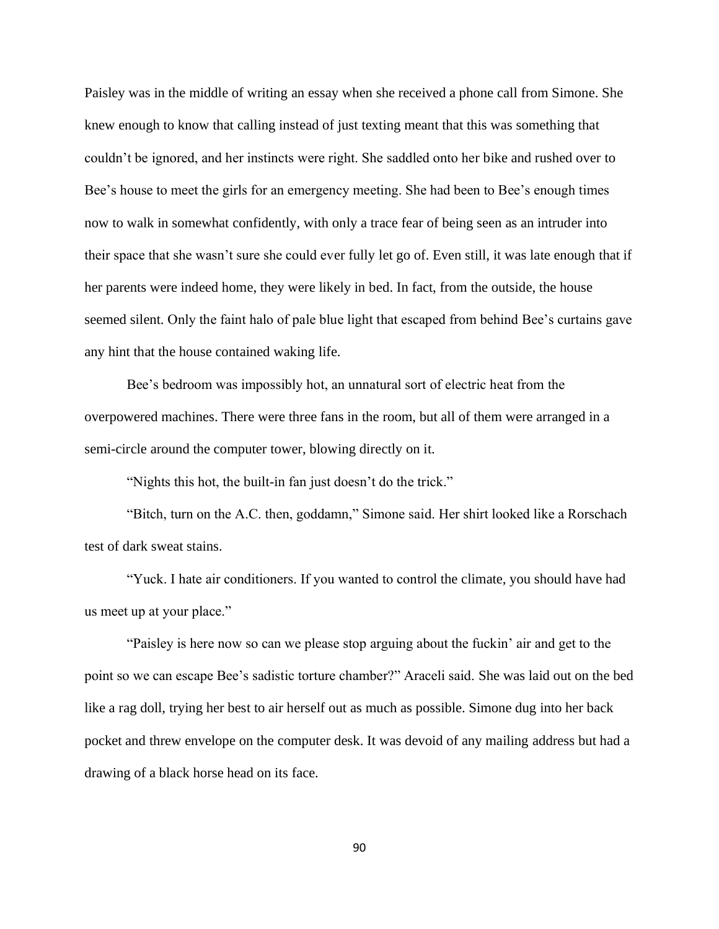Paisley was in the middle of writing an essay when she received a phone call from Simone. She knew enough to know that calling instead of just texting meant that this was something that couldn't be ignored, and her instincts were right. She saddled onto her bike and rushed over to Bee's house to meet the girls for an emergency meeting. She had been to Bee's enough times now to walk in somewhat confidently, with only a trace fear of being seen as an intruder into their space that she wasn't sure she could ever fully let go of. Even still, it was late enough that if her parents were indeed home, they were likely in bed. In fact, from the outside, the house seemed silent. Only the faint halo of pale blue light that escaped from behind Bee's curtains gave any hint that the house contained waking life.

Bee's bedroom was impossibly hot, an unnatural sort of electric heat from the overpowered machines. There were three fans in the room, but all of them were arranged in a semi-circle around the computer tower, blowing directly on it.

"Nights this hot, the built-in fan just doesn't do the trick."

"Bitch, turn on the A.C. then, goddamn," Simone said. Her shirt looked like a Rorschach test of dark sweat stains.

"Yuck. I hate air conditioners. If you wanted to control the climate, you should have had us meet up at your place."

"Paisley is here now so can we please stop arguing about the fuckin' air and get to the point so we can escape Bee's sadistic torture chamber?" Araceli said. She was laid out on the bed like a rag doll, trying her best to air herself out as much as possible. Simone dug into her back pocket and threw envelope on the computer desk. It was devoid of any mailing address but had a drawing of a black horse head on its face.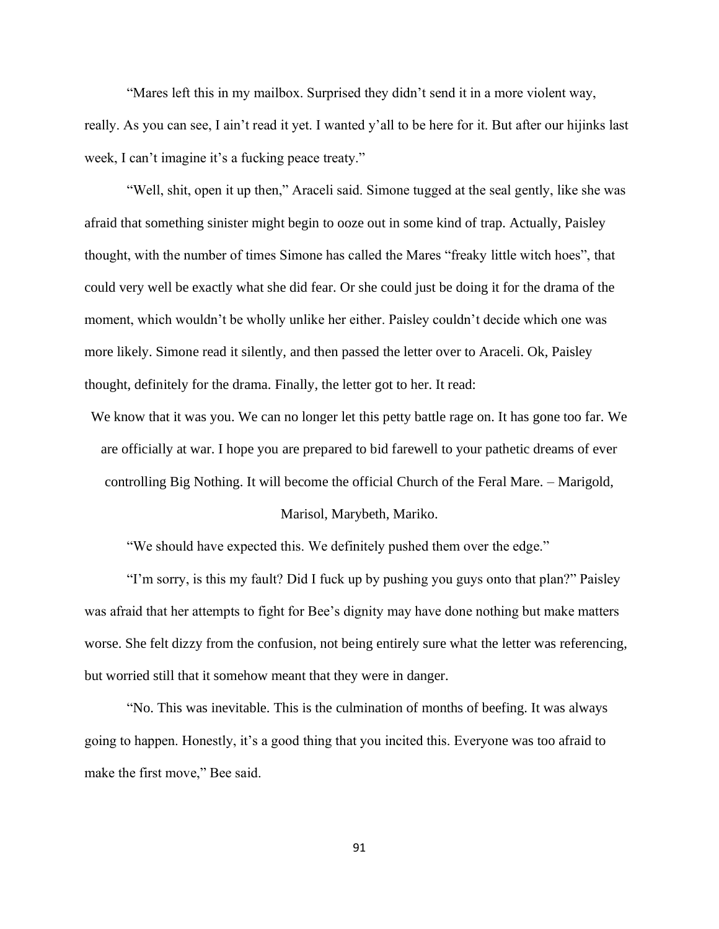"Mares left this in my mailbox. Surprised they didn't send it in a more violent way, really. As you can see, I ain't read it yet. I wanted y'all to be here for it. But after our hijinks last week, I can't imagine it's a fucking peace treaty."

"Well, shit, open it up then," Araceli said. Simone tugged at the seal gently, like she was afraid that something sinister might begin to ooze out in some kind of trap. Actually, Paisley thought, with the number of times Simone has called the Mares "freaky little witch hoes", that could very well be exactly what she did fear. Or she could just be doing it for the drama of the moment, which wouldn't be wholly unlike her either. Paisley couldn't decide which one was more likely. Simone read it silently, and then passed the letter over to Araceli. Ok, Paisley thought, definitely for the drama. Finally, the letter got to her. It read:

We know that it was you. We can no longer let this petty battle rage on. It has gone too far. We are officially at war. I hope you are prepared to bid farewell to your pathetic dreams of ever controlling Big Nothing. It will become the official Church of the Feral Mare. – Marigold,

## Marisol, Marybeth, Mariko.

"We should have expected this. We definitely pushed them over the edge."

"I'm sorry, is this my fault? Did I fuck up by pushing you guys onto that plan?" Paisley was afraid that her attempts to fight for Bee's dignity may have done nothing but make matters worse. She felt dizzy from the confusion, not being entirely sure what the letter was referencing, but worried still that it somehow meant that they were in danger.

"No. This was inevitable. This is the culmination of months of beefing. It was always going to happen. Honestly, it's a good thing that you incited this. Everyone was too afraid to make the first move," Bee said.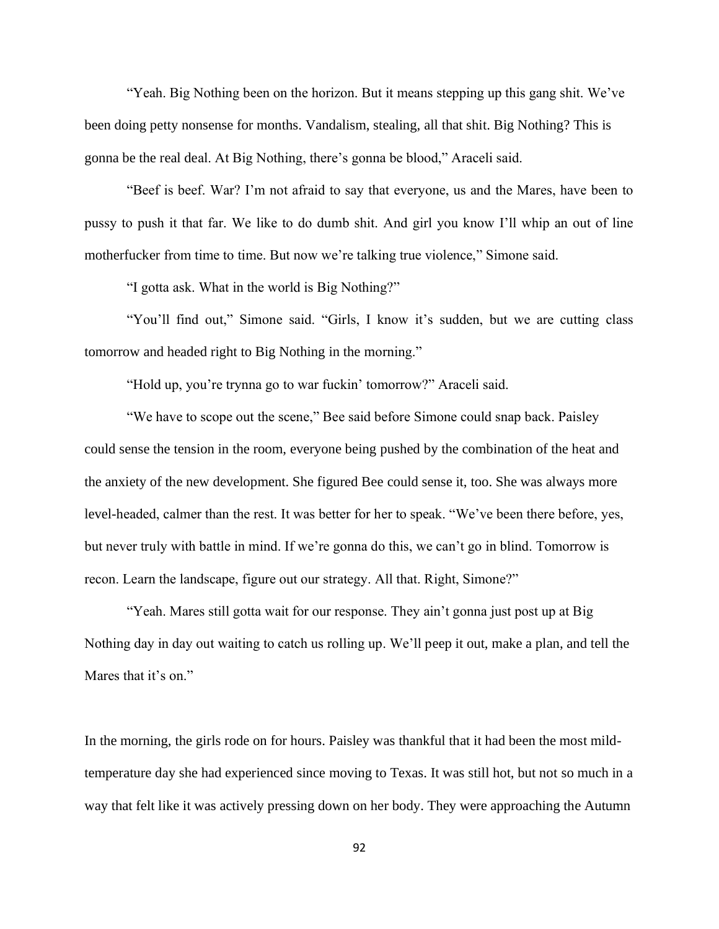"Yeah. Big Nothing been on the horizon. But it means stepping up this gang shit. We've been doing petty nonsense for months. Vandalism, stealing, all that shit. Big Nothing? This is gonna be the real deal. At Big Nothing, there's gonna be blood," Araceli said.

"Beef is beef. War? I'm not afraid to say that everyone, us and the Mares, have been to pussy to push it that far. We like to do dumb shit. And girl you know I'll whip an out of line motherfucker from time to time. But now we're talking true violence," Simone said.

"I gotta ask. What in the world is Big Nothing?"

"You'll find out," Simone said. "Girls, I know it's sudden, but we are cutting class tomorrow and headed right to Big Nothing in the morning."

"Hold up, you're trynna go to war fuckin' tomorrow?" Araceli said.

"We have to scope out the scene," Bee said before Simone could snap back. Paisley could sense the tension in the room, everyone being pushed by the combination of the heat and the anxiety of the new development. She figured Bee could sense it, too. She was always more level-headed, calmer than the rest. It was better for her to speak. "We've been there before, yes, but never truly with battle in mind. If we're gonna do this, we can't go in blind. Tomorrow is recon. Learn the landscape, figure out our strategy. All that. Right, Simone?"

"Yeah. Mares still gotta wait for our response. They ain't gonna just post up at Big Nothing day in day out waiting to catch us rolling up. We'll peep it out, make a plan, and tell the Mares that it's on."

In the morning, the girls rode on for hours. Paisley was thankful that it had been the most mildtemperature day she had experienced since moving to Texas. It was still hot, but not so much in a way that felt like it was actively pressing down on her body. They were approaching the Autumn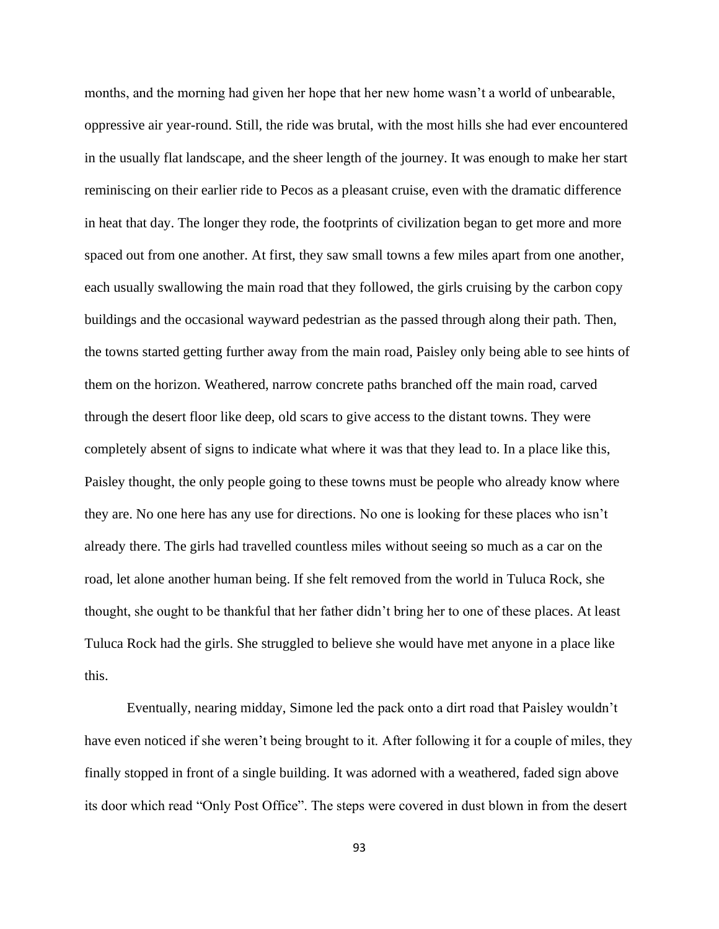months, and the morning had given her hope that her new home wasn't a world of unbearable, oppressive air year-round. Still, the ride was brutal, with the most hills she had ever encountered in the usually flat landscape, and the sheer length of the journey. It was enough to make her start reminiscing on their earlier ride to Pecos as a pleasant cruise, even with the dramatic difference in heat that day. The longer they rode, the footprints of civilization began to get more and more spaced out from one another. At first, they saw small towns a few miles apart from one another, each usually swallowing the main road that they followed, the girls cruising by the carbon copy buildings and the occasional wayward pedestrian as the passed through along their path. Then, the towns started getting further away from the main road, Paisley only being able to see hints of them on the horizon. Weathered, narrow concrete paths branched off the main road, carved through the desert floor like deep, old scars to give access to the distant towns. They were completely absent of signs to indicate what where it was that they lead to. In a place like this, Paisley thought, the only people going to these towns must be people who already know where they are. No one here has any use for directions. No one is looking for these places who isn't already there. The girls had travelled countless miles without seeing so much as a car on the road, let alone another human being. If she felt removed from the world in Tuluca Rock, she thought, she ought to be thankful that her father didn't bring her to one of these places. At least Tuluca Rock had the girls. She struggled to believe she would have met anyone in a place like this.

Eventually, nearing midday, Simone led the pack onto a dirt road that Paisley wouldn't have even noticed if she weren't being brought to it. After following it for a couple of miles, they finally stopped in front of a single building. It was adorned with a weathered, faded sign above its door which read "Only Post Office". The steps were covered in dust blown in from the desert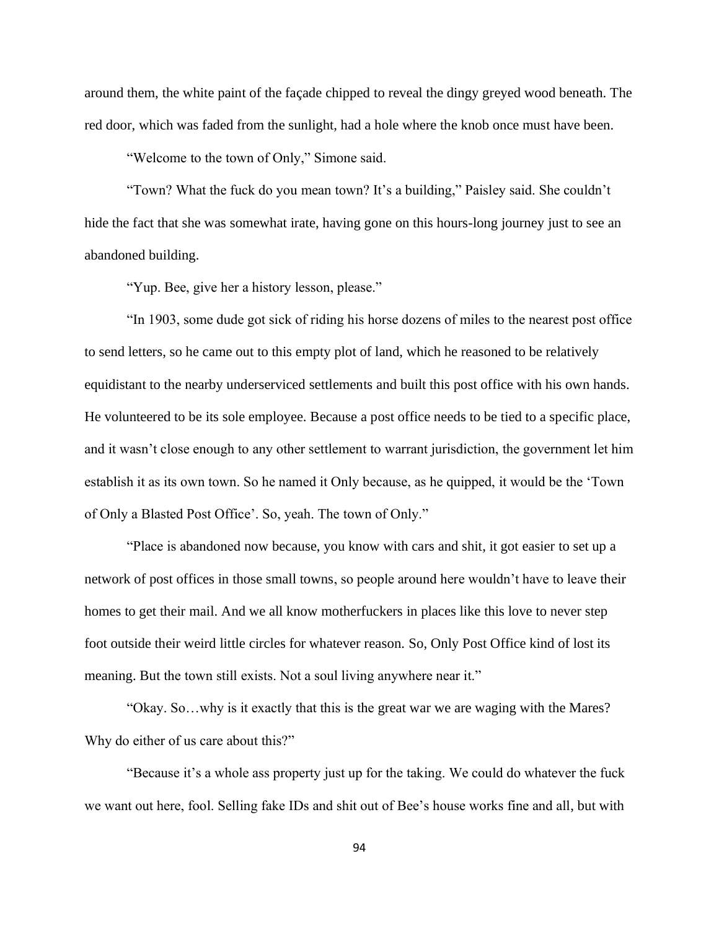around them, the white paint of the façade chipped to reveal the dingy greyed wood beneath. The red door, which was faded from the sunlight, had a hole where the knob once must have been.

"Welcome to the town of Only," Simone said.

"Town? What the fuck do you mean town? It's a building," Paisley said. She couldn't hide the fact that she was somewhat irate, having gone on this hours-long journey just to see an abandoned building.

"Yup. Bee, give her a history lesson, please."

"In 1903, some dude got sick of riding his horse dozens of miles to the nearest post office to send letters, so he came out to this empty plot of land, which he reasoned to be relatively equidistant to the nearby underserviced settlements and built this post office with his own hands. He volunteered to be its sole employee. Because a post office needs to be tied to a specific place, and it wasn't close enough to any other settlement to warrant jurisdiction, the government let him establish it as its own town. So he named it Only because, as he quipped, it would be the 'Town of Only a Blasted Post Office'. So, yeah. The town of Only."

"Place is abandoned now because, you know with cars and shit, it got easier to set up a network of post offices in those small towns, so people around here wouldn't have to leave their homes to get their mail. And we all know motherfuckers in places like this love to never step foot outside their weird little circles for whatever reason. So, Only Post Office kind of lost its meaning. But the town still exists. Not a soul living anywhere near it."

"Okay. So…why is it exactly that this is the great war we are waging with the Mares? Why do either of us care about this?"

"Because it's a whole ass property just up for the taking. We could do whatever the fuck we want out here, fool. Selling fake IDs and shit out of Bee's house works fine and all, but with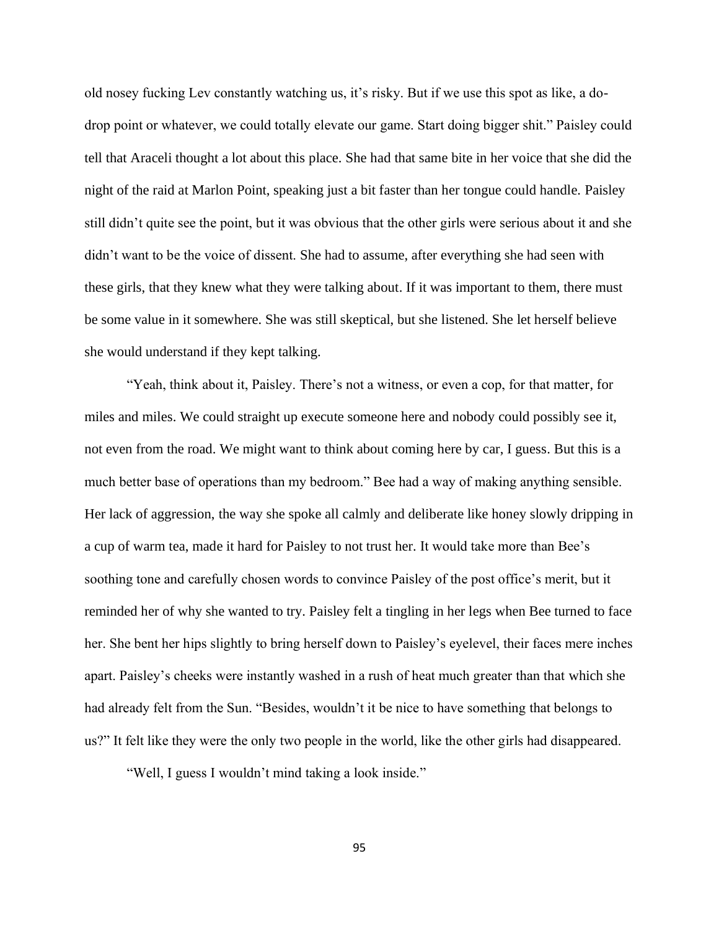old nosey fucking Lev constantly watching us, it's risky. But if we use this spot as like, a dodrop point or whatever, we could totally elevate our game. Start doing bigger shit." Paisley could tell that Araceli thought a lot about this place. She had that same bite in her voice that she did the night of the raid at Marlon Point, speaking just a bit faster than her tongue could handle. Paisley still didn't quite see the point, but it was obvious that the other girls were serious about it and she didn't want to be the voice of dissent. She had to assume, after everything she had seen with these girls, that they knew what they were talking about. If it was important to them, there must be some value in it somewhere. She was still skeptical, but she listened. She let herself believe she would understand if they kept talking.

"Yeah, think about it, Paisley. There's not a witness, or even a cop, for that matter, for miles and miles. We could straight up execute someone here and nobody could possibly see it, not even from the road. We might want to think about coming here by car, I guess. But this is a much better base of operations than my bedroom." Bee had a way of making anything sensible. Her lack of aggression, the way she spoke all calmly and deliberate like honey slowly dripping in a cup of warm tea, made it hard for Paisley to not trust her. It would take more than Bee's soothing tone and carefully chosen words to convince Paisley of the post office's merit, but it reminded her of why she wanted to try. Paisley felt a tingling in her legs when Bee turned to face her. She bent her hips slightly to bring herself down to Paisley's eyelevel, their faces mere inches apart. Paisley's cheeks were instantly washed in a rush of heat much greater than that which she had already felt from the Sun. "Besides, wouldn't it be nice to have something that belongs to us?" It felt like they were the only two people in the world, like the other girls had disappeared.

"Well, I guess I wouldn't mind taking a look inside."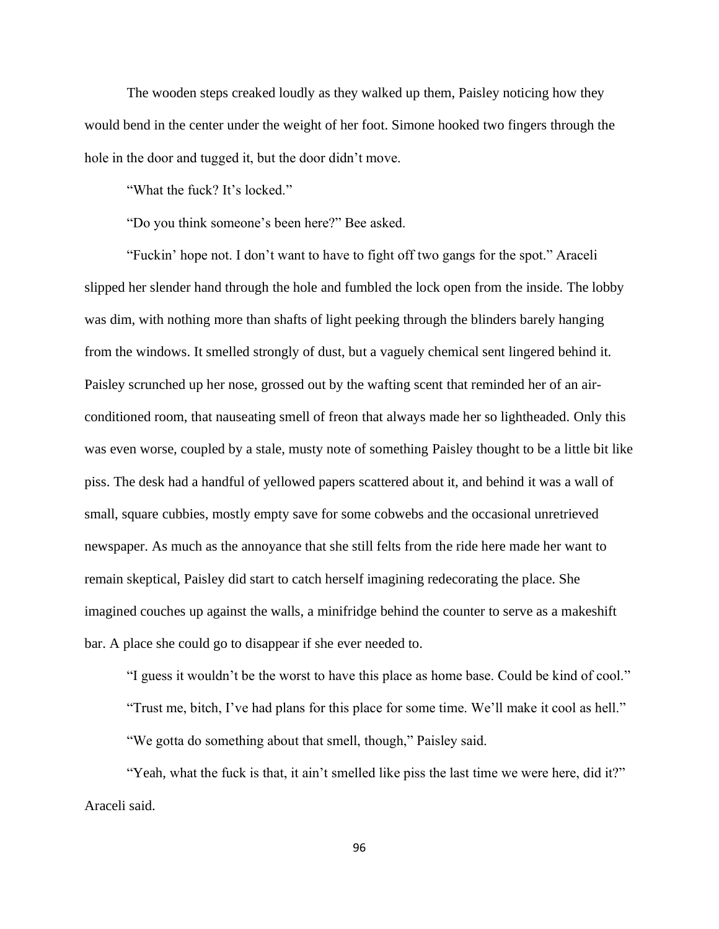The wooden steps creaked loudly as they walked up them, Paisley noticing how they would bend in the center under the weight of her foot. Simone hooked two fingers through the hole in the door and tugged it, but the door didn't move.

"What the fuck? It's locked."

"Do you think someone's been here?" Bee asked.

"Fuckin' hope not. I don't want to have to fight off two gangs for the spot." Araceli slipped her slender hand through the hole and fumbled the lock open from the inside. The lobby was dim, with nothing more than shafts of light peeking through the blinders barely hanging from the windows. It smelled strongly of dust, but a vaguely chemical sent lingered behind it. Paisley scrunched up her nose, grossed out by the wafting scent that reminded her of an airconditioned room, that nauseating smell of freon that always made her so lightheaded. Only this was even worse, coupled by a stale, musty note of something Paisley thought to be a little bit like piss. The desk had a handful of yellowed papers scattered about it, and behind it was a wall of small, square cubbies, mostly empty save for some cobwebs and the occasional unretrieved newspaper. As much as the annoyance that she still felts from the ride here made her want to remain skeptical, Paisley did start to catch herself imagining redecorating the place. She imagined couches up against the walls, a minifridge behind the counter to serve as a makeshift bar. A place she could go to disappear if she ever needed to.

"I guess it wouldn't be the worst to have this place as home base. Could be kind of cool."

"Trust me, bitch, I've had plans for this place for some time. We'll make it cool as hell."

"We gotta do something about that smell, though," Paisley said.

"Yeah, what the fuck is that, it ain't smelled like piss the last time we were here, did it?" Araceli said.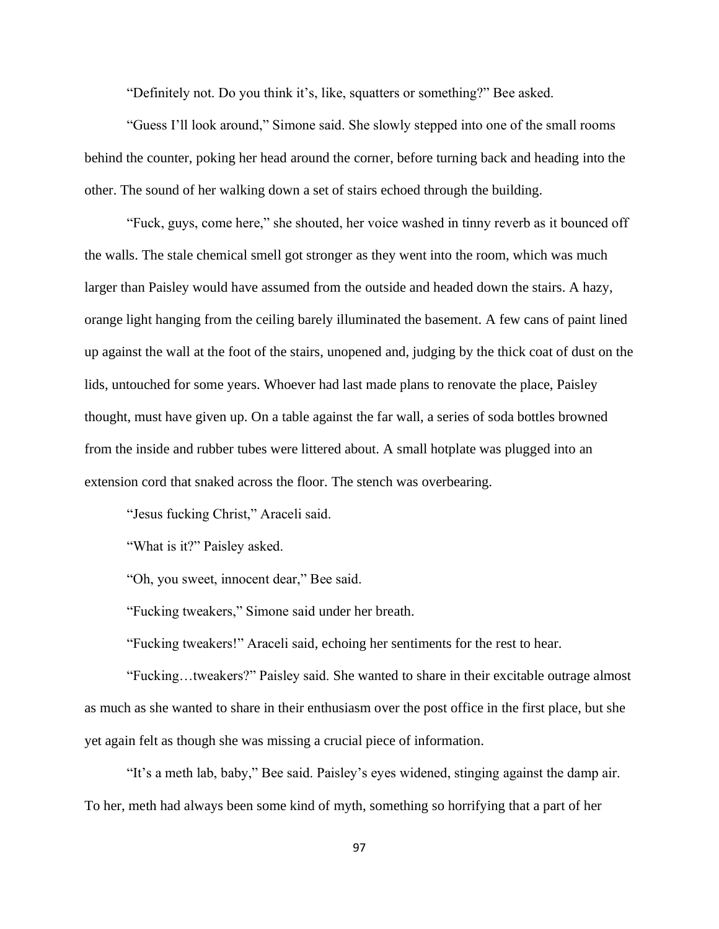"Definitely not. Do you think it's, like, squatters or something?" Bee asked.

"Guess I'll look around," Simone said. She slowly stepped into one of the small rooms behind the counter, poking her head around the corner, before turning back and heading into the other. The sound of her walking down a set of stairs echoed through the building.

"Fuck, guys, come here," she shouted, her voice washed in tinny reverb as it bounced off the walls. The stale chemical smell got stronger as they went into the room, which was much larger than Paisley would have assumed from the outside and headed down the stairs. A hazy, orange light hanging from the ceiling barely illuminated the basement. A few cans of paint lined up against the wall at the foot of the stairs, unopened and, judging by the thick coat of dust on the lids, untouched for some years. Whoever had last made plans to renovate the place, Paisley thought, must have given up. On a table against the far wall, a series of soda bottles browned from the inside and rubber tubes were littered about. A small hotplate was plugged into an extension cord that snaked across the floor. The stench was overbearing.

"Jesus fucking Christ," Araceli said.

"What is it?" Paisley asked.

"Oh, you sweet, innocent dear," Bee said.

"Fucking tweakers," Simone said under her breath.

"Fucking tweakers!" Araceli said, echoing her sentiments for the rest to hear.

"Fucking…tweakers?" Paisley said. She wanted to share in their excitable outrage almost as much as she wanted to share in their enthusiasm over the post office in the first place, but she yet again felt as though she was missing a crucial piece of information.

"It's a meth lab, baby," Bee said. Paisley's eyes widened, stinging against the damp air. To her, meth had always been some kind of myth, something so horrifying that a part of her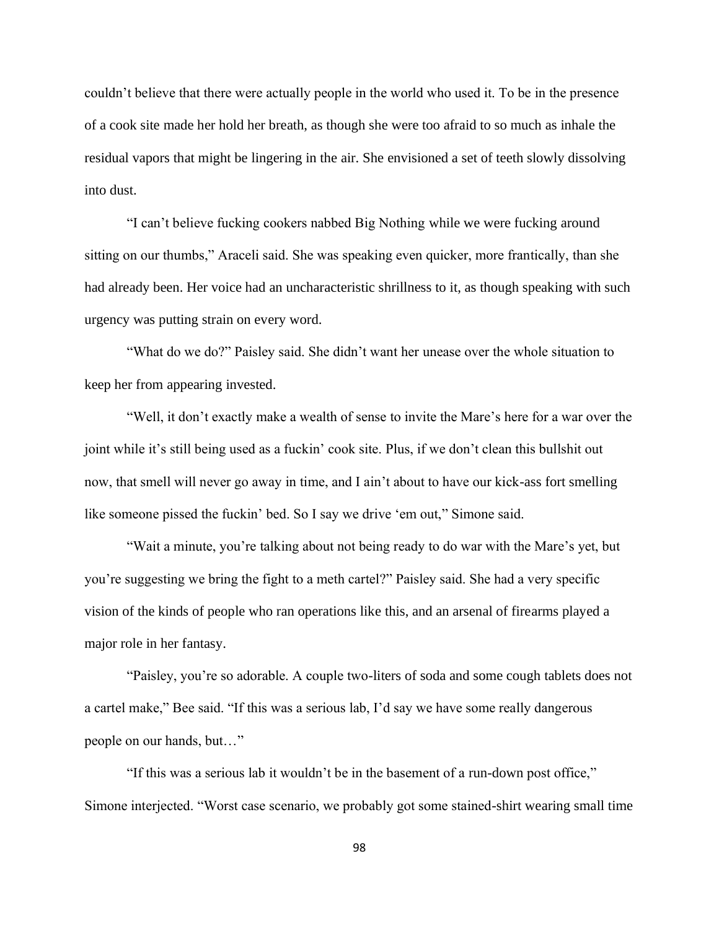couldn't believe that there were actually people in the world who used it. To be in the presence of a cook site made her hold her breath, as though she were too afraid to so much as inhale the residual vapors that might be lingering in the air. She envisioned a set of teeth slowly dissolving into dust.

"I can't believe fucking cookers nabbed Big Nothing while we were fucking around sitting on our thumbs," Araceli said. She was speaking even quicker, more frantically, than she had already been. Her voice had an uncharacteristic shrillness to it, as though speaking with such urgency was putting strain on every word.

"What do we do?" Paisley said. She didn't want her unease over the whole situation to keep her from appearing invested.

"Well, it don't exactly make a wealth of sense to invite the Mare's here for a war over the joint while it's still being used as a fuckin' cook site. Plus, if we don't clean this bullshit out now, that smell will never go away in time, and I ain't about to have our kick-ass fort smelling like someone pissed the fuckin' bed. So I say we drive 'em out," Simone said.

"Wait a minute, you're talking about not being ready to do war with the Mare's yet, but you're suggesting we bring the fight to a meth cartel?" Paisley said. She had a very specific vision of the kinds of people who ran operations like this, and an arsenal of firearms played a major role in her fantasy.

"Paisley, you're so adorable. A couple two-liters of soda and some cough tablets does not a cartel make," Bee said. "If this was a serious lab, I'd say we have some really dangerous people on our hands, but…"

"If this was a serious lab it wouldn't be in the basement of a run-down post office," Simone interjected. "Worst case scenario, we probably got some stained-shirt wearing small time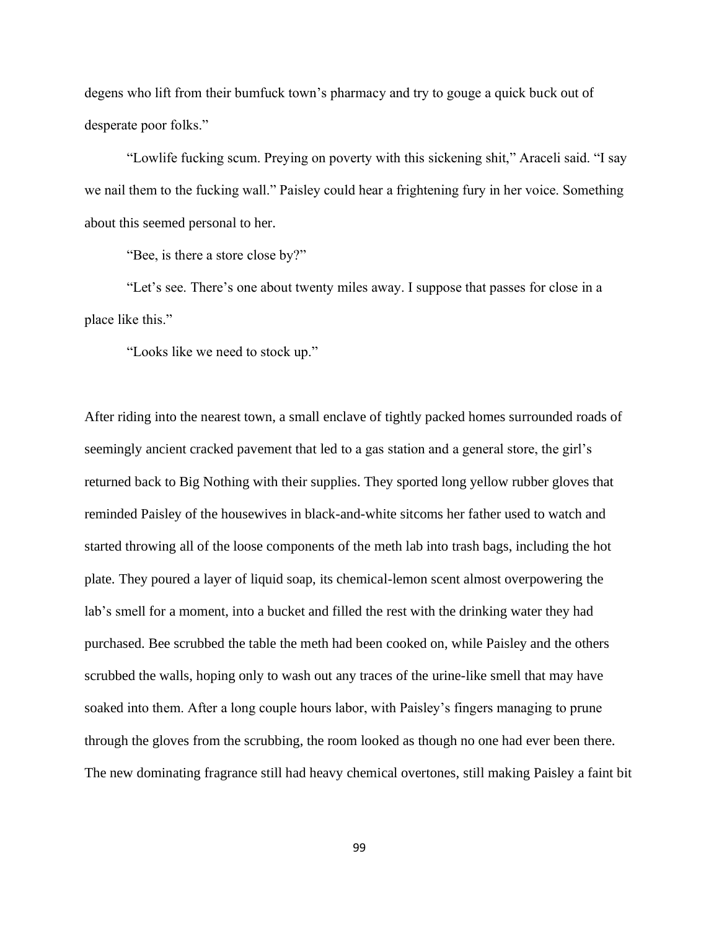degens who lift from their bumfuck town's pharmacy and try to gouge a quick buck out of desperate poor folks."

"Lowlife fucking scum. Preying on poverty with this sickening shit," Araceli said. "I say we nail them to the fucking wall." Paisley could hear a frightening fury in her voice. Something about this seemed personal to her.

"Bee, is there a store close by?"

"Let's see. There's one about twenty miles away. I suppose that passes for close in a place like this."

"Looks like we need to stock up."

After riding into the nearest town, a small enclave of tightly packed homes surrounded roads of seemingly ancient cracked pavement that led to a gas station and a general store, the girl's returned back to Big Nothing with their supplies. They sported long yellow rubber gloves that reminded Paisley of the housewives in black-and-white sitcoms her father used to watch and started throwing all of the loose components of the meth lab into trash bags, including the hot plate. They poured a layer of liquid soap, its chemical-lemon scent almost overpowering the lab's smell for a moment, into a bucket and filled the rest with the drinking water they had purchased. Bee scrubbed the table the meth had been cooked on, while Paisley and the others scrubbed the walls, hoping only to wash out any traces of the urine-like smell that may have soaked into them. After a long couple hours labor, with Paisley's fingers managing to prune through the gloves from the scrubbing, the room looked as though no one had ever been there. The new dominating fragrance still had heavy chemical overtones, still making Paisley a faint bit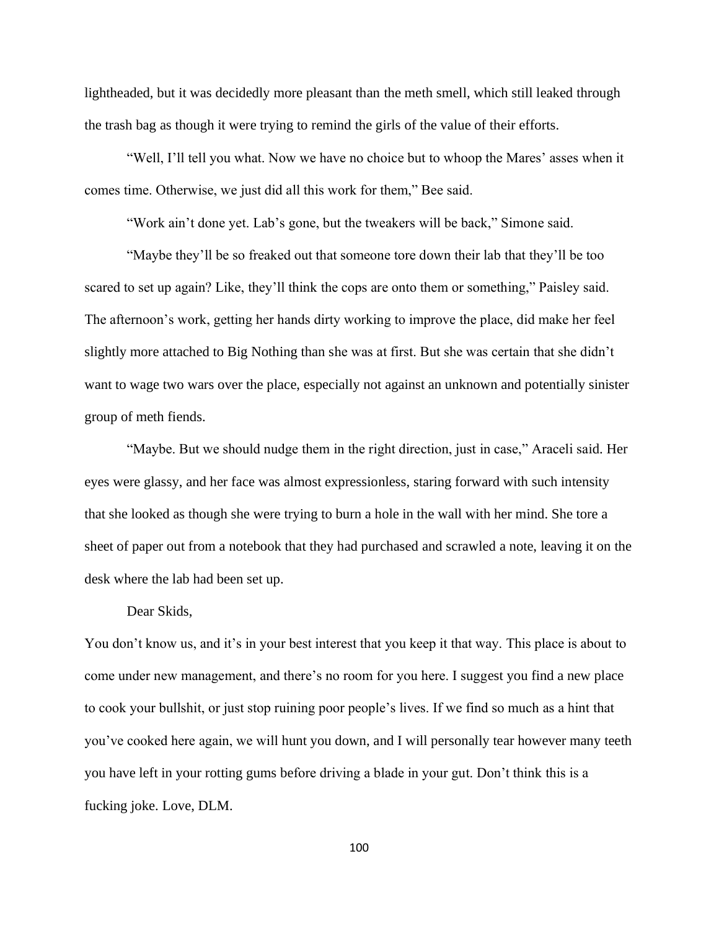lightheaded, but it was decidedly more pleasant than the meth smell, which still leaked through the trash bag as though it were trying to remind the girls of the value of their efforts.

"Well, I'll tell you what. Now we have no choice but to whoop the Mares' asses when it comes time. Otherwise, we just did all this work for them," Bee said.

"Work ain't done yet. Lab's gone, but the tweakers will be back," Simone said.

"Maybe they'll be so freaked out that someone tore down their lab that they'll be too scared to set up again? Like, they'll think the cops are onto them or something," Paisley said. The afternoon's work, getting her hands dirty working to improve the place, did make her feel slightly more attached to Big Nothing than she was at first. But she was certain that she didn't want to wage two wars over the place, especially not against an unknown and potentially sinister group of meth fiends.

"Maybe. But we should nudge them in the right direction, just in case," Araceli said. Her eyes were glassy, and her face was almost expressionless, staring forward with such intensity that she looked as though she were trying to burn a hole in the wall with her mind. She tore a sheet of paper out from a notebook that they had purchased and scrawled a note, leaving it on the desk where the lab had been set up.

## Dear Skids,

You don't know us, and it's in your best interest that you keep it that way. This place is about to come under new management, and there's no room for you here. I suggest you find a new place to cook your bullshit, or just stop ruining poor people's lives. If we find so much as a hint that you've cooked here again, we will hunt you down, and I will personally tear however many teeth you have left in your rotting gums before driving a blade in your gut. Don't think this is a fucking joke. Love, DLM.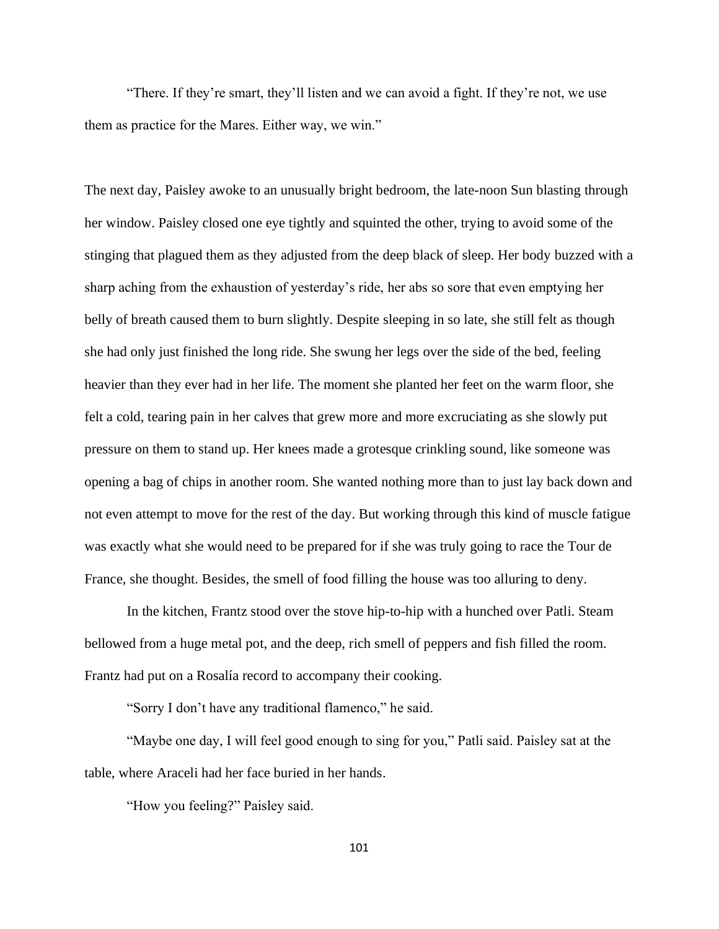"There. If they're smart, they'll listen and we can avoid a fight. If they're not, we use them as practice for the Mares. Either way, we win."

The next day, Paisley awoke to an unusually bright bedroom, the late-noon Sun blasting through her window. Paisley closed one eye tightly and squinted the other, trying to avoid some of the stinging that plagued them as they adjusted from the deep black of sleep. Her body buzzed with a sharp aching from the exhaustion of yesterday's ride, her abs so sore that even emptying her belly of breath caused them to burn slightly. Despite sleeping in so late, she still felt as though she had only just finished the long ride. She swung her legs over the side of the bed, feeling heavier than they ever had in her life. The moment she planted her feet on the warm floor, she felt a cold, tearing pain in her calves that grew more and more excruciating as she slowly put pressure on them to stand up. Her knees made a grotesque crinkling sound, like someone was opening a bag of chips in another room. She wanted nothing more than to just lay back down and not even attempt to move for the rest of the day. But working through this kind of muscle fatigue was exactly what she would need to be prepared for if she was truly going to race the Tour de France, she thought. Besides, the smell of food filling the house was too alluring to deny.

In the kitchen, Frantz stood over the stove hip-to-hip with a hunched over Patli. Steam bellowed from a huge metal pot, and the deep, rich smell of peppers and fish filled the room. Frantz had put on a Rosalía record to accompany their cooking.

"Sorry I don't have any traditional flamenco," he said.

"Maybe one day, I will feel good enough to sing for you," Patli said. Paisley sat at the table, where Araceli had her face buried in her hands.

"How you feeling?" Paisley said.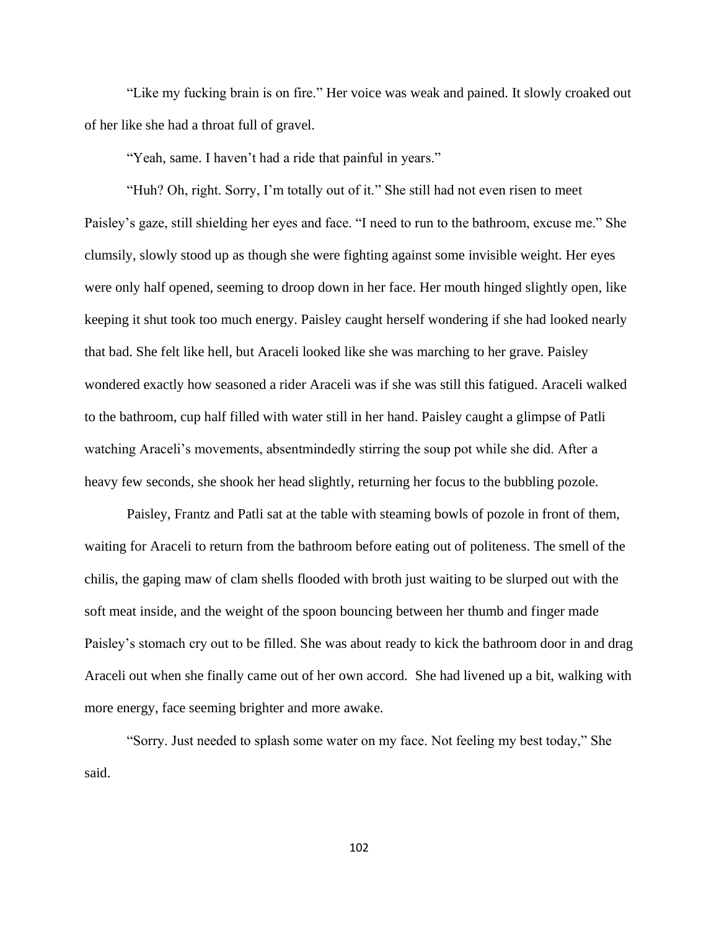"Like my fucking brain is on fire." Her voice was weak and pained. It slowly croaked out of her like she had a throat full of gravel.

"Yeah, same. I haven't had a ride that painful in years."

"Huh? Oh, right. Sorry, I'm totally out of it." She still had not even risen to meet Paisley's gaze, still shielding her eyes and face. "I need to run to the bathroom, excuse me." She clumsily, slowly stood up as though she were fighting against some invisible weight. Her eyes were only half opened, seeming to droop down in her face. Her mouth hinged slightly open, like keeping it shut took too much energy. Paisley caught herself wondering if she had looked nearly that bad. She felt like hell, but Araceli looked like she was marching to her grave. Paisley wondered exactly how seasoned a rider Araceli was if she was still this fatigued. Araceli walked to the bathroom, cup half filled with water still in her hand. Paisley caught a glimpse of Patli watching Araceli's movements, absentmindedly stirring the soup pot while she did. After a heavy few seconds, she shook her head slightly, returning her focus to the bubbling pozole.

Paisley, Frantz and Patli sat at the table with steaming bowls of pozole in front of them, waiting for Araceli to return from the bathroom before eating out of politeness. The smell of the chilis, the gaping maw of clam shells flooded with broth just waiting to be slurped out with the soft meat inside, and the weight of the spoon bouncing between her thumb and finger made Paisley's stomach cry out to be filled. She was about ready to kick the bathroom door in and drag Araceli out when she finally came out of her own accord. She had livened up a bit, walking with more energy, face seeming brighter and more awake.

"Sorry. Just needed to splash some water on my face. Not feeling my best today," She said.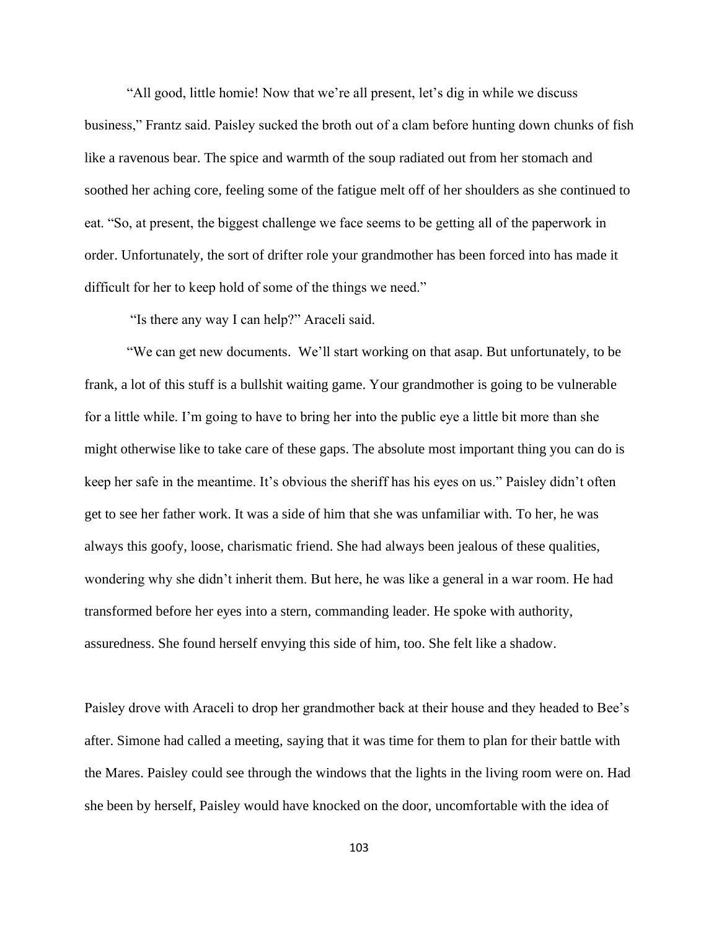"All good, little homie! Now that we're all present, let's dig in while we discuss business," Frantz said. Paisley sucked the broth out of a clam before hunting down chunks of fish like a ravenous bear. The spice and warmth of the soup radiated out from her stomach and soothed her aching core, feeling some of the fatigue melt off of her shoulders as she continued to eat. "So, at present, the biggest challenge we face seems to be getting all of the paperwork in order. Unfortunately, the sort of drifter role your grandmother has been forced into has made it difficult for her to keep hold of some of the things we need."

"Is there any way I can help?" Araceli said.

"We can get new documents. We'll start working on that asap. But unfortunately, to be frank, a lot of this stuff is a bullshit waiting game. Your grandmother is going to be vulnerable for a little while. I'm going to have to bring her into the public eye a little bit more than she might otherwise like to take care of these gaps. The absolute most important thing you can do is keep her safe in the meantime. It's obvious the sheriff has his eyes on us." Paisley didn't often get to see her father work. It was a side of him that she was unfamiliar with. To her, he was always this goofy, loose, charismatic friend. She had always been jealous of these qualities, wondering why she didn't inherit them. But here, he was like a general in a war room. He had transformed before her eyes into a stern, commanding leader. He spoke with authority, assuredness. She found herself envying this side of him, too. She felt like a shadow.

Paisley drove with Araceli to drop her grandmother back at their house and they headed to Bee's after. Simone had called a meeting, saying that it was time for them to plan for their battle with the Mares. Paisley could see through the windows that the lights in the living room were on. Had she been by herself, Paisley would have knocked on the door, uncomfortable with the idea of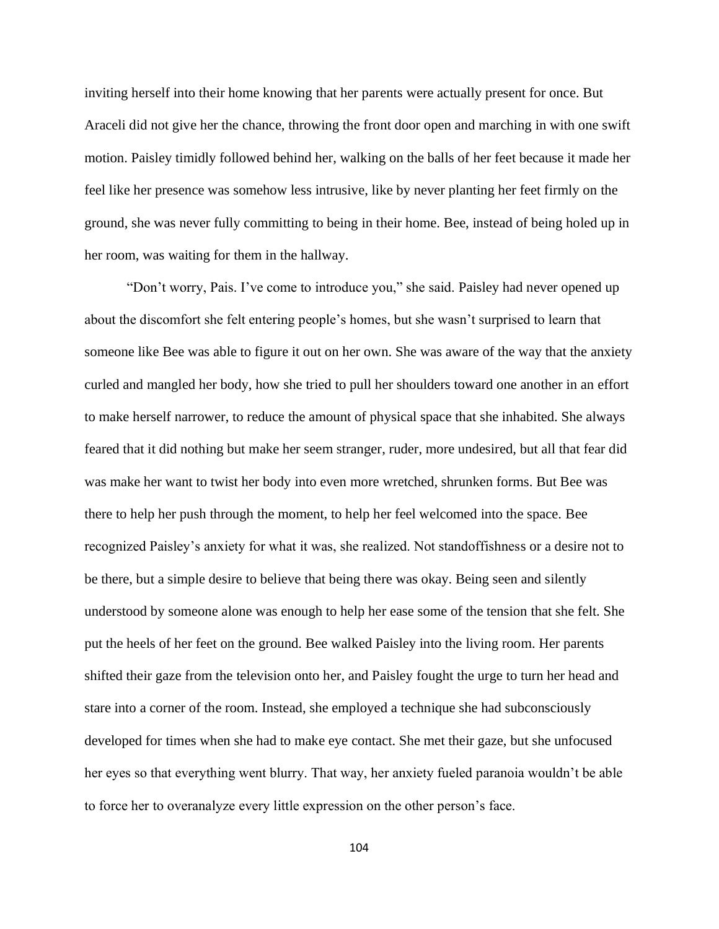inviting herself into their home knowing that her parents were actually present for once. But Araceli did not give her the chance, throwing the front door open and marching in with one swift motion. Paisley timidly followed behind her, walking on the balls of her feet because it made her feel like her presence was somehow less intrusive, like by never planting her feet firmly on the ground, she was never fully committing to being in their home. Bee, instead of being holed up in her room, was waiting for them in the hallway.

"Don't worry, Pais. I've come to introduce you," she said. Paisley had never opened up about the discomfort she felt entering people's homes, but she wasn't surprised to learn that someone like Bee was able to figure it out on her own. She was aware of the way that the anxiety curled and mangled her body, how she tried to pull her shoulders toward one another in an effort to make herself narrower, to reduce the amount of physical space that she inhabited. She always feared that it did nothing but make her seem stranger, ruder, more undesired, but all that fear did was make her want to twist her body into even more wretched, shrunken forms. But Bee was there to help her push through the moment, to help her feel welcomed into the space. Bee recognized Paisley's anxiety for what it was, she realized. Not standoffishness or a desire not to be there, but a simple desire to believe that being there was okay. Being seen and silently understood by someone alone was enough to help her ease some of the tension that she felt. She put the heels of her feet on the ground. Bee walked Paisley into the living room. Her parents shifted their gaze from the television onto her, and Paisley fought the urge to turn her head and stare into a corner of the room. Instead, she employed a technique she had subconsciously developed for times when she had to make eye contact. She met their gaze, but she unfocused her eyes so that everything went blurry. That way, her anxiety fueled paranoia wouldn't be able to force her to overanalyze every little expression on the other person's face.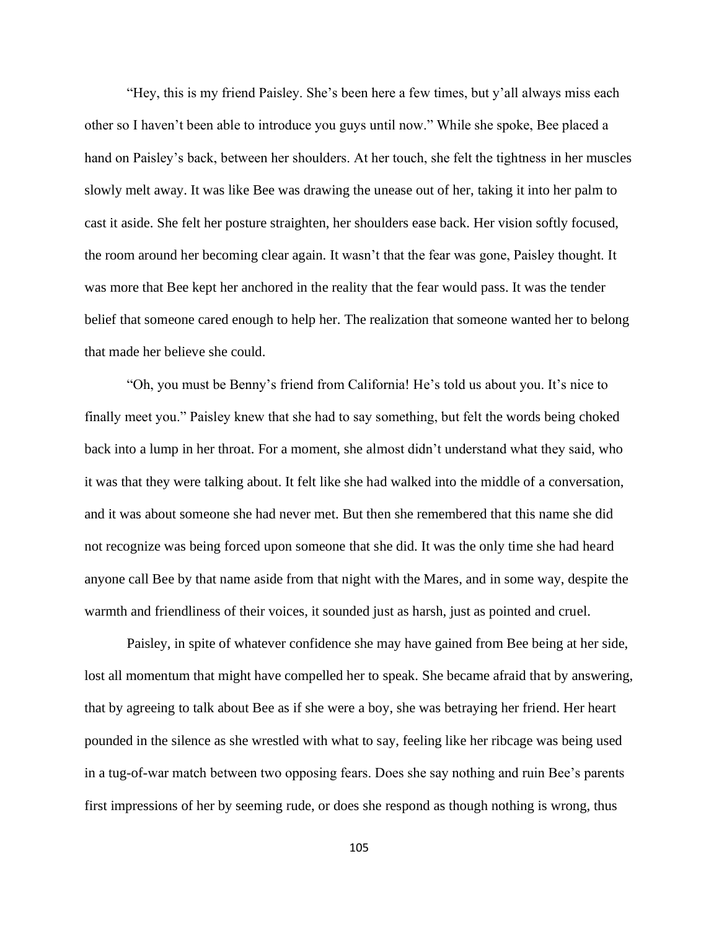"Hey, this is my friend Paisley. She's been here a few times, but y'all always miss each other so I haven't been able to introduce you guys until now." While she spoke, Bee placed a hand on Paisley's back, between her shoulders. At her touch, she felt the tightness in her muscles slowly melt away. It was like Bee was drawing the unease out of her, taking it into her palm to cast it aside. She felt her posture straighten, her shoulders ease back. Her vision softly focused, the room around her becoming clear again. It wasn't that the fear was gone, Paisley thought. It was more that Bee kept her anchored in the reality that the fear would pass. It was the tender belief that someone cared enough to help her. The realization that someone wanted her to belong that made her believe she could.

"Oh, you must be Benny's friend from California! He's told us about you. It's nice to finally meet you." Paisley knew that she had to say something, but felt the words being choked back into a lump in her throat. For a moment, she almost didn't understand what they said, who it was that they were talking about. It felt like she had walked into the middle of a conversation, and it was about someone she had never met. But then she remembered that this name she did not recognize was being forced upon someone that she did. It was the only time she had heard anyone call Bee by that name aside from that night with the Mares, and in some way, despite the warmth and friendliness of their voices, it sounded just as harsh, just as pointed and cruel.

Paisley, in spite of whatever confidence she may have gained from Bee being at her side, lost all momentum that might have compelled her to speak. She became afraid that by answering, that by agreeing to talk about Bee as if she were a boy, she was betraying her friend. Her heart pounded in the silence as she wrestled with what to say, feeling like her ribcage was being used in a tug-of-war match between two opposing fears. Does she say nothing and ruin Bee's parents first impressions of her by seeming rude, or does she respond as though nothing is wrong, thus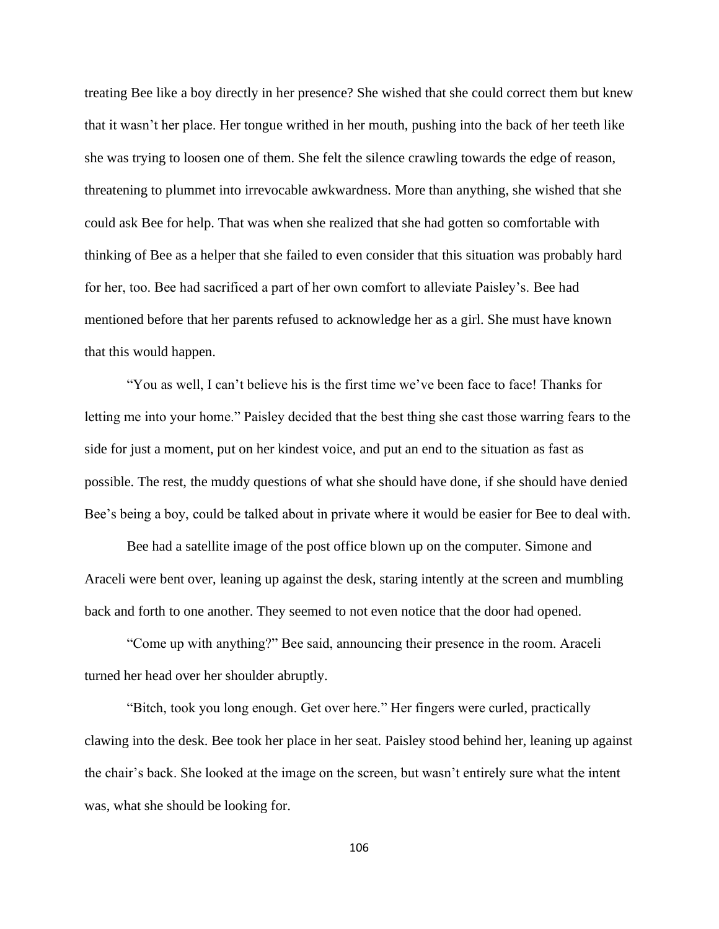treating Bee like a boy directly in her presence? She wished that she could correct them but knew that it wasn't her place. Her tongue writhed in her mouth, pushing into the back of her teeth like she was trying to loosen one of them. She felt the silence crawling towards the edge of reason, threatening to plummet into irrevocable awkwardness. More than anything, she wished that she could ask Bee for help. That was when she realized that she had gotten so comfortable with thinking of Bee as a helper that she failed to even consider that this situation was probably hard for her, too. Bee had sacrificed a part of her own comfort to alleviate Paisley's. Bee had mentioned before that her parents refused to acknowledge her as a girl. She must have known that this would happen.

"You as well, I can't believe his is the first time we've been face to face! Thanks for letting me into your home." Paisley decided that the best thing she cast those warring fears to the side for just a moment, put on her kindest voice, and put an end to the situation as fast as possible. The rest, the muddy questions of what she should have done, if she should have denied Bee's being a boy, could be talked about in private where it would be easier for Bee to deal with.

Bee had a satellite image of the post office blown up on the computer. Simone and Araceli were bent over, leaning up against the desk, staring intently at the screen and mumbling back and forth to one another. They seemed to not even notice that the door had opened.

"Come up with anything?" Bee said, announcing their presence in the room. Araceli turned her head over her shoulder abruptly.

"Bitch, took you long enough. Get over here." Her fingers were curled, practically clawing into the desk. Bee took her place in her seat. Paisley stood behind her, leaning up against the chair's back. She looked at the image on the screen, but wasn't entirely sure what the intent was, what she should be looking for.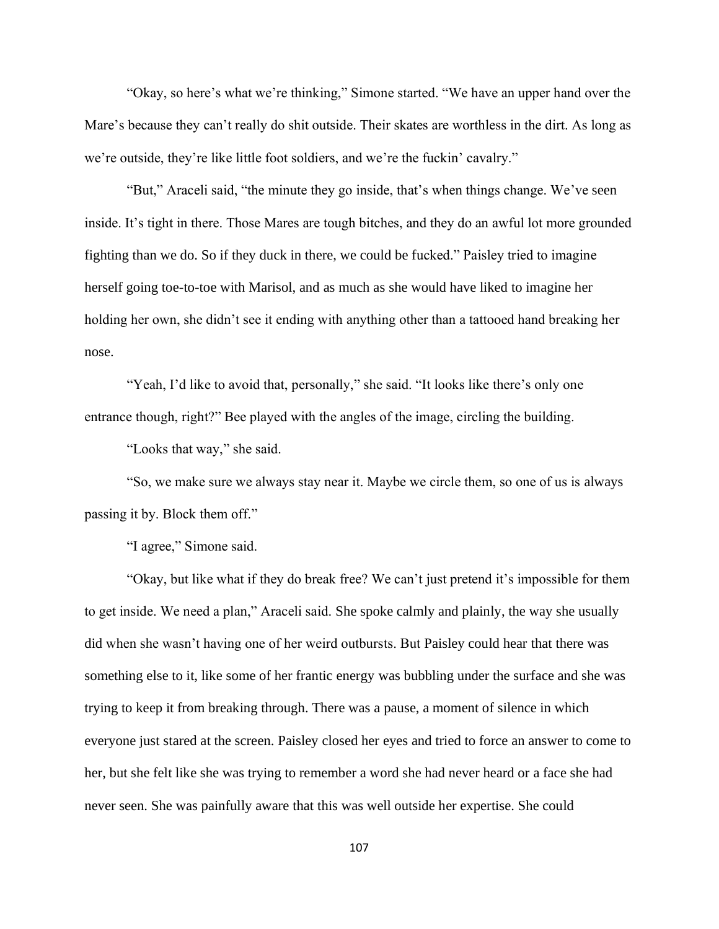"Okay, so here's what we're thinking," Simone started. "We have an upper hand over the Mare's because they can't really do shit outside. Their skates are worthless in the dirt. As long as we're outside, they're like little foot soldiers, and we're the fuckin' cavalry."

"But," Araceli said, "the minute they go inside, that's when things change. We've seen inside. It's tight in there. Those Mares are tough bitches, and they do an awful lot more grounded fighting than we do. So if they duck in there, we could be fucked." Paisley tried to imagine herself going toe-to-toe with Marisol, and as much as she would have liked to imagine her holding her own, she didn't see it ending with anything other than a tattooed hand breaking her nose.

"Yeah, I'd like to avoid that, personally," she said. "It looks like there's only one entrance though, right?" Bee played with the angles of the image, circling the building.

"Looks that way," she said.

"So, we make sure we always stay near it. Maybe we circle them, so one of us is always passing it by. Block them off."

"I agree," Simone said.

"Okay, but like what if they do break free? We can't just pretend it's impossible for them to get inside. We need a plan," Araceli said. She spoke calmly and plainly, the way she usually did when she wasn't having one of her weird outbursts. But Paisley could hear that there was something else to it, like some of her frantic energy was bubbling under the surface and she was trying to keep it from breaking through. There was a pause, a moment of silence in which everyone just stared at the screen. Paisley closed her eyes and tried to force an answer to come to her, but she felt like she was trying to remember a word she had never heard or a face she had never seen. She was painfully aware that this was well outside her expertise. She could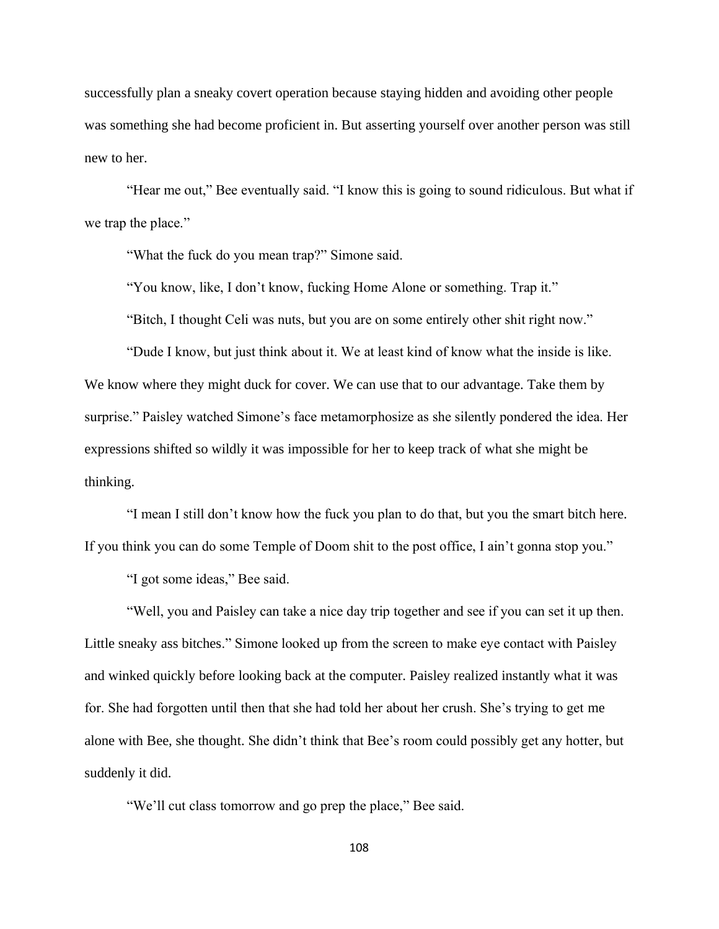successfully plan a sneaky covert operation because staying hidden and avoiding other people was something she had become proficient in. But asserting yourself over another person was still new to her.

"Hear me out," Bee eventually said. "I know this is going to sound ridiculous. But what if we trap the place."

"What the fuck do you mean trap?" Simone said.

"You know, like, I don't know, fucking Home Alone or something. Trap it."

"Bitch, I thought Celi was nuts, but you are on some entirely other shit right now."

"Dude I know, but just think about it. We at least kind of know what the inside is like. We know where they might duck for cover. We can use that to our advantage. Take them by surprise." Paisley watched Simone's face metamorphosize as she silently pondered the idea. Her expressions shifted so wildly it was impossible for her to keep track of what she might be thinking.

"I mean I still don't know how the fuck you plan to do that, but you the smart bitch here. If you think you can do some Temple of Doom shit to the post office, I ain't gonna stop you."

"I got some ideas," Bee said.

"Well, you and Paisley can take a nice day trip together and see if you can set it up then. Little sneaky ass bitches." Simone looked up from the screen to make eye contact with Paisley and winked quickly before looking back at the computer. Paisley realized instantly what it was for. She had forgotten until then that she had told her about her crush. She's trying to get me alone with Bee, she thought. She didn't think that Bee's room could possibly get any hotter, but suddenly it did.

"We'll cut class tomorrow and go prep the place," Bee said.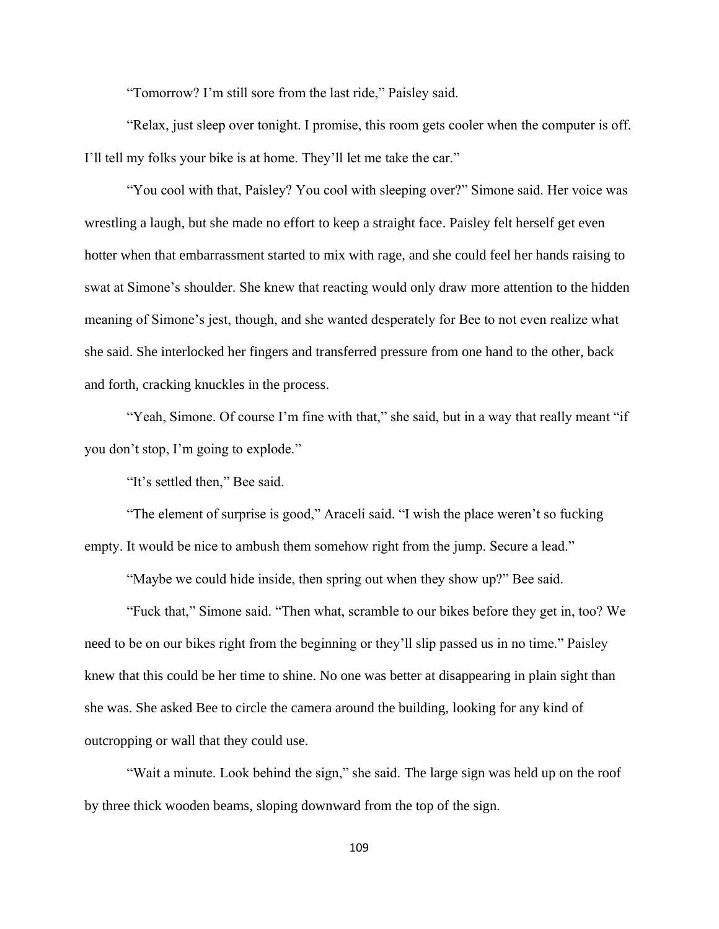"Tomorrow? I'm still sore from the last ride," Paisley said.

"Relax, just sleep over tonight. I promise, this room gets cooler when the computer is off. I'll tell my folks your bike is at home. They'll let me take the car."

"You cool with that, Paisley? You cool with sleeping over?" Simone said. Her voice was wrestling a laugh, but she made no effort to keep a straight face. Paisley felt herself get even hotter when that embarrassment started to mix with rage, and she could feel her hands raising to swat at Simone's shoulder. She knew that reacting would only draw more attention to the hidden meaning of Simone's jest, though, and she wanted desperately for Bee to not even realize what she said. She interlocked her fingers and transferred pressure from one hand to the other, back and forth, cracking knuckles in the process.

"Yeah, Simone. Of course I'm fine with that," she said, but in a way that really meant "if you don't stop, I'm going to explode."

"It's settled then," Bee said.

"The element of surprise is good," Araceli said. "I wish the place weren't so fucking empty. It would be nice to ambush them somehow right from the jump. Secure a lead."

"Maybe we could hide inside, then spring out when they show up?" Bee said.

"Fuck that," Simone said. "Then what, scramble to our bikes before they get in, too? We need to be on our bikes right from the beginning or they'll slip passed us in no time." Paisley knew that this could be her time to shine. No one was better at disappearing in plain sight than she was. She asked Bee to circle the camera around the building, looking for any kind of outcropping or wall that they could use.

"Wait a minute. Look behind the sign," she said. The large sign was held up on the roof by three thick wooden beams, sloping downward from the top of the sign.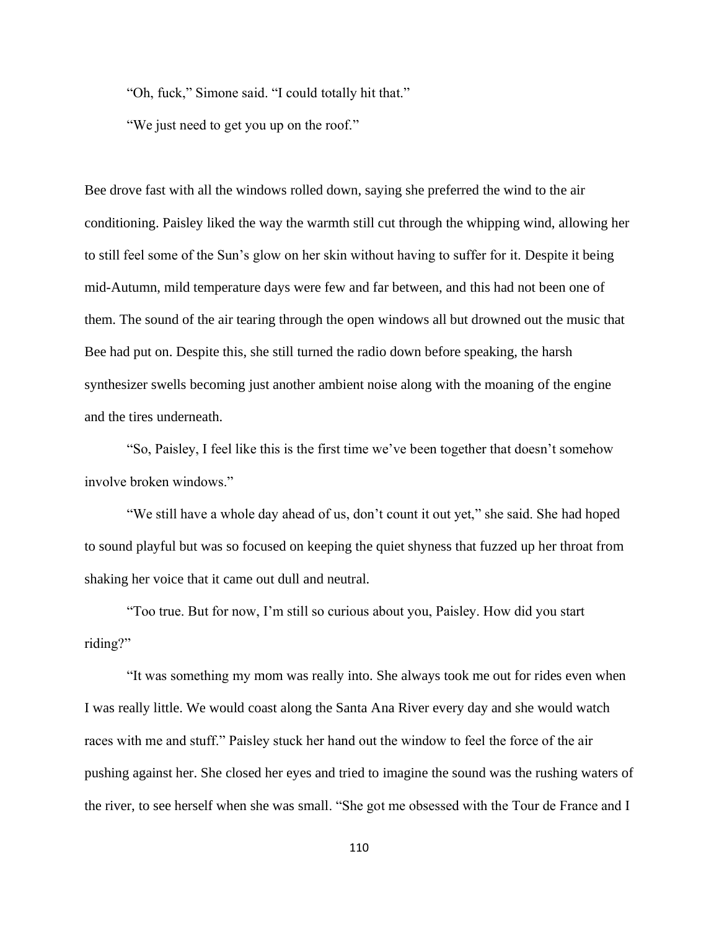"Oh, fuck," Simone said. "I could totally hit that."

"We just need to get you up on the roof."

Bee drove fast with all the windows rolled down, saying she preferred the wind to the air conditioning. Paisley liked the way the warmth still cut through the whipping wind, allowing her to still feel some of the Sun's glow on her skin without having to suffer for it. Despite it being mid-Autumn, mild temperature days were few and far between, and this had not been one of them. The sound of the air tearing through the open windows all but drowned out the music that Bee had put on. Despite this, she still turned the radio down before speaking, the harsh synthesizer swells becoming just another ambient noise along with the moaning of the engine and the tires underneath.

"So, Paisley, I feel like this is the first time we've been together that doesn't somehow involve broken windows."

"We still have a whole day ahead of us, don't count it out yet," she said. She had hoped to sound playful but was so focused on keeping the quiet shyness that fuzzed up her throat from shaking her voice that it came out dull and neutral.

"Too true. But for now, I'm still so curious about you, Paisley. How did you start riding?"

"It was something my mom was really into. She always took me out for rides even when I was really little. We would coast along the Santa Ana River every day and she would watch races with me and stuff." Paisley stuck her hand out the window to feel the force of the air pushing against her. She closed her eyes and tried to imagine the sound was the rushing waters of the river, to see herself when she was small. "She got me obsessed with the Tour de France and I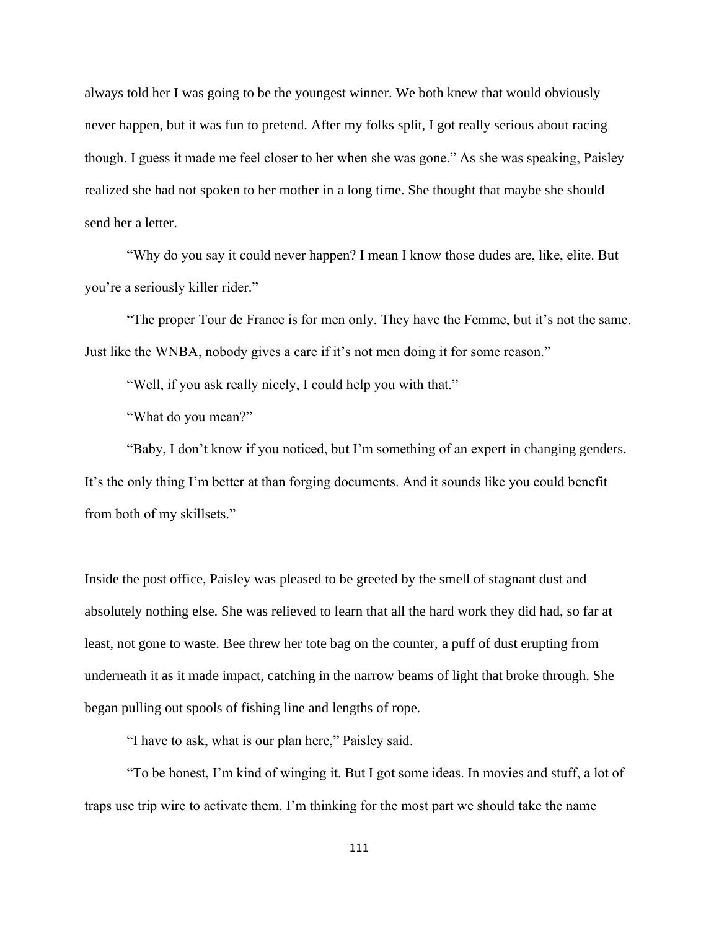always told her I was going to be the youngest winner. We both knew that would obviously never happen, but it was fun to pretend. After my folks split, I got really serious about racing though. I guess it made me feel closer to her when she was gone." As she was speaking, Paisley realized she had not spoken to her mother in a long time. She thought that maybe she should send her a letter.

"Why do you say it could never happen? I mean I know those dudes are, like, elite. But you're a seriously killer rider."

"The proper Tour de France is for men only. They have the Femme, but it's not the same. Just like the WNBA, nobody gives a care if it's not men doing it for some reason."

"Well, if you ask really nicely, I could help you with that."

"What do you mean?"

"Baby, I don't know if you noticed, but I'm something of an expert in changing genders. It's the only thing I'm better at than forging documents. And it sounds like you could benefit from both of my skillsets."

Inside the post office, Paisley was pleased to be greeted by the smell of stagnant dust and absolutely nothing else. She was relieved to learn that all the hard work they did had, so far at least, not gone to waste. Bee threw her tote bag on the counter, a puff of dust erupting from underneath it as it made impact, catching in the narrow beams of light that broke through. She began pulling out spools of fishing line and lengths of rope.

"I have to ask, what is our plan here," Paisley said.

"To be honest, I'm kind of winging it. But I got some ideas. In movies and stuff, a lot of traps use trip wire to activate them. I'm thinking for the most part we should take the name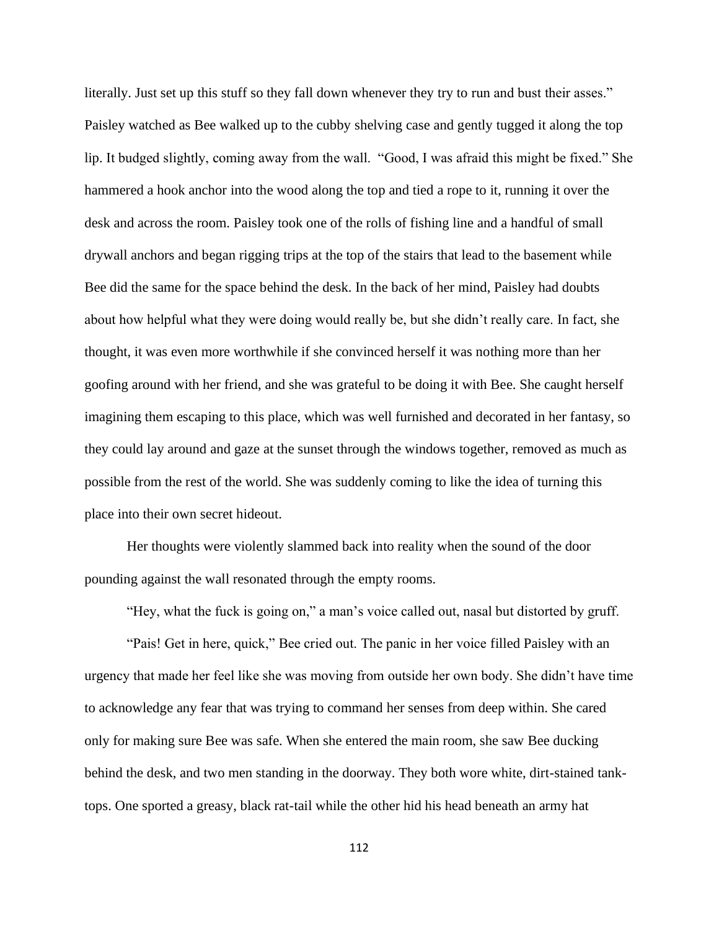literally. Just set up this stuff so they fall down whenever they try to run and bust their asses." Paisley watched as Bee walked up to the cubby shelving case and gently tugged it along the top lip. It budged slightly, coming away from the wall. "Good, I was afraid this might be fixed." She hammered a hook anchor into the wood along the top and tied a rope to it, running it over the desk and across the room. Paisley took one of the rolls of fishing line and a handful of small drywall anchors and began rigging trips at the top of the stairs that lead to the basement while Bee did the same for the space behind the desk. In the back of her mind, Paisley had doubts about how helpful what they were doing would really be, but she didn't really care. In fact, she thought, it was even more worthwhile if she convinced herself it was nothing more than her goofing around with her friend, and she was grateful to be doing it with Bee. She caught herself imagining them escaping to this place, which was well furnished and decorated in her fantasy, so they could lay around and gaze at the sunset through the windows together, removed as much as possible from the rest of the world. She was suddenly coming to like the idea of turning this place into their own secret hideout.

Her thoughts were violently slammed back into reality when the sound of the door pounding against the wall resonated through the empty rooms.

"Hey, what the fuck is going on," a man's voice called out, nasal but distorted by gruff.

"Pais! Get in here, quick," Bee cried out. The panic in her voice filled Paisley with an urgency that made her feel like she was moving from outside her own body. She didn't have time to acknowledge any fear that was trying to command her senses from deep within. She cared only for making sure Bee was safe. When she entered the main room, she saw Bee ducking behind the desk, and two men standing in the doorway. They both wore white, dirt-stained tanktops. One sported a greasy, black rat-tail while the other hid his head beneath an army hat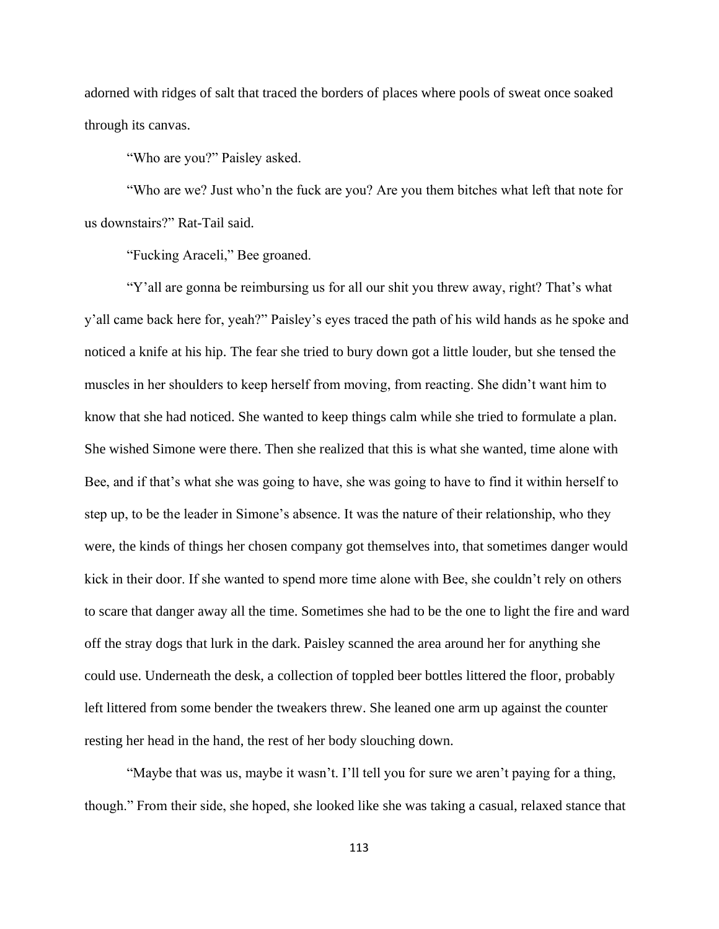adorned with ridges of salt that traced the borders of places where pools of sweat once soaked through its canvas.

"Who are you?" Paisley asked.

"Who are we? Just who'n the fuck are you? Are you them bitches what left that note for us downstairs?" Rat-Tail said.

"Fucking Araceli," Bee groaned.

"Y'all are gonna be reimbursing us for all our shit you threw away, right? That's what y'all came back here for, yeah?" Paisley's eyes traced the path of his wild hands as he spoke and noticed a knife at his hip. The fear she tried to bury down got a little louder, but she tensed the muscles in her shoulders to keep herself from moving, from reacting. She didn't want him to know that she had noticed. She wanted to keep things calm while she tried to formulate a plan. She wished Simone were there. Then she realized that this is what she wanted, time alone with Bee, and if that's what she was going to have, she was going to have to find it within herself to step up, to be the leader in Simone's absence. It was the nature of their relationship, who they were, the kinds of things her chosen company got themselves into, that sometimes danger would kick in their door. If she wanted to spend more time alone with Bee, she couldn't rely on others to scare that danger away all the time. Sometimes she had to be the one to light the fire and ward off the stray dogs that lurk in the dark. Paisley scanned the area around her for anything she could use. Underneath the desk, a collection of toppled beer bottles littered the floor, probably left littered from some bender the tweakers threw. She leaned one arm up against the counter resting her head in the hand, the rest of her body slouching down.

"Maybe that was us, maybe it wasn't. I'll tell you for sure we aren't paying for a thing, though." From their side, she hoped, she looked like she was taking a casual, relaxed stance that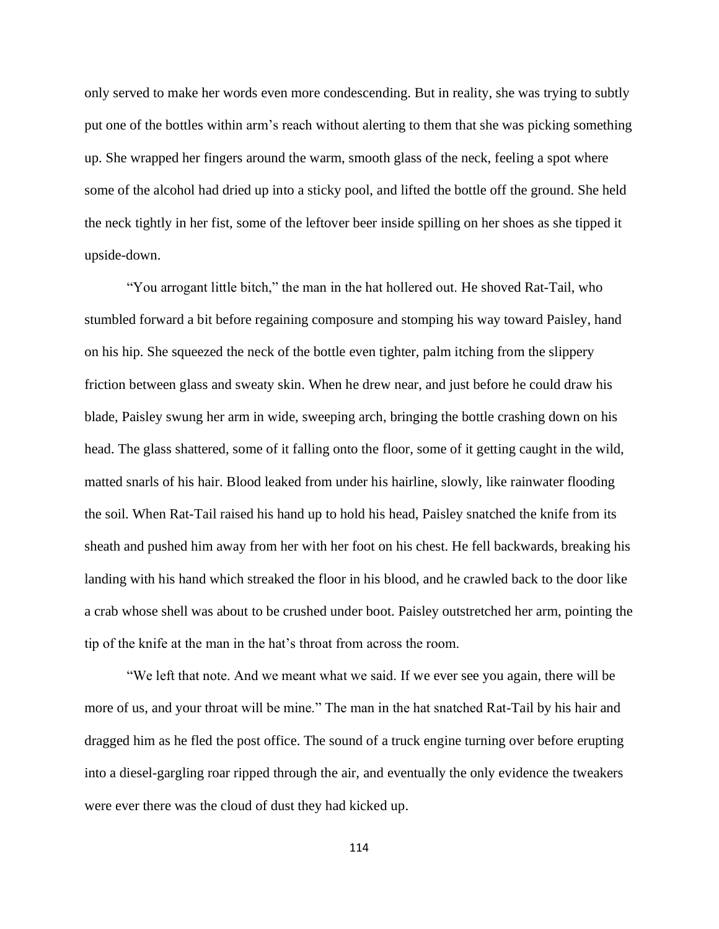only served to make her words even more condescending. But in reality, she was trying to subtly put one of the bottles within arm's reach without alerting to them that she was picking something up. She wrapped her fingers around the warm, smooth glass of the neck, feeling a spot where some of the alcohol had dried up into a sticky pool, and lifted the bottle off the ground. She held the neck tightly in her fist, some of the leftover beer inside spilling on her shoes as she tipped it upside-down.

"You arrogant little bitch," the man in the hat hollered out. He shoved Rat-Tail, who stumbled forward a bit before regaining composure and stomping his way toward Paisley, hand on his hip. She squeezed the neck of the bottle even tighter, palm itching from the slippery friction between glass and sweaty skin. When he drew near, and just before he could draw his blade, Paisley swung her arm in wide, sweeping arch, bringing the bottle crashing down on his head. The glass shattered, some of it falling onto the floor, some of it getting caught in the wild, matted snarls of his hair. Blood leaked from under his hairline, slowly, like rainwater flooding the soil. When Rat-Tail raised his hand up to hold his head, Paisley snatched the knife from its sheath and pushed him away from her with her foot on his chest. He fell backwards, breaking his landing with his hand which streaked the floor in his blood, and he crawled back to the door like a crab whose shell was about to be crushed under boot. Paisley outstretched her arm, pointing the tip of the knife at the man in the hat's throat from across the room.

"We left that note. And we meant what we said. If we ever see you again, there will be more of us, and your throat will be mine." The man in the hat snatched Rat-Tail by his hair and dragged him as he fled the post office. The sound of a truck engine turning over before erupting into a diesel-gargling roar ripped through the air, and eventually the only evidence the tweakers were ever there was the cloud of dust they had kicked up.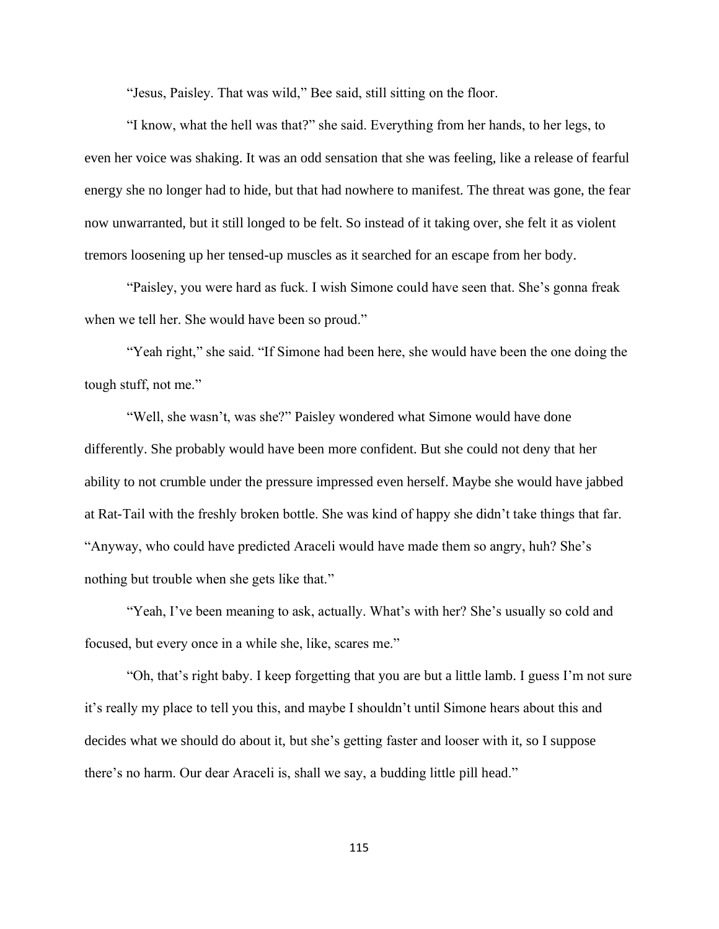"Jesus, Paisley. That was wild," Bee said, still sitting on the floor.

"I know, what the hell was that?" she said. Everything from her hands, to her legs, to even her voice was shaking. It was an odd sensation that she was feeling, like a release of fearful energy she no longer had to hide, but that had nowhere to manifest. The threat was gone, the fear now unwarranted, but it still longed to be felt. So instead of it taking over, she felt it as violent tremors loosening up her tensed-up muscles as it searched for an escape from her body.

"Paisley, you were hard as fuck. I wish Simone could have seen that. She's gonna freak when we tell her. She would have been so proud."

"Yeah right," she said. "If Simone had been here, she would have been the one doing the tough stuff, not me."

"Well, she wasn't, was she?" Paisley wondered what Simone would have done differently. She probably would have been more confident. But she could not deny that her ability to not crumble under the pressure impressed even herself. Maybe she would have jabbed at Rat-Tail with the freshly broken bottle. She was kind of happy she didn't take things that far. "Anyway, who could have predicted Araceli would have made them so angry, huh? She's nothing but trouble when she gets like that."

"Yeah, I've been meaning to ask, actually. What's with her? She's usually so cold and focused, but every once in a while she, like, scares me."

"Oh, that's right baby. I keep forgetting that you are but a little lamb. I guess I'm not sure it's really my place to tell you this, and maybe I shouldn't until Simone hears about this and decides what we should do about it, but she's getting faster and looser with it, so I suppose there's no harm. Our dear Araceli is, shall we say, a budding little pill head."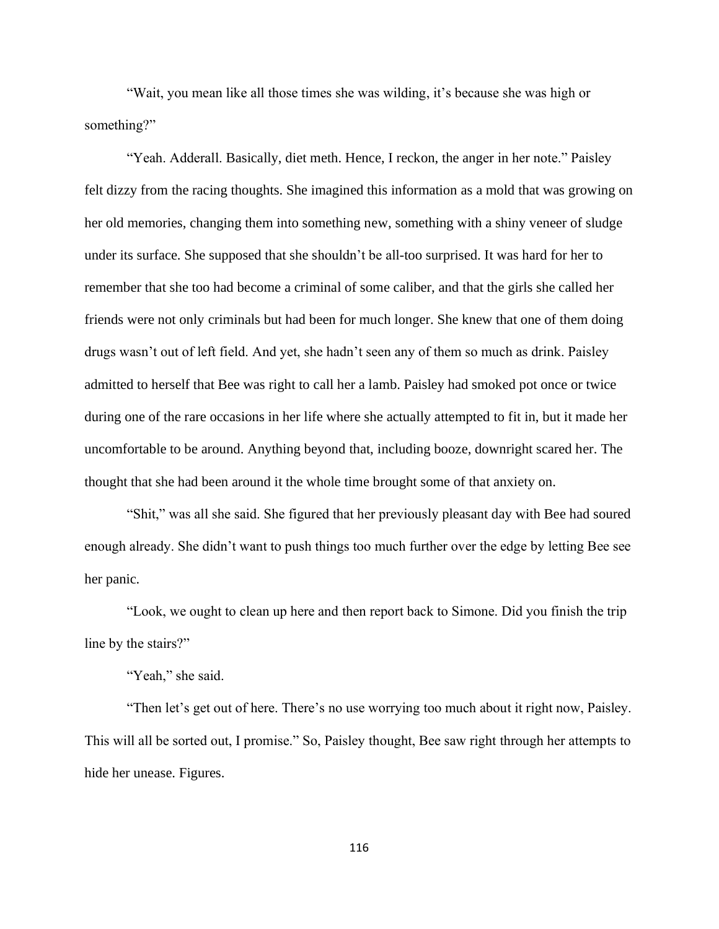"Wait, you mean like all those times she was wilding, it's because she was high or something?"

"Yeah. Adderall. Basically, diet meth. Hence, I reckon, the anger in her note." Paisley felt dizzy from the racing thoughts. She imagined this information as a mold that was growing on her old memories, changing them into something new, something with a shiny veneer of sludge under its surface. She supposed that she shouldn't be all-too surprised. It was hard for her to remember that she too had become a criminal of some caliber, and that the girls she called her friends were not only criminals but had been for much longer. She knew that one of them doing drugs wasn't out of left field. And yet, she hadn't seen any of them so much as drink. Paisley admitted to herself that Bee was right to call her a lamb. Paisley had smoked pot once or twice during one of the rare occasions in her life where she actually attempted to fit in, but it made her uncomfortable to be around. Anything beyond that, including booze, downright scared her. The thought that she had been around it the whole time brought some of that anxiety on.

"Shit," was all she said. She figured that her previously pleasant day with Bee had soured enough already. She didn't want to push things too much further over the edge by letting Bee see her panic.

"Look, we ought to clean up here and then report back to Simone. Did you finish the trip line by the stairs?"

"Yeah," she said.

"Then let's get out of here. There's no use worrying too much about it right now, Paisley. This will all be sorted out, I promise." So, Paisley thought, Bee saw right through her attempts to hide her unease. Figures.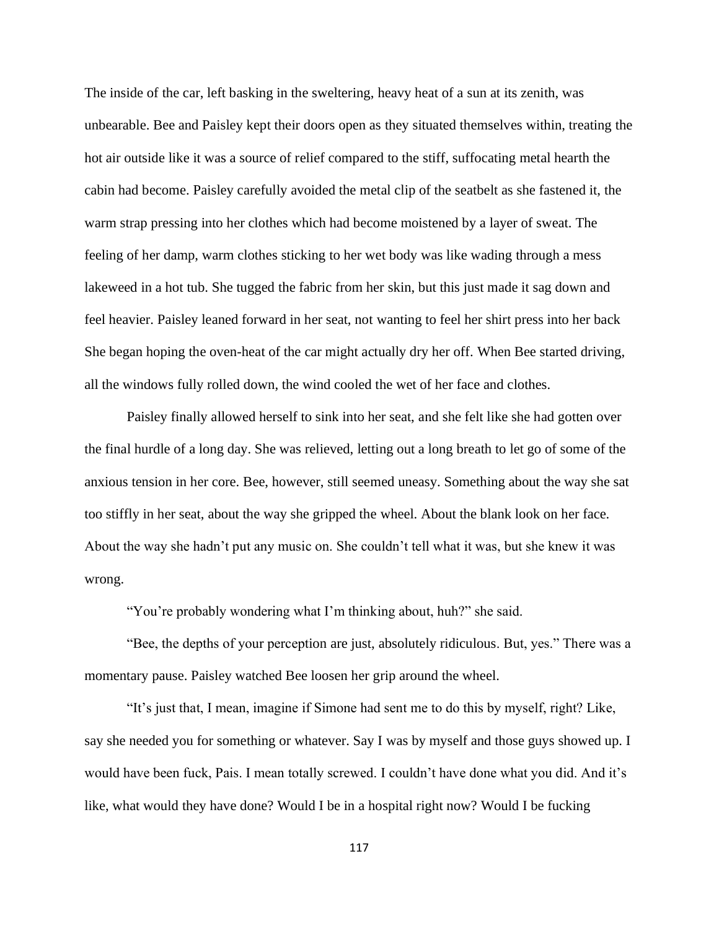The inside of the car, left basking in the sweltering, heavy heat of a sun at its zenith, was unbearable. Bee and Paisley kept their doors open as they situated themselves within, treating the hot air outside like it was a source of relief compared to the stiff, suffocating metal hearth the cabin had become. Paisley carefully avoided the metal clip of the seatbelt as she fastened it, the warm strap pressing into her clothes which had become moistened by a layer of sweat. The feeling of her damp, warm clothes sticking to her wet body was like wading through a mess lakeweed in a hot tub. She tugged the fabric from her skin, but this just made it sag down and feel heavier. Paisley leaned forward in her seat, not wanting to feel her shirt press into her back She began hoping the oven-heat of the car might actually dry her off. When Bee started driving, all the windows fully rolled down, the wind cooled the wet of her face and clothes.

Paisley finally allowed herself to sink into her seat, and she felt like she had gotten over the final hurdle of a long day. She was relieved, letting out a long breath to let go of some of the anxious tension in her core. Bee, however, still seemed uneasy. Something about the way she sat too stiffly in her seat, about the way she gripped the wheel. About the blank look on her face. About the way she hadn't put any music on. She couldn't tell what it was, but she knew it was wrong.

"You're probably wondering what I'm thinking about, huh?" she said.

"Bee, the depths of your perception are just, absolutely ridiculous. But, yes." There was a momentary pause. Paisley watched Bee loosen her grip around the wheel.

"It's just that, I mean, imagine if Simone had sent me to do this by myself, right? Like, say she needed you for something or whatever. Say I was by myself and those guys showed up. I would have been fuck, Pais. I mean totally screwed. I couldn't have done what you did. And it's like, what would they have done? Would I be in a hospital right now? Would I be fucking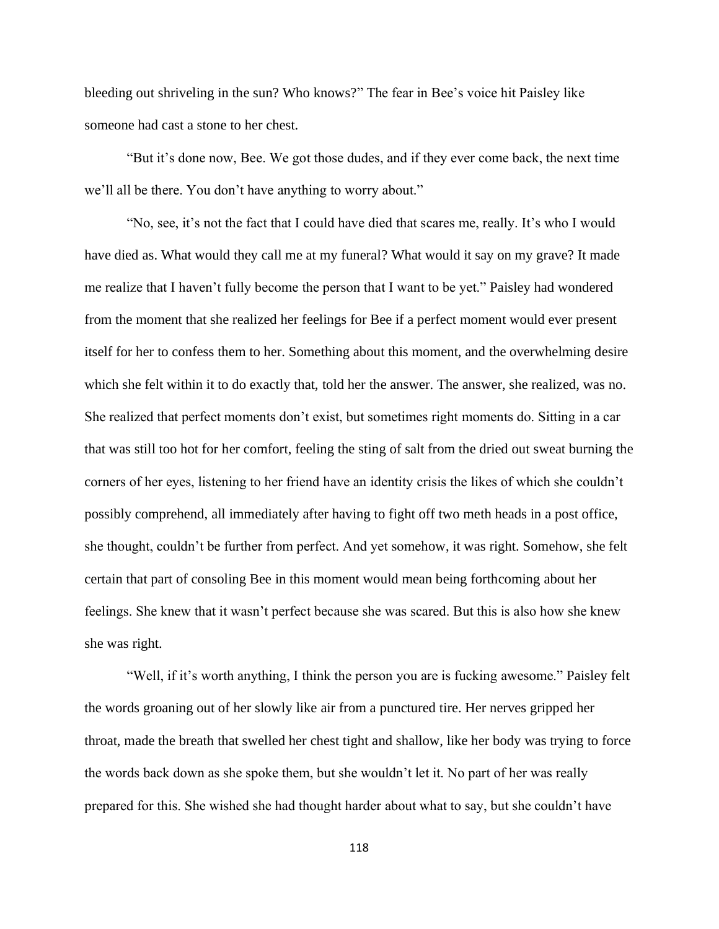bleeding out shriveling in the sun? Who knows?" The fear in Bee's voice hit Paisley like someone had cast a stone to her chest.

"But it's done now, Bee. We got those dudes, and if they ever come back, the next time we'll all be there. You don't have anything to worry about."

"No, see, it's not the fact that I could have died that scares me, really. It's who I would have died as. What would they call me at my funeral? What would it say on my grave? It made me realize that I haven't fully become the person that I want to be yet." Paisley had wondered from the moment that she realized her feelings for Bee if a perfect moment would ever present itself for her to confess them to her. Something about this moment, and the overwhelming desire which she felt within it to do exactly that, told her the answer. The answer, she realized, was no. She realized that perfect moments don't exist, but sometimes right moments do. Sitting in a car that was still too hot for her comfort, feeling the sting of salt from the dried out sweat burning the corners of her eyes, listening to her friend have an identity crisis the likes of which she couldn't possibly comprehend, all immediately after having to fight off two meth heads in a post office, she thought, couldn't be further from perfect. And yet somehow, it was right. Somehow, she felt certain that part of consoling Bee in this moment would mean being forthcoming about her feelings. She knew that it wasn't perfect because she was scared. But this is also how she knew she was right.

"Well, if it's worth anything, I think the person you are is fucking awesome." Paisley felt the words groaning out of her slowly like air from a punctured tire. Her nerves gripped her throat, made the breath that swelled her chest tight and shallow, like her body was trying to force the words back down as she spoke them, but she wouldn't let it. No part of her was really prepared for this. She wished she had thought harder about what to say, but she couldn't have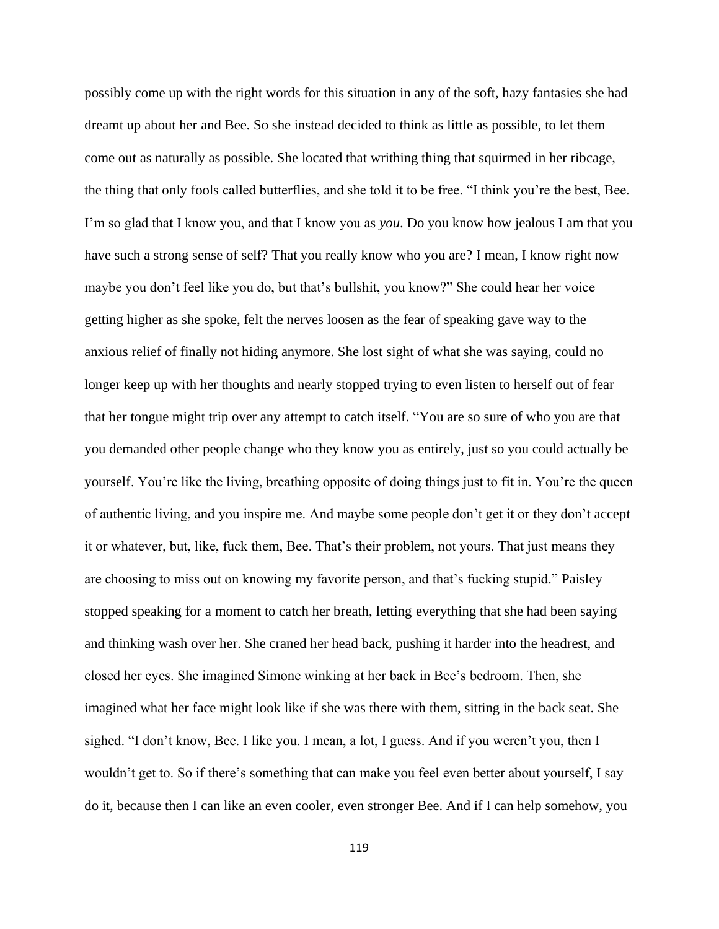possibly come up with the right words for this situation in any of the soft, hazy fantasies she had dreamt up about her and Bee. So she instead decided to think as little as possible, to let them come out as naturally as possible. She located that writhing thing that squirmed in her ribcage, the thing that only fools called butterflies, and she told it to be free. "I think you're the best, Bee. I'm so glad that I know you, and that I know you as *you*. Do you know how jealous I am that you have such a strong sense of self? That you really know who you are? I mean, I know right now maybe you don't feel like you do, but that's bullshit, you know?" She could hear her voice getting higher as she spoke, felt the nerves loosen as the fear of speaking gave way to the anxious relief of finally not hiding anymore. She lost sight of what she was saying, could no longer keep up with her thoughts and nearly stopped trying to even listen to herself out of fear that her tongue might trip over any attempt to catch itself. "You are so sure of who you are that you demanded other people change who they know you as entirely, just so you could actually be yourself. You're like the living, breathing opposite of doing things just to fit in. You're the queen of authentic living, and you inspire me. And maybe some people don't get it or they don't accept it or whatever, but, like, fuck them, Bee. That's their problem, not yours. That just means they are choosing to miss out on knowing my favorite person, and that's fucking stupid." Paisley stopped speaking for a moment to catch her breath, letting everything that she had been saying and thinking wash over her. She craned her head back, pushing it harder into the headrest, and closed her eyes. She imagined Simone winking at her back in Bee's bedroom. Then, she imagined what her face might look like if she was there with them, sitting in the back seat. She sighed. "I don't know, Bee. I like you. I mean, a lot, I guess. And if you weren't you, then I wouldn't get to. So if there's something that can make you feel even better about yourself, I say do it, because then I can like an even cooler, even stronger Bee. And if I can help somehow, you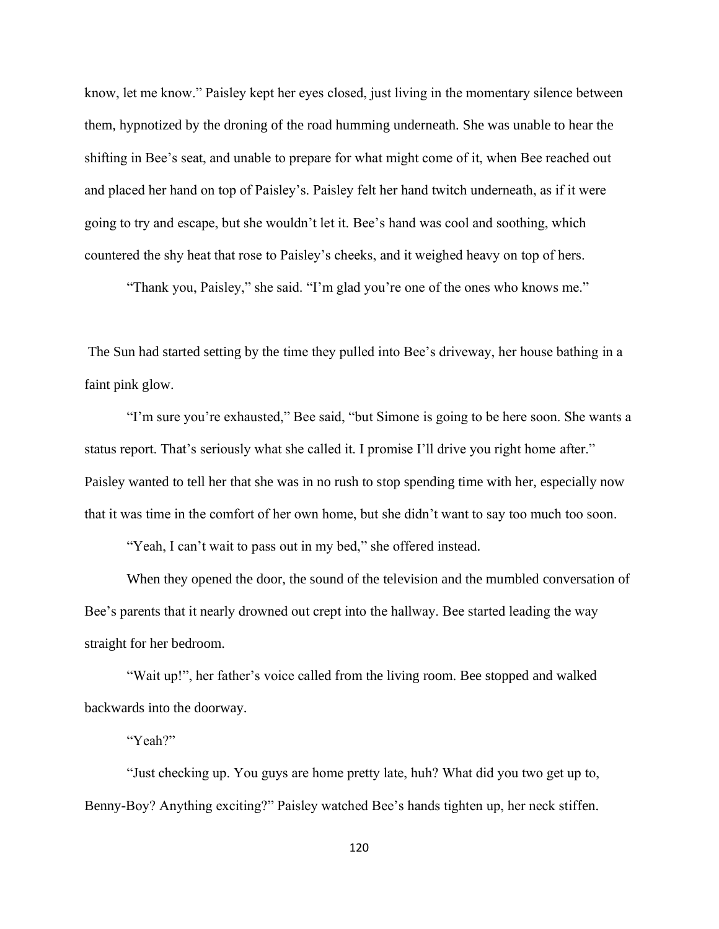know, let me know." Paisley kept her eyes closed, just living in the momentary silence between them, hypnotized by the droning of the road humming underneath. She was unable to hear the shifting in Bee's seat, and unable to prepare for what might come of it, when Bee reached out and placed her hand on top of Paisley's. Paisley felt her hand twitch underneath, as if it were going to try and escape, but she wouldn't let it. Bee's hand was cool and soothing, which countered the shy heat that rose to Paisley's cheeks, and it weighed heavy on top of hers.

"Thank you, Paisley," she said. "I'm glad you're one of the ones who knows me."

The Sun had started setting by the time they pulled into Bee's driveway, her house bathing in a faint pink glow.

"I'm sure you're exhausted," Bee said, "but Simone is going to be here soon. She wants a status report. That's seriously what she called it. I promise I'll drive you right home after." Paisley wanted to tell her that she was in no rush to stop spending time with her, especially now that it was time in the comfort of her own home, but she didn't want to say too much too soon.

"Yeah, I can't wait to pass out in my bed," she offered instead.

When they opened the door, the sound of the television and the mumbled conversation of Bee's parents that it nearly drowned out crept into the hallway. Bee started leading the way straight for her bedroom.

"Wait up!", her father's voice called from the living room. Bee stopped and walked backwards into the doorway.

"Yeah?"

"Just checking up. You guys are home pretty late, huh? What did you two get up to, Benny-Boy? Anything exciting?" Paisley watched Bee's hands tighten up, her neck stiffen.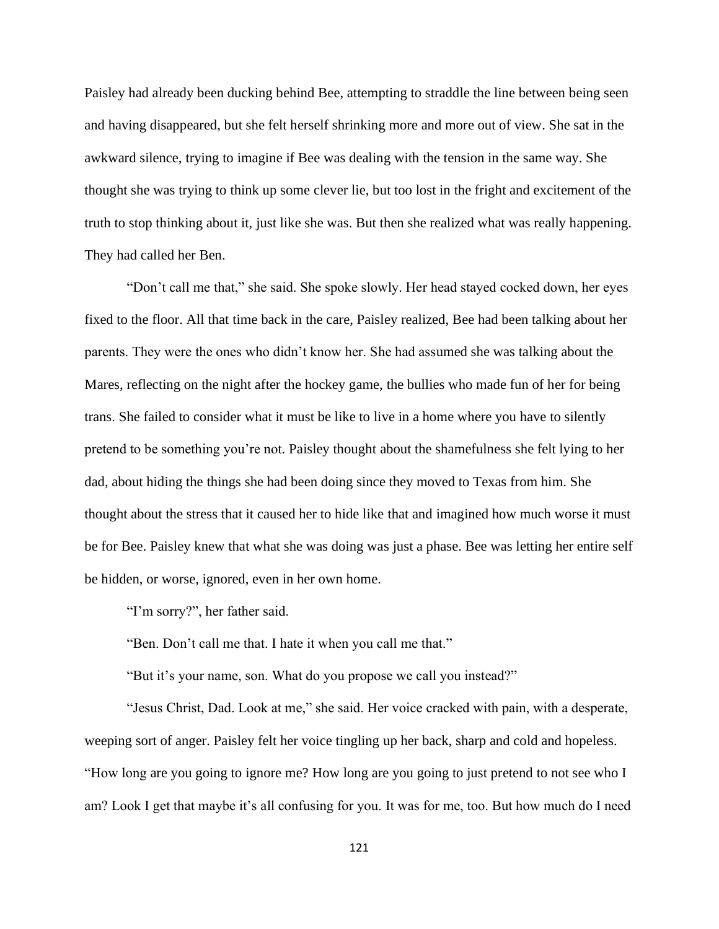Paisley had already been ducking behind Bee, attempting to straddle the line between being seen and having disappeared, but she felt herself shrinking more and more out of view. She sat in the awkward silence, trying to imagine if Bee was dealing with the tension in the same way. She thought she was trying to think up some clever lie, but too lost in the fright and excitement of the truth to stop thinking about it, just like she was. But then she realized what was really happening. They had called her Ben.

"Don't call me that," she said. She spoke slowly. Her head stayed cocked down, her eyes fixed to the floor. All that time back in the care, Paisley realized, Bee had been talking about her parents. They were the ones who didn't know her. She had assumed she was talking about the Mares, reflecting on the night after the hockey game, the bullies who made fun of her for being trans. She failed to consider what it must be like to live in a home where you have to silently pretend to be something you're not. Paisley thought about the shamefulness she felt lying to her dad, about hiding the things she had been doing since they moved to Texas from him. She thought about the stress that it caused her to hide like that and imagined how much worse it must be for Bee. Paisley knew that what she was doing was just a phase. Bee was letting her entire self be hidden, or worse, ignored, even in her own home.

"I'm sorry?", her father said.

"Ben. Don't call me that. I hate it when you call me that."

"But it's your name, son. What do you propose we call you instead?"

"Jesus Christ, Dad. Look at me," she said. Her voice cracked with pain, with a desperate, weeping sort of anger. Paisley felt her voice tingling up her back, sharp and cold and hopeless. "How long are you going to ignore me? How long are you going to just pretend to not see who I am? Look I get that maybe it's all confusing for you. It was for me, too. But how much do I need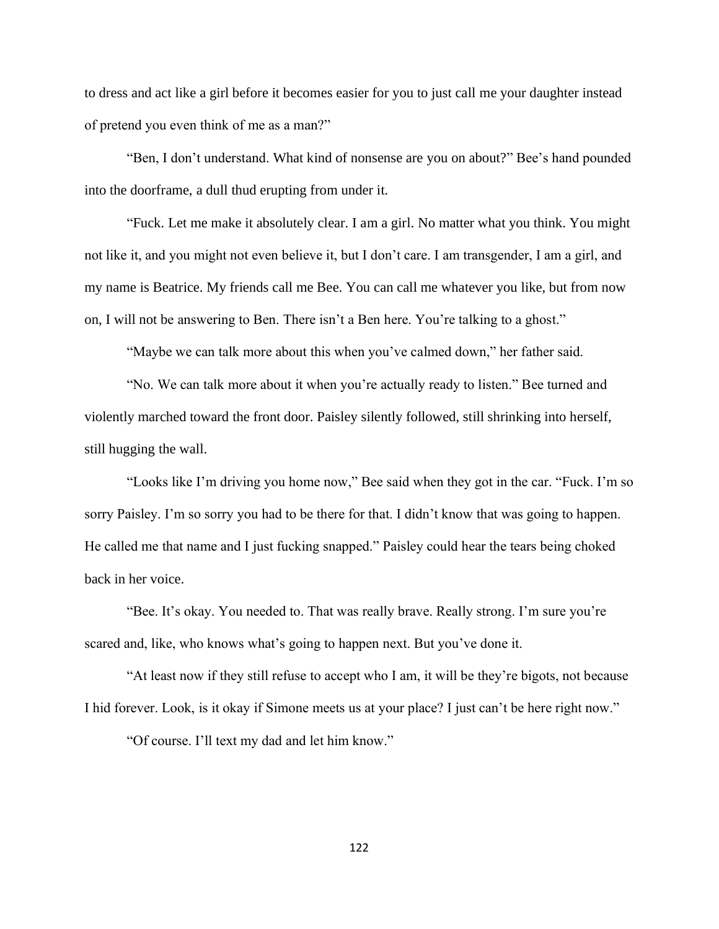to dress and act like a girl before it becomes easier for you to just call me your daughter instead of pretend you even think of me as a man?"

"Ben, I don't understand. What kind of nonsense are you on about?" Bee's hand pounded into the doorframe, a dull thud erupting from under it.

"Fuck. Let me make it absolutely clear. I am a girl. No matter what you think. You might not like it, and you might not even believe it, but I don't care. I am transgender, I am a girl, and my name is Beatrice. My friends call me Bee. You can call me whatever you like, but from now on, I will not be answering to Ben. There isn't a Ben here. You're talking to a ghost."

"Maybe we can talk more about this when you've calmed down," her father said.

"No. We can talk more about it when you're actually ready to listen." Bee turned and violently marched toward the front door. Paisley silently followed, still shrinking into herself, still hugging the wall.

"Looks like I'm driving you home now," Bee said when they got in the car. "Fuck. I'm so sorry Paisley. I'm so sorry you had to be there for that. I didn't know that was going to happen. He called me that name and I just fucking snapped." Paisley could hear the tears being choked back in her voice.

"Bee. It's okay. You needed to. That was really brave. Really strong. I'm sure you're scared and, like, who knows what's going to happen next. But you've done it.

"At least now if they still refuse to accept who I am, it will be they're bigots, not because I hid forever. Look, is it okay if Simone meets us at your place? I just can't be here right now."

"Of course. I'll text my dad and let him know."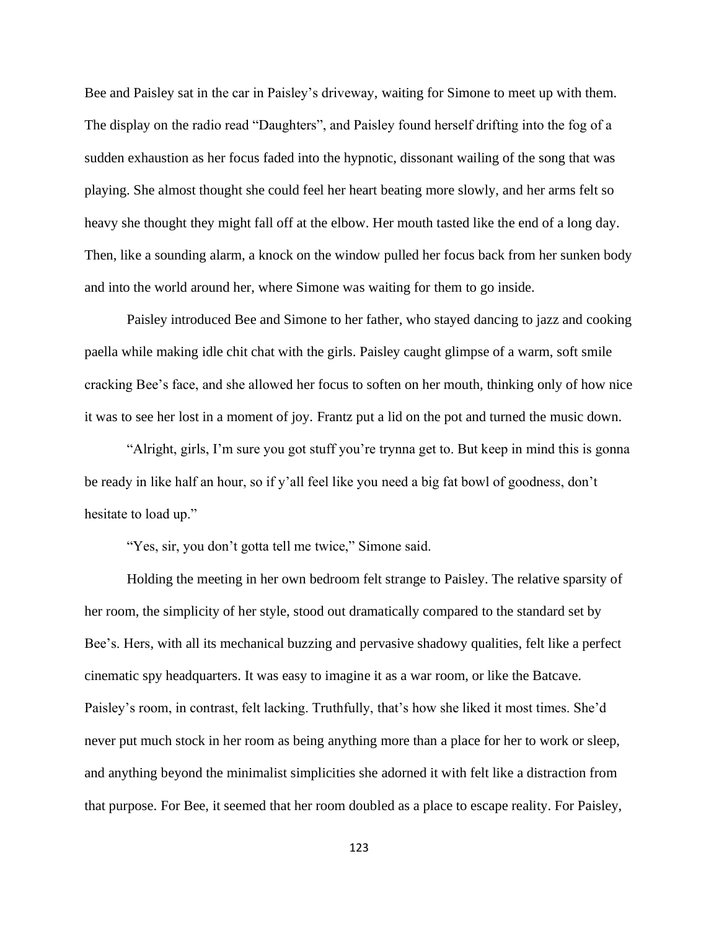Bee and Paisley sat in the car in Paisley's driveway, waiting for Simone to meet up with them. The display on the radio read "Daughters", and Paisley found herself drifting into the fog of a sudden exhaustion as her focus faded into the hypnotic, dissonant wailing of the song that was playing. She almost thought she could feel her heart beating more slowly, and her arms felt so heavy she thought they might fall off at the elbow. Her mouth tasted like the end of a long day. Then, like a sounding alarm, a knock on the window pulled her focus back from her sunken body and into the world around her, where Simone was waiting for them to go inside.

Paisley introduced Bee and Simone to her father, who stayed dancing to jazz and cooking paella while making idle chit chat with the girls. Paisley caught glimpse of a warm, soft smile cracking Bee's face, and she allowed her focus to soften on her mouth, thinking only of how nice it was to see her lost in a moment of joy. Frantz put a lid on the pot and turned the music down.

"Alright, girls, I'm sure you got stuff you're trynna get to. But keep in mind this is gonna be ready in like half an hour, so if y'all feel like you need a big fat bowl of goodness, don't hesitate to load up."

"Yes, sir, you don't gotta tell me twice," Simone said.

Holding the meeting in her own bedroom felt strange to Paisley. The relative sparsity of her room, the simplicity of her style, stood out dramatically compared to the standard set by Bee's. Hers, with all its mechanical buzzing and pervasive shadowy qualities, felt like a perfect cinematic spy headquarters. It was easy to imagine it as a war room, or like the Batcave. Paisley's room, in contrast, felt lacking. Truthfully, that's how she liked it most times. She'd never put much stock in her room as being anything more than a place for her to work or sleep, and anything beyond the minimalist simplicities she adorned it with felt like a distraction from that purpose. For Bee, it seemed that her room doubled as a place to escape reality. For Paisley,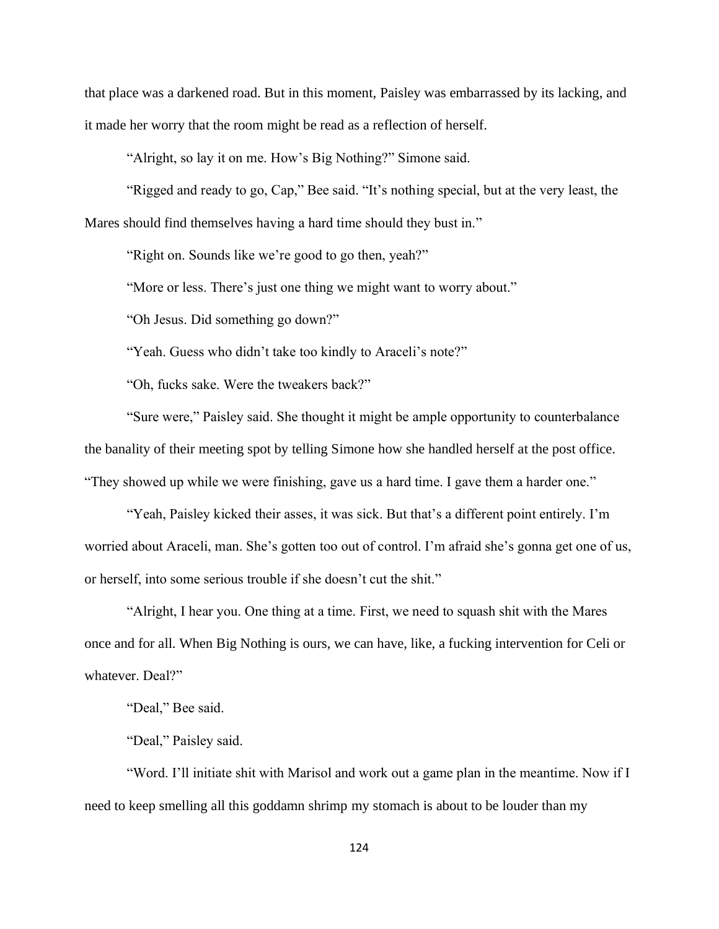that place was a darkened road. But in this moment, Paisley was embarrassed by its lacking, and it made her worry that the room might be read as a reflection of herself.

"Alright, so lay it on me. How's Big Nothing?" Simone said.

"Rigged and ready to go, Cap," Bee said. "It's nothing special, but at the very least, the Mares should find themselves having a hard time should they bust in."

"Right on. Sounds like we're good to go then, yeah?"

"More or less. There's just one thing we might want to worry about."

"Oh Jesus. Did something go down?"

"Yeah. Guess who didn't take too kindly to Araceli's note?"

"Oh, fucks sake. Were the tweakers back?"

"Sure were," Paisley said. She thought it might be ample opportunity to counterbalance the banality of their meeting spot by telling Simone how she handled herself at the post office. "They showed up while we were finishing, gave us a hard time. I gave them a harder one."

"Yeah, Paisley kicked their asses, it was sick. But that's a different point entirely. I'm worried about Araceli, man. She's gotten too out of control. I'm afraid she's gonna get one of us, or herself, into some serious trouble if she doesn't cut the shit."

"Alright, I hear you. One thing at a time. First, we need to squash shit with the Mares once and for all. When Big Nothing is ours, we can have, like, a fucking intervention for Celi or whatever. Deal?"

"Deal," Bee said.

"Deal," Paisley said.

"Word. I'll initiate shit with Marisol and work out a game plan in the meantime. Now if I need to keep smelling all this goddamn shrimp my stomach is about to be louder than my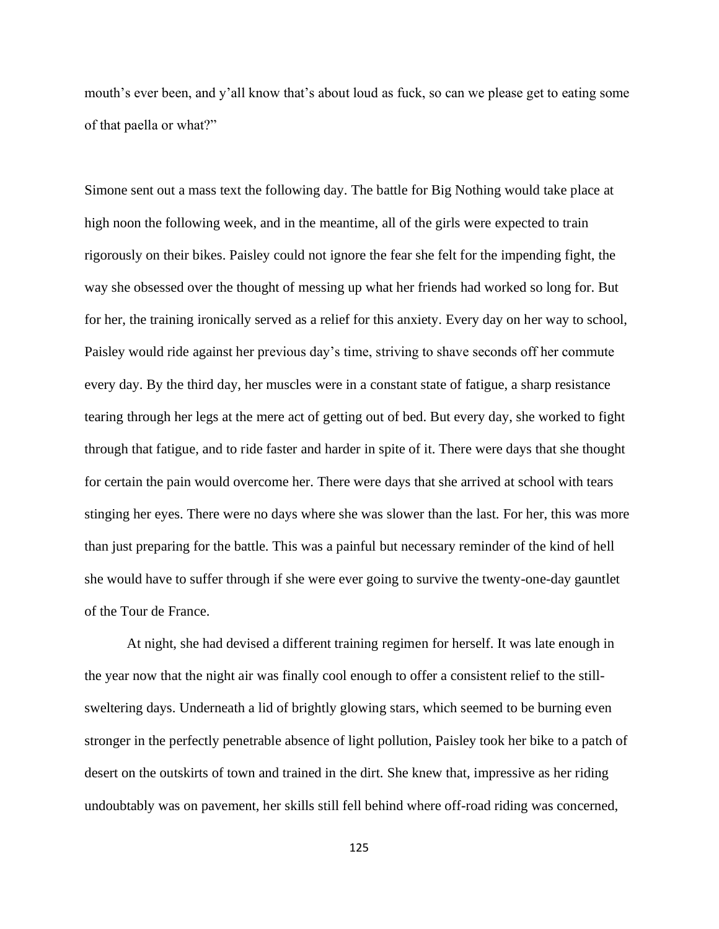mouth's ever been, and y'all know that's about loud as fuck, so can we please get to eating some of that paella or what?"

Simone sent out a mass text the following day. The battle for Big Nothing would take place at high noon the following week, and in the meantime, all of the girls were expected to train rigorously on their bikes. Paisley could not ignore the fear she felt for the impending fight, the way she obsessed over the thought of messing up what her friends had worked so long for. But for her, the training ironically served as a relief for this anxiety. Every day on her way to school, Paisley would ride against her previous day's time, striving to shave seconds off her commute every day. By the third day, her muscles were in a constant state of fatigue, a sharp resistance tearing through her legs at the mere act of getting out of bed. But every day, she worked to fight through that fatigue, and to ride faster and harder in spite of it. There were days that she thought for certain the pain would overcome her. There were days that she arrived at school with tears stinging her eyes. There were no days where she was slower than the last. For her, this was more than just preparing for the battle. This was a painful but necessary reminder of the kind of hell she would have to suffer through if she were ever going to survive the twenty-one-day gauntlet of the Tour de France.

At night, she had devised a different training regimen for herself. It was late enough in the year now that the night air was finally cool enough to offer a consistent relief to the stillsweltering days. Underneath a lid of brightly glowing stars, which seemed to be burning even stronger in the perfectly penetrable absence of light pollution, Paisley took her bike to a patch of desert on the outskirts of town and trained in the dirt. She knew that, impressive as her riding undoubtably was on pavement, her skills still fell behind where off-road riding was concerned,

125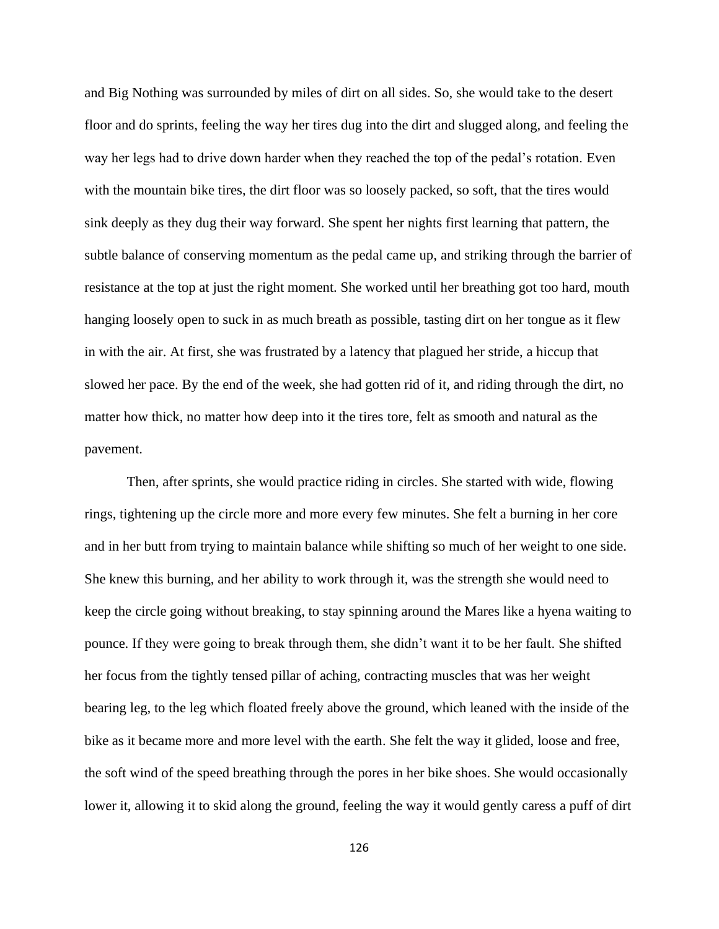and Big Nothing was surrounded by miles of dirt on all sides. So, she would take to the desert floor and do sprints, feeling the way her tires dug into the dirt and slugged along, and feeling the way her legs had to drive down harder when they reached the top of the pedal's rotation. Even with the mountain bike tires, the dirt floor was so loosely packed, so soft, that the tires would sink deeply as they dug their way forward. She spent her nights first learning that pattern, the subtle balance of conserving momentum as the pedal came up, and striking through the barrier of resistance at the top at just the right moment. She worked until her breathing got too hard, mouth hanging loosely open to suck in as much breath as possible, tasting dirt on her tongue as it flew in with the air. At first, she was frustrated by a latency that plagued her stride, a hiccup that slowed her pace. By the end of the week, she had gotten rid of it, and riding through the dirt, no matter how thick, no matter how deep into it the tires tore, felt as smooth and natural as the pavement.

Then, after sprints, she would practice riding in circles. She started with wide, flowing rings, tightening up the circle more and more every few minutes. She felt a burning in her core and in her butt from trying to maintain balance while shifting so much of her weight to one side. She knew this burning, and her ability to work through it, was the strength she would need to keep the circle going without breaking, to stay spinning around the Mares like a hyena waiting to pounce. If they were going to break through them, she didn't want it to be her fault. She shifted her focus from the tightly tensed pillar of aching, contracting muscles that was her weight bearing leg, to the leg which floated freely above the ground, which leaned with the inside of the bike as it became more and more level with the earth. She felt the way it glided, loose and free, the soft wind of the speed breathing through the pores in her bike shoes. She would occasionally lower it, allowing it to skid along the ground, feeling the way it would gently caress a puff of dirt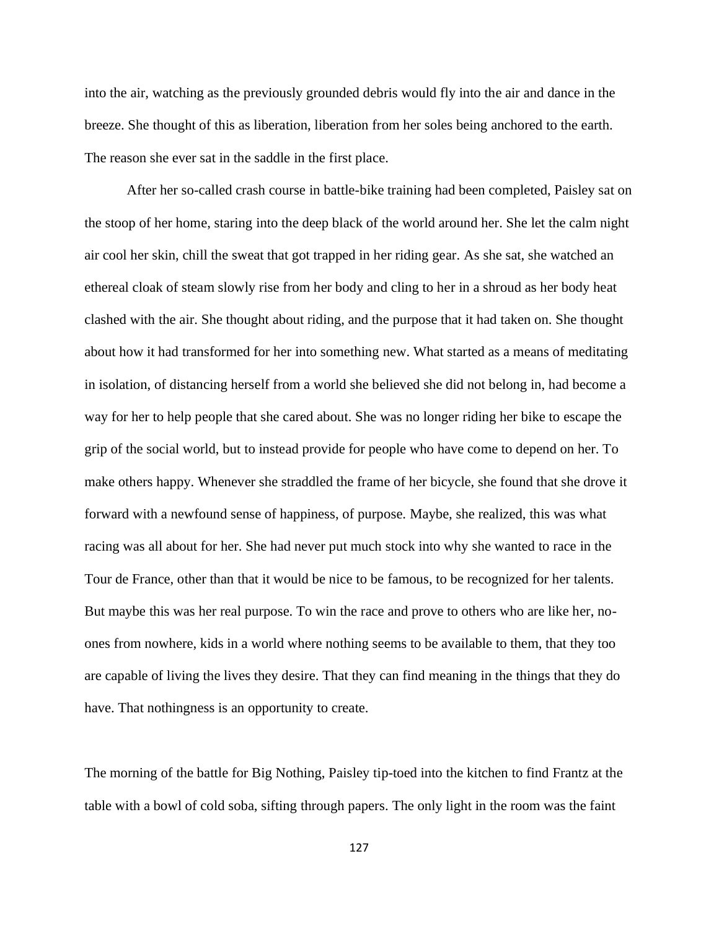into the air, watching as the previously grounded debris would fly into the air and dance in the breeze. She thought of this as liberation, liberation from her soles being anchored to the earth. The reason she ever sat in the saddle in the first place.

After her so-called crash course in battle-bike training had been completed, Paisley sat on the stoop of her home, staring into the deep black of the world around her. She let the calm night air cool her skin, chill the sweat that got trapped in her riding gear. As she sat, she watched an ethereal cloak of steam slowly rise from her body and cling to her in a shroud as her body heat clashed with the air. She thought about riding, and the purpose that it had taken on. She thought about how it had transformed for her into something new. What started as a means of meditating in isolation, of distancing herself from a world she believed she did not belong in, had become a way for her to help people that she cared about. She was no longer riding her bike to escape the grip of the social world, but to instead provide for people who have come to depend on her. To make others happy. Whenever she straddled the frame of her bicycle, she found that she drove it forward with a newfound sense of happiness, of purpose. Maybe, she realized, this was what racing was all about for her. She had never put much stock into why she wanted to race in the Tour de France, other than that it would be nice to be famous, to be recognized for her talents. But maybe this was her real purpose. To win the race and prove to others who are like her, noones from nowhere, kids in a world where nothing seems to be available to them, that they too are capable of living the lives they desire. That they can find meaning in the things that they do have. That nothingness is an opportunity to create.

The morning of the battle for Big Nothing, Paisley tip-toed into the kitchen to find Frantz at the table with a bowl of cold soba, sifting through papers. The only light in the room was the faint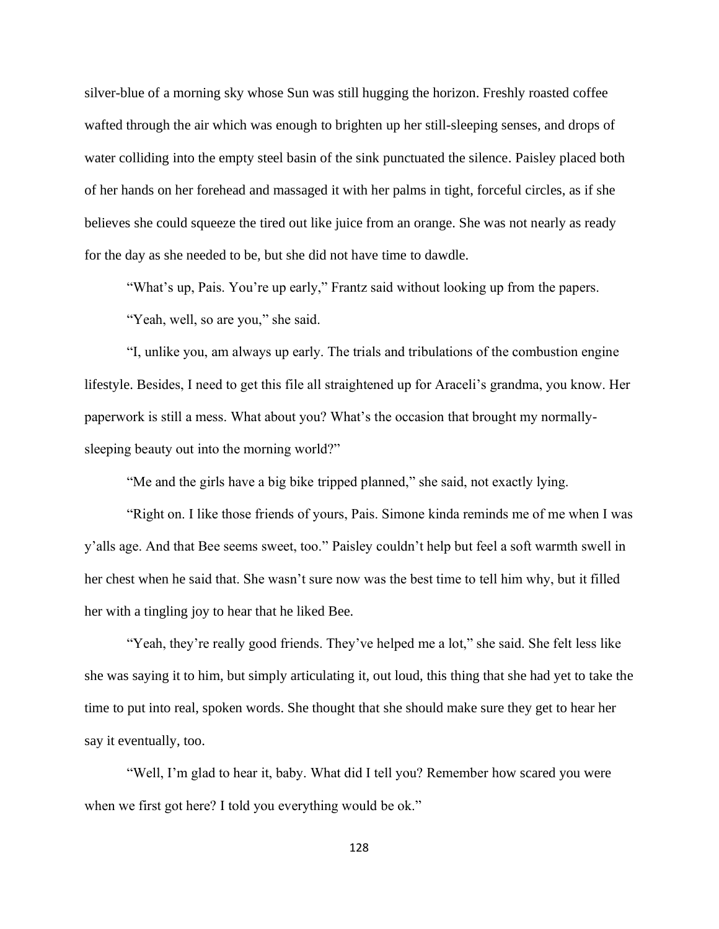silver-blue of a morning sky whose Sun was still hugging the horizon. Freshly roasted coffee wafted through the air which was enough to brighten up her still-sleeping senses, and drops of water colliding into the empty steel basin of the sink punctuated the silence. Paisley placed both of her hands on her forehead and massaged it with her palms in tight, forceful circles, as if she believes she could squeeze the tired out like juice from an orange. She was not nearly as ready for the day as she needed to be, but she did not have time to dawdle.

"What's up, Pais. You're up early," Frantz said without looking up from the papers.

"Yeah, well, so are you," she said.

"I, unlike you, am always up early. The trials and tribulations of the combustion engine lifestyle. Besides, I need to get this file all straightened up for Araceli's grandma, you know. Her paperwork is still a mess. What about you? What's the occasion that brought my normallysleeping beauty out into the morning world?"

"Me and the girls have a big bike tripped planned," she said, not exactly lying.

"Right on. I like those friends of yours, Pais. Simone kinda reminds me of me when I was y'alls age. And that Bee seems sweet, too." Paisley couldn't help but feel a soft warmth swell in her chest when he said that. She wasn't sure now was the best time to tell him why, but it filled her with a tingling joy to hear that he liked Bee.

"Yeah, they're really good friends. They've helped me a lot," she said. She felt less like she was saying it to him, but simply articulating it, out loud, this thing that she had yet to take the time to put into real, spoken words. She thought that she should make sure they get to hear her say it eventually, too.

"Well, I'm glad to hear it, baby. What did I tell you? Remember how scared you were when we first got here? I told you everything would be ok."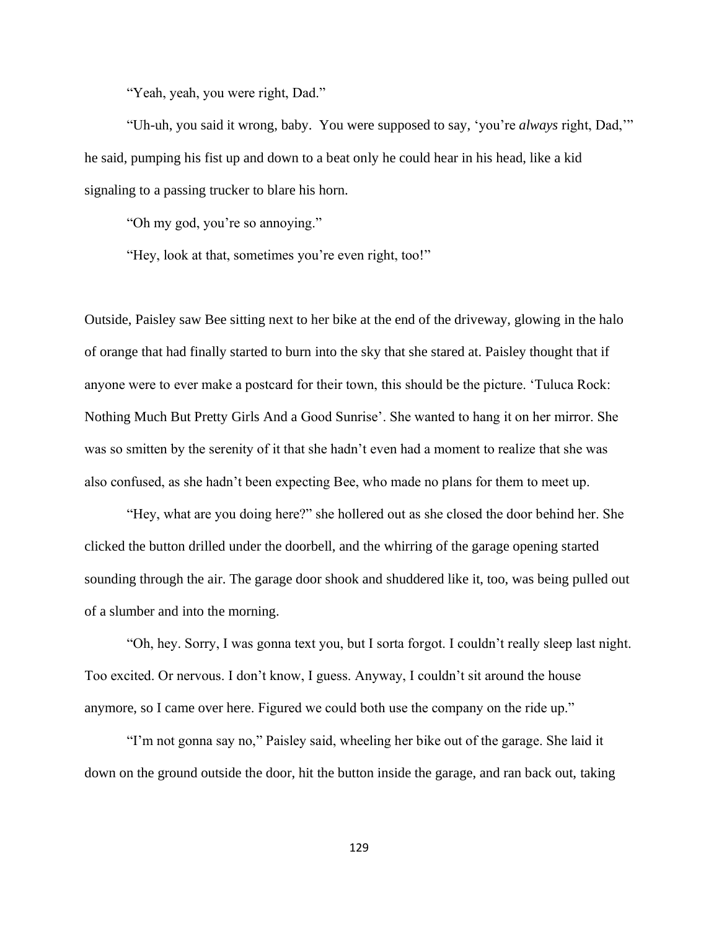"Yeah, yeah, you were right, Dad."

"Uh-uh, you said it wrong, baby. You were supposed to say, 'you're *always* right, Dad,'" he said, pumping his fist up and down to a beat only he could hear in his head, like a kid signaling to a passing trucker to blare his horn.

"Oh my god, you're so annoying."

"Hey, look at that, sometimes you're even right, too!"

Outside, Paisley saw Bee sitting next to her bike at the end of the driveway, glowing in the halo of orange that had finally started to burn into the sky that she stared at. Paisley thought that if anyone were to ever make a postcard for their town, this should be the picture. 'Tuluca Rock: Nothing Much But Pretty Girls And a Good Sunrise'. She wanted to hang it on her mirror. She was so smitten by the serenity of it that she hadn't even had a moment to realize that she was also confused, as she hadn't been expecting Bee, who made no plans for them to meet up.

"Hey, what are you doing here?" she hollered out as she closed the door behind her. She clicked the button drilled under the doorbell, and the whirring of the garage opening started sounding through the air. The garage door shook and shuddered like it, too, was being pulled out of a slumber and into the morning.

"Oh, hey. Sorry, I was gonna text you, but I sorta forgot. I couldn't really sleep last night. Too excited. Or nervous. I don't know, I guess. Anyway, I couldn't sit around the house anymore, so I came over here. Figured we could both use the company on the ride up."

"I'm not gonna say no," Paisley said, wheeling her bike out of the garage. She laid it down on the ground outside the door, hit the button inside the garage, and ran back out, taking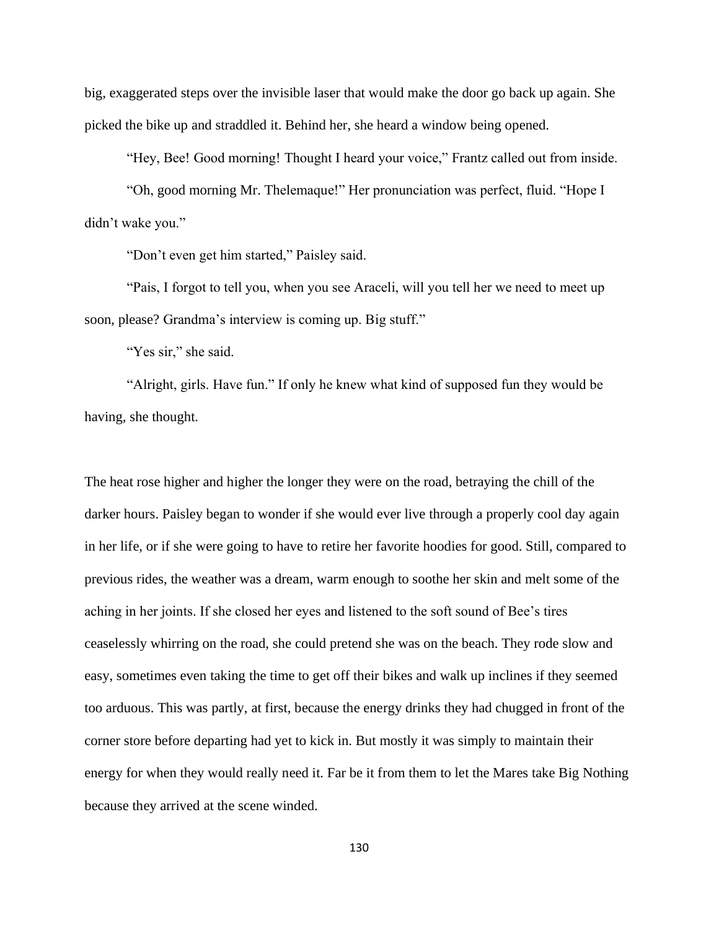big, exaggerated steps over the invisible laser that would make the door go back up again. She picked the bike up and straddled it. Behind her, she heard a window being opened.

"Hey, Bee! Good morning! Thought I heard your voice," Frantz called out from inside.

"Oh, good morning Mr. Thelemaque!" Her pronunciation was perfect, fluid. "Hope I didn't wake you."

"Don't even get him started," Paisley said.

"Pais, I forgot to tell you, when you see Araceli, will you tell her we need to meet up soon, please? Grandma's interview is coming up. Big stuff."

"Yes sir," she said.

"Alright, girls. Have fun." If only he knew what kind of supposed fun they would be having, she thought.

The heat rose higher and higher the longer they were on the road, betraying the chill of the darker hours. Paisley began to wonder if she would ever live through a properly cool day again in her life, or if she were going to have to retire her favorite hoodies for good. Still, compared to previous rides, the weather was a dream, warm enough to soothe her skin and melt some of the aching in her joints. If she closed her eyes and listened to the soft sound of Bee's tires ceaselessly whirring on the road, she could pretend she was on the beach. They rode slow and easy, sometimes even taking the time to get off their bikes and walk up inclines if they seemed too arduous. This was partly, at first, because the energy drinks they had chugged in front of the corner store before departing had yet to kick in. But mostly it was simply to maintain their energy for when they would really need it. Far be it from them to let the Mares take Big Nothing because they arrived at the scene winded.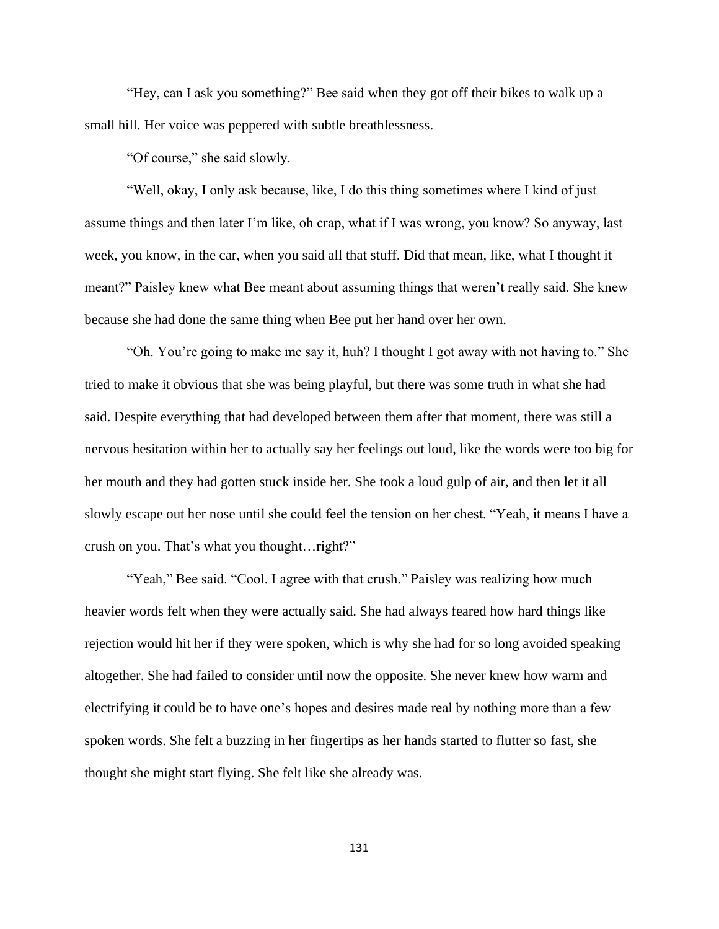"Hey, can I ask you something?" Bee said when they got off their bikes to walk up a small hill. Her voice was peppered with subtle breathlessness.

"Of course," she said slowly.

"Well, okay, I only ask because, like, I do this thing sometimes where I kind of just assume things and then later I'm like, oh crap, what if I was wrong, you know? So anyway, last week, you know, in the car, when you said all that stuff. Did that mean, like, what I thought it meant?" Paisley knew what Bee meant about assuming things that weren't really said. She knew because she had done the same thing when Bee put her hand over her own.

"Oh. You're going to make me say it, huh? I thought I got away with not having to." She tried to make it obvious that she was being playful, but there was some truth in what she had said. Despite everything that had developed between them after that moment, there was still a nervous hesitation within her to actually say her feelings out loud, like the words were too big for her mouth and they had gotten stuck inside her. She took a loud gulp of air, and then let it all slowly escape out her nose until she could feel the tension on her chest. "Yeah, it means I have a crush on you. That's what you thought…right?"

"Yeah," Bee said. "Cool. I agree with that crush." Paisley was realizing how much heavier words felt when they were actually said. She had always feared how hard things like rejection would hit her if they were spoken, which is why she had for so long avoided speaking altogether. She had failed to consider until now the opposite. She never knew how warm and electrifying it could be to have one's hopes and desires made real by nothing more than a few spoken words. She felt a buzzing in her fingertips as her hands started to flutter so fast, she thought she might start flying. She felt like she already was.

131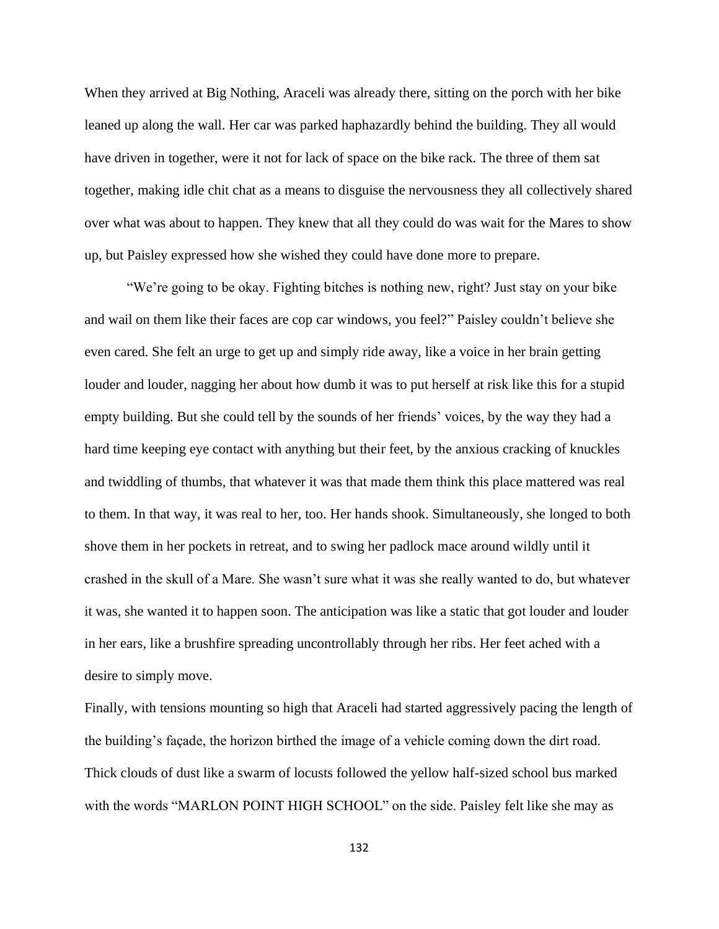When they arrived at Big Nothing, Araceli was already there, sitting on the porch with her bike leaned up along the wall. Her car was parked haphazardly behind the building. They all would have driven in together, were it not for lack of space on the bike rack. The three of them sat together, making idle chit chat as a means to disguise the nervousness they all collectively shared over what was about to happen. They knew that all they could do was wait for the Mares to show up, but Paisley expressed how she wished they could have done more to prepare.

"We're going to be okay. Fighting bitches is nothing new, right? Just stay on your bike and wail on them like their faces are cop car windows, you feel?" Paisley couldn't believe she even cared. She felt an urge to get up and simply ride away, like a voice in her brain getting louder and louder, nagging her about how dumb it was to put herself at risk like this for a stupid empty building. But she could tell by the sounds of her friends' voices, by the way they had a hard time keeping eye contact with anything but their feet, by the anxious cracking of knuckles and twiddling of thumbs, that whatever it was that made them think this place mattered was real to them. In that way, it was real to her, too. Her hands shook. Simultaneously, she longed to both shove them in her pockets in retreat, and to swing her padlock mace around wildly until it crashed in the skull of a Mare. She wasn't sure what it was she really wanted to do, but whatever it was, she wanted it to happen soon. The anticipation was like a static that got louder and louder in her ears, like a brushfire spreading uncontrollably through her ribs. Her feet ached with a desire to simply move.

Finally, with tensions mounting so high that Araceli had started aggressively pacing the length of the building's façade, the horizon birthed the image of a vehicle coming down the dirt road. Thick clouds of dust like a swarm of locusts followed the yellow half-sized school bus marked with the words "MARLON POINT HIGH SCHOOL" on the side. Paisley felt like she may as

132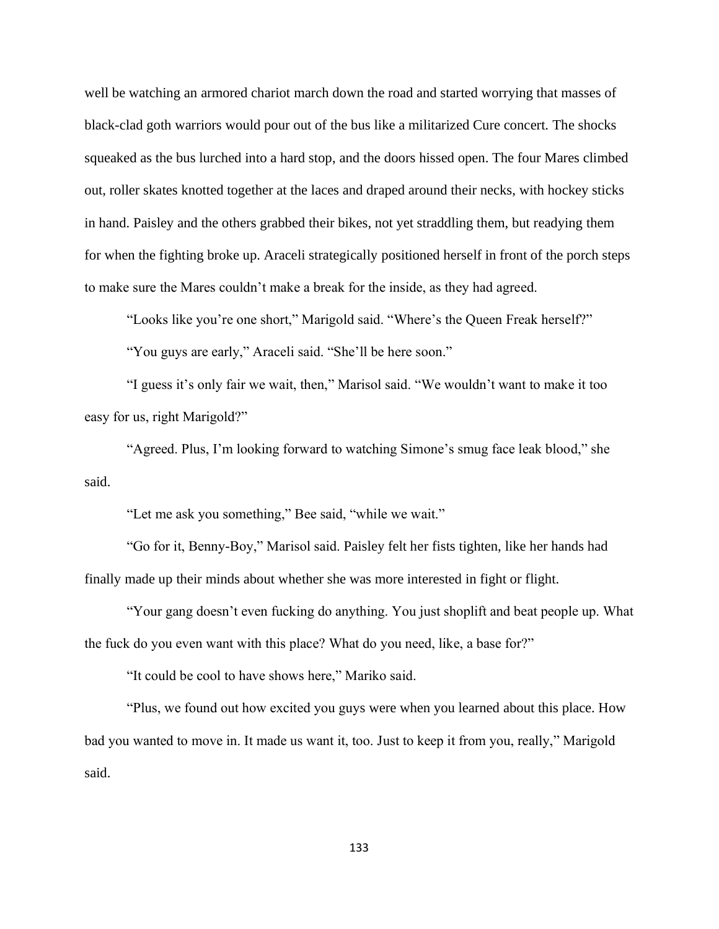well be watching an armored chariot march down the road and started worrying that masses of black-clad goth warriors would pour out of the bus like a militarized Cure concert. The shocks squeaked as the bus lurched into a hard stop, and the doors hissed open. The four Mares climbed out, roller skates knotted together at the laces and draped around their necks, with hockey sticks in hand. Paisley and the others grabbed their bikes, not yet straddling them, but readying them for when the fighting broke up. Araceli strategically positioned herself in front of the porch steps to make sure the Mares couldn't make a break for the inside, as they had agreed.

"Looks like you're one short," Marigold said. "Where's the Queen Freak herself?" "You guys are early," Araceli said. "She'll be here soon."

"I guess it's only fair we wait, then," Marisol said. "We wouldn't want to make it too easy for us, right Marigold?"

"Agreed. Plus, I'm looking forward to watching Simone's smug face leak blood," she said.

"Let me ask you something," Bee said, "while we wait."

"Go for it, Benny-Boy," Marisol said. Paisley felt her fists tighten, like her hands had finally made up their minds about whether she was more interested in fight or flight.

"Your gang doesn't even fucking do anything. You just shoplift and beat people up. What the fuck do you even want with this place? What do you need, like, a base for?"

"It could be cool to have shows here," Mariko said.

"Plus, we found out how excited you guys were when you learned about this place. How bad you wanted to move in. It made us want it, too. Just to keep it from you, really," Marigold said.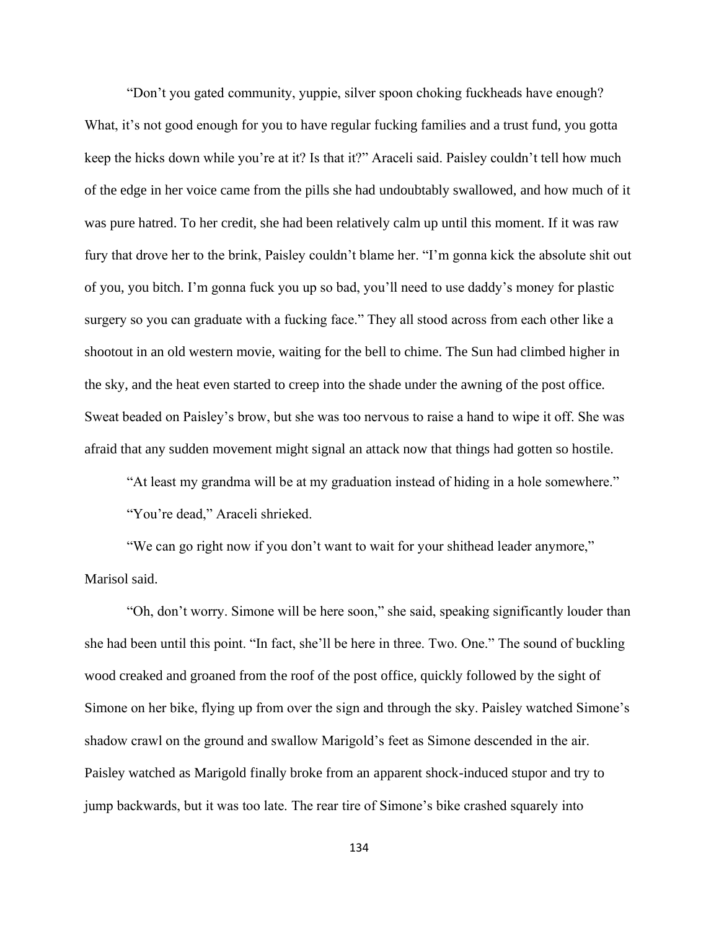"Don't you gated community, yuppie, silver spoon choking fuckheads have enough? What, it's not good enough for you to have regular fucking families and a trust fund, you gotta keep the hicks down while you're at it? Is that it?" Araceli said. Paisley couldn't tell how much of the edge in her voice came from the pills she had undoubtably swallowed, and how much of it was pure hatred. To her credit, she had been relatively calm up until this moment. If it was raw fury that drove her to the brink, Paisley couldn't blame her. "I'm gonna kick the absolute shit out of you, you bitch. I'm gonna fuck you up so bad, you'll need to use daddy's money for plastic surgery so you can graduate with a fucking face." They all stood across from each other like a shootout in an old western movie, waiting for the bell to chime. The Sun had climbed higher in the sky, and the heat even started to creep into the shade under the awning of the post office. Sweat beaded on Paisley's brow, but she was too nervous to raise a hand to wipe it off. She was afraid that any sudden movement might signal an attack now that things had gotten so hostile.

"At least my grandma will be at my graduation instead of hiding in a hole somewhere." "You're dead," Araceli shrieked.

"We can go right now if you don't want to wait for your shithead leader anymore," Marisol said.

"Oh, don't worry. Simone will be here soon," she said, speaking significantly louder than she had been until this point. "In fact, she'll be here in three. Two. One." The sound of buckling wood creaked and groaned from the roof of the post office, quickly followed by the sight of Simone on her bike, flying up from over the sign and through the sky. Paisley watched Simone's shadow crawl on the ground and swallow Marigold's feet as Simone descended in the air. Paisley watched as Marigold finally broke from an apparent shock-induced stupor and try to jump backwards, but it was too late. The rear tire of Simone's bike crashed squarely into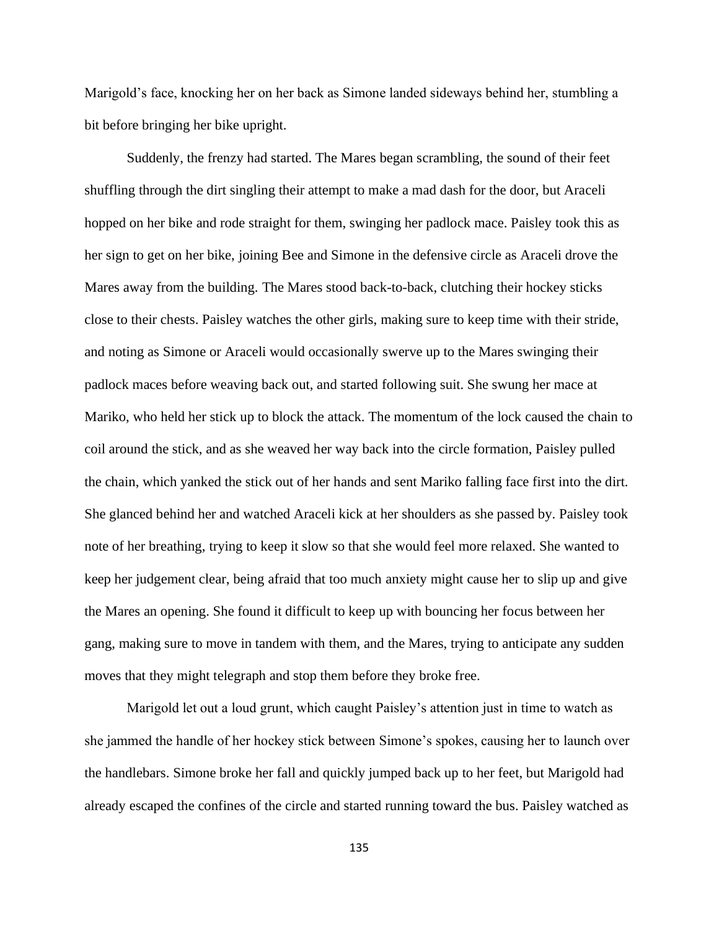Marigold's face, knocking her on her back as Simone landed sideways behind her, stumbling a bit before bringing her bike upright.

Suddenly, the frenzy had started. The Mares began scrambling, the sound of their feet shuffling through the dirt singling their attempt to make a mad dash for the door, but Araceli hopped on her bike and rode straight for them, swinging her padlock mace. Paisley took this as her sign to get on her bike, joining Bee and Simone in the defensive circle as Araceli drove the Mares away from the building. The Mares stood back-to-back, clutching their hockey sticks close to their chests. Paisley watches the other girls, making sure to keep time with their stride, and noting as Simone or Araceli would occasionally swerve up to the Mares swinging their padlock maces before weaving back out, and started following suit. She swung her mace at Mariko, who held her stick up to block the attack. The momentum of the lock caused the chain to coil around the stick, and as she weaved her way back into the circle formation, Paisley pulled the chain, which yanked the stick out of her hands and sent Mariko falling face first into the dirt. She glanced behind her and watched Araceli kick at her shoulders as she passed by. Paisley took note of her breathing, trying to keep it slow so that she would feel more relaxed. She wanted to keep her judgement clear, being afraid that too much anxiety might cause her to slip up and give the Mares an opening. She found it difficult to keep up with bouncing her focus between her gang, making sure to move in tandem with them, and the Mares, trying to anticipate any sudden moves that they might telegraph and stop them before they broke free.

Marigold let out a loud grunt, which caught Paisley's attention just in time to watch as she jammed the handle of her hockey stick between Simone's spokes, causing her to launch over the handlebars. Simone broke her fall and quickly jumped back up to her feet, but Marigold had already escaped the confines of the circle and started running toward the bus. Paisley watched as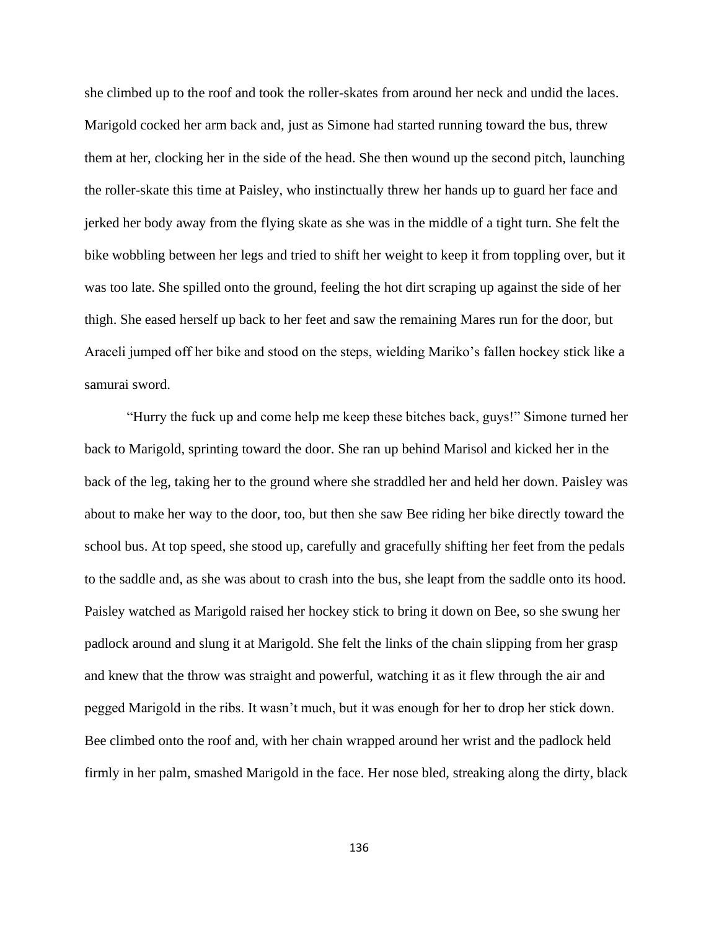she climbed up to the roof and took the roller-skates from around her neck and undid the laces. Marigold cocked her arm back and, just as Simone had started running toward the bus, threw them at her, clocking her in the side of the head. She then wound up the second pitch, launching the roller-skate this time at Paisley, who instinctually threw her hands up to guard her face and jerked her body away from the flying skate as she was in the middle of a tight turn. She felt the bike wobbling between her legs and tried to shift her weight to keep it from toppling over, but it was too late. She spilled onto the ground, feeling the hot dirt scraping up against the side of her thigh. She eased herself up back to her feet and saw the remaining Mares run for the door, but Araceli jumped off her bike and stood on the steps, wielding Mariko's fallen hockey stick like a samurai sword.

"Hurry the fuck up and come help me keep these bitches back, guys!" Simone turned her back to Marigold, sprinting toward the door. She ran up behind Marisol and kicked her in the back of the leg, taking her to the ground where she straddled her and held her down. Paisley was about to make her way to the door, too, but then she saw Bee riding her bike directly toward the school bus. At top speed, she stood up, carefully and gracefully shifting her feet from the pedals to the saddle and, as she was about to crash into the bus, she leapt from the saddle onto its hood. Paisley watched as Marigold raised her hockey stick to bring it down on Bee, so she swung her padlock around and slung it at Marigold. She felt the links of the chain slipping from her grasp and knew that the throw was straight and powerful, watching it as it flew through the air and pegged Marigold in the ribs. It wasn't much, but it was enough for her to drop her stick down. Bee climbed onto the roof and, with her chain wrapped around her wrist and the padlock held firmly in her palm, smashed Marigold in the face. Her nose bled, streaking along the dirty, black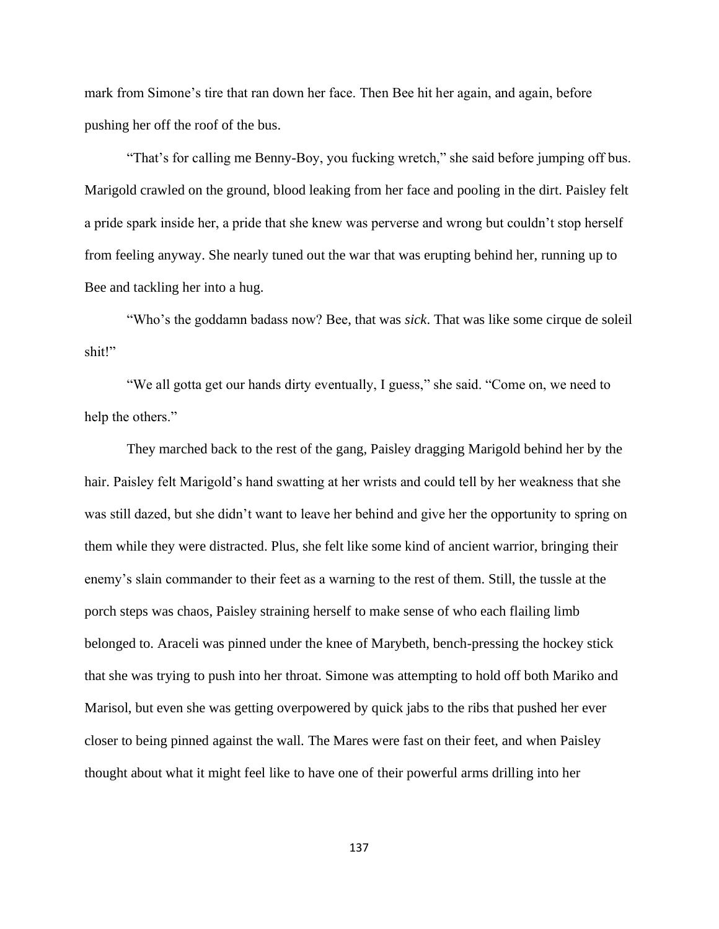mark from Simone's tire that ran down her face. Then Bee hit her again, and again, before pushing her off the roof of the bus.

"That's for calling me Benny-Boy, you fucking wretch," she said before jumping off bus. Marigold crawled on the ground, blood leaking from her face and pooling in the dirt. Paisley felt a pride spark inside her, a pride that she knew was perverse and wrong but couldn't stop herself from feeling anyway. She nearly tuned out the war that was erupting behind her, running up to Bee and tackling her into a hug.

"Who's the goddamn badass now? Bee, that was *sick*. That was like some cirque de soleil shit!"

"We all gotta get our hands dirty eventually, I guess," she said. "Come on, we need to help the others."

They marched back to the rest of the gang, Paisley dragging Marigold behind her by the hair. Paisley felt Marigold's hand swatting at her wrists and could tell by her weakness that she was still dazed, but she didn't want to leave her behind and give her the opportunity to spring on them while they were distracted. Plus, she felt like some kind of ancient warrior, bringing their enemy's slain commander to their feet as a warning to the rest of them. Still, the tussle at the porch steps was chaos, Paisley straining herself to make sense of who each flailing limb belonged to. Araceli was pinned under the knee of Marybeth, bench-pressing the hockey stick that she was trying to push into her throat. Simone was attempting to hold off both Mariko and Marisol, but even she was getting overpowered by quick jabs to the ribs that pushed her ever closer to being pinned against the wall. The Mares were fast on their feet, and when Paisley thought about what it might feel like to have one of their powerful arms drilling into her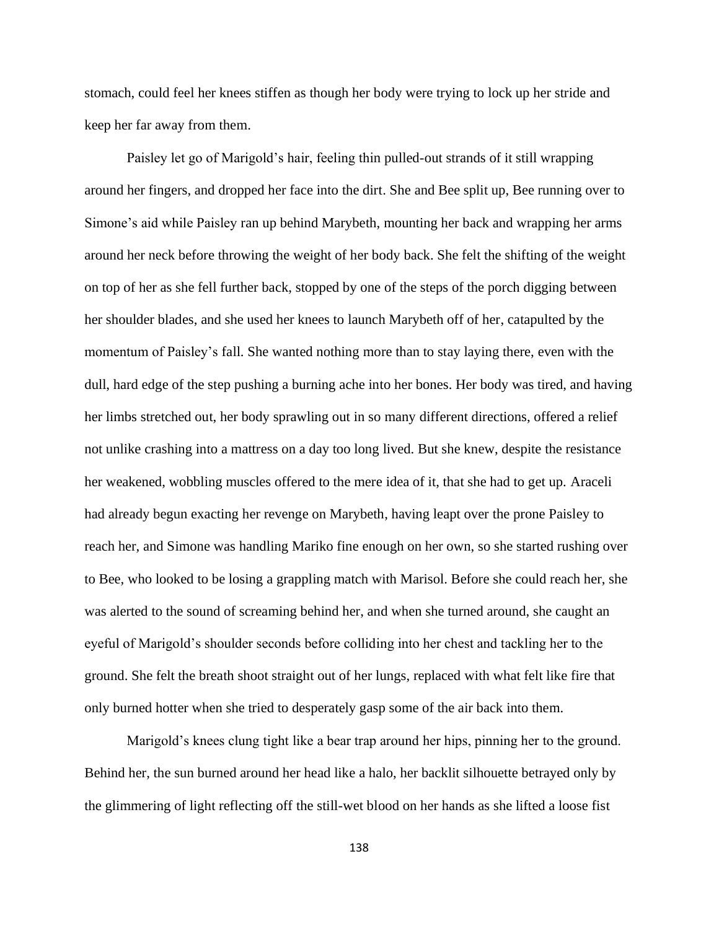stomach, could feel her knees stiffen as though her body were trying to lock up her stride and keep her far away from them.

Paisley let go of Marigold's hair, feeling thin pulled-out strands of it still wrapping around her fingers, and dropped her face into the dirt. She and Bee split up, Bee running over to Simone's aid while Paisley ran up behind Marybeth, mounting her back and wrapping her arms around her neck before throwing the weight of her body back. She felt the shifting of the weight on top of her as she fell further back, stopped by one of the steps of the porch digging between her shoulder blades, and she used her knees to launch Marybeth off of her, catapulted by the momentum of Paisley's fall. She wanted nothing more than to stay laying there, even with the dull, hard edge of the step pushing a burning ache into her bones. Her body was tired, and having her limbs stretched out, her body sprawling out in so many different directions, offered a relief not unlike crashing into a mattress on a day too long lived. But she knew, despite the resistance her weakened, wobbling muscles offered to the mere idea of it, that she had to get up. Araceli had already begun exacting her revenge on Marybeth, having leapt over the prone Paisley to reach her, and Simone was handling Mariko fine enough on her own, so she started rushing over to Bee, who looked to be losing a grappling match with Marisol. Before she could reach her, she was alerted to the sound of screaming behind her, and when she turned around, she caught an eyeful of Marigold's shoulder seconds before colliding into her chest and tackling her to the ground. She felt the breath shoot straight out of her lungs, replaced with what felt like fire that only burned hotter when she tried to desperately gasp some of the air back into them.

Marigold's knees clung tight like a bear trap around her hips, pinning her to the ground. Behind her, the sun burned around her head like a halo, her backlit silhouette betrayed only by the glimmering of light reflecting off the still-wet blood on her hands as she lifted a loose fist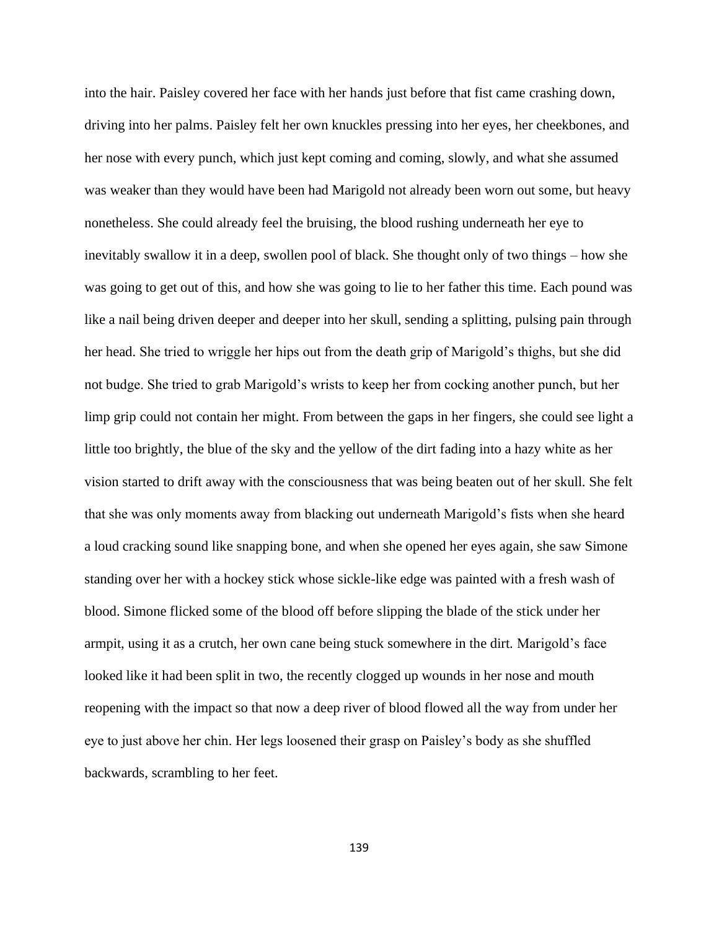into the hair. Paisley covered her face with her hands just before that fist came crashing down, driving into her palms. Paisley felt her own knuckles pressing into her eyes, her cheekbones, and her nose with every punch, which just kept coming and coming, slowly, and what she assumed was weaker than they would have been had Marigold not already been worn out some, but heavy nonetheless. She could already feel the bruising, the blood rushing underneath her eye to inevitably swallow it in a deep, swollen pool of black. She thought only of two things – how she was going to get out of this, and how she was going to lie to her father this time. Each pound was like a nail being driven deeper and deeper into her skull, sending a splitting, pulsing pain through her head. She tried to wriggle her hips out from the death grip of Marigold's thighs, but she did not budge. She tried to grab Marigold's wrists to keep her from cocking another punch, but her limp grip could not contain her might. From between the gaps in her fingers, she could see light a little too brightly, the blue of the sky and the yellow of the dirt fading into a hazy white as her vision started to drift away with the consciousness that was being beaten out of her skull. She felt that she was only moments away from blacking out underneath Marigold's fists when she heard a loud cracking sound like snapping bone, and when she opened her eyes again, she saw Simone standing over her with a hockey stick whose sickle-like edge was painted with a fresh wash of blood. Simone flicked some of the blood off before slipping the blade of the stick under her armpit, using it as a crutch, her own cane being stuck somewhere in the dirt. Marigold's face looked like it had been split in two, the recently clogged up wounds in her nose and mouth reopening with the impact so that now a deep river of blood flowed all the way from under her eye to just above her chin. Her legs loosened their grasp on Paisley's body as she shuffled backwards, scrambling to her feet.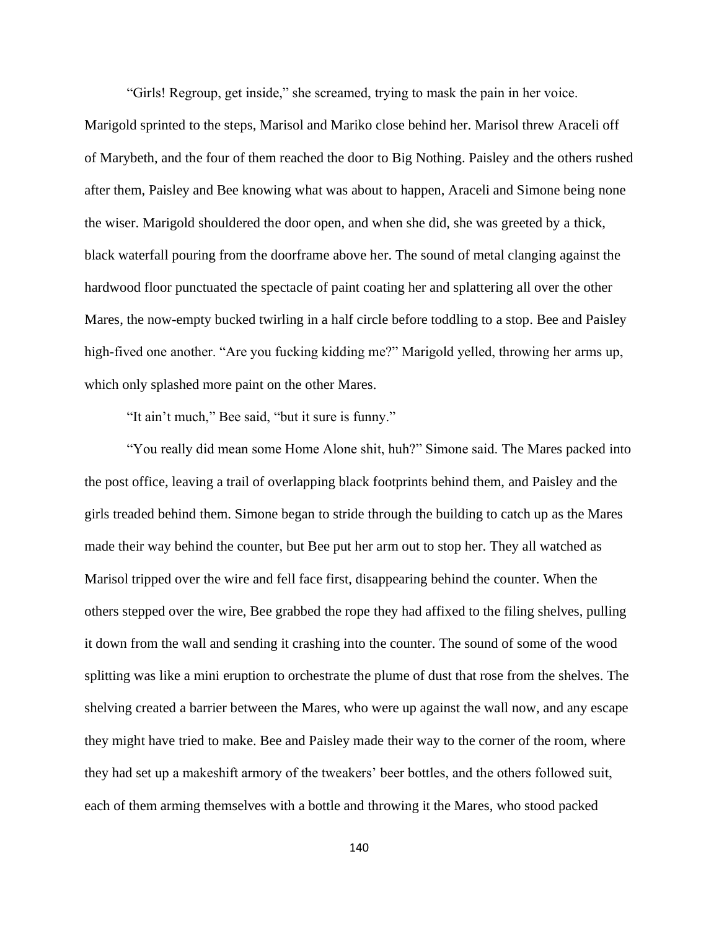"Girls! Regroup, get inside," she screamed, trying to mask the pain in her voice.

Marigold sprinted to the steps, Marisol and Mariko close behind her. Marisol threw Araceli off of Marybeth, and the four of them reached the door to Big Nothing. Paisley and the others rushed after them, Paisley and Bee knowing what was about to happen, Araceli and Simone being none the wiser. Marigold shouldered the door open, and when she did, she was greeted by a thick, black waterfall pouring from the doorframe above her. The sound of metal clanging against the hardwood floor punctuated the spectacle of paint coating her and splattering all over the other Mares, the now-empty bucked twirling in a half circle before toddling to a stop. Bee and Paisley high-fived one another. "Are you fucking kidding me?" Marigold yelled, throwing her arms up, which only splashed more paint on the other Mares.

"It ain't much," Bee said, "but it sure is funny."

"You really did mean some Home Alone shit, huh?" Simone said. The Mares packed into the post office, leaving a trail of overlapping black footprints behind them, and Paisley and the girls treaded behind them. Simone began to stride through the building to catch up as the Mares made their way behind the counter, but Bee put her arm out to stop her. They all watched as Marisol tripped over the wire and fell face first, disappearing behind the counter. When the others stepped over the wire, Bee grabbed the rope they had affixed to the filing shelves, pulling it down from the wall and sending it crashing into the counter. The sound of some of the wood splitting was like a mini eruption to orchestrate the plume of dust that rose from the shelves. The shelving created a barrier between the Mares, who were up against the wall now, and any escape they might have tried to make. Bee and Paisley made their way to the corner of the room, where they had set up a makeshift armory of the tweakers' beer bottles, and the others followed suit, each of them arming themselves with a bottle and throwing it the Mares, who stood packed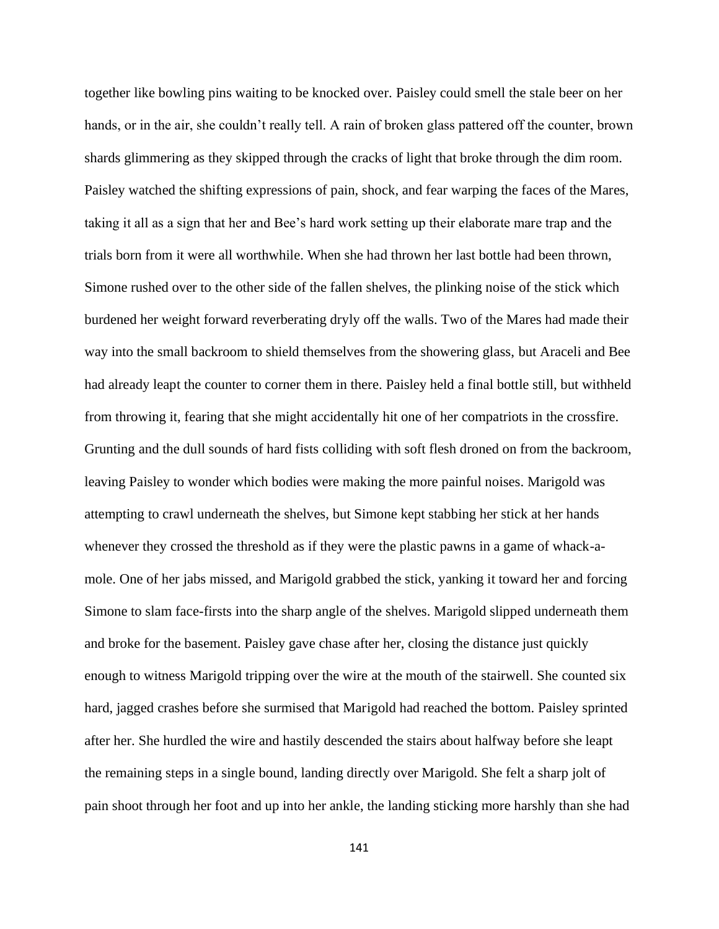together like bowling pins waiting to be knocked over. Paisley could smell the stale beer on her hands, or in the air, she couldn't really tell. A rain of broken glass pattered off the counter, brown shards glimmering as they skipped through the cracks of light that broke through the dim room. Paisley watched the shifting expressions of pain, shock, and fear warping the faces of the Mares, taking it all as a sign that her and Bee's hard work setting up their elaborate mare trap and the trials born from it were all worthwhile. When she had thrown her last bottle had been thrown, Simone rushed over to the other side of the fallen shelves, the plinking noise of the stick which burdened her weight forward reverberating dryly off the walls. Two of the Mares had made their way into the small backroom to shield themselves from the showering glass, but Araceli and Bee had already leapt the counter to corner them in there. Paisley held a final bottle still, but withheld from throwing it, fearing that she might accidentally hit one of her compatriots in the crossfire. Grunting and the dull sounds of hard fists colliding with soft flesh droned on from the backroom, leaving Paisley to wonder which bodies were making the more painful noises. Marigold was attempting to crawl underneath the shelves, but Simone kept stabbing her stick at her hands whenever they crossed the threshold as if they were the plastic pawns in a game of whack-amole. One of her jabs missed, and Marigold grabbed the stick, yanking it toward her and forcing Simone to slam face-firsts into the sharp angle of the shelves. Marigold slipped underneath them and broke for the basement. Paisley gave chase after her, closing the distance just quickly enough to witness Marigold tripping over the wire at the mouth of the stairwell. She counted six hard, jagged crashes before she surmised that Marigold had reached the bottom. Paisley sprinted after her. She hurdled the wire and hastily descended the stairs about halfway before she leapt the remaining steps in a single bound, landing directly over Marigold. She felt a sharp jolt of pain shoot through her foot and up into her ankle, the landing sticking more harshly than she had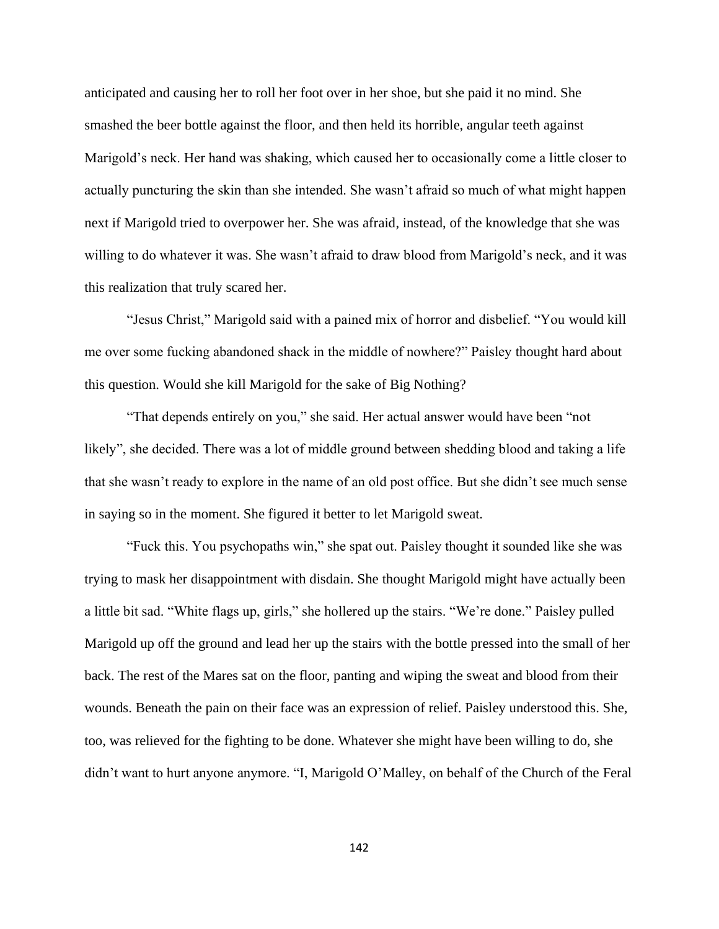anticipated and causing her to roll her foot over in her shoe, but she paid it no mind. She smashed the beer bottle against the floor, and then held its horrible, angular teeth against Marigold's neck. Her hand was shaking, which caused her to occasionally come a little closer to actually puncturing the skin than she intended. She wasn't afraid so much of what might happen next if Marigold tried to overpower her. She was afraid, instead, of the knowledge that she was willing to do whatever it was. She wasn't afraid to draw blood from Marigold's neck, and it was this realization that truly scared her.

"Jesus Christ," Marigold said with a pained mix of horror and disbelief. "You would kill me over some fucking abandoned shack in the middle of nowhere?" Paisley thought hard about this question. Would she kill Marigold for the sake of Big Nothing?

"That depends entirely on you," she said. Her actual answer would have been "not likely", she decided. There was a lot of middle ground between shedding blood and taking a life that she wasn't ready to explore in the name of an old post office. But she didn't see much sense in saying so in the moment. She figured it better to let Marigold sweat.

"Fuck this. You psychopaths win," she spat out. Paisley thought it sounded like she was trying to mask her disappointment with disdain. She thought Marigold might have actually been a little bit sad. "White flags up, girls," she hollered up the stairs. "We're done." Paisley pulled Marigold up off the ground and lead her up the stairs with the bottle pressed into the small of her back. The rest of the Mares sat on the floor, panting and wiping the sweat and blood from their wounds. Beneath the pain on their face was an expression of relief. Paisley understood this. She, too, was relieved for the fighting to be done. Whatever she might have been willing to do, she didn't want to hurt anyone anymore. "I, Marigold O'Malley, on behalf of the Church of the Feral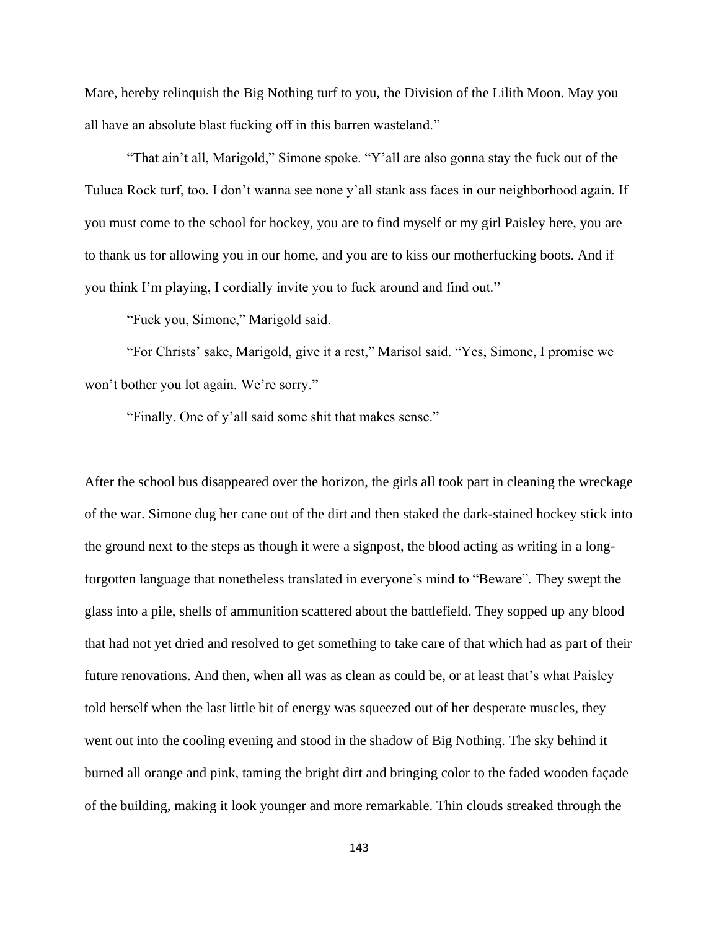Mare, hereby relinquish the Big Nothing turf to you, the Division of the Lilith Moon. May you all have an absolute blast fucking off in this barren wasteland."

"That ain't all, Marigold," Simone spoke. "Y'all are also gonna stay the fuck out of the Tuluca Rock turf, too. I don't wanna see none y'all stank ass faces in our neighborhood again. If you must come to the school for hockey, you are to find myself or my girl Paisley here, you are to thank us for allowing you in our home, and you are to kiss our motherfucking boots. And if you think I'm playing, I cordially invite you to fuck around and find out."

"Fuck you, Simone," Marigold said.

"For Christs' sake, Marigold, give it a rest," Marisol said. "Yes, Simone, I promise we won't bother you lot again. We're sorry."

"Finally. One of y'all said some shit that makes sense."

After the school bus disappeared over the horizon, the girls all took part in cleaning the wreckage of the war. Simone dug her cane out of the dirt and then staked the dark-stained hockey stick into the ground next to the steps as though it were a signpost, the blood acting as writing in a longforgotten language that nonetheless translated in everyone's mind to "Beware". They swept the glass into a pile, shells of ammunition scattered about the battlefield. They sopped up any blood that had not yet dried and resolved to get something to take care of that which had as part of their future renovations. And then, when all was as clean as could be, or at least that's what Paisley told herself when the last little bit of energy was squeezed out of her desperate muscles, they went out into the cooling evening and stood in the shadow of Big Nothing. The sky behind it burned all orange and pink, taming the bright dirt and bringing color to the faded wooden façade of the building, making it look younger and more remarkable. Thin clouds streaked through the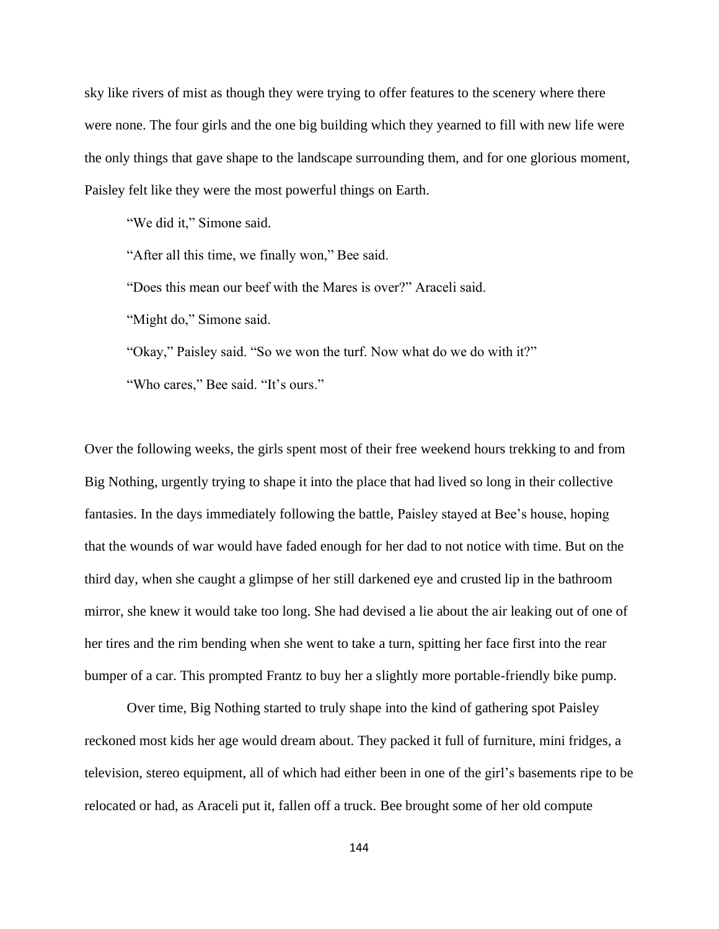sky like rivers of mist as though they were trying to offer features to the scenery where there were none. The four girls and the one big building which they yearned to fill with new life were the only things that gave shape to the landscape surrounding them, and for one glorious moment, Paisley felt like they were the most powerful things on Earth.

"We did it," Simone said.

"After all this time, we finally won," Bee said.

"Does this mean our beef with the Mares is over?" Araceli said.

"Might do," Simone said.

"Okay," Paisley said. "So we won the turf. Now what do we do with it?"

"Who cares," Bee said. "It's ours."

Over the following weeks, the girls spent most of their free weekend hours trekking to and from Big Nothing, urgently trying to shape it into the place that had lived so long in their collective fantasies. In the days immediately following the battle, Paisley stayed at Bee's house, hoping that the wounds of war would have faded enough for her dad to not notice with time. But on the third day, when she caught a glimpse of her still darkened eye and crusted lip in the bathroom mirror, she knew it would take too long. She had devised a lie about the air leaking out of one of her tires and the rim bending when she went to take a turn, spitting her face first into the rear bumper of a car. This prompted Frantz to buy her a slightly more portable-friendly bike pump.

Over time, Big Nothing started to truly shape into the kind of gathering spot Paisley reckoned most kids her age would dream about. They packed it full of furniture, mini fridges, a television, stereo equipment, all of which had either been in one of the girl's basements ripe to be relocated or had, as Araceli put it, fallen off a truck. Bee brought some of her old compute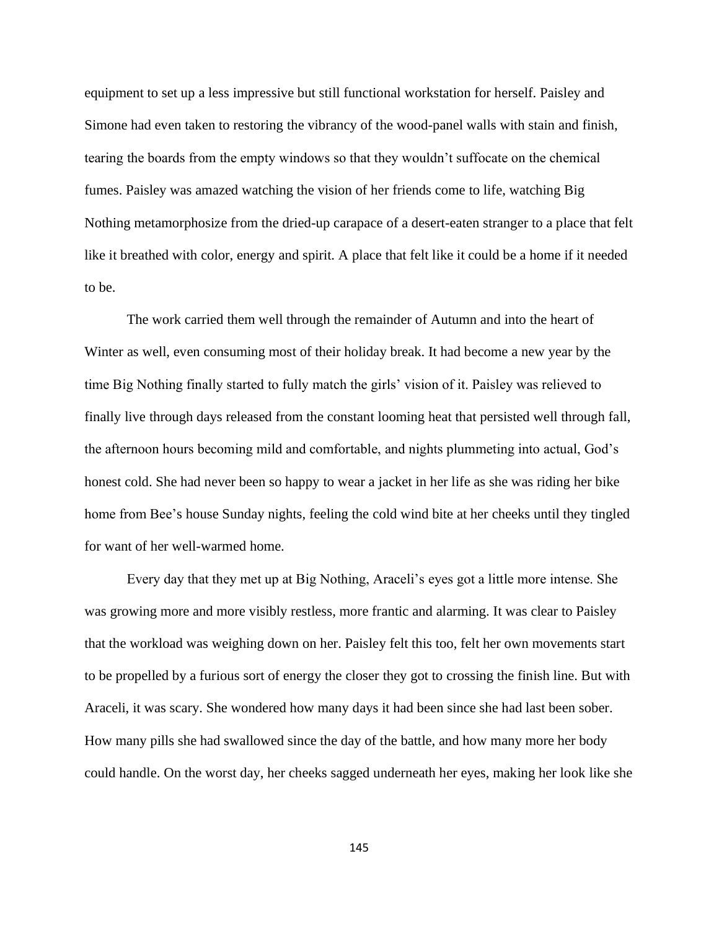equipment to set up a less impressive but still functional workstation for herself. Paisley and Simone had even taken to restoring the vibrancy of the wood-panel walls with stain and finish, tearing the boards from the empty windows so that they wouldn't suffocate on the chemical fumes. Paisley was amazed watching the vision of her friends come to life, watching Big Nothing metamorphosize from the dried-up carapace of a desert-eaten stranger to a place that felt like it breathed with color, energy and spirit. A place that felt like it could be a home if it needed to be.

The work carried them well through the remainder of Autumn and into the heart of Winter as well, even consuming most of their holiday break. It had become a new year by the time Big Nothing finally started to fully match the girls' vision of it. Paisley was relieved to finally live through days released from the constant looming heat that persisted well through fall, the afternoon hours becoming mild and comfortable, and nights plummeting into actual, God's honest cold. She had never been so happy to wear a jacket in her life as she was riding her bike home from Bee's house Sunday nights, feeling the cold wind bite at her cheeks until they tingled for want of her well-warmed home.

Every day that they met up at Big Nothing, Araceli's eyes got a little more intense. She was growing more and more visibly restless, more frantic and alarming. It was clear to Paisley that the workload was weighing down on her. Paisley felt this too, felt her own movements start to be propelled by a furious sort of energy the closer they got to crossing the finish line. But with Araceli, it was scary. She wondered how many days it had been since she had last been sober. How many pills she had swallowed since the day of the battle, and how many more her body could handle. On the worst day, her cheeks sagged underneath her eyes, making her look like she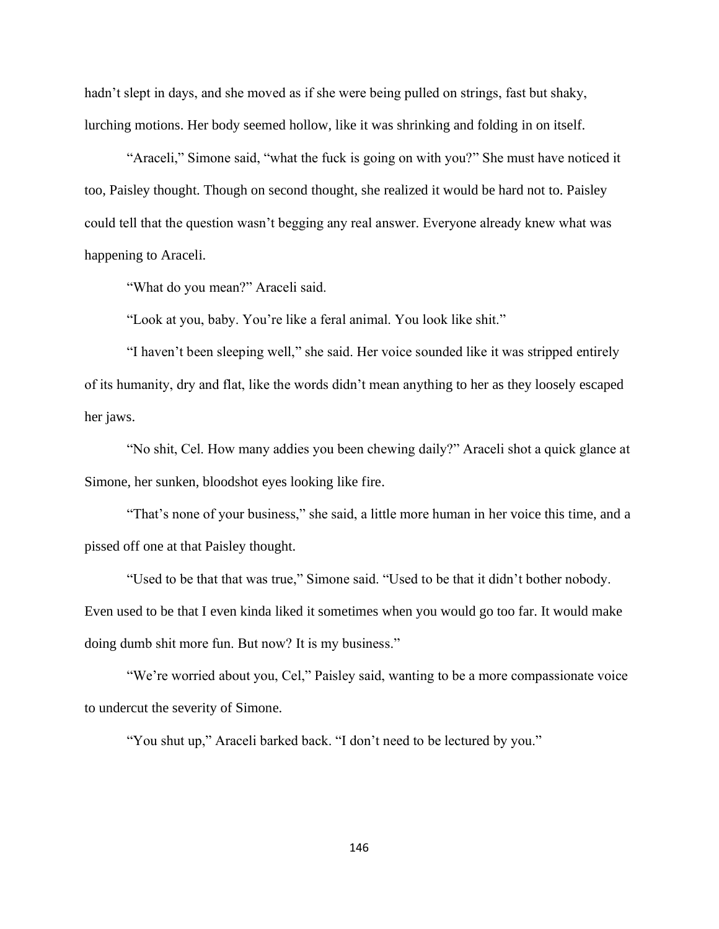hadn't slept in days, and she moved as if she were being pulled on strings, fast but shaky, lurching motions. Her body seemed hollow, like it was shrinking and folding in on itself.

"Araceli," Simone said, "what the fuck is going on with you?" She must have noticed it too, Paisley thought. Though on second thought, she realized it would be hard not to. Paisley could tell that the question wasn't begging any real answer. Everyone already knew what was happening to Araceli.

"What do you mean?" Araceli said.

"Look at you, baby. You're like a feral animal. You look like shit."

"I haven't been sleeping well," she said. Her voice sounded like it was stripped entirely of its humanity, dry and flat, like the words didn't mean anything to her as they loosely escaped her jaws.

"No shit, Cel. How many addies you been chewing daily?" Araceli shot a quick glance at Simone, her sunken, bloodshot eyes looking like fire.

"That's none of your business," she said, a little more human in her voice this time, and a pissed off one at that Paisley thought.

"Used to be that that was true," Simone said. "Used to be that it didn't bother nobody. Even used to be that I even kinda liked it sometimes when you would go too far. It would make doing dumb shit more fun. But now? It is my business."

"We're worried about you, Cel," Paisley said, wanting to be a more compassionate voice to undercut the severity of Simone.

"You shut up," Araceli barked back. "I don't need to be lectured by you."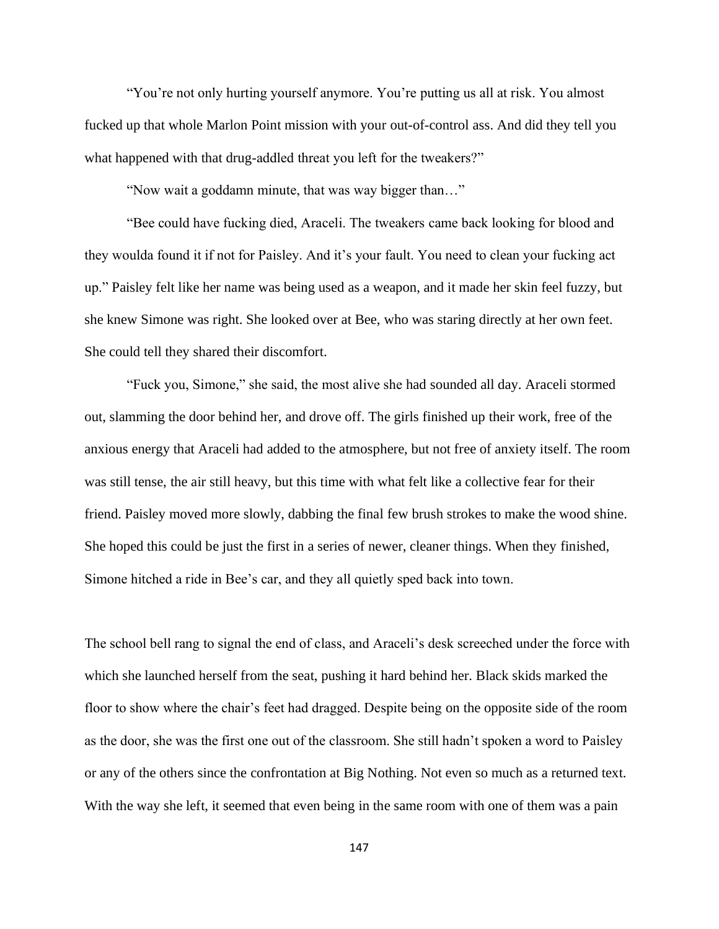"You're not only hurting yourself anymore. You're putting us all at risk. You almost fucked up that whole Marlon Point mission with your out-of-control ass. And did they tell you what happened with that drug-addled threat you left for the tweakers?"

"Now wait a goddamn minute, that was way bigger than…"

"Bee could have fucking died, Araceli. The tweakers came back looking for blood and they woulda found it if not for Paisley. And it's your fault. You need to clean your fucking act up." Paisley felt like her name was being used as a weapon, and it made her skin feel fuzzy, but she knew Simone was right. She looked over at Bee, who was staring directly at her own feet. She could tell they shared their discomfort.

"Fuck you, Simone," she said, the most alive she had sounded all day. Araceli stormed out, slamming the door behind her, and drove off. The girls finished up their work, free of the anxious energy that Araceli had added to the atmosphere, but not free of anxiety itself. The room was still tense, the air still heavy, but this time with what felt like a collective fear for their friend. Paisley moved more slowly, dabbing the final few brush strokes to make the wood shine. She hoped this could be just the first in a series of newer, cleaner things. When they finished, Simone hitched a ride in Bee's car, and they all quietly sped back into town.

The school bell rang to signal the end of class, and Araceli's desk screeched under the force with which she launched herself from the seat, pushing it hard behind her. Black skids marked the floor to show where the chair's feet had dragged. Despite being on the opposite side of the room as the door, she was the first one out of the classroom. She still hadn't spoken a word to Paisley or any of the others since the confrontation at Big Nothing. Not even so much as a returned text. With the way she left, it seemed that even being in the same room with one of them was a pain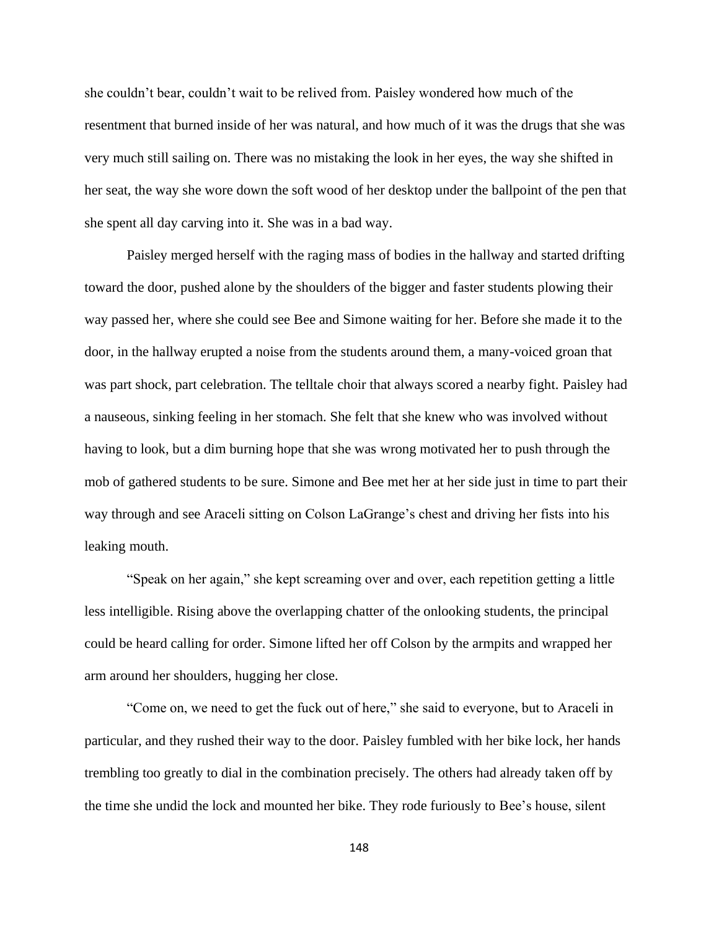she couldn't bear, couldn't wait to be relived from. Paisley wondered how much of the resentment that burned inside of her was natural, and how much of it was the drugs that she was very much still sailing on. There was no mistaking the look in her eyes, the way she shifted in her seat, the way she wore down the soft wood of her desktop under the ballpoint of the pen that she spent all day carving into it. She was in a bad way.

Paisley merged herself with the raging mass of bodies in the hallway and started drifting toward the door, pushed alone by the shoulders of the bigger and faster students plowing their way passed her, where she could see Bee and Simone waiting for her. Before she made it to the door, in the hallway erupted a noise from the students around them, a many-voiced groan that was part shock, part celebration. The telltale choir that always scored a nearby fight. Paisley had a nauseous, sinking feeling in her stomach. She felt that she knew who was involved without having to look, but a dim burning hope that she was wrong motivated her to push through the mob of gathered students to be sure. Simone and Bee met her at her side just in time to part their way through and see Araceli sitting on Colson LaGrange's chest and driving her fists into his leaking mouth.

"Speak on her again," she kept screaming over and over, each repetition getting a little less intelligible. Rising above the overlapping chatter of the onlooking students, the principal could be heard calling for order. Simone lifted her off Colson by the armpits and wrapped her arm around her shoulders, hugging her close.

"Come on, we need to get the fuck out of here," she said to everyone, but to Araceli in particular, and they rushed their way to the door. Paisley fumbled with her bike lock, her hands trembling too greatly to dial in the combination precisely. The others had already taken off by the time she undid the lock and mounted her bike. They rode furiously to Bee's house, silent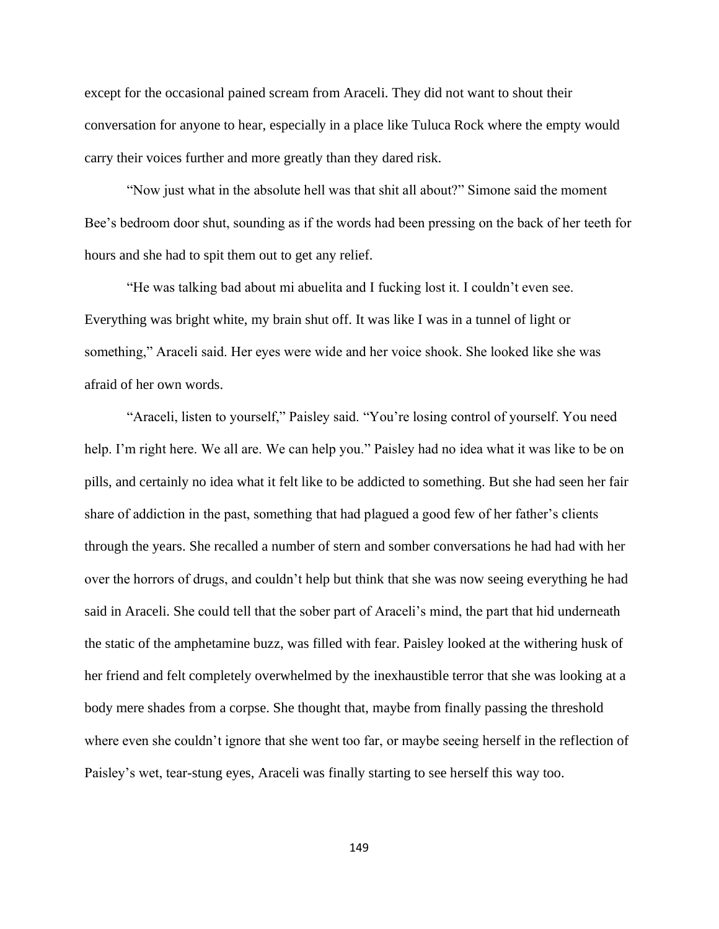except for the occasional pained scream from Araceli. They did not want to shout their conversation for anyone to hear, especially in a place like Tuluca Rock where the empty would carry their voices further and more greatly than they dared risk.

"Now just what in the absolute hell was that shit all about?" Simone said the moment Bee's bedroom door shut, sounding as if the words had been pressing on the back of her teeth for hours and she had to spit them out to get any relief.

"He was talking bad about mi abuelita and I fucking lost it. I couldn't even see. Everything was bright white, my brain shut off. It was like I was in a tunnel of light or something," Araceli said. Her eyes were wide and her voice shook. She looked like she was afraid of her own words.

"Araceli, listen to yourself," Paisley said. "You're losing control of yourself. You need help. I'm right here. We all are. We can help you." Paisley had no idea what it was like to be on pills, and certainly no idea what it felt like to be addicted to something. But she had seen her fair share of addiction in the past, something that had plagued a good few of her father's clients through the years. She recalled a number of stern and somber conversations he had had with her over the horrors of drugs, and couldn't help but think that she was now seeing everything he had said in Araceli. She could tell that the sober part of Araceli's mind, the part that hid underneath the static of the amphetamine buzz, was filled with fear. Paisley looked at the withering husk of her friend and felt completely overwhelmed by the inexhaustible terror that she was looking at a body mere shades from a corpse. She thought that, maybe from finally passing the threshold where even she couldn't ignore that she went too far, or maybe seeing herself in the reflection of Paisley's wet, tear-stung eyes, Araceli was finally starting to see herself this way too.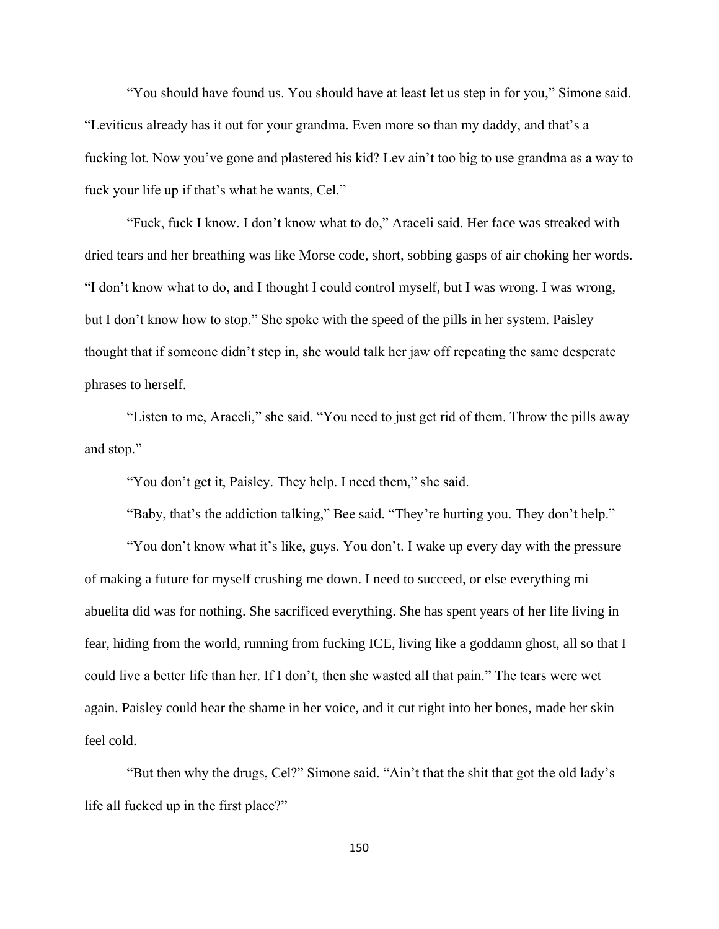"You should have found us. You should have at least let us step in for you," Simone said. "Leviticus already has it out for your grandma. Even more so than my daddy, and that's a fucking lot. Now you've gone and plastered his kid? Lev ain't too big to use grandma as a way to fuck your life up if that's what he wants, Cel."

"Fuck, fuck I know. I don't know what to do," Araceli said. Her face was streaked with dried tears and her breathing was like Morse code, short, sobbing gasps of air choking her words. "I don't know what to do, and I thought I could control myself, but I was wrong. I was wrong, but I don't know how to stop." She spoke with the speed of the pills in her system. Paisley thought that if someone didn't step in, she would talk her jaw off repeating the same desperate phrases to herself.

"Listen to me, Araceli," she said. "You need to just get rid of them. Throw the pills away and stop."

"You don't get it, Paisley. They help. I need them," she said.

"Baby, that's the addiction talking," Bee said. "They're hurting you. They don't help."

"You don't know what it's like, guys. You don't. I wake up every day with the pressure of making a future for myself crushing me down. I need to succeed, or else everything mi abuelita did was for nothing. She sacrificed everything. She has spent years of her life living in fear, hiding from the world, running from fucking ICE, living like a goddamn ghost, all so that I could live a better life than her. If I don't, then she wasted all that pain." The tears were wet again. Paisley could hear the shame in her voice, and it cut right into her bones, made her skin feel cold.

"But then why the drugs, Cel?" Simone said. "Ain't that the shit that got the old lady's life all fucked up in the first place?"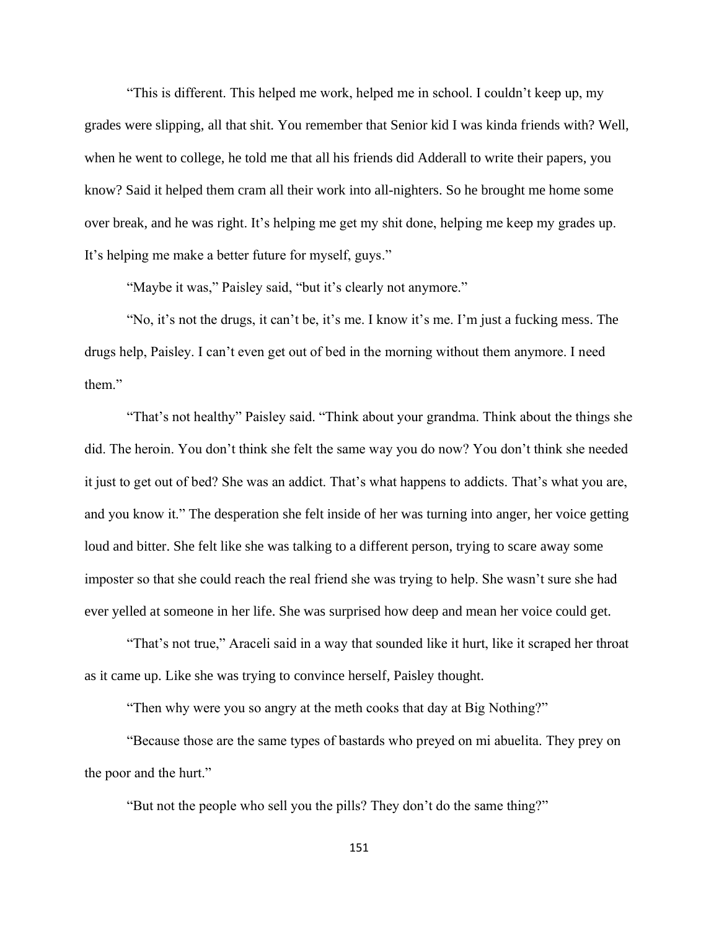"This is different. This helped me work, helped me in school. I couldn't keep up, my grades were slipping, all that shit. You remember that Senior kid I was kinda friends with? Well, when he went to college, he told me that all his friends did Adderall to write their papers, you know? Said it helped them cram all their work into all-nighters. So he brought me home some over break, and he was right. It's helping me get my shit done, helping me keep my grades up. It's helping me make a better future for myself, guys."

"Maybe it was," Paisley said, "but it's clearly not anymore."

"No, it's not the drugs, it can't be, it's me. I know it's me. I'm just a fucking mess. The drugs help, Paisley. I can't even get out of bed in the morning without them anymore. I need them."

"That's not healthy" Paisley said. "Think about your grandma. Think about the things she did. The heroin. You don't think she felt the same way you do now? You don't think she needed it just to get out of bed? She was an addict. That's what happens to addicts. That's what you are, and you know it." The desperation she felt inside of her was turning into anger, her voice getting loud and bitter. She felt like she was talking to a different person, trying to scare away some imposter so that she could reach the real friend she was trying to help. She wasn't sure she had ever yelled at someone in her life. She was surprised how deep and mean her voice could get.

"That's not true," Araceli said in a way that sounded like it hurt, like it scraped her throat as it came up. Like she was trying to convince herself, Paisley thought.

"Then why were you so angry at the meth cooks that day at Big Nothing?"

"Because those are the same types of bastards who preyed on mi abuelita. They prey on the poor and the hurt."

"But not the people who sell you the pills? They don't do the same thing?"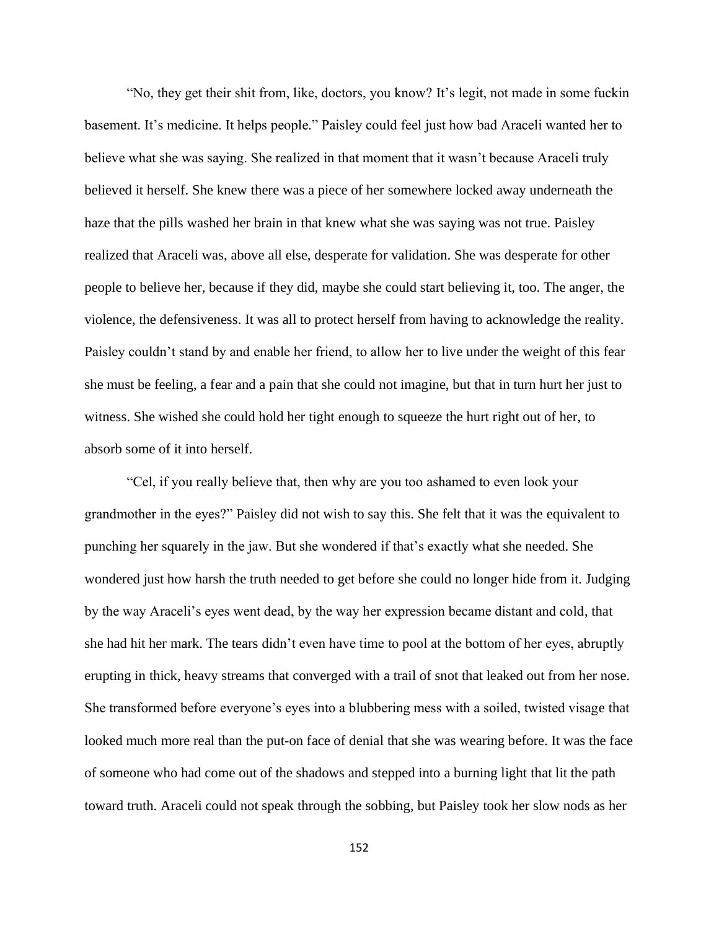"No, they get their shit from, like, doctors, you know? It's legit, not made in some fuckin basement. It's medicine. It helps people." Paisley could feel just how bad Araceli wanted her to believe what she was saying. She realized in that moment that it wasn't because Araceli truly believed it herself. She knew there was a piece of her somewhere locked away underneath the haze that the pills washed her brain in that knew what she was saying was not true. Paisley realized that Araceli was, above all else, desperate for validation. She was desperate for other people to believe her, because if they did, maybe she could start believing it, too. The anger, the violence, the defensiveness. It was all to protect herself from having to acknowledge the reality. Paisley couldn't stand by and enable her friend, to allow her to live under the weight of this fear she must be feeling, a fear and a pain that she could not imagine, but that in turn hurt her just to witness. She wished she could hold her tight enough to squeeze the hurt right out of her, to absorb some of it into herself.

"Cel, if you really believe that, then why are you too ashamed to even look your grandmother in the eyes?" Paisley did not wish to say this. She felt that it was the equivalent to punching her squarely in the jaw. But she wondered if that's exactly what she needed. She wondered just how harsh the truth needed to get before she could no longer hide from it. Judging by the way Araceli's eyes went dead, by the way her expression became distant and cold, that she had hit her mark. The tears didn't even have time to pool at the bottom of her eyes, abruptly erupting in thick, heavy streams that converged with a trail of snot that leaked out from her nose. She transformed before everyone's eyes into a blubbering mess with a soiled, twisted visage that looked much more real than the put-on face of denial that she was wearing before. It was the face of someone who had come out of the shadows and stepped into a burning light that lit the path toward truth. Araceli could not speak through the sobbing, but Paisley took her slow nods as her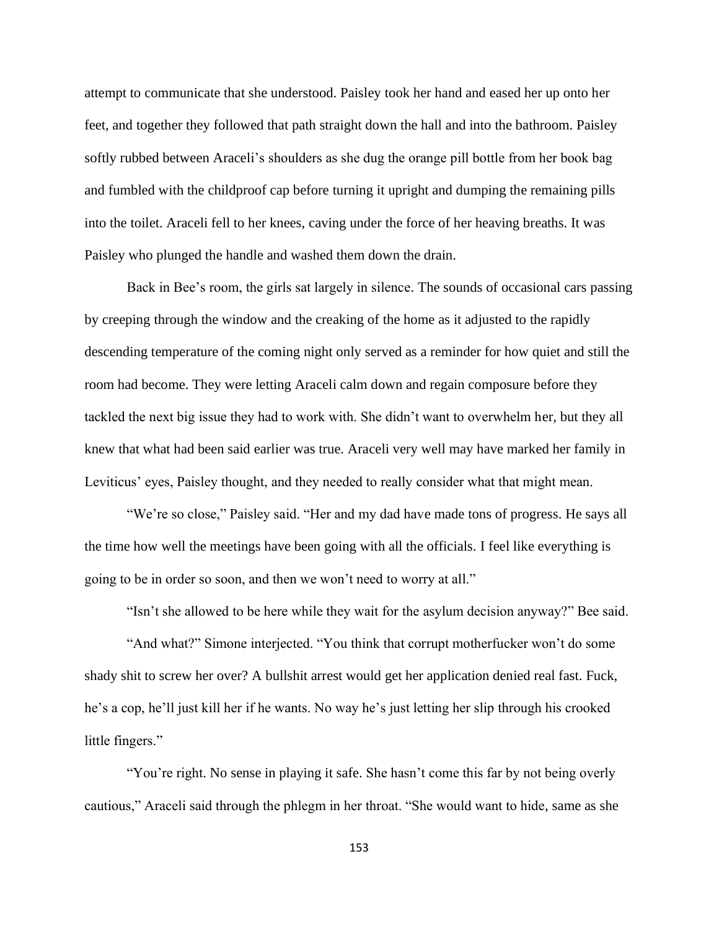attempt to communicate that she understood. Paisley took her hand and eased her up onto her feet, and together they followed that path straight down the hall and into the bathroom. Paisley softly rubbed between Araceli's shoulders as she dug the orange pill bottle from her book bag and fumbled with the childproof cap before turning it upright and dumping the remaining pills into the toilet. Araceli fell to her knees, caving under the force of her heaving breaths. It was Paisley who plunged the handle and washed them down the drain.

Back in Bee's room, the girls sat largely in silence. The sounds of occasional cars passing by creeping through the window and the creaking of the home as it adjusted to the rapidly descending temperature of the coming night only served as a reminder for how quiet and still the room had become. They were letting Araceli calm down and regain composure before they tackled the next big issue they had to work with. She didn't want to overwhelm her, but they all knew that what had been said earlier was true. Araceli very well may have marked her family in Leviticus' eyes, Paisley thought, and they needed to really consider what that might mean.

"We're so close," Paisley said. "Her and my dad have made tons of progress. He says all the time how well the meetings have been going with all the officials. I feel like everything is going to be in order so soon, and then we won't need to worry at all."

"Isn't she allowed to be here while they wait for the asylum decision anyway?" Bee said.

"And what?" Simone interjected. "You think that corrupt motherfucker won't do some shady shit to screw her over? A bullshit arrest would get her application denied real fast. Fuck, he's a cop, he'll just kill her if he wants. No way he's just letting her slip through his crooked little fingers."

"You're right. No sense in playing it safe. She hasn't come this far by not being overly cautious," Araceli said through the phlegm in her throat. "She would want to hide, same as she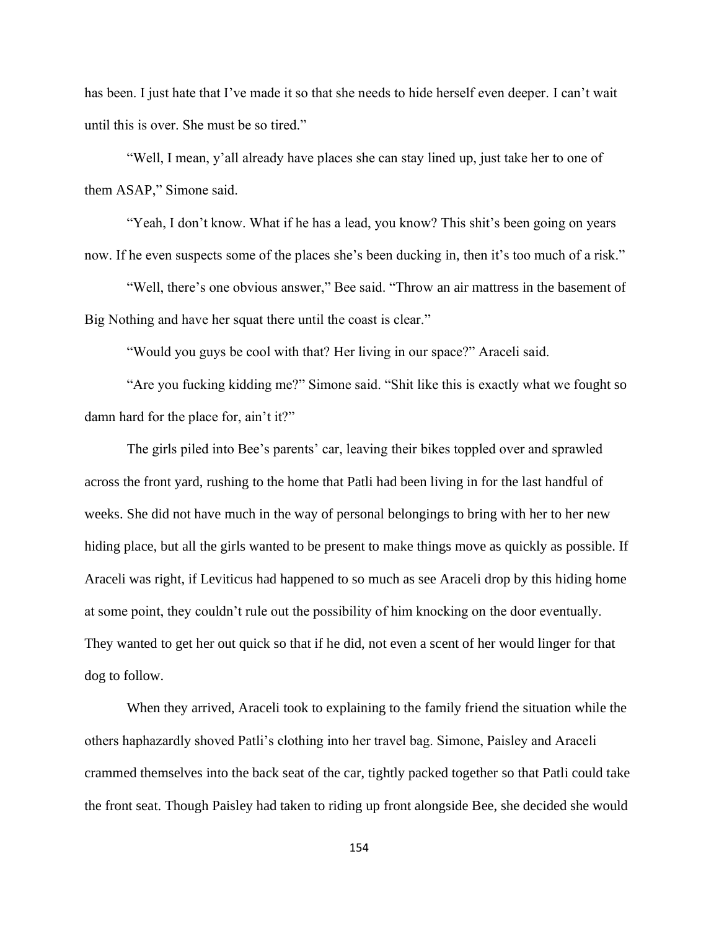has been. I just hate that I've made it so that she needs to hide herself even deeper. I can't wait until this is over. She must be so tired."

"Well, I mean, y'all already have places she can stay lined up, just take her to one of them ASAP," Simone said.

"Yeah, I don't know. What if he has a lead, you know? This shit's been going on years now. If he even suspects some of the places she's been ducking in, then it's too much of a risk."

"Well, there's one obvious answer," Bee said. "Throw an air mattress in the basement of Big Nothing and have her squat there until the coast is clear."

"Would you guys be cool with that? Her living in our space?" Araceli said.

"Are you fucking kidding me?" Simone said. "Shit like this is exactly what we fought so damn hard for the place for, ain't it?"

The girls piled into Bee's parents' car, leaving their bikes toppled over and sprawled across the front yard, rushing to the home that Patli had been living in for the last handful of weeks. She did not have much in the way of personal belongings to bring with her to her new hiding place, but all the girls wanted to be present to make things move as quickly as possible. If Araceli was right, if Leviticus had happened to so much as see Araceli drop by this hiding home at some point, they couldn't rule out the possibility of him knocking on the door eventually. They wanted to get her out quick so that if he did, not even a scent of her would linger for that dog to follow.

When they arrived, Araceli took to explaining to the family friend the situation while the others haphazardly shoved Patli's clothing into her travel bag. Simone, Paisley and Araceli crammed themselves into the back seat of the car, tightly packed together so that Patli could take the front seat. Though Paisley had taken to riding up front alongside Bee, she decided she would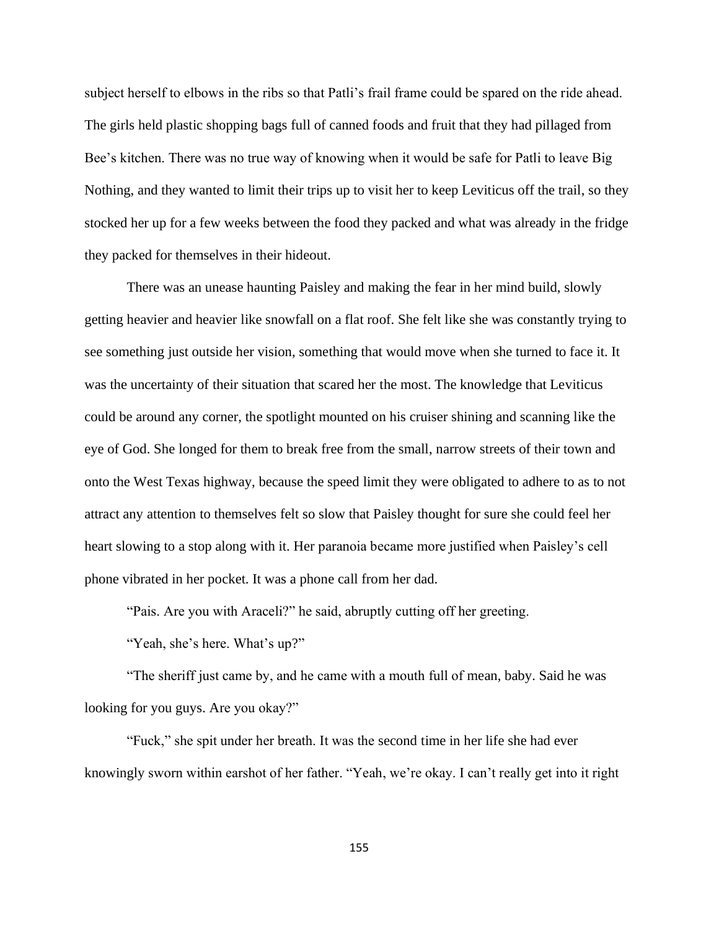subject herself to elbows in the ribs so that Patli's frail frame could be spared on the ride ahead. The girls held plastic shopping bags full of canned foods and fruit that they had pillaged from Bee's kitchen. There was no true way of knowing when it would be safe for Patli to leave Big Nothing, and they wanted to limit their trips up to visit her to keep Leviticus off the trail, so they stocked her up for a few weeks between the food they packed and what was already in the fridge they packed for themselves in their hideout.

There was an unease haunting Paisley and making the fear in her mind build, slowly getting heavier and heavier like snowfall on a flat roof. She felt like she was constantly trying to see something just outside her vision, something that would move when she turned to face it. It was the uncertainty of their situation that scared her the most. The knowledge that Leviticus could be around any corner, the spotlight mounted on his cruiser shining and scanning like the eye of God. She longed for them to break free from the small, narrow streets of their town and onto the West Texas highway, because the speed limit they were obligated to adhere to as to not attract any attention to themselves felt so slow that Paisley thought for sure she could feel her heart slowing to a stop along with it. Her paranoia became more justified when Paisley's cell phone vibrated in her pocket. It was a phone call from her dad.

"Pais. Are you with Araceli?" he said, abruptly cutting off her greeting.

"Yeah, she's here. What's up?"

"The sheriff just came by, and he came with a mouth full of mean, baby. Said he was looking for you guys. Are you okay?"

"Fuck," she spit under her breath. It was the second time in her life she had ever knowingly sworn within earshot of her father. "Yeah, we're okay. I can't really get into it right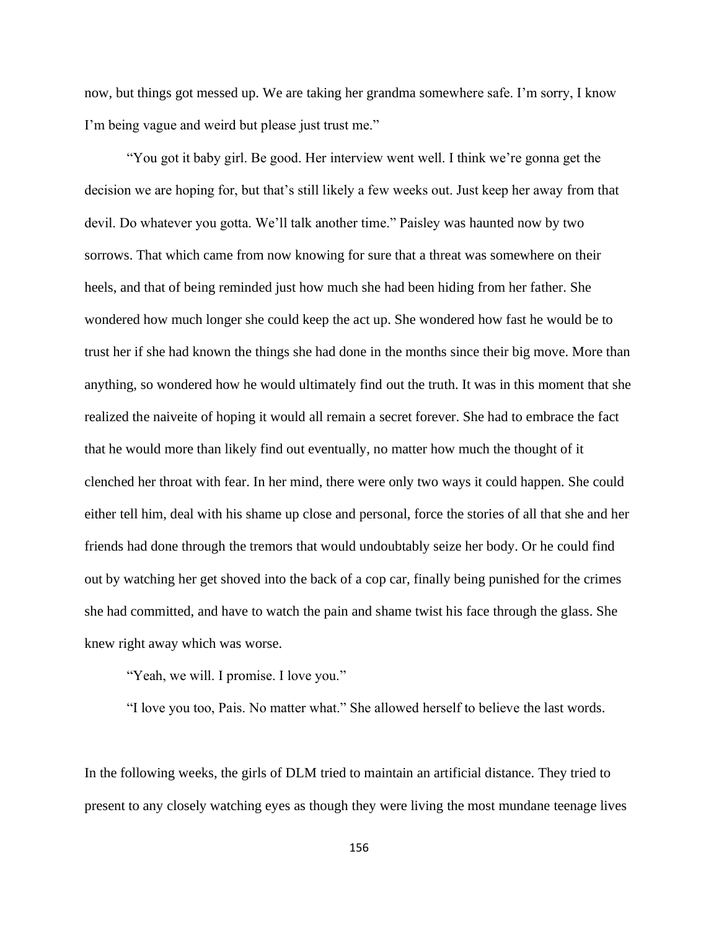now, but things got messed up. We are taking her grandma somewhere safe. I'm sorry, I know I'm being vague and weird but please just trust me."

"You got it baby girl. Be good. Her interview went well. I think we're gonna get the decision we are hoping for, but that's still likely a few weeks out. Just keep her away from that devil. Do whatever you gotta. We'll talk another time." Paisley was haunted now by two sorrows. That which came from now knowing for sure that a threat was somewhere on their heels, and that of being reminded just how much she had been hiding from her father. She wondered how much longer she could keep the act up. She wondered how fast he would be to trust her if she had known the things she had done in the months since their big move. More than anything, so wondered how he would ultimately find out the truth. It was in this moment that she realized the naiveite of hoping it would all remain a secret forever. She had to embrace the fact that he would more than likely find out eventually, no matter how much the thought of it clenched her throat with fear. In her mind, there were only two ways it could happen. She could either tell him, deal with his shame up close and personal, force the stories of all that she and her friends had done through the tremors that would undoubtably seize her body. Or he could find out by watching her get shoved into the back of a cop car, finally being punished for the crimes she had committed, and have to watch the pain and shame twist his face through the glass. She knew right away which was worse.

"Yeah, we will. I promise. I love you."

"I love you too, Pais. No matter what." She allowed herself to believe the last words.

In the following weeks, the girls of DLM tried to maintain an artificial distance. They tried to present to any closely watching eyes as though they were living the most mundane teenage lives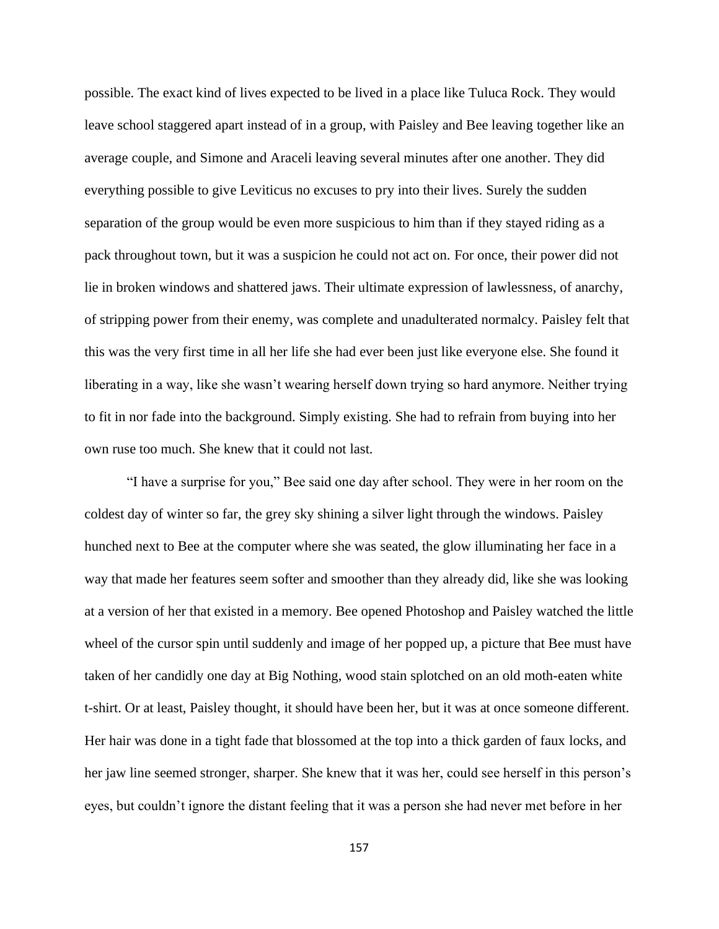possible. The exact kind of lives expected to be lived in a place like Tuluca Rock. They would leave school staggered apart instead of in a group, with Paisley and Bee leaving together like an average couple, and Simone and Araceli leaving several minutes after one another. They did everything possible to give Leviticus no excuses to pry into their lives. Surely the sudden separation of the group would be even more suspicious to him than if they stayed riding as a pack throughout town, but it was a suspicion he could not act on. For once, their power did not lie in broken windows and shattered jaws. Their ultimate expression of lawlessness, of anarchy, of stripping power from their enemy, was complete and unadulterated normalcy. Paisley felt that this was the very first time in all her life she had ever been just like everyone else. She found it liberating in a way, like she wasn't wearing herself down trying so hard anymore. Neither trying to fit in nor fade into the background. Simply existing. She had to refrain from buying into her own ruse too much. She knew that it could not last.

"I have a surprise for you," Bee said one day after school. They were in her room on the coldest day of winter so far, the grey sky shining a silver light through the windows. Paisley hunched next to Bee at the computer where she was seated, the glow illuminating her face in a way that made her features seem softer and smoother than they already did, like she was looking at a version of her that existed in a memory. Bee opened Photoshop and Paisley watched the little wheel of the cursor spin until suddenly and image of her popped up, a picture that Bee must have taken of her candidly one day at Big Nothing, wood stain splotched on an old moth-eaten white t-shirt. Or at least, Paisley thought, it should have been her, but it was at once someone different. Her hair was done in a tight fade that blossomed at the top into a thick garden of faux locks, and her jaw line seemed stronger, sharper. She knew that it was her, could see herself in this person's eyes, but couldn't ignore the distant feeling that it was a person she had never met before in her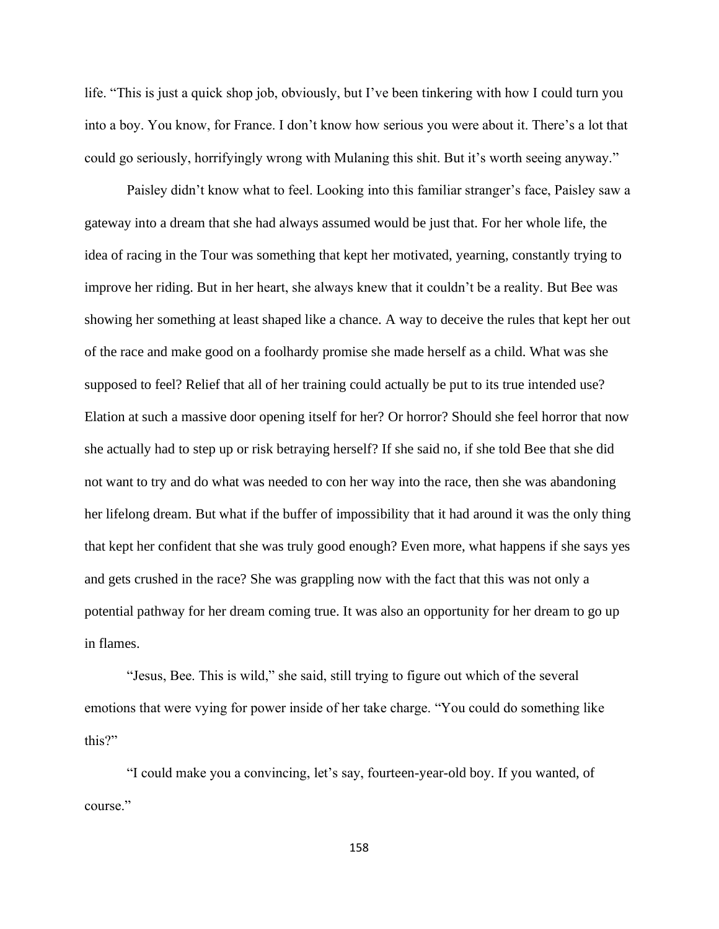life. "This is just a quick shop job, obviously, but I've been tinkering with how I could turn you into a boy. You know, for France. I don't know how serious you were about it. There's a lot that could go seriously, horrifyingly wrong with Mulaning this shit. But it's worth seeing anyway."

Paisley didn't know what to feel. Looking into this familiar stranger's face, Paisley saw a gateway into a dream that she had always assumed would be just that. For her whole life, the idea of racing in the Tour was something that kept her motivated, yearning, constantly trying to improve her riding. But in her heart, she always knew that it couldn't be a reality. But Bee was showing her something at least shaped like a chance. A way to deceive the rules that kept her out of the race and make good on a foolhardy promise she made herself as a child. What was she supposed to feel? Relief that all of her training could actually be put to its true intended use? Elation at such a massive door opening itself for her? Or horror? Should she feel horror that now she actually had to step up or risk betraying herself? If she said no, if she told Bee that she did not want to try and do what was needed to con her way into the race, then she was abandoning her lifelong dream. But what if the buffer of impossibility that it had around it was the only thing that kept her confident that she was truly good enough? Even more, what happens if she says yes and gets crushed in the race? She was grappling now with the fact that this was not only a potential pathway for her dream coming true. It was also an opportunity for her dream to go up in flames.

"Jesus, Bee. This is wild," she said, still trying to figure out which of the several emotions that were vying for power inside of her take charge. "You could do something like this?"

"I could make you a convincing, let's say, fourteen-year-old boy. If you wanted, of course."

158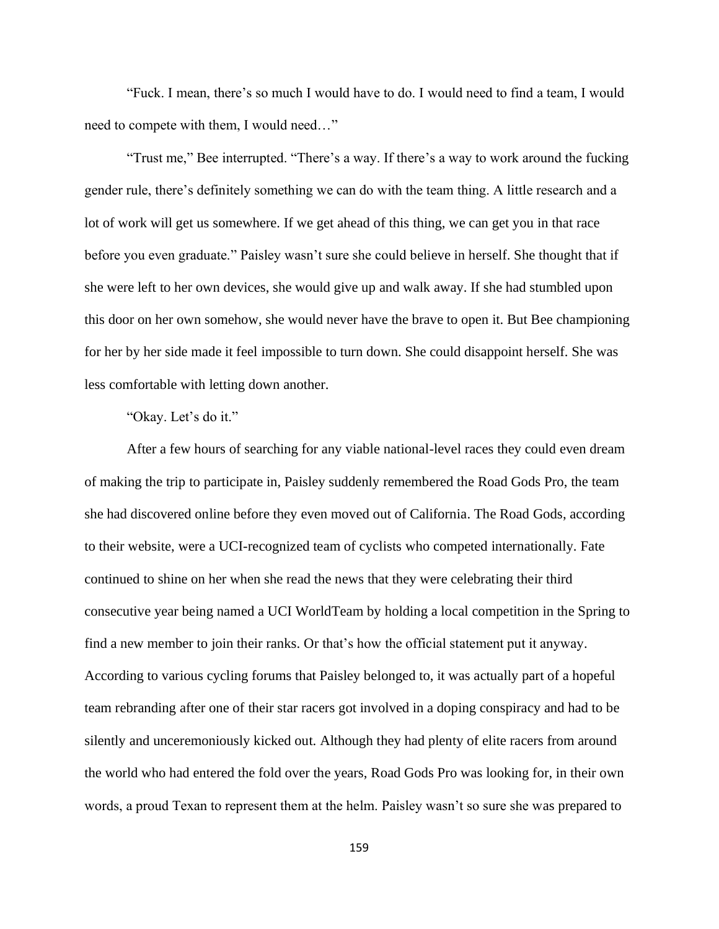"Fuck. I mean, there's so much I would have to do. I would need to find a team, I would need to compete with them, I would need…"

"Trust me," Bee interrupted. "There's a way. If there's a way to work around the fucking gender rule, there's definitely something we can do with the team thing. A little research and a lot of work will get us somewhere. If we get ahead of this thing, we can get you in that race before you even graduate." Paisley wasn't sure she could believe in herself. She thought that if she were left to her own devices, she would give up and walk away. If she had stumbled upon this door on her own somehow, she would never have the brave to open it. But Bee championing for her by her side made it feel impossible to turn down. She could disappoint herself. She was less comfortable with letting down another.

## "Okay. Let's do it."

After a few hours of searching for any viable national-level races they could even dream of making the trip to participate in, Paisley suddenly remembered the Road Gods Pro, the team she had discovered online before they even moved out of California. The Road Gods, according to their website, were a UCI-recognized team of cyclists who competed internationally. Fate continued to shine on her when she read the news that they were celebrating their third consecutive year being named a UCI WorldTeam by holding a local competition in the Spring to find a new member to join their ranks. Or that's how the official statement put it anyway. According to various cycling forums that Paisley belonged to, it was actually part of a hopeful team rebranding after one of their star racers got involved in a doping conspiracy and had to be silently and unceremoniously kicked out. Although they had plenty of elite racers from around the world who had entered the fold over the years, Road Gods Pro was looking for, in their own words, a proud Texan to represent them at the helm. Paisley wasn't so sure she was prepared to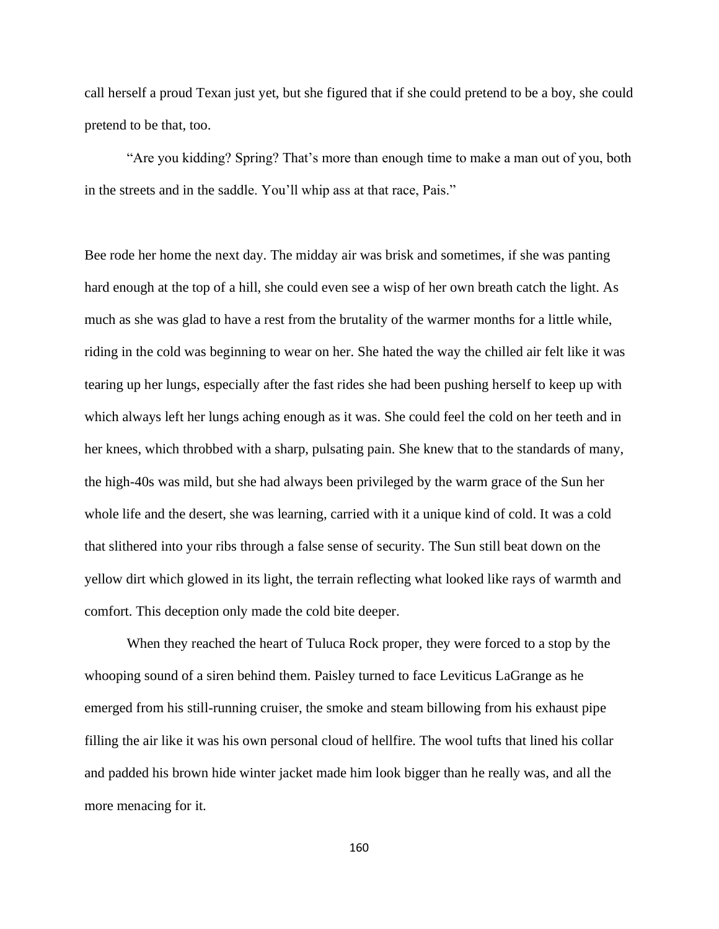call herself a proud Texan just yet, but she figured that if she could pretend to be a boy, she could pretend to be that, too.

"Are you kidding? Spring? That's more than enough time to make a man out of you, both in the streets and in the saddle. You'll whip ass at that race, Pais."

Bee rode her home the next day. The midday air was brisk and sometimes, if she was panting hard enough at the top of a hill, she could even see a wisp of her own breath catch the light. As much as she was glad to have a rest from the brutality of the warmer months for a little while, riding in the cold was beginning to wear on her. She hated the way the chilled air felt like it was tearing up her lungs, especially after the fast rides she had been pushing herself to keep up with which always left her lungs aching enough as it was. She could feel the cold on her teeth and in her knees, which throbbed with a sharp, pulsating pain. She knew that to the standards of many, the high-40s was mild, but she had always been privileged by the warm grace of the Sun her whole life and the desert, she was learning, carried with it a unique kind of cold. It was a cold that slithered into your ribs through a false sense of security. The Sun still beat down on the yellow dirt which glowed in its light, the terrain reflecting what looked like rays of warmth and comfort. This deception only made the cold bite deeper.

When they reached the heart of Tuluca Rock proper, they were forced to a stop by the whooping sound of a siren behind them. Paisley turned to face Leviticus LaGrange as he emerged from his still-running cruiser, the smoke and steam billowing from his exhaust pipe filling the air like it was his own personal cloud of hellfire. The wool tufts that lined his collar and padded his brown hide winter jacket made him look bigger than he really was, and all the more menacing for it.

160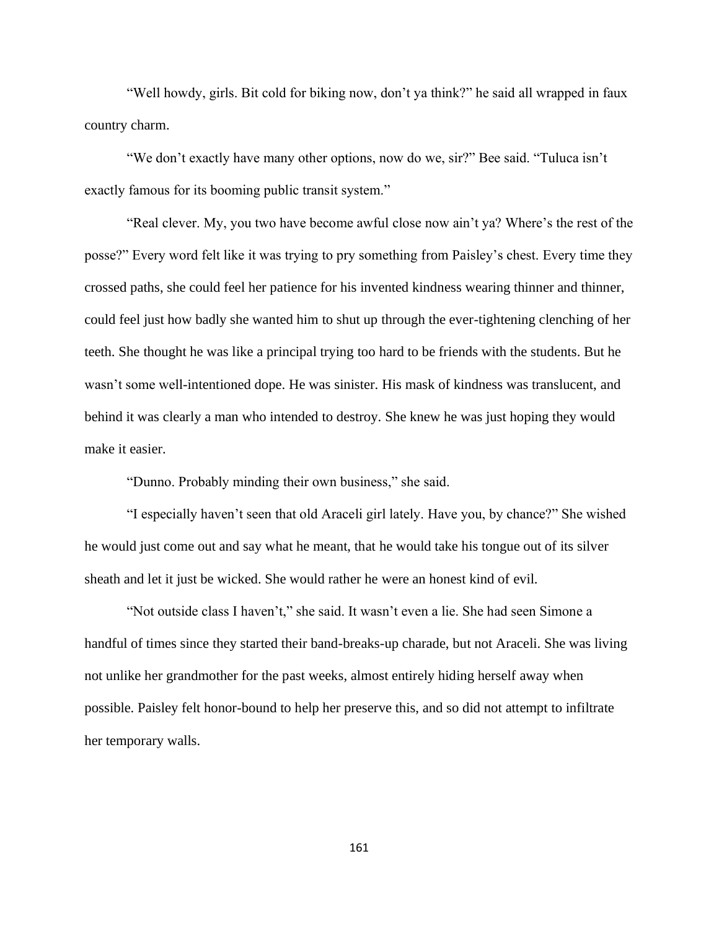"Well howdy, girls. Bit cold for biking now, don't ya think?" he said all wrapped in faux country charm.

"We don't exactly have many other options, now do we, sir?" Bee said. "Tuluca isn't exactly famous for its booming public transit system."

"Real clever. My, you two have become awful close now ain't ya? Where's the rest of the posse?" Every word felt like it was trying to pry something from Paisley's chest. Every time they crossed paths, she could feel her patience for his invented kindness wearing thinner and thinner, could feel just how badly she wanted him to shut up through the ever-tightening clenching of her teeth. She thought he was like a principal trying too hard to be friends with the students. But he wasn't some well-intentioned dope. He was sinister. His mask of kindness was translucent, and behind it was clearly a man who intended to destroy. She knew he was just hoping they would make it easier.

"Dunno. Probably minding their own business," she said.

"I especially haven't seen that old Araceli girl lately. Have you, by chance?" She wished he would just come out and say what he meant, that he would take his tongue out of its silver sheath and let it just be wicked. She would rather he were an honest kind of evil.

"Not outside class I haven't," she said. It wasn't even a lie. She had seen Simone a handful of times since they started their band-breaks-up charade, but not Araceli. She was living not unlike her grandmother for the past weeks, almost entirely hiding herself away when possible. Paisley felt honor-bound to help her preserve this, and so did not attempt to infiltrate her temporary walls.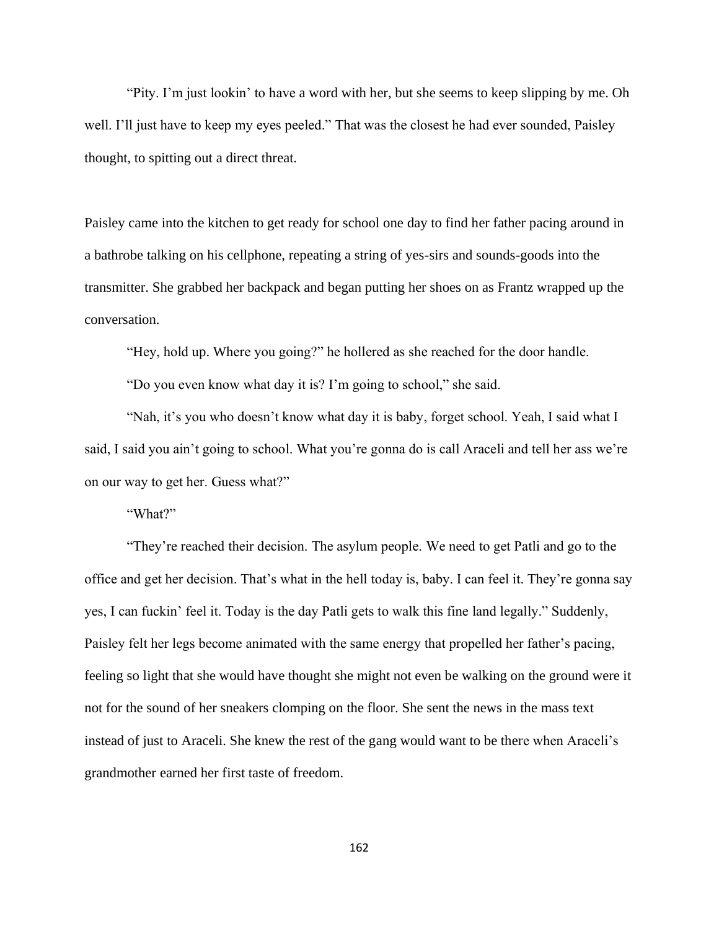"Pity. I'm just lookin' to have a word with her, but she seems to keep slipping by me. Oh well. I'll just have to keep my eyes peeled." That was the closest he had ever sounded, Paisley thought, to spitting out a direct threat.

Paisley came into the kitchen to get ready for school one day to find her father pacing around in a bathrobe talking on his cellphone, repeating a string of yes-sirs and sounds-goods into the transmitter. She grabbed her backpack and began putting her shoes on as Frantz wrapped up the conversation.

"Hey, hold up. Where you going?" he hollered as she reached for the door handle.

"Do you even know what day it is? I'm going to school," she said.

"Nah, it's you who doesn't know what day it is baby, forget school. Yeah, I said what I said, I said you ain't going to school. What you're gonna do is call Araceli and tell her ass we're on our way to get her. Guess what?"

"What?"

"They're reached their decision. The asylum people. We need to get Patli and go to the office and get her decision. That's what in the hell today is, baby. I can feel it. They're gonna say yes, I can fuckin' feel it. Today is the day Patli gets to walk this fine land legally." Suddenly, Paisley felt her legs become animated with the same energy that propelled her father's pacing, feeling so light that she would have thought she might not even be walking on the ground were it not for the sound of her sneakers clomping on the floor. She sent the news in the mass text instead of just to Araceli. She knew the rest of the gang would want to be there when Araceli's grandmother earned her first taste of freedom.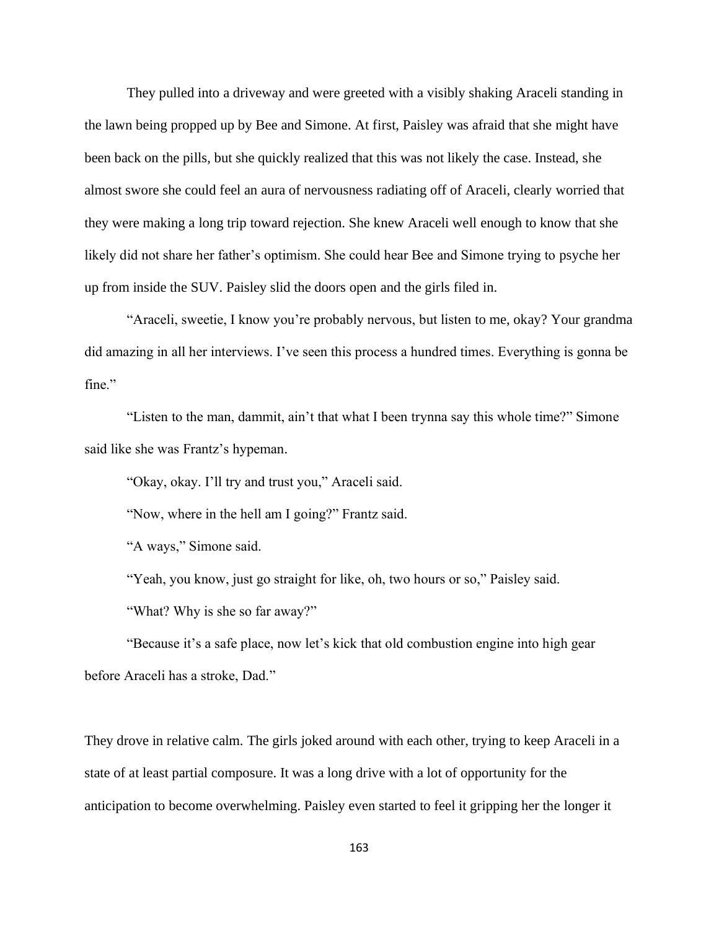They pulled into a driveway and were greeted with a visibly shaking Araceli standing in the lawn being propped up by Bee and Simone. At first, Paisley was afraid that she might have been back on the pills, but she quickly realized that this was not likely the case. Instead, she almost swore she could feel an aura of nervousness radiating off of Araceli, clearly worried that they were making a long trip toward rejection. She knew Araceli well enough to know that she likely did not share her father's optimism. She could hear Bee and Simone trying to psyche her up from inside the SUV. Paisley slid the doors open and the girls filed in.

"Araceli, sweetie, I know you're probably nervous, but listen to me, okay? Your grandma did amazing in all her interviews. I've seen this process a hundred times. Everything is gonna be fine."

"Listen to the man, dammit, ain't that what I been trynna say this whole time?" Simone said like she was Frantz's hypeman.

"Okay, okay. I'll try and trust you," Araceli said.

"Now, where in the hell am I going?" Frantz said.

"A ways," Simone said.

"Yeah, you know, just go straight for like, oh, two hours or so," Paisley said.

"What? Why is she so far away?"

"Because it's a safe place, now let's kick that old combustion engine into high gear before Araceli has a stroke, Dad."

They drove in relative calm. The girls joked around with each other, trying to keep Araceli in a state of at least partial composure. It was a long drive with a lot of opportunity for the anticipation to become overwhelming. Paisley even started to feel it gripping her the longer it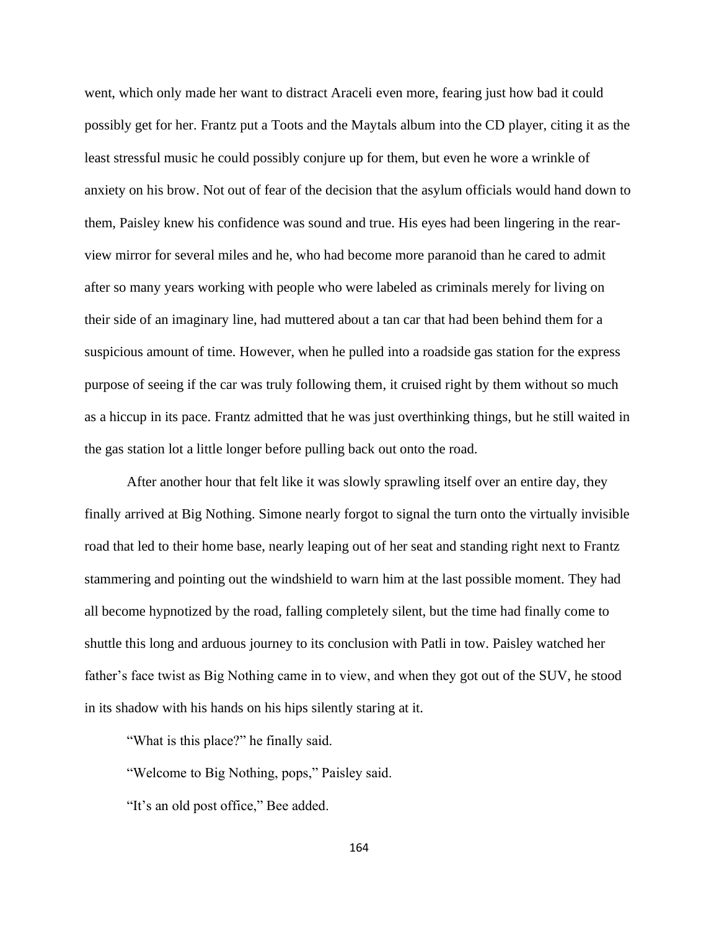went, which only made her want to distract Araceli even more, fearing just how bad it could possibly get for her. Frantz put a Toots and the Maytals album into the CD player, citing it as the least stressful music he could possibly conjure up for them, but even he wore a wrinkle of anxiety on his brow. Not out of fear of the decision that the asylum officials would hand down to them, Paisley knew his confidence was sound and true. His eyes had been lingering in the rearview mirror for several miles and he, who had become more paranoid than he cared to admit after so many years working with people who were labeled as criminals merely for living on their side of an imaginary line, had muttered about a tan car that had been behind them for a suspicious amount of time. However, when he pulled into a roadside gas station for the express purpose of seeing if the car was truly following them, it cruised right by them without so much as a hiccup in its pace. Frantz admitted that he was just overthinking things, but he still waited in the gas station lot a little longer before pulling back out onto the road.

After another hour that felt like it was slowly sprawling itself over an entire day, they finally arrived at Big Nothing. Simone nearly forgot to signal the turn onto the virtually invisible road that led to their home base, nearly leaping out of her seat and standing right next to Frantz stammering and pointing out the windshield to warn him at the last possible moment. They had all become hypnotized by the road, falling completely silent, but the time had finally come to shuttle this long and arduous journey to its conclusion with Patli in tow. Paisley watched her father's face twist as Big Nothing came in to view, and when they got out of the SUV, he stood in its shadow with his hands on his hips silently staring at it.

"What is this place?" he finally said.

"Welcome to Big Nothing, pops," Paisley said.

"It's an old post office," Bee added.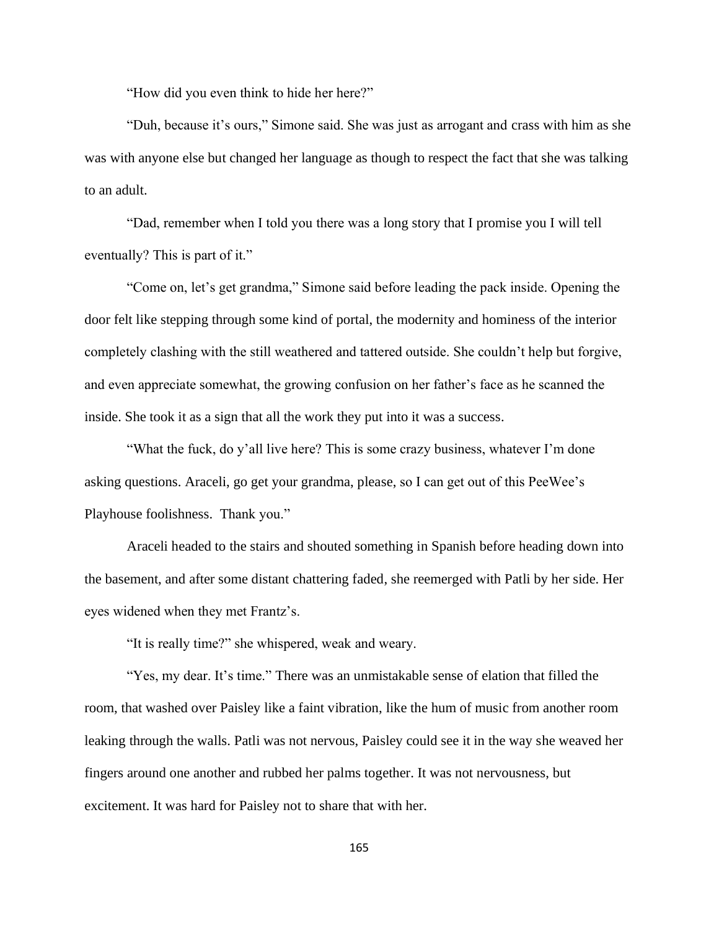"How did you even think to hide her here?"

"Duh, because it's ours," Simone said. She was just as arrogant and crass with him as she was with anyone else but changed her language as though to respect the fact that she was talking to an adult.

"Dad, remember when I told you there was a long story that I promise you I will tell eventually? This is part of it."

"Come on, let's get grandma," Simone said before leading the pack inside. Opening the door felt like stepping through some kind of portal, the modernity and hominess of the interior completely clashing with the still weathered and tattered outside. She couldn't help but forgive, and even appreciate somewhat, the growing confusion on her father's face as he scanned the inside. She took it as a sign that all the work they put into it was a success.

"What the fuck, do y'all live here? This is some crazy business, whatever I'm done asking questions. Araceli, go get your grandma, please, so I can get out of this PeeWee's Playhouse foolishness. Thank you."

Araceli headed to the stairs and shouted something in Spanish before heading down into the basement, and after some distant chattering faded, she reemerged with Patli by her side. Her eyes widened when they met Frantz's.

"It is really time?" she whispered, weak and weary.

"Yes, my dear. It's time." There was an unmistakable sense of elation that filled the room, that washed over Paisley like a faint vibration, like the hum of music from another room leaking through the walls. Patli was not nervous, Paisley could see it in the way she weaved her fingers around one another and rubbed her palms together. It was not nervousness, but excitement. It was hard for Paisley not to share that with her.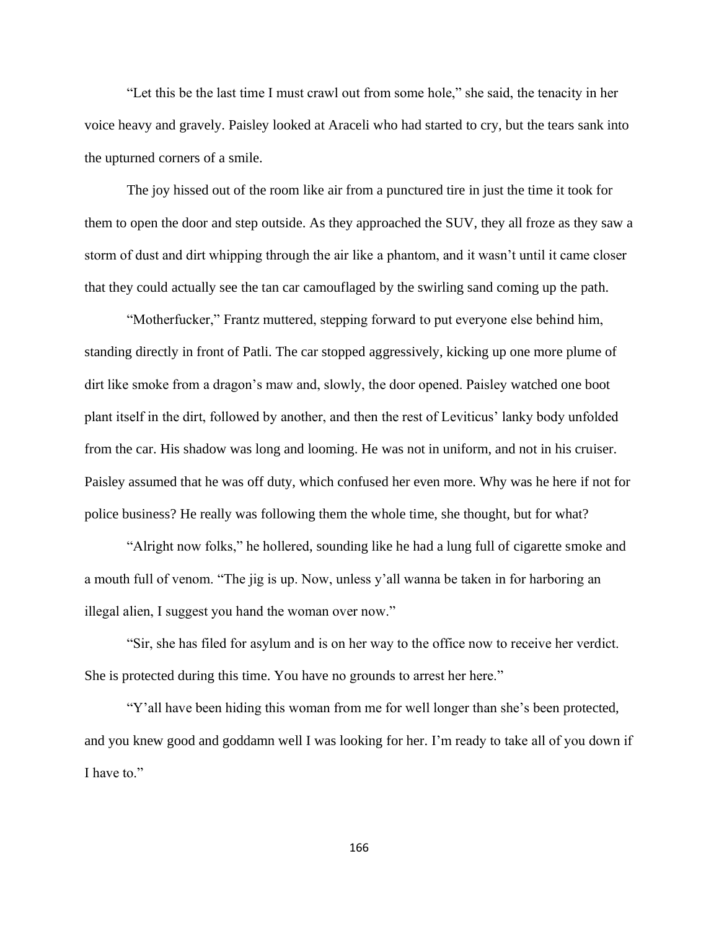"Let this be the last time I must crawl out from some hole," she said, the tenacity in her voice heavy and gravely. Paisley looked at Araceli who had started to cry, but the tears sank into the upturned corners of a smile.

The joy hissed out of the room like air from a punctured tire in just the time it took for them to open the door and step outside. As they approached the SUV, they all froze as they saw a storm of dust and dirt whipping through the air like a phantom, and it wasn't until it came closer that they could actually see the tan car camouflaged by the swirling sand coming up the path.

"Motherfucker," Frantz muttered, stepping forward to put everyone else behind him, standing directly in front of Patli. The car stopped aggressively, kicking up one more plume of dirt like smoke from a dragon's maw and, slowly, the door opened. Paisley watched one boot plant itself in the dirt, followed by another, and then the rest of Leviticus' lanky body unfolded from the car. His shadow was long and looming. He was not in uniform, and not in his cruiser. Paisley assumed that he was off duty, which confused her even more. Why was he here if not for police business? He really was following them the whole time, she thought, but for what?

"Alright now folks," he hollered, sounding like he had a lung full of cigarette smoke and a mouth full of venom. "The jig is up. Now, unless y'all wanna be taken in for harboring an illegal alien, I suggest you hand the woman over now."

"Sir, she has filed for asylum and is on her way to the office now to receive her verdict. She is protected during this time. You have no grounds to arrest her here."

"Y'all have been hiding this woman from me for well longer than she's been protected, and you knew good and goddamn well I was looking for her. I'm ready to take all of you down if I have to."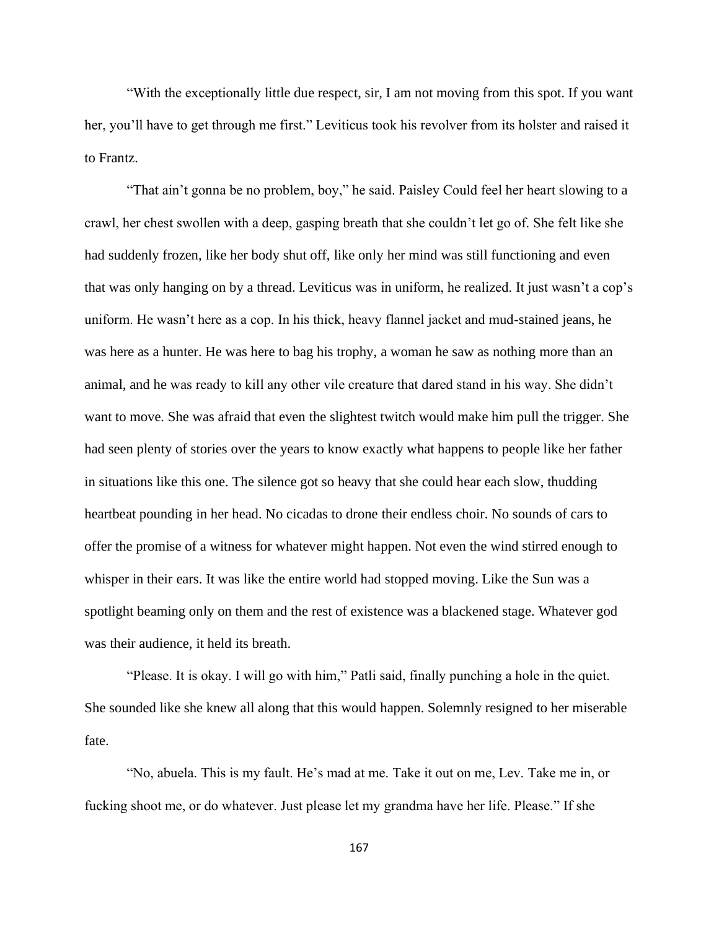"With the exceptionally little due respect, sir, I am not moving from this spot. If you want her, you'll have to get through me first." Leviticus took his revolver from its holster and raised it to Frantz.

"That ain't gonna be no problem, boy," he said. Paisley Could feel her heart slowing to a crawl, her chest swollen with a deep, gasping breath that she couldn't let go of. She felt like she had suddenly frozen, like her body shut off, like only her mind was still functioning and even that was only hanging on by a thread. Leviticus was in uniform, he realized. It just wasn't a cop's uniform. He wasn't here as a cop. In his thick, heavy flannel jacket and mud-stained jeans, he was here as a hunter. He was here to bag his trophy, a woman he saw as nothing more than an animal, and he was ready to kill any other vile creature that dared stand in his way. She didn't want to move. She was afraid that even the slightest twitch would make him pull the trigger. She had seen plenty of stories over the years to know exactly what happens to people like her father in situations like this one. The silence got so heavy that she could hear each slow, thudding heartbeat pounding in her head. No cicadas to drone their endless choir. No sounds of cars to offer the promise of a witness for whatever might happen. Not even the wind stirred enough to whisper in their ears. It was like the entire world had stopped moving. Like the Sun was a spotlight beaming only on them and the rest of existence was a blackened stage. Whatever god was their audience, it held its breath.

"Please. It is okay. I will go with him," Patli said, finally punching a hole in the quiet. She sounded like she knew all along that this would happen. Solemnly resigned to her miserable fate.

"No, abuela. This is my fault. He's mad at me. Take it out on me, Lev. Take me in, or fucking shoot me, or do whatever. Just please let my grandma have her life. Please." If she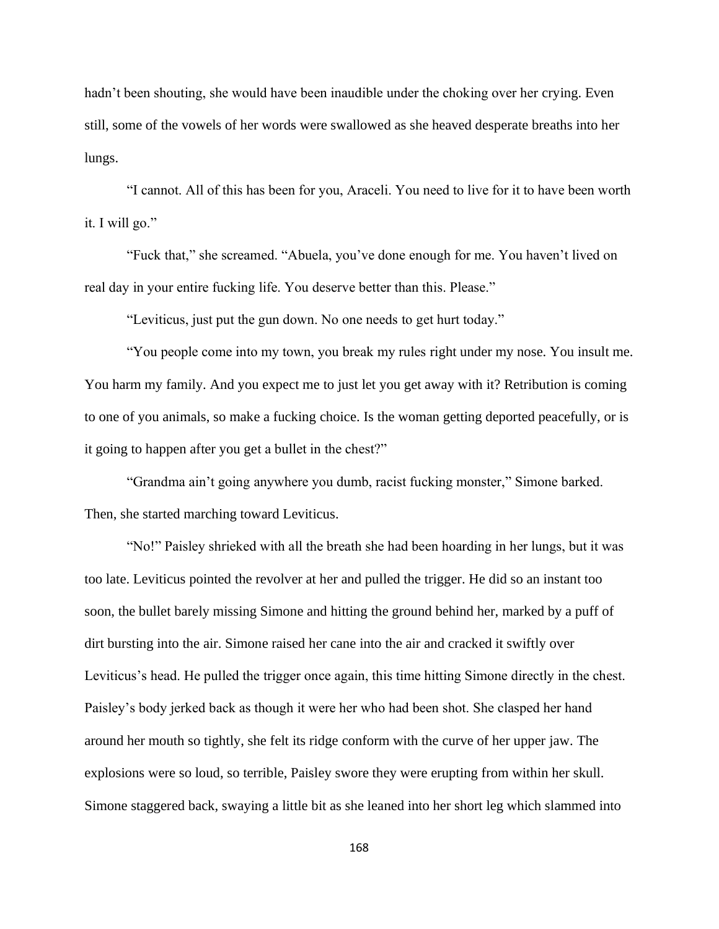hadn't been shouting, she would have been inaudible under the choking over her crying. Even still, some of the vowels of her words were swallowed as she heaved desperate breaths into her lungs.

"I cannot. All of this has been for you, Araceli. You need to live for it to have been worth it. I will go."

"Fuck that," she screamed. "Abuela, you've done enough for me. You haven't lived on real day in your entire fucking life. You deserve better than this. Please."

"Leviticus, just put the gun down. No one needs to get hurt today."

"You people come into my town, you break my rules right under my nose. You insult me. You harm my family. And you expect me to just let you get away with it? Retribution is coming to one of you animals, so make a fucking choice. Is the woman getting deported peacefully, or is it going to happen after you get a bullet in the chest?"

"Grandma ain't going anywhere you dumb, racist fucking monster," Simone barked. Then, she started marching toward Leviticus.

"No!" Paisley shrieked with all the breath she had been hoarding in her lungs, but it was too late. Leviticus pointed the revolver at her and pulled the trigger. He did so an instant too soon, the bullet barely missing Simone and hitting the ground behind her, marked by a puff of dirt bursting into the air. Simone raised her cane into the air and cracked it swiftly over Leviticus's head. He pulled the trigger once again, this time hitting Simone directly in the chest. Paisley's body jerked back as though it were her who had been shot. She clasped her hand around her mouth so tightly, she felt its ridge conform with the curve of her upper jaw. The explosions were so loud, so terrible, Paisley swore they were erupting from within her skull. Simone staggered back, swaying a little bit as she leaned into her short leg which slammed into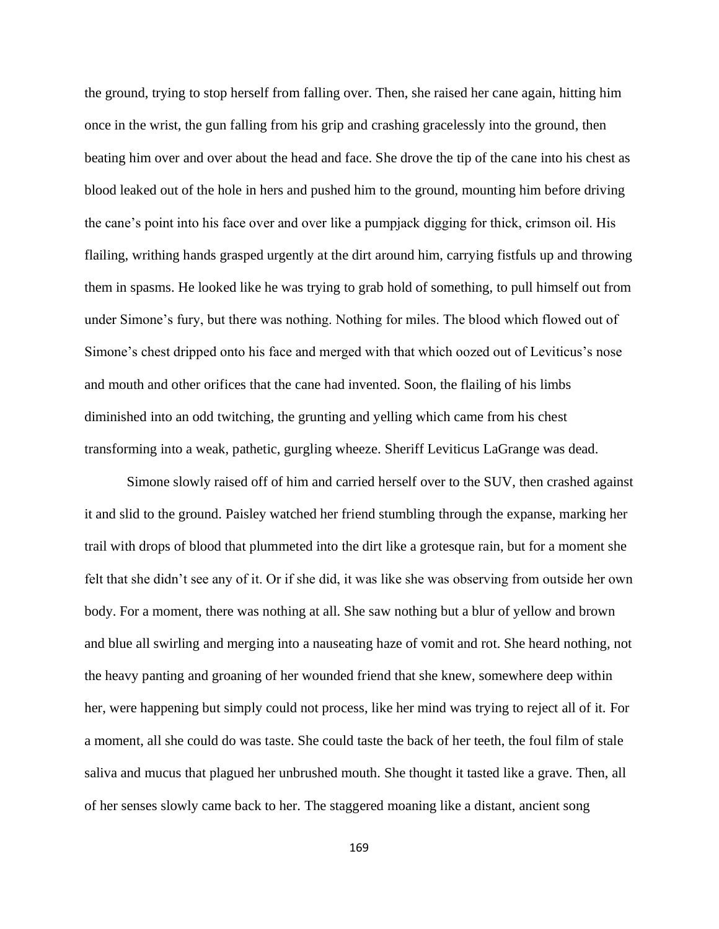the ground, trying to stop herself from falling over. Then, she raised her cane again, hitting him once in the wrist, the gun falling from his grip and crashing gracelessly into the ground, then beating him over and over about the head and face. She drove the tip of the cane into his chest as blood leaked out of the hole in hers and pushed him to the ground, mounting him before driving the cane's point into his face over and over like a pumpjack digging for thick, crimson oil. His flailing, writhing hands grasped urgently at the dirt around him, carrying fistfuls up and throwing them in spasms. He looked like he was trying to grab hold of something, to pull himself out from under Simone's fury, but there was nothing. Nothing for miles. The blood which flowed out of Simone's chest dripped onto his face and merged with that which oozed out of Leviticus's nose and mouth and other orifices that the cane had invented. Soon, the flailing of his limbs diminished into an odd twitching, the grunting and yelling which came from his chest transforming into a weak, pathetic, gurgling wheeze. Sheriff Leviticus LaGrange was dead.

Simone slowly raised off of him and carried herself over to the SUV, then crashed against it and slid to the ground. Paisley watched her friend stumbling through the expanse, marking her trail with drops of blood that plummeted into the dirt like a grotesque rain, but for a moment she felt that she didn't see any of it. Or if she did, it was like she was observing from outside her own body. For a moment, there was nothing at all. She saw nothing but a blur of yellow and brown and blue all swirling and merging into a nauseating haze of vomit and rot. She heard nothing, not the heavy panting and groaning of her wounded friend that she knew, somewhere deep within her, were happening but simply could not process, like her mind was trying to reject all of it. For a moment, all she could do was taste. She could taste the back of her teeth, the foul film of stale saliva and mucus that plagued her unbrushed mouth. She thought it tasted like a grave. Then, all of her senses slowly came back to her. The staggered moaning like a distant, ancient song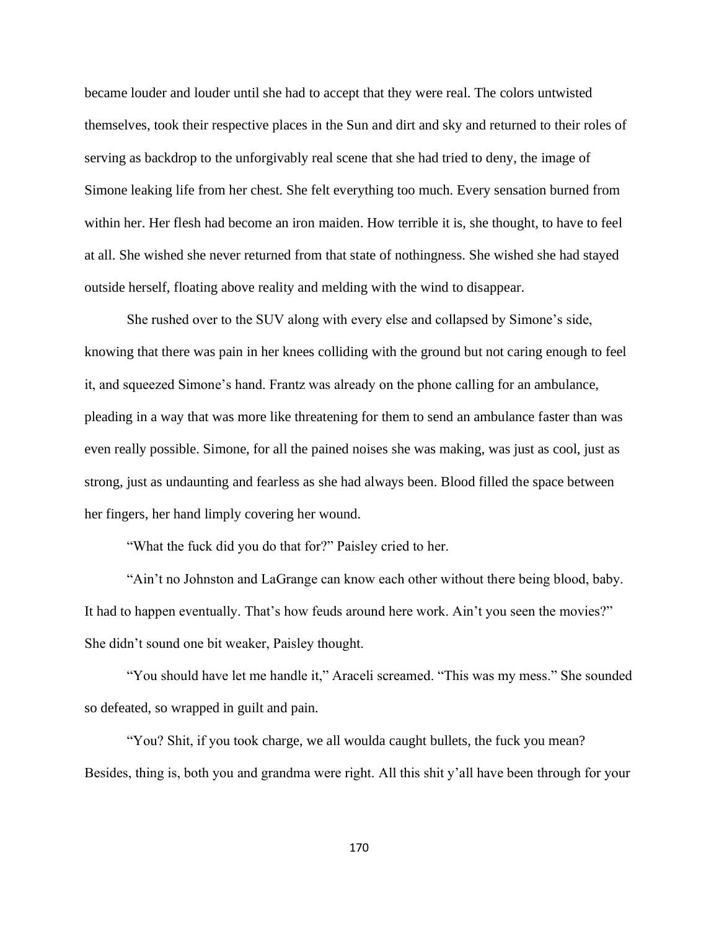became louder and louder until she had to accept that they were real. The colors untwisted themselves, took their respective places in the Sun and dirt and sky and returned to their roles of serving as backdrop to the unforgivably real scene that she had tried to deny, the image of Simone leaking life from her chest. She felt everything too much. Every sensation burned from within her. Her flesh had become an iron maiden. How terrible it is, she thought, to have to feel at all. She wished she never returned from that state of nothingness. She wished she had stayed outside herself, floating above reality and melding with the wind to disappear.

She rushed over to the SUV along with every else and collapsed by Simone's side, knowing that there was pain in her knees colliding with the ground but not caring enough to feel it, and squeezed Simone's hand. Frantz was already on the phone calling for an ambulance, pleading in a way that was more like threatening for them to send an ambulance faster than was even really possible. Simone, for all the pained noises she was making, was just as cool, just as strong, just as undaunting and fearless as she had always been. Blood filled the space between her fingers, her hand limply covering her wound.

"What the fuck did you do that for?" Paisley cried to her.

"Ain't no Johnston and LaGrange can know each other without there being blood, baby. It had to happen eventually. That's how feuds around here work. Ain't you seen the movies?" She didn't sound one bit weaker, Paisley thought.

"You should have let me handle it," Araceli screamed. "This was my mess." She sounded so defeated, so wrapped in guilt and pain.

"You? Shit, if you took charge, we all woulda caught bullets, the fuck you mean? Besides, thing is, both you and grandma were right. All this shit y'all have been through for your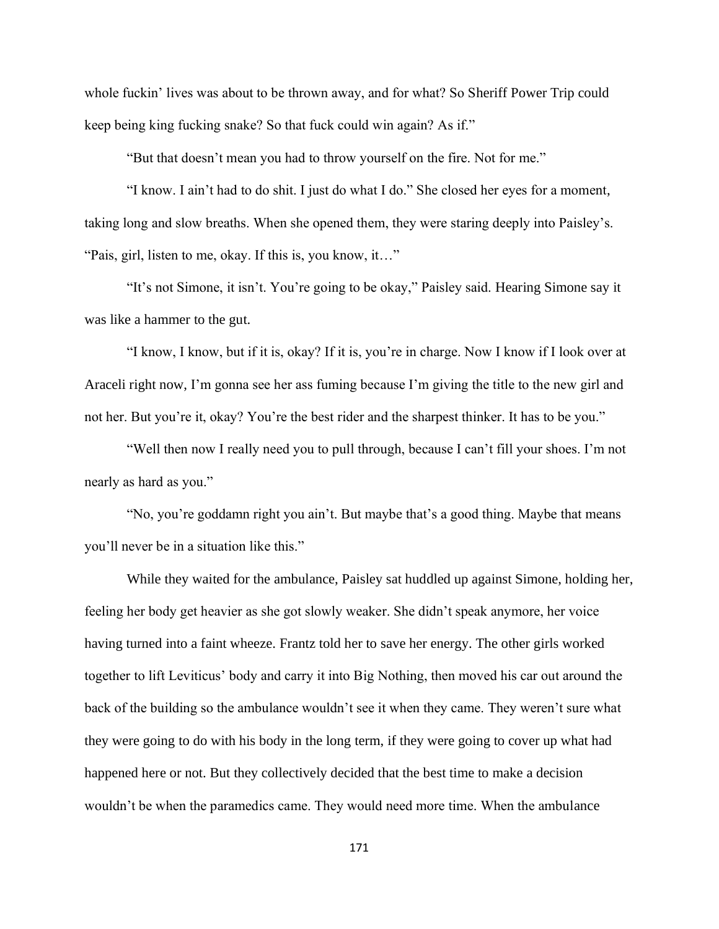whole fuckin' lives was about to be thrown away, and for what? So Sheriff Power Trip could keep being king fucking snake? So that fuck could win again? As if."

"But that doesn't mean you had to throw yourself on the fire. Not for me."

"I know. I ain't had to do shit. I just do what I do." She closed her eyes for a moment, taking long and slow breaths. When she opened them, they were staring deeply into Paisley's. "Pais, girl, listen to me, okay. If this is, you know, it…"

"It's not Simone, it isn't. You're going to be okay," Paisley said. Hearing Simone say it was like a hammer to the gut.

"I know, I know, but if it is, okay? If it is, you're in charge. Now I know if I look over at Araceli right now, I'm gonna see her ass fuming because I'm giving the title to the new girl and not her. But you're it, okay? You're the best rider and the sharpest thinker. It has to be you."

"Well then now I really need you to pull through, because I can't fill your shoes. I'm not nearly as hard as you."

"No, you're goddamn right you ain't. But maybe that's a good thing. Maybe that means you'll never be in a situation like this."

While they waited for the ambulance, Paisley sat huddled up against Simone, holding her, feeling her body get heavier as she got slowly weaker. She didn't speak anymore, her voice having turned into a faint wheeze. Frantz told her to save her energy. The other girls worked together to lift Leviticus' body and carry it into Big Nothing, then moved his car out around the back of the building so the ambulance wouldn't see it when they came. They weren't sure what they were going to do with his body in the long term, if they were going to cover up what had happened here or not. But they collectively decided that the best time to make a decision wouldn't be when the paramedics came. They would need more time. When the ambulance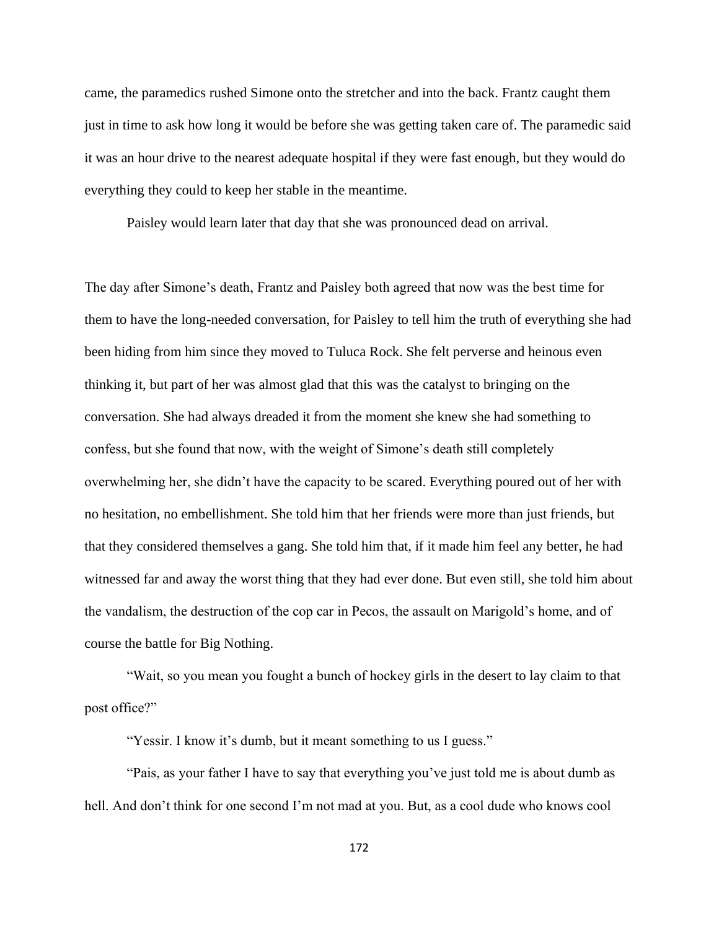came, the paramedics rushed Simone onto the stretcher and into the back. Frantz caught them just in time to ask how long it would be before she was getting taken care of. The paramedic said it was an hour drive to the nearest adequate hospital if they were fast enough, but they would do everything they could to keep her stable in the meantime.

Paisley would learn later that day that she was pronounced dead on arrival.

The day after Simone's death, Frantz and Paisley both agreed that now was the best time for them to have the long-needed conversation, for Paisley to tell him the truth of everything she had been hiding from him since they moved to Tuluca Rock. She felt perverse and heinous even thinking it, but part of her was almost glad that this was the catalyst to bringing on the conversation. She had always dreaded it from the moment she knew she had something to confess, but she found that now, with the weight of Simone's death still completely overwhelming her, she didn't have the capacity to be scared. Everything poured out of her with no hesitation, no embellishment. She told him that her friends were more than just friends, but that they considered themselves a gang. She told him that, if it made him feel any better, he had witnessed far and away the worst thing that they had ever done. But even still, she told him about the vandalism, the destruction of the cop car in Pecos, the assault on Marigold's home, and of course the battle for Big Nothing.

"Wait, so you mean you fought a bunch of hockey girls in the desert to lay claim to that post office?"

"Yessir. I know it's dumb, but it meant something to us I guess."

"Pais, as your father I have to say that everything you've just told me is about dumb as hell. And don't think for one second I'm not mad at you. But, as a cool dude who knows cool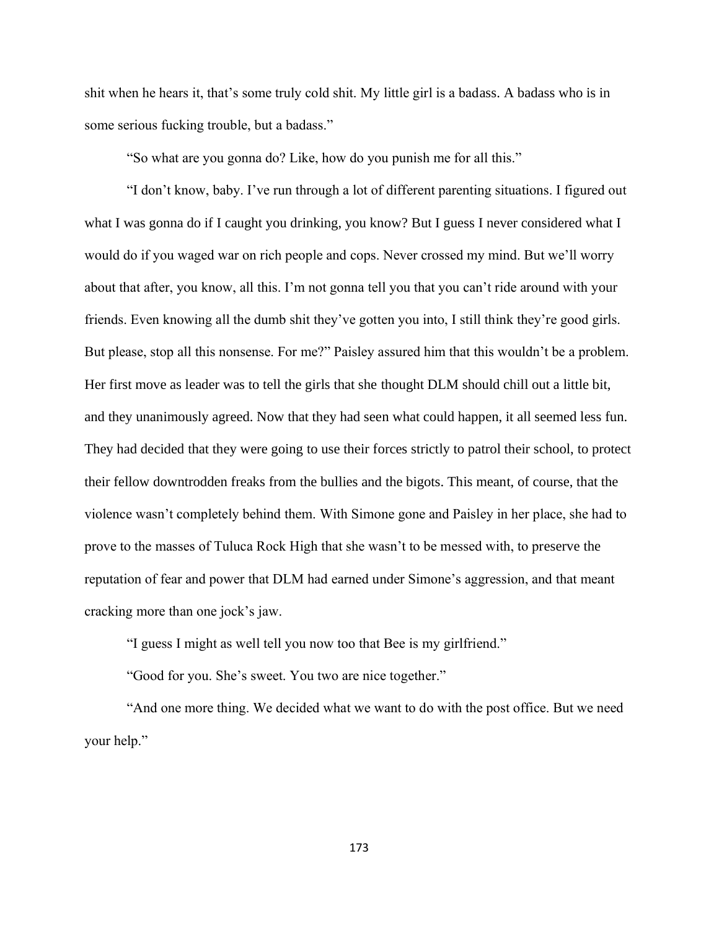shit when he hears it, that's some truly cold shit. My little girl is a badass. A badass who is in some serious fucking trouble, but a badass."

"So what are you gonna do? Like, how do you punish me for all this."

"I don't know, baby. I've run through a lot of different parenting situations. I figured out what I was gonna do if I caught you drinking, you know? But I guess I never considered what I would do if you waged war on rich people and cops. Never crossed my mind. But we'll worry about that after, you know, all this. I'm not gonna tell you that you can't ride around with your friends. Even knowing all the dumb shit they've gotten you into, I still think they're good girls. But please, stop all this nonsense. For me?" Paisley assured him that this wouldn't be a problem. Her first move as leader was to tell the girls that she thought DLM should chill out a little bit, and they unanimously agreed. Now that they had seen what could happen, it all seemed less fun. They had decided that they were going to use their forces strictly to patrol their school, to protect their fellow downtrodden freaks from the bullies and the bigots. This meant, of course, that the violence wasn't completely behind them. With Simone gone and Paisley in her place, she had to prove to the masses of Tuluca Rock High that she wasn't to be messed with, to preserve the reputation of fear and power that DLM had earned under Simone's aggression, and that meant cracking more than one jock's jaw.

"I guess I might as well tell you now too that Bee is my girlfriend."

"Good for you. She's sweet. You two are nice together."

"And one more thing. We decided what we want to do with the post office. But we need your help."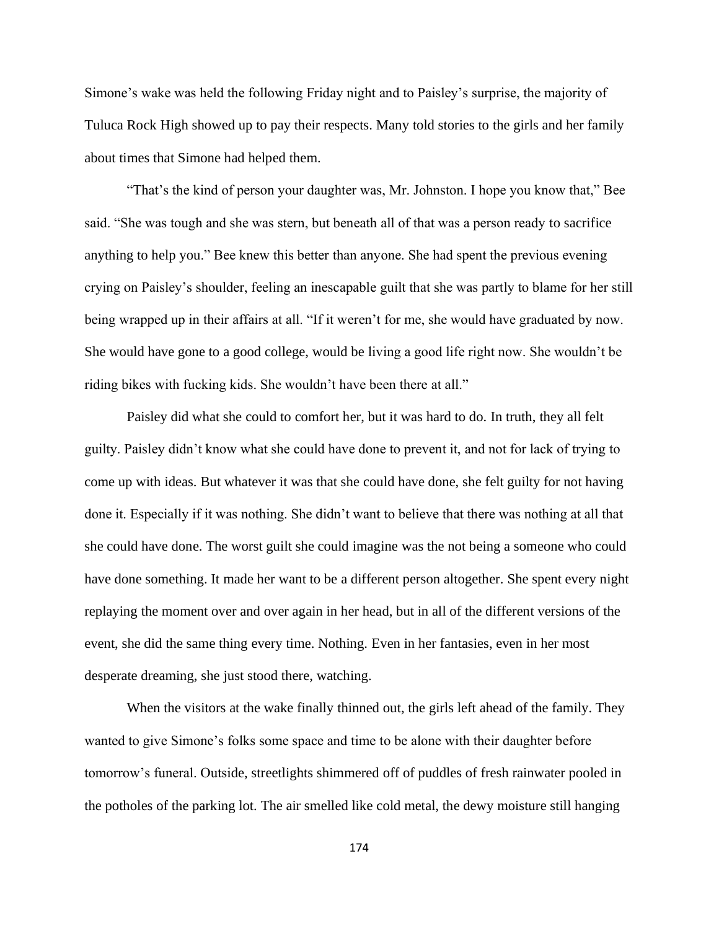Simone's wake was held the following Friday night and to Paisley's surprise, the majority of Tuluca Rock High showed up to pay their respects. Many told stories to the girls and her family about times that Simone had helped them.

"That's the kind of person your daughter was, Mr. Johnston. I hope you know that," Bee said. "She was tough and she was stern, but beneath all of that was a person ready to sacrifice anything to help you." Bee knew this better than anyone. She had spent the previous evening crying on Paisley's shoulder, feeling an inescapable guilt that she was partly to blame for her still being wrapped up in their affairs at all. "If it weren't for me, she would have graduated by now. She would have gone to a good college, would be living a good life right now. She wouldn't be riding bikes with fucking kids. She wouldn't have been there at all."

Paisley did what she could to comfort her, but it was hard to do. In truth, they all felt guilty. Paisley didn't know what she could have done to prevent it, and not for lack of trying to come up with ideas. But whatever it was that she could have done, she felt guilty for not having done it. Especially if it was nothing. She didn't want to believe that there was nothing at all that she could have done. The worst guilt she could imagine was the not being a someone who could have done something. It made her want to be a different person altogether. She spent every night replaying the moment over and over again in her head, but in all of the different versions of the event, she did the same thing every time. Nothing. Even in her fantasies, even in her most desperate dreaming, she just stood there, watching.

When the visitors at the wake finally thinned out, the girls left ahead of the family. They wanted to give Simone's folks some space and time to be alone with their daughter before tomorrow's funeral. Outside, streetlights shimmered off of puddles of fresh rainwater pooled in the potholes of the parking lot. The air smelled like cold metal, the dewy moisture still hanging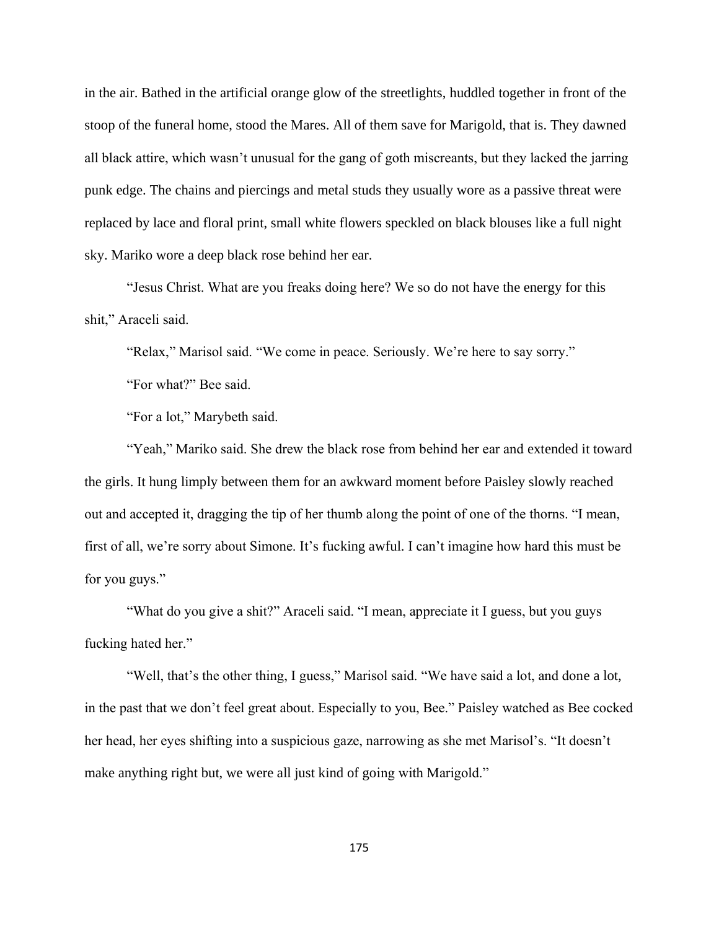in the air. Bathed in the artificial orange glow of the streetlights, huddled together in front of the stoop of the funeral home, stood the Mares. All of them save for Marigold, that is. They dawned all black attire, which wasn't unusual for the gang of goth miscreants, but they lacked the jarring punk edge. The chains and piercings and metal studs they usually wore as a passive threat were replaced by lace and floral print, small white flowers speckled on black blouses like a full night sky. Mariko wore a deep black rose behind her ear.

"Jesus Christ. What are you freaks doing here? We so do not have the energy for this shit," Araceli said.

"Relax," Marisol said. "We come in peace. Seriously. We're here to say sorry."

"For what?" Bee said.

"For a lot," Marybeth said.

"Yeah," Mariko said. She drew the black rose from behind her ear and extended it toward the girls. It hung limply between them for an awkward moment before Paisley slowly reached out and accepted it, dragging the tip of her thumb along the point of one of the thorns. "I mean, first of all, we're sorry about Simone. It's fucking awful. I can't imagine how hard this must be for you guys."

"What do you give a shit?" Araceli said. "I mean, appreciate it I guess, but you guys fucking hated her."

"Well, that's the other thing, I guess," Marisol said. "We have said a lot, and done a lot, in the past that we don't feel great about. Especially to you, Bee." Paisley watched as Bee cocked her head, her eyes shifting into a suspicious gaze, narrowing as she met Marisol's. "It doesn't make anything right but, we were all just kind of going with Marigold."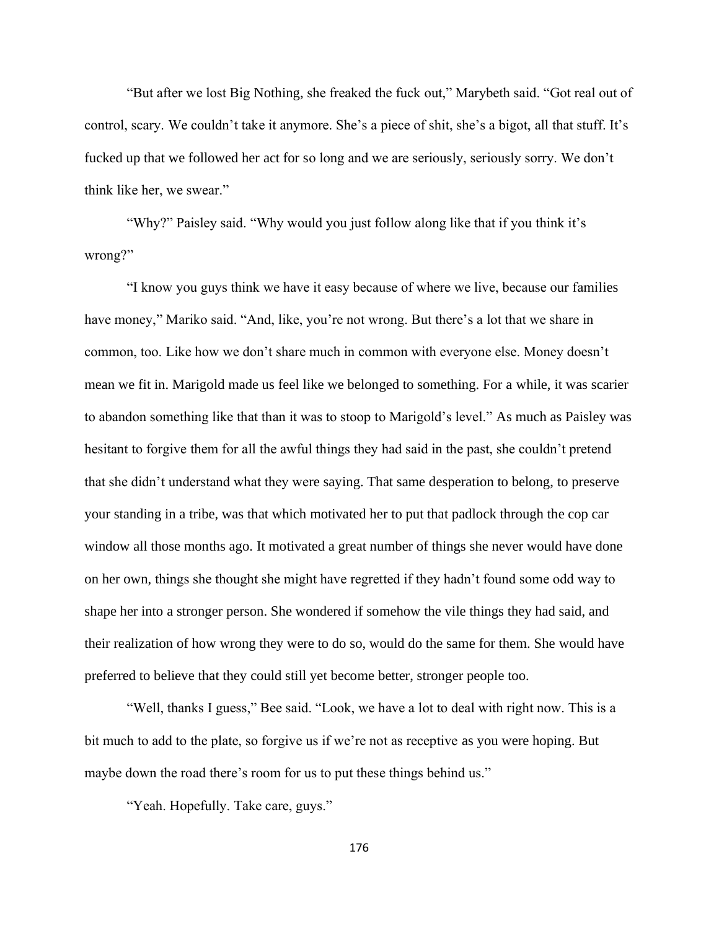"But after we lost Big Nothing, she freaked the fuck out," Marybeth said. "Got real out of control, scary. We couldn't take it anymore. She's a piece of shit, she's a bigot, all that stuff. It's fucked up that we followed her act for so long and we are seriously, seriously sorry. We don't think like her, we swear."

"Why?" Paisley said. "Why would you just follow along like that if you think it's wrong?"

"I know you guys think we have it easy because of where we live, because our families have money," Mariko said. "And, like, you're not wrong. But there's a lot that we share in common, too. Like how we don't share much in common with everyone else. Money doesn't mean we fit in. Marigold made us feel like we belonged to something. For a while, it was scarier to abandon something like that than it was to stoop to Marigold's level." As much as Paisley was hesitant to forgive them for all the awful things they had said in the past, she couldn't pretend that she didn't understand what they were saying. That same desperation to belong, to preserve your standing in a tribe, was that which motivated her to put that padlock through the cop car window all those months ago. It motivated a great number of things she never would have done on her own, things she thought she might have regretted if they hadn't found some odd way to shape her into a stronger person. She wondered if somehow the vile things they had said, and their realization of how wrong they were to do so, would do the same for them. She would have preferred to believe that they could still yet become better, stronger people too.

"Well, thanks I guess," Bee said. "Look, we have a lot to deal with right now. This is a bit much to add to the plate, so forgive us if we're not as receptive as you were hoping. But maybe down the road there's room for us to put these things behind us."

"Yeah. Hopefully. Take care, guys."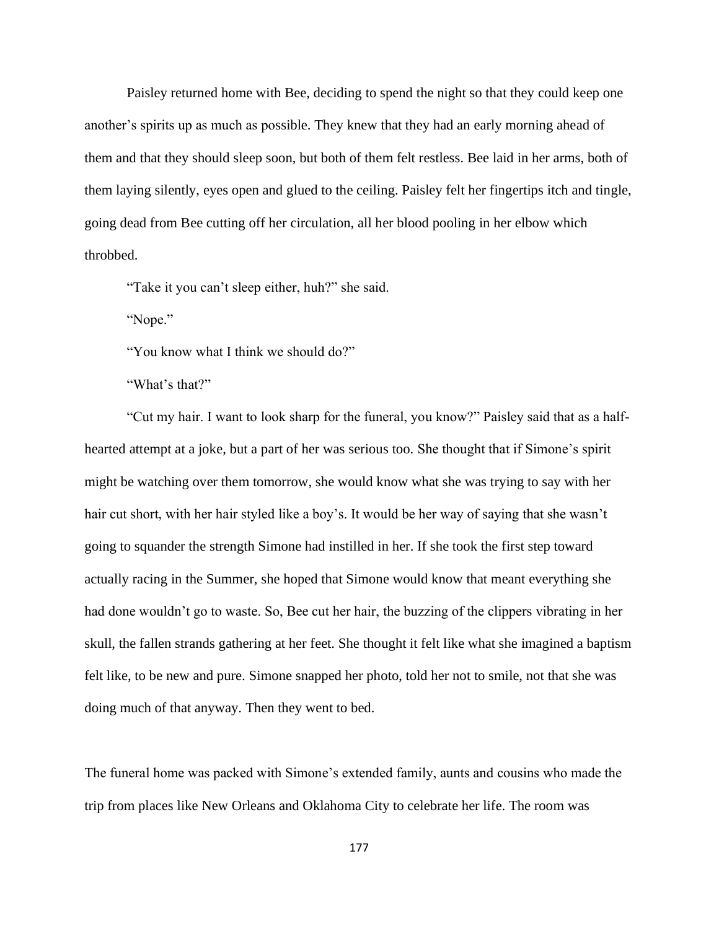Paisley returned home with Bee, deciding to spend the night so that they could keep one another's spirits up as much as possible. They knew that they had an early morning ahead of them and that they should sleep soon, but both of them felt restless. Bee laid in her arms, both of them laying silently, eyes open and glued to the ceiling. Paisley felt her fingertips itch and tingle, going dead from Bee cutting off her circulation, all her blood pooling in her elbow which throbbed.

"Take it you can't sleep either, huh?" she said.

"Nope."

"You know what I think we should do?"

"What's that?"

"Cut my hair. I want to look sharp for the funeral, you know?" Paisley said that as a halfhearted attempt at a joke, but a part of her was serious too. She thought that if Simone's spirit might be watching over them tomorrow, she would know what she was trying to say with her hair cut short, with her hair styled like a boy's. It would be her way of saying that she wasn't going to squander the strength Simone had instilled in her. If she took the first step toward actually racing in the Summer, she hoped that Simone would know that meant everything she had done wouldn't go to waste. So, Bee cut her hair, the buzzing of the clippers vibrating in her skull, the fallen strands gathering at her feet. She thought it felt like what she imagined a baptism felt like, to be new and pure. Simone snapped her photo, told her not to smile, not that she was doing much of that anyway. Then they went to bed.

The funeral home was packed with Simone's extended family, aunts and cousins who made the trip from places like New Orleans and Oklahoma City to celebrate her life. The room was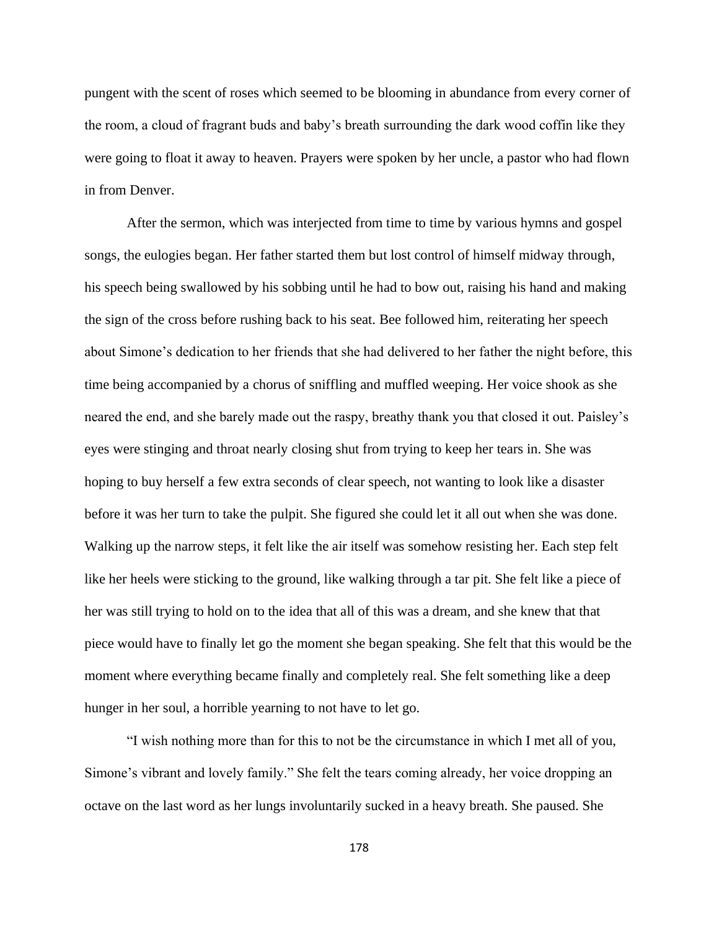pungent with the scent of roses which seemed to be blooming in abundance from every corner of the room, a cloud of fragrant buds and baby's breath surrounding the dark wood coffin like they were going to float it away to heaven. Prayers were spoken by her uncle, a pastor who had flown in from Denver.

After the sermon, which was interjected from time to time by various hymns and gospel songs, the eulogies began. Her father started them but lost control of himself midway through, his speech being swallowed by his sobbing until he had to bow out, raising his hand and making the sign of the cross before rushing back to his seat. Bee followed him, reiterating her speech about Simone's dedication to her friends that she had delivered to her father the night before, this time being accompanied by a chorus of sniffling and muffled weeping. Her voice shook as she neared the end, and she barely made out the raspy, breathy thank you that closed it out. Paisley's eyes were stinging and throat nearly closing shut from trying to keep her tears in. She was hoping to buy herself a few extra seconds of clear speech, not wanting to look like a disaster before it was her turn to take the pulpit. She figured she could let it all out when she was done. Walking up the narrow steps, it felt like the air itself was somehow resisting her. Each step felt like her heels were sticking to the ground, like walking through a tar pit. She felt like a piece of her was still trying to hold on to the idea that all of this was a dream, and she knew that that piece would have to finally let go the moment she began speaking. She felt that this would be the moment where everything became finally and completely real. She felt something like a deep hunger in her soul, a horrible yearning to not have to let go.

"I wish nothing more than for this to not be the circumstance in which I met all of you, Simone's vibrant and lovely family." She felt the tears coming already, her voice dropping an octave on the last word as her lungs involuntarily sucked in a heavy breath. She paused. She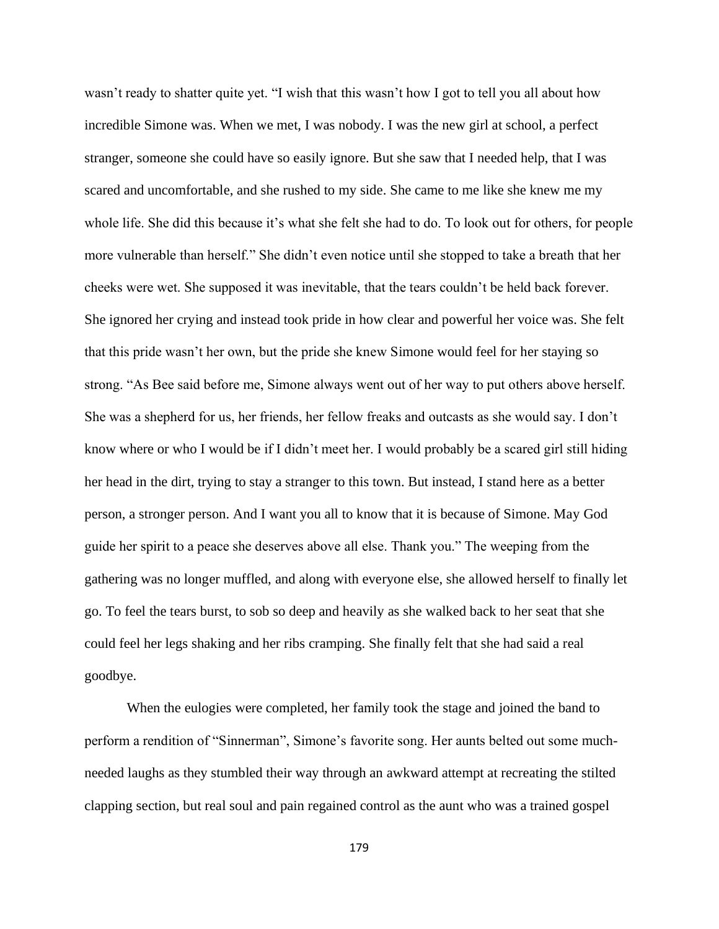wasn't ready to shatter quite yet. "I wish that this wasn't how I got to tell you all about how incredible Simone was. When we met, I was nobody. I was the new girl at school, a perfect stranger, someone she could have so easily ignore. But she saw that I needed help, that I was scared and uncomfortable, and she rushed to my side. She came to me like she knew me my whole life. She did this because it's what she felt she had to do. To look out for others, for people more vulnerable than herself." She didn't even notice until she stopped to take a breath that her cheeks were wet. She supposed it was inevitable, that the tears couldn't be held back forever. She ignored her crying and instead took pride in how clear and powerful her voice was. She felt that this pride wasn't her own, but the pride she knew Simone would feel for her staying so strong. "As Bee said before me, Simone always went out of her way to put others above herself. She was a shepherd for us, her friends, her fellow freaks and outcasts as she would say. I don't know where or who I would be if I didn't meet her. I would probably be a scared girl still hiding her head in the dirt, trying to stay a stranger to this town. But instead, I stand here as a better person, a stronger person. And I want you all to know that it is because of Simone. May God guide her spirit to a peace she deserves above all else. Thank you." The weeping from the gathering was no longer muffled, and along with everyone else, she allowed herself to finally let go. To feel the tears burst, to sob so deep and heavily as she walked back to her seat that she could feel her legs shaking and her ribs cramping. She finally felt that she had said a real goodbye.

When the eulogies were completed, her family took the stage and joined the band to perform a rendition of "Sinnerman", Simone's favorite song. Her aunts belted out some muchneeded laughs as they stumbled their way through an awkward attempt at recreating the stilted clapping section, but real soul and pain regained control as the aunt who was a trained gospel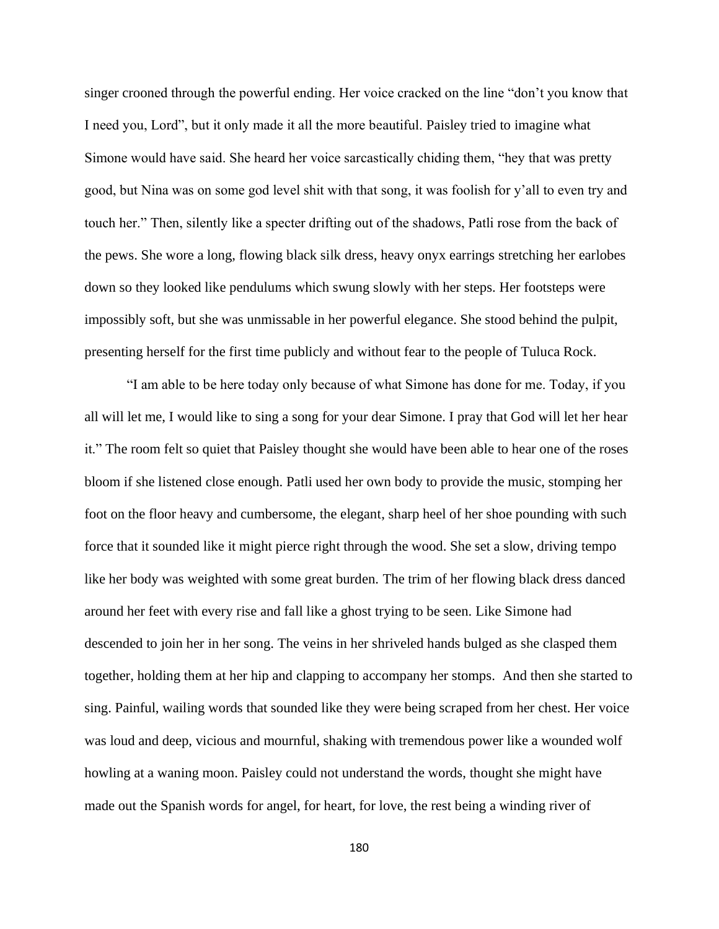singer crooned through the powerful ending. Her voice cracked on the line "don't you know that I need you, Lord", but it only made it all the more beautiful. Paisley tried to imagine what Simone would have said. She heard her voice sarcastically chiding them, "hey that was pretty good, but Nina was on some god level shit with that song, it was foolish for y'all to even try and touch her." Then, silently like a specter drifting out of the shadows, Patli rose from the back of the pews. She wore a long, flowing black silk dress, heavy onyx earrings stretching her earlobes down so they looked like pendulums which swung slowly with her steps. Her footsteps were impossibly soft, but she was unmissable in her powerful elegance. She stood behind the pulpit, presenting herself for the first time publicly and without fear to the people of Tuluca Rock.

"I am able to be here today only because of what Simone has done for me. Today, if you all will let me, I would like to sing a song for your dear Simone. I pray that God will let her hear it." The room felt so quiet that Paisley thought she would have been able to hear one of the roses bloom if she listened close enough. Patli used her own body to provide the music, stomping her foot on the floor heavy and cumbersome, the elegant, sharp heel of her shoe pounding with such force that it sounded like it might pierce right through the wood. She set a slow, driving tempo like her body was weighted with some great burden. The trim of her flowing black dress danced around her feet with every rise and fall like a ghost trying to be seen. Like Simone had descended to join her in her song. The veins in her shriveled hands bulged as she clasped them together, holding them at her hip and clapping to accompany her stomps. And then she started to sing. Painful, wailing words that sounded like they were being scraped from her chest. Her voice was loud and deep, vicious and mournful, shaking with tremendous power like a wounded wolf howling at a waning moon. Paisley could not understand the words, thought she might have made out the Spanish words for angel, for heart, for love, the rest being a winding river of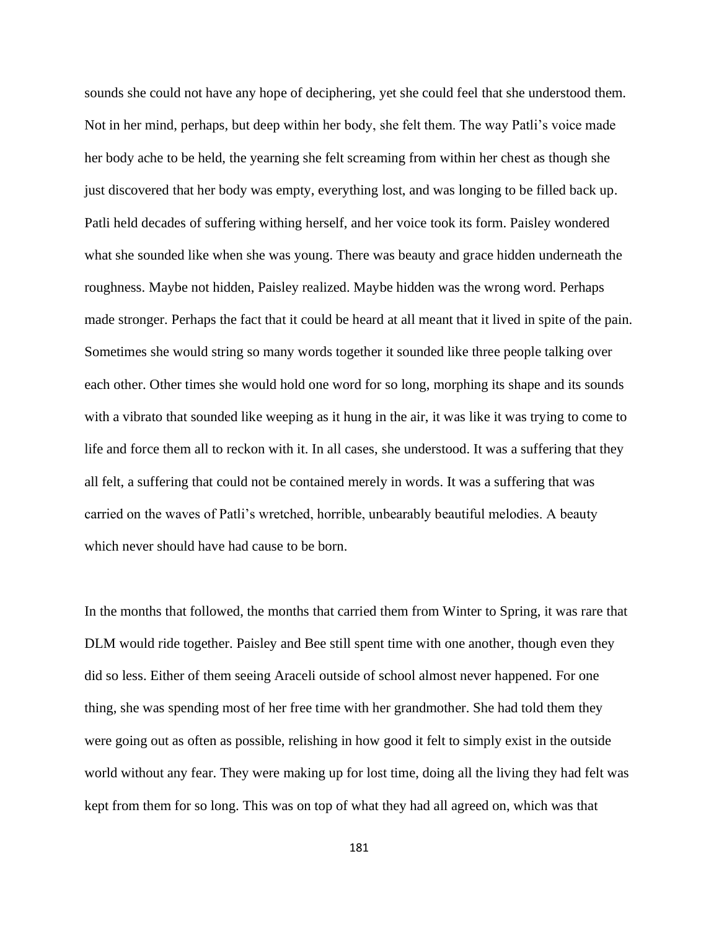sounds she could not have any hope of deciphering, yet she could feel that she understood them. Not in her mind, perhaps, but deep within her body, she felt them. The way Patli's voice made her body ache to be held, the yearning she felt screaming from within her chest as though she just discovered that her body was empty, everything lost, and was longing to be filled back up. Patli held decades of suffering withing herself, and her voice took its form. Paisley wondered what she sounded like when she was young. There was beauty and grace hidden underneath the roughness. Maybe not hidden, Paisley realized. Maybe hidden was the wrong word. Perhaps made stronger. Perhaps the fact that it could be heard at all meant that it lived in spite of the pain. Sometimes she would string so many words together it sounded like three people talking over each other. Other times she would hold one word for so long, morphing its shape and its sounds with a vibrato that sounded like weeping as it hung in the air, it was like it was trying to come to life and force them all to reckon with it. In all cases, she understood. It was a suffering that they all felt, a suffering that could not be contained merely in words. It was a suffering that was carried on the waves of Patli's wretched, horrible, unbearably beautiful melodies. A beauty which never should have had cause to be born.

In the months that followed, the months that carried them from Winter to Spring, it was rare that DLM would ride together. Paisley and Bee still spent time with one another, though even they did so less. Either of them seeing Araceli outside of school almost never happened. For one thing, she was spending most of her free time with her grandmother. She had told them they were going out as often as possible, relishing in how good it felt to simply exist in the outside world without any fear. They were making up for lost time, doing all the living they had felt was kept from them for so long. This was on top of what they had all agreed on, which was that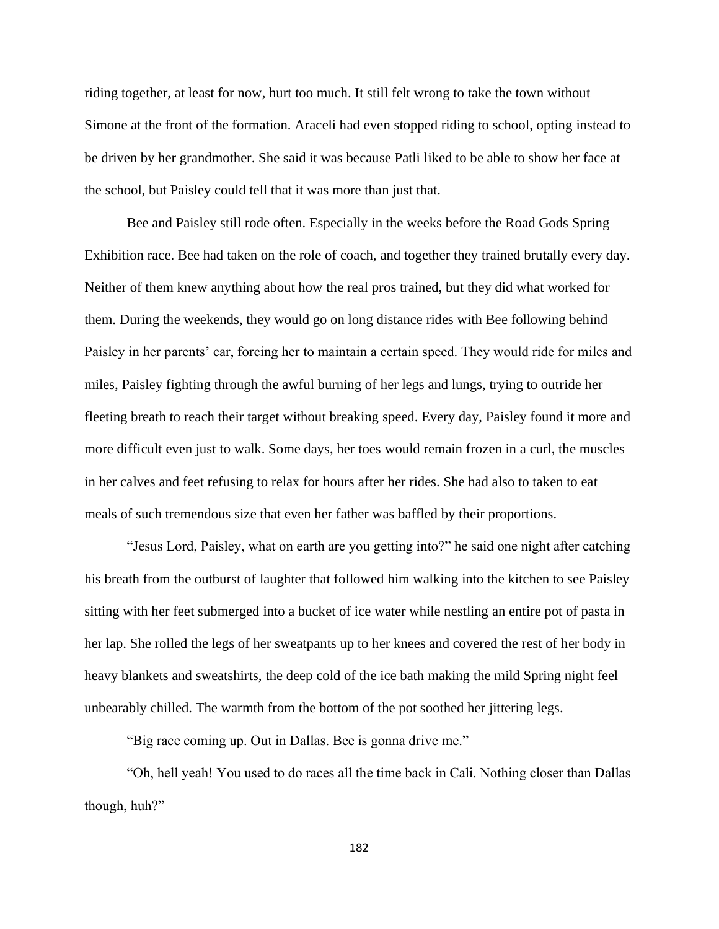riding together, at least for now, hurt too much. It still felt wrong to take the town without Simone at the front of the formation. Araceli had even stopped riding to school, opting instead to be driven by her grandmother. She said it was because Patli liked to be able to show her face at the school, but Paisley could tell that it was more than just that.

Bee and Paisley still rode often. Especially in the weeks before the Road Gods Spring Exhibition race. Bee had taken on the role of coach, and together they trained brutally every day. Neither of them knew anything about how the real pros trained, but they did what worked for them. During the weekends, they would go on long distance rides with Bee following behind Paisley in her parents' car, forcing her to maintain a certain speed. They would ride for miles and miles, Paisley fighting through the awful burning of her legs and lungs, trying to outride her fleeting breath to reach their target without breaking speed. Every day, Paisley found it more and more difficult even just to walk. Some days, her toes would remain frozen in a curl, the muscles in her calves and feet refusing to relax for hours after her rides. She had also to taken to eat meals of such tremendous size that even her father was baffled by their proportions.

"Jesus Lord, Paisley, what on earth are you getting into?" he said one night after catching his breath from the outburst of laughter that followed him walking into the kitchen to see Paisley sitting with her feet submerged into a bucket of ice water while nestling an entire pot of pasta in her lap. She rolled the legs of her sweatpants up to her knees and covered the rest of her body in heavy blankets and sweatshirts, the deep cold of the ice bath making the mild Spring night feel unbearably chilled. The warmth from the bottom of the pot soothed her jittering legs.

"Big race coming up. Out in Dallas. Bee is gonna drive me."

"Oh, hell yeah! You used to do races all the time back in Cali. Nothing closer than Dallas though, huh?"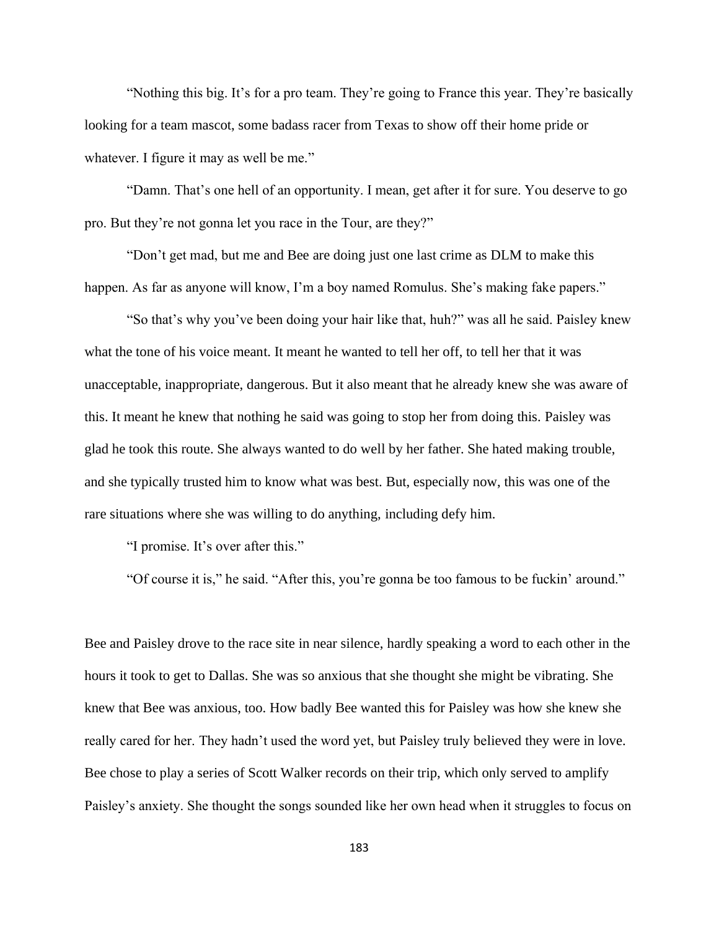"Nothing this big. It's for a pro team. They're going to France this year. They're basically looking for a team mascot, some badass racer from Texas to show off their home pride or whatever. I figure it may as well be me."

"Damn. That's one hell of an opportunity. I mean, get after it for sure. You deserve to go pro. But they're not gonna let you race in the Tour, are they?"

"Don't get mad, but me and Bee are doing just one last crime as DLM to make this happen. As far as anyone will know, I'm a boy named Romulus. She's making fake papers."

"So that's why you've been doing your hair like that, huh?" was all he said. Paisley knew what the tone of his voice meant. It meant he wanted to tell her off, to tell her that it was unacceptable, inappropriate, dangerous. But it also meant that he already knew she was aware of this. It meant he knew that nothing he said was going to stop her from doing this. Paisley was glad he took this route. She always wanted to do well by her father. She hated making trouble, and she typically trusted him to know what was best. But, especially now, this was one of the rare situations where she was willing to do anything, including defy him.

"I promise. It's over after this."

"Of course it is," he said. "After this, you're gonna be too famous to be fuckin' around."

Bee and Paisley drove to the race site in near silence, hardly speaking a word to each other in the hours it took to get to Dallas. She was so anxious that she thought she might be vibrating. She knew that Bee was anxious, too. How badly Bee wanted this for Paisley was how she knew she really cared for her. They hadn't used the word yet, but Paisley truly believed they were in love. Bee chose to play a series of Scott Walker records on their trip, which only served to amplify Paisley's anxiety. She thought the songs sounded like her own head when it struggles to focus on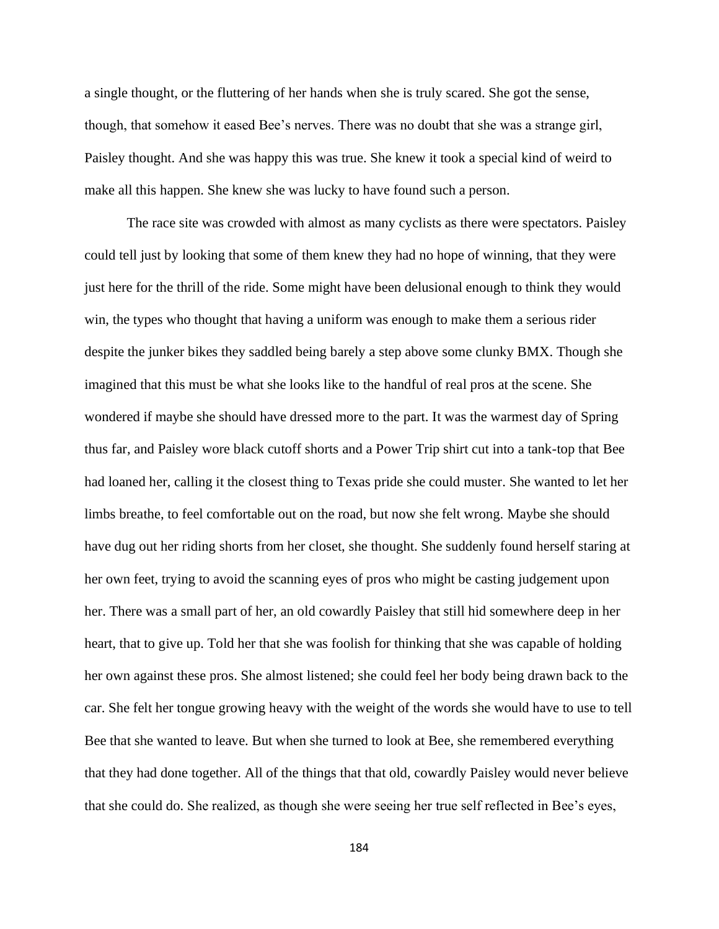a single thought, or the fluttering of her hands when she is truly scared. She got the sense, though, that somehow it eased Bee's nerves. There was no doubt that she was a strange girl, Paisley thought. And she was happy this was true. She knew it took a special kind of weird to make all this happen. She knew she was lucky to have found such a person.

The race site was crowded with almost as many cyclists as there were spectators. Paisley could tell just by looking that some of them knew they had no hope of winning, that they were just here for the thrill of the ride. Some might have been delusional enough to think they would win, the types who thought that having a uniform was enough to make them a serious rider despite the junker bikes they saddled being barely a step above some clunky BMX. Though she imagined that this must be what she looks like to the handful of real pros at the scene. She wondered if maybe she should have dressed more to the part. It was the warmest day of Spring thus far, and Paisley wore black cutoff shorts and a Power Trip shirt cut into a tank-top that Bee had loaned her, calling it the closest thing to Texas pride she could muster. She wanted to let her limbs breathe, to feel comfortable out on the road, but now she felt wrong. Maybe she should have dug out her riding shorts from her closet, she thought. She suddenly found herself staring at her own feet, trying to avoid the scanning eyes of pros who might be casting judgement upon her. There was a small part of her, an old cowardly Paisley that still hid somewhere deep in her heart, that to give up. Told her that she was foolish for thinking that she was capable of holding her own against these pros. She almost listened; she could feel her body being drawn back to the car. She felt her tongue growing heavy with the weight of the words she would have to use to tell Bee that she wanted to leave. But when she turned to look at Bee, she remembered everything that they had done together. All of the things that that old, cowardly Paisley would never believe that she could do. She realized, as though she were seeing her true self reflected in Bee's eyes,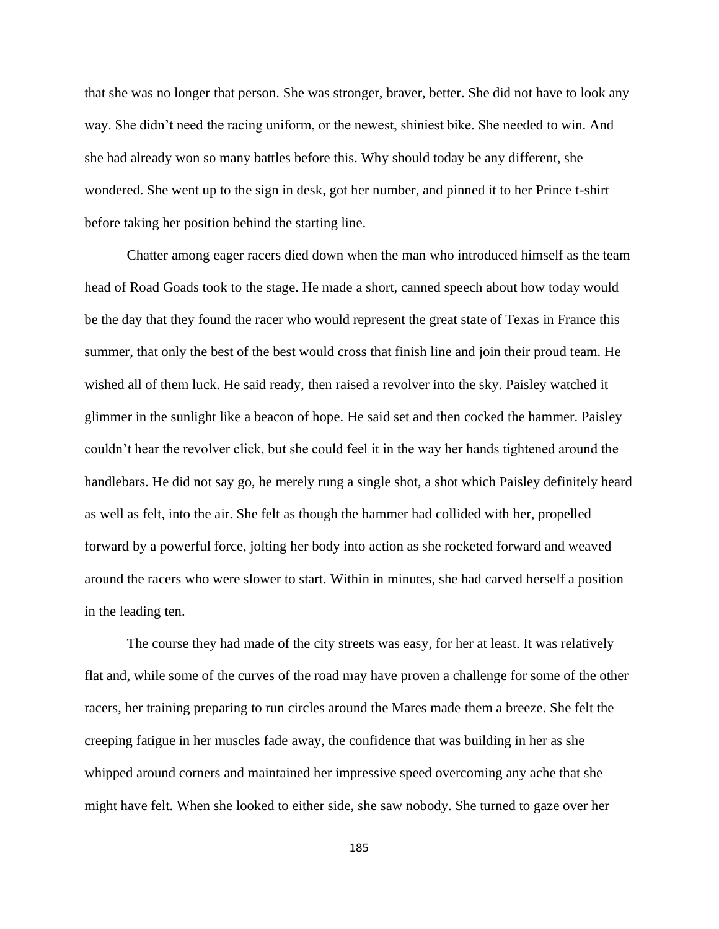that she was no longer that person. She was stronger, braver, better. She did not have to look any way. She didn't need the racing uniform, or the newest, shiniest bike. She needed to win. And she had already won so many battles before this. Why should today be any different, she wondered. She went up to the sign in desk, got her number, and pinned it to her Prince t-shirt before taking her position behind the starting line.

Chatter among eager racers died down when the man who introduced himself as the team head of Road Goads took to the stage. He made a short, canned speech about how today would be the day that they found the racer who would represent the great state of Texas in France this summer, that only the best of the best would cross that finish line and join their proud team. He wished all of them luck. He said ready, then raised a revolver into the sky. Paisley watched it glimmer in the sunlight like a beacon of hope. He said set and then cocked the hammer. Paisley couldn't hear the revolver click, but she could feel it in the way her hands tightened around the handlebars. He did not say go, he merely rung a single shot, a shot which Paisley definitely heard as well as felt, into the air. She felt as though the hammer had collided with her, propelled forward by a powerful force, jolting her body into action as she rocketed forward and weaved around the racers who were slower to start. Within in minutes, she had carved herself a position in the leading ten.

The course they had made of the city streets was easy, for her at least. It was relatively flat and, while some of the curves of the road may have proven a challenge for some of the other racers, her training preparing to run circles around the Mares made them a breeze. She felt the creeping fatigue in her muscles fade away, the confidence that was building in her as she whipped around corners and maintained her impressive speed overcoming any ache that she might have felt. When she looked to either side, she saw nobody. She turned to gaze over her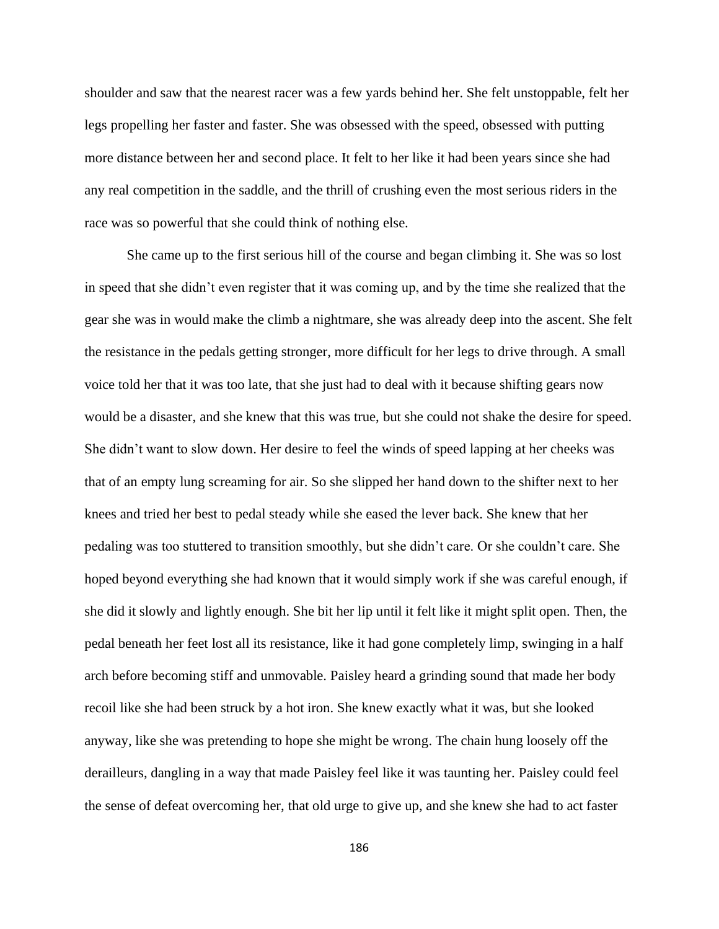shoulder and saw that the nearest racer was a few yards behind her. She felt unstoppable, felt her legs propelling her faster and faster. She was obsessed with the speed, obsessed with putting more distance between her and second place. It felt to her like it had been years since she had any real competition in the saddle, and the thrill of crushing even the most serious riders in the race was so powerful that she could think of nothing else.

She came up to the first serious hill of the course and began climbing it. She was so lost in speed that she didn't even register that it was coming up, and by the time she realized that the gear she was in would make the climb a nightmare, she was already deep into the ascent. She felt the resistance in the pedals getting stronger, more difficult for her legs to drive through. A small voice told her that it was too late, that she just had to deal with it because shifting gears now would be a disaster, and she knew that this was true, but she could not shake the desire for speed. She didn't want to slow down. Her desire to feel the winds of speed lapping at her cheeks was that of an empty lung screaming for air. So she slipped her hand down to the shifter next to her knees and tried her best to pedal steady while she eased the lever back. She knew that her pedaling was too stuttered to transition smoothly, but she didn't care. Or she couldn't care. She hoped beyond everything she had known that it would simply work if she was careful enough, if she did it slowly and lightly enough. She bit her lip until it felt like it might split open. Then, the pedal beneath her feet lost all its resistance, like it had gone completely limp, swinging in a half arch before becoming stiff and unmovable. Paisley heard a grinding sound that made her body recoil like she had been struck by a hot iron. She knew exactly what it was, but she looked anyway, like she was pretending to hope she might be wrong. The chain hung loosely off the derailleurs, dangling in a way that made Paisley feel like it was taunting her. Paisley could feel the sense of defeat overcoming her, that old urge to give up, and she knew she had to act faster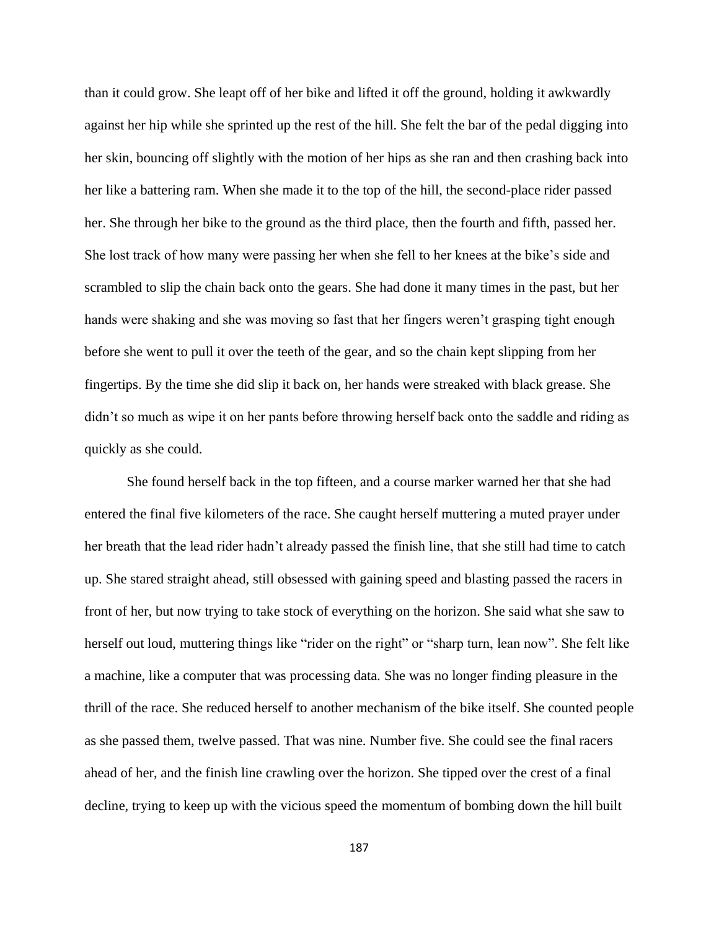than it could grow. She leapt off of her bike and lifted it off the ground, holding it awkwardly against her hip while she sprinted up the rest of the hill. She felt the bar of the pedal digging into her skin, bouncing off slightly with the motion of her hips as she ran and then crashing back into her like a battering ram. When she made it to the top of the hill, the second-place rider passed her. She through her bike to the ground as the third place, then the fourth and fifth, passed her. She lost track of how many were passing her when she fell to her knees at the bike's side and scrambled to slip the chain back onto the gears. She had done it many times in the past, but her hands were shaking and she was moving so fast that her fingers weren't grasping tight enough before she went to pull it over the teeth of the gear, and so the chain kept slipping from her fingertips. By the time she did slip it back on, her hands were streaked with black grease. She didn't so much as wipe it on her pants before throwing herself back onto the saddle and riding as quickly as she could.

She found herself back in the top fifteen, and a course marker warned her that she had entered the final five kilometers of the race. She caught herself muttering a muted prayer under her breath that the lead rider hadn't already passed the finish line, that she still had time to catch up. She stared straight ahead, still obsessed with gaining speed and blasting passed the racers in front of her, but now trying to take stock of everything on the horizon. She said what she saw to herself out loud, muttering things like "rider on the right" or "sharp turn, lean now". She felt like a machine, like a computer that was processing data. She was no longer finding pleasure in the thrill of the race. She reduced herself to another mechanism of the bike itself. She counted people as she passed them, twelve passed. That was nine. Number five. She could see the final racers ahead of her, and the finish line crawling over the horizon. She tipped over the crest of a final decline, trying to keep up with the vicious speed the momentum of bombing down the hill built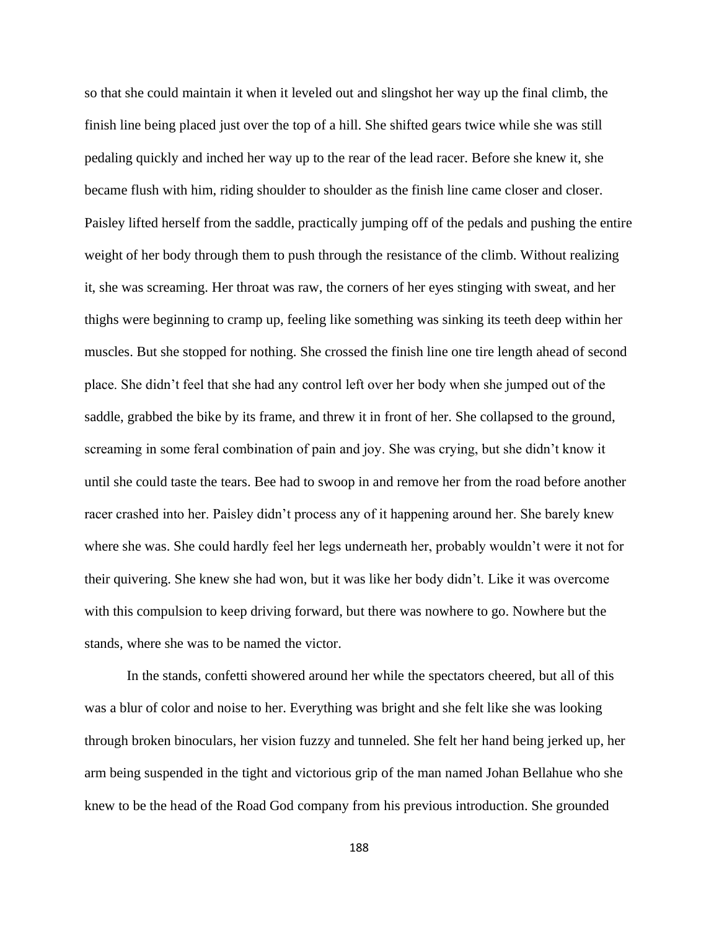so that she could maintain it when it leveled out and slingshot her way up the final climb, the finish line being placed just over the top of a hill. She shifted gears twice while she was still pedaling quickly and inched her way up to the rear of the lead racer. Before she knew it, she became flush with him, riding shoulder to shoulder as the finish line came closer and closer. Paisley lifted herself from the saddle, practically jumping off of the pedals and pushing the entire weight of her body through them to push through the resistance of the climb. Without realizing it, she was screaming. Her throat was raw, the corners of her eyes stinging with sweat, and her thighs were beginning to cramp up, feeling like something was sinking its teeth deep within her muscles. But she stopped for nothing. She crossed the finish line one tire length ahead of second place. She didn't feel that she had any control left over her body when she jumped out of the saddle, grabbed the bike by its frame, and threw it in front of her. She collapsed to the ground, screaming in some feral combination of pain and joy. She was crying, but she didn't know it until she could taste the tears. Bee had to swoop in and remove her from the road before another racer crashed into her. Paisley didn't process any of it happening around her. She barely knew where she was. She could hardly feel her legs underneath her, probably wouldn't were it not for their quivering. She knew she had won, but it was like her body didn't. Like it was overcome with this compulsion to keep driving forward, but there was nowhere to go. Nowhere but the stands, where she was to be named the victor.

In the stands, confetti showered around her while the spectators cheered, but all of this was a blur of color and noise to her. Everything was bright and she felt like she was looking through broken binoculars, her vision fuzzy and tunneled. She felt her hand being jerked up, her arm being suspended in the tight and victorious grip of the man named Johan Bellahue who she knew to be the head of the Road God company from his previous introduction. She grounded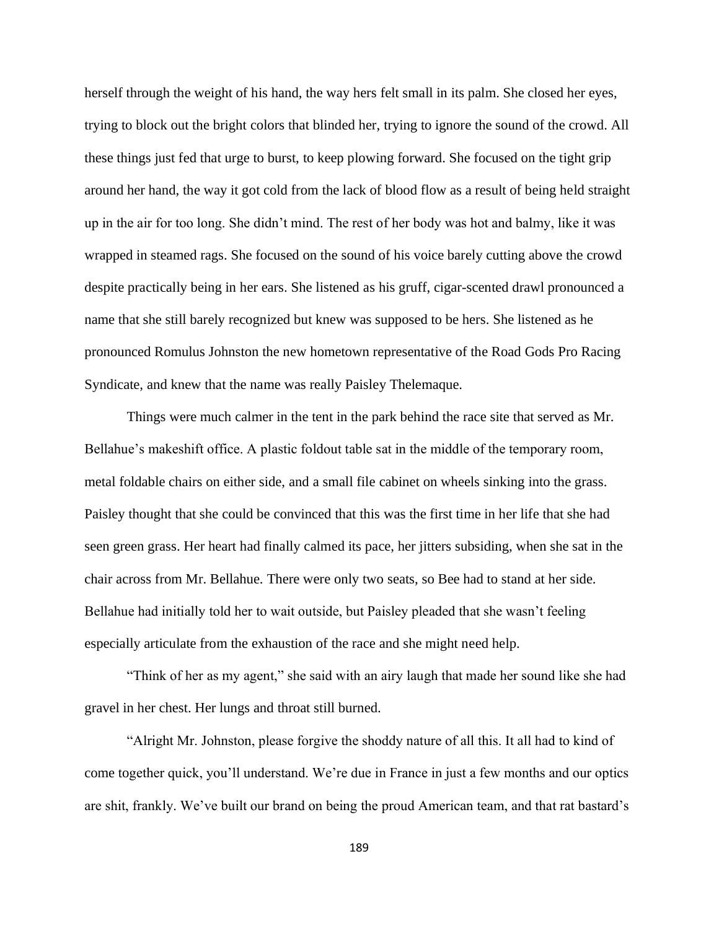herself through the weight of his hand, the way hers felt small in its palm. She closed her eyes, trying to block out the bright colors that blinded her, trying to ignore the sound of the crowd. All these things just fed that urge to burst, to keep plowing forward. She focused on the tight grip around her hand, the way it got cold from the lack of blood flow as a result of being held straight up in the air for too long. She didn't mind. The rest of her body was hot and balmy, like it was wrapped in steamed rags. She focused on the sound of his voice barely cutting above the crowd despite practically being in her ears. She listened as his gruff, cigar-scented drawl pronounced a name that she still barely recognized but knew was supposed to be hers. She listened as he pronounced Romulus Johnston the new hometown representative of the Road Gods Pro Racing Syndicate, and knew that the name was really Paisley Thelemaque.

Things were much calmer in the tent in the park behind the race site that served as Mr. Bellahue's makeshift office. A plastic foldout table sat in the middle of the temporary room, metal foldable chairs on either side, and a small file cabinet on wheels sinking into the grass. Paisley thought that she could be convinced that this was the first time in her life that she had seen green grass. Her heart had finally calmed its pace, her jitters subsiding, when she sat in the chair across from Mr. Bellahue. There were only two seats, so Bee had to stand at her side. Bellahue had initially told her to wait outside, but Paisley pleaded that she wasn't feeling especially articulate from the exhaustion of the race and she might need help.

"Think of her as my agent," she said with an airy laugh that made her sound like she had gravel in her chest. Her lungs and throat still burned.

"Alright Mr. Johnston, please forgive the shoddy nature of all this. It all had to kind of come together quick, you'll understand. We're due in France in just a few months and our optics are shit, frankly. We've built our brand on being the proud American team, and that rat bastard's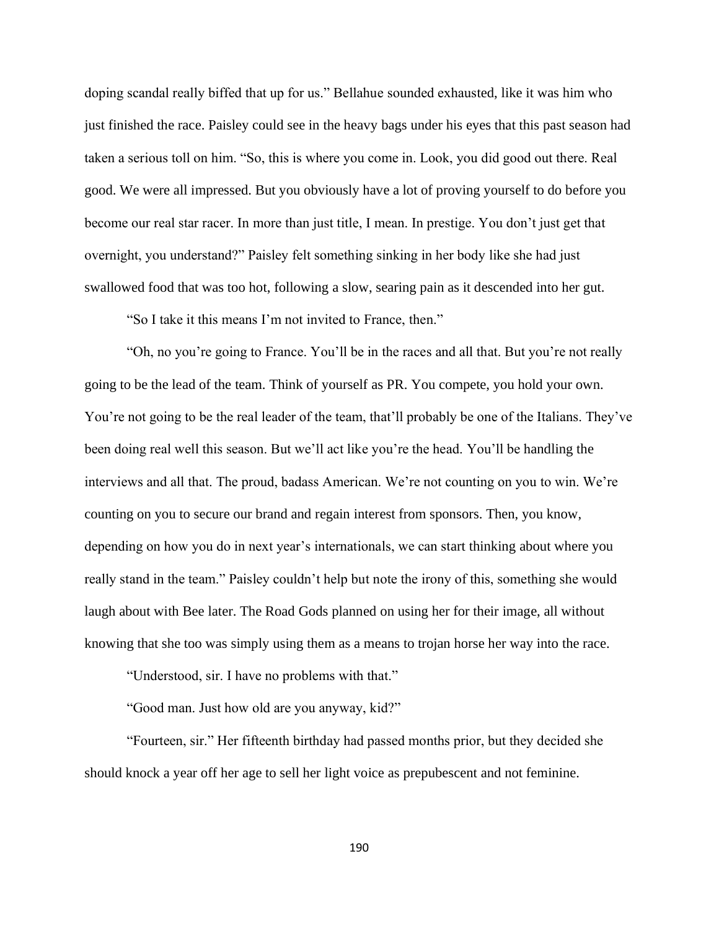doping scandal really biffed that up for us." Bellahue sounded exhausted, like it was him who just finished the race. Paisley could see in the heavy bags under his eyes that this past season had taken a serious toll on him. "So, this is where you come in. Look, you did good out there. Real good. We were all impressed. But you obviously have a lot of proving yourself to do before you become our real star racer. In more than just title, I mean. In prestige. You don't just get that overnight, you understand?" Paisley felt something sinking in her body like she had just swallowed food that was too hot, following a slow, searing pain as it descended into her gut.

"So I take it this means I'm not invited to France, then."

"Oh, no you're going to France. You'll be in the races and all that. But you're not really going to be the lead of the team. Think of yourself as PR. You compete, you hold your own. You're not going to be the real leader of the team, that'll probably be one of the Italians. They've been doing real well this season. But we'll act like you're the head. You'll be handling the interviews and all that. The proud, badass American. We're not counting on you to win. We're counting on you to secure our brand and regain interest from sponsors. Then, you know, depending on how you do in next year's internationals, we can start thinking about where you really stand in the team." Paisley couldn't help but note the irony of this, something she would laugh about with Bee later. The Road Gods planned on using her for their image, all without knowing that she too was simply using them as a means to trojan horse her way into the race.

"Understood, sir. I have no problems with that."

"Good man. Just how old are you anyway, kid?"

"Fourteen, sir." Her fifteenth birthday had passed months prior, but they decided she should knock a year off her age to sell her light voice as prepubescent and not feminine.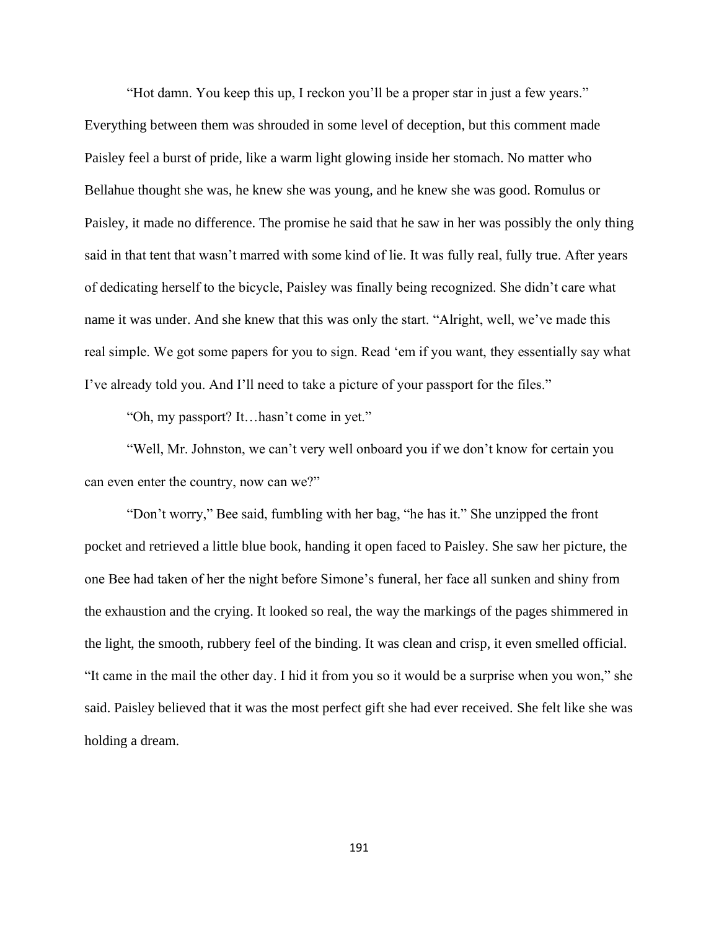"Hot damn. You keep this up, I reckon you'll be a proper star in just a few years." Everything between them was shrouded in some level of deception, but this comment made Paisley feel a burst of pride, like a warm light glowing inside her stomach. No matter who Bellahue thought she was, he knew she was young, and he knew she was good. Romulus or Paisley, it made no difference. The promise he said that he saw in her was possibly the only thing said in that tent that wasn't marred with some kind of lie. It was fully real, fully true. After years of dedicating herself to the bicycle, Paisley was finally being recognized. She didn't care what name it was under. And she knew that this was only the start. "Alright, well, we've made this real simple. We got some papers for you to sign. Read 'em if you want, they essentially say what I've already told you. And I'll need to take a picture of your passport for the files."

"Oh, my passport? It…hasn't come in yet."

"Well, Mr. Johnston, we can't very well onboard you if we don't know for certain you can even enter the country, now can we?"

"Don't worry," Bee said, fumbling with her bag, "he has it." She unzipped the front pocket and retrieved a little blue book, handing it open faced to Paisley. She saw her picture, the one Bee had taken of her the night before Simone's funeral, her face all sunken and shiny from the exhaustion and the crying. It looked so real, the way the markings of the pages shimmered in the light, the smooth, rubbery feel of the binding. It was clean and crisp, it even smelled official. "It came in the mail the other day. I hid it from you so it would be a surprise when you won," she said. Paisley believed that it was the most perfect gift she had ever received. She felt like she was holding a dream.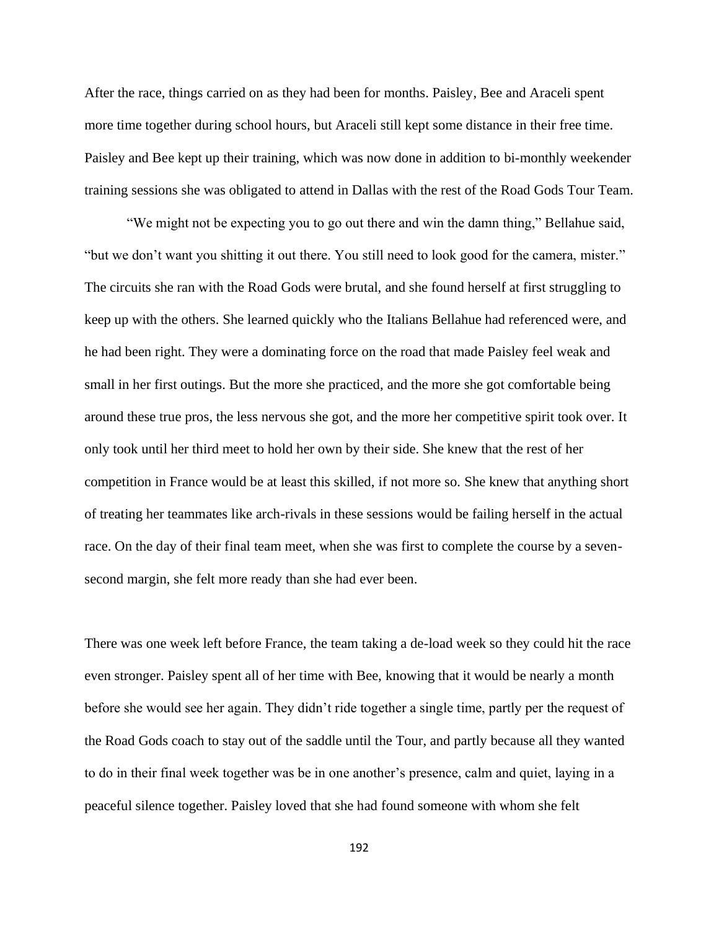After the race, things carried on as they had been for months. Paisley, Bee and Araceli spent more time together during school hours, but Araceli still kept some distance in their free time. Paisley and Bee kept up their training, which was now done in addition to bi-monthly weekender training sessions she was obligated to attend in Dallas with the rest of the Road Gods Tour Team.

"We might not be expecting you to go out there and win the damn thing," Bellahue said, "but we don't want you shitting it out there. You still need to look good for the camera, mister." The circuits she ran with the Road Gods were brutal, and she found herself at first struggling to keep up with the others. She learned quickly who the Italians Bellahue had referenced were, and he had been right. They were a dominating force on the road that made Paisley feel weak and small in her first outings. But the more she practiced, and the more she got comfortable being around these true pros, the less nervous she got, and the more her competitive spirit took over. It only took until her third meet to hold her own by their side. She knew that the rest of her competition in France would be at least this skilled, if not more so. She knew that anything short of treating her teammates like arch-rivals in these sessions would be failing herself in the actual race. On the day of their final team meet, when she was first to complete the course by a sevensecond margin, she felt more ready than she had ever been.

There was one week left before France, the team taking a de-load week so they could hit the race even stronger. Paisley spent all of her time with Bee, knowing that it would be nearly a month before she would see her again. They didn't ride together a single time, partly per the request of the Road Gods coach to stay out of the saddle until the Tour, and partly because all they wanted to do in their final week together was be in one another's presence, calm and quiet, laying in a peaceful silence together. Paisley loved that she had found someone with whom she felt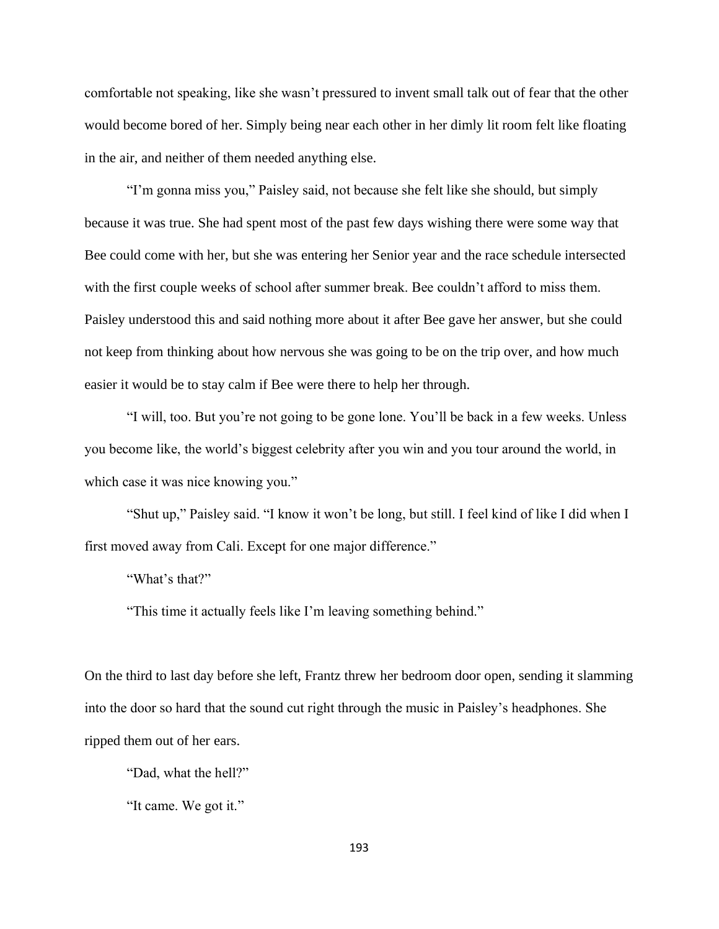comfortable not speaking, like she wasn't pressured to invent small talk out of fear that the other would become bored of her. Simply being near each other in her dimly lit room felt like floating in the air, and neither of them needed anything else.

"I'm gonna miss you," Paisley said, not because she felt like she should, but simply because it was true. She had spent most of the past few days wishing there were some way that Bee could come with her, but she was entering her Senior year and the race schedule intersected with the first couple weeks of school after summer break. Bee couldn't afford to miss them. Paisley understood this and said nothing more about it after Bee gave her answer, but she could not keep from thinking about how nervous she was going to be on the trip over, and how much easier it would be to stay calm if Bee were there to help her through.

"I will, too. But you're not going to be gone lone. You'll be back in a few weeks. Unless you become like, the world's biggest celebrity after you win and you tour around the world, in which case it was nice knowing you."

"Shut up," Paisley said. "I know it won't be long, but still. I feel kind of like I did when I first moved away from Cali. Except for one major difference."

"What's that?"

"This time it actually feels like I'm leaving something behind."

On the third to last day before she left, Frantz threw her bedroom door open, sending it slamming into the door so hard that the sound cut right through the music in Paisley's headphones. She ripped them out of her ears.

"Dad, what the hell?"

"It came. We got it."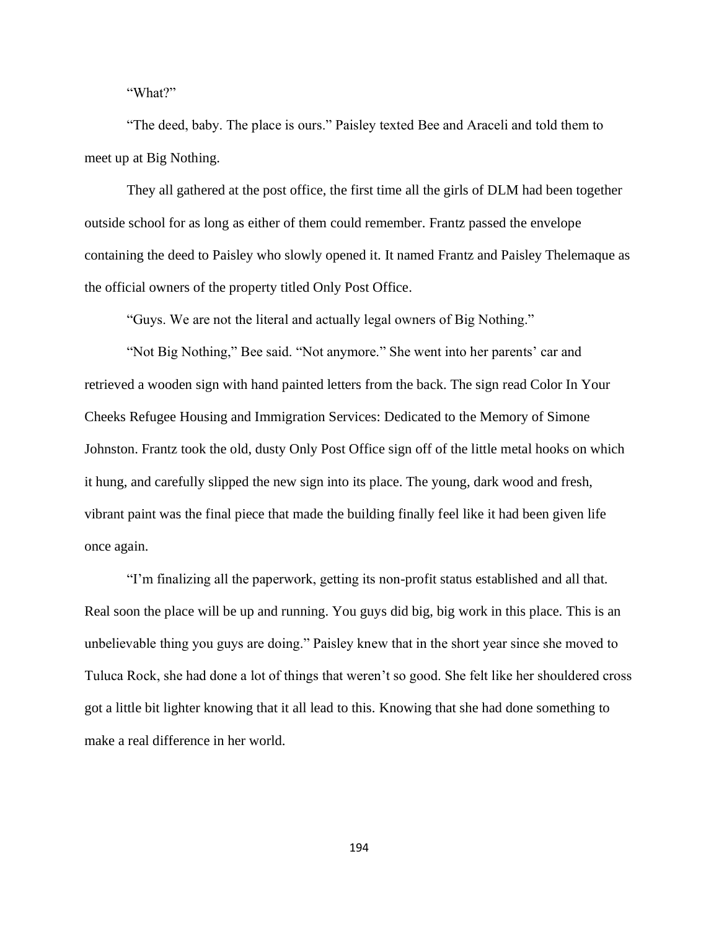"What?"

"The deed, baby. The place is ours." Paisley texted Bee and Araceli and told them to meet up at Big Nothing.

They all gathered at the post office, the first time all the girls of DLM had been together outside school for as long as either of them could remember. Frantz passed the envelope containing the deed to Paisley who slowly opened it. It named Frantz and Paisley Thelemaque as the official owners of the property titled Only Post Office.

"Guys. We are not the literal and actually legal owners of Big Nothing."

"Not Big Nothing," Bee said. "Not anymore." She went into her parents' car and retrieved a wooden sign with hand painted letters from the back. The sign read Color In Your Cheeks Refugee Housing and Immigration Services: Dedicated to the Memory of Simone Johnston. Frantz took the old, dusty Only Post Office sign off of the little metal hooks on which it hung, and carefully slipped the new sign into its place. The young, dark wood and fresh, vibrant paint was the final piece that made the building finally feel like it had been given life once again.

"I'm finalizing all the paperwork, getting its non-profit status established and all that. Real soon the place will be up and running. You guys did big, big work in this place. This is an unbelievable thing you guys are doing." Paisley knew that in the short year since she moved to Tuluca Rock, she had done a lot of things that weren't so good. She felt like her shouldered cross got a little bit lighter knowing that it all lead to this. Knowing that she had done something to make a real difference in her world.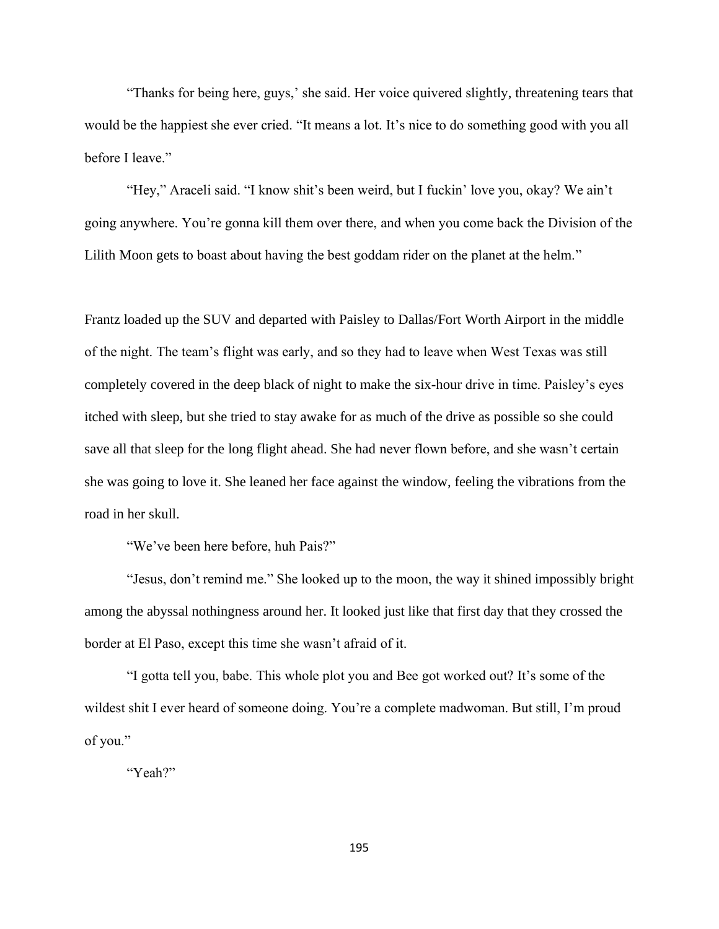"Thanks for being here, guys,' she said. Her voice quivered slightly, threatening tears that would be the happiest she ever cried. "It means a lot. It's nice to do something good with you all before I leave."

"Hey," Araceli said. "I know shit's been weird, but I fuckin' love you, okay? We ain't going anywhere. You're gonna kill them over there, and when you come back the Division of the Lilith Moon gets to boast about having the best goddam rider on the planet at the helm."

Frantz loaded up the SUV and departed with Paisley to Dallas/Fort Worth Airport in the middle of the night. The team's flight was early, and so they had to leave when West Texas was still completely covered in the deep black of night to make the six-hour drive in time. Paisley's eyes itched with sleep, but she tried to stay awake for as much of the drive as possible so she could save all that sleep for the long flight ahead. She had never flown before, and she wasn't certain she was going to love it. She leaned her face against the window, feeling the vibrations from the road in her skull.

"We've been here before, huh Pais?"

"Jesus, don't remind me." She looked up to the moon, the way it shined impossibly bright among the abyssal nothingness around her. It looked just like that first day that they crossed the border at El Paso, except this time she wasn't afraid of it.

"I gotta tell you, babe. This whole plot you and Bee got worked out? It's some of the wildest shit I ever heard of someone doing. You're a complete madwoman. But still, I'm proud of you."

"Yeah?"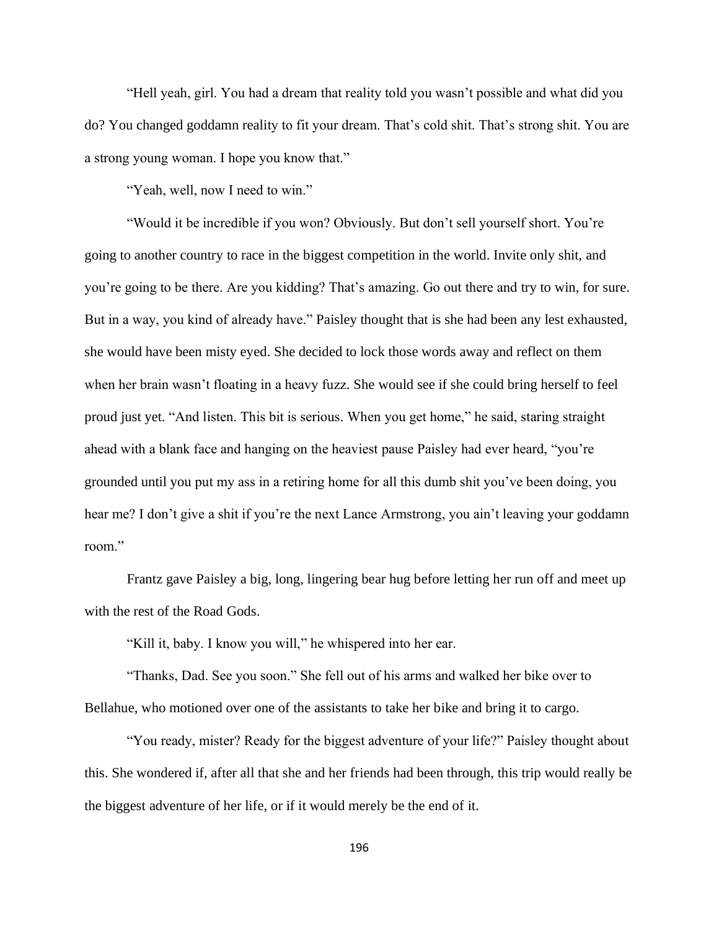"Hell yeah, girl. You had a dream that reality told you wasn't possible and what did you do? You changed goddamn reality to fit your dream. That's cold shit. That's strong shit. You are a strong young woman. I hope you know that."

"Yeah, well, now I need to win."

"Would it be incredible if you won? Obviously. But don't sell yourself short. You're going to another country to race in the biggest competition in the world. Invite only shit, and you're going to be there. Are you kidding? That's amazing. Go out there and try to win, for sure. But in a way, you kind of already have." Paisley thought that is she had been any lest exhausted, she would have been misty eyed. She decided to lock those words away and reflect on them when her brain wasn't floating in a heavy fuzz. She would see if she could bring herself to feel proud just yet. "And listen. This bit is serious. When you get home," he said, staring straight ahead with a blank face and hanging on the heaviest pause Paisley had ever heard, "you're grounded until you put my ass in a retiring home for all this dumb shit you've been doing, you hear me? I don't give a shit if you're the next Lance Armstrong, you ain't leaving your goddamn room."

Frantz gave Paisley a big, long, lingering bear hug before letting her run off and meet up with the rest of the Road Gods.

"Kill it, baby. I know you will," he whispered into her ear.

"Thanks, Dad. See you soon." She fell out of his arms and walked her bike over to Bellahue, who motioned over one of the assistants to take her bike and bring it to cargo.

"You ready, mister? Ready for the biggest adventure of your life?" Paisley thought about this. She wondered if, after all that she and her friends had been through, this trip would really be the biggest adventure of her life, or if it would merely be the end of it.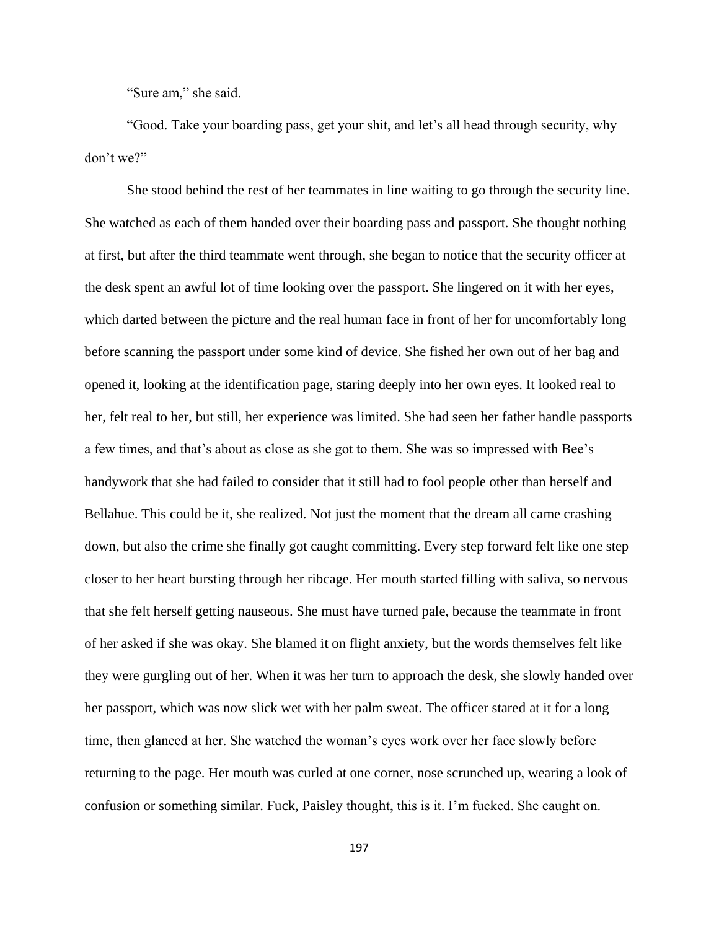"Sure am," she said.

"Good. Take your boarding pass, get your shit, and let's all head through security, why don't we?"

She stood behind the rest of her teammates in line waiting to go through the security line. She watched as each of them handed over their boarding pass and passport. She thought nothing at first, but after the third teammate went through, she began to notice that the security officer at the desk spent an awful lot of time looking over the passport. She lingered on it with her eyes, which darted between the picture and the real human face in front of her for uncomfortably long before scanning the passport under some kind of device. She fished her own out of her bag and opened it, looking at the identification page, staring deeply into her own eyes. It looked real to her, felt real to her, but still, her experience was limited. She had seen her father handle passports a few times, and that's about as close as she got to them. She was so impressed with Bee's handywork that she had failed to consider that it still had to fool people other than herself and Bellahue. This could be it, she realized. Not just the moment that the dream all came crashing down, but also the crime she finally got caught committing. Every step forward felt like one step closer to her heart bursting through her ribcage. Her mouth started filling with saliva, so nervous that she felt herself getting nauseous. She must have turned pale, because the teammate in front of her asked if she was okay. She blamed it on flight anxiety, but the words themselves felt like they were gurgling out of her. When it was her turn to approach the desk, she slowly handed over her passport, which was now slick wet with her palm sweat. The officer stared at it for a long time, then glanced at her. She watched the woman's eyes work over her face slowly before returning to the page. Her mouth was curled at one corner, nose scrunched up, wearing a look of confusion or something similar. Fuck, Paisley thought, this is it. I'm fucked. She caught on.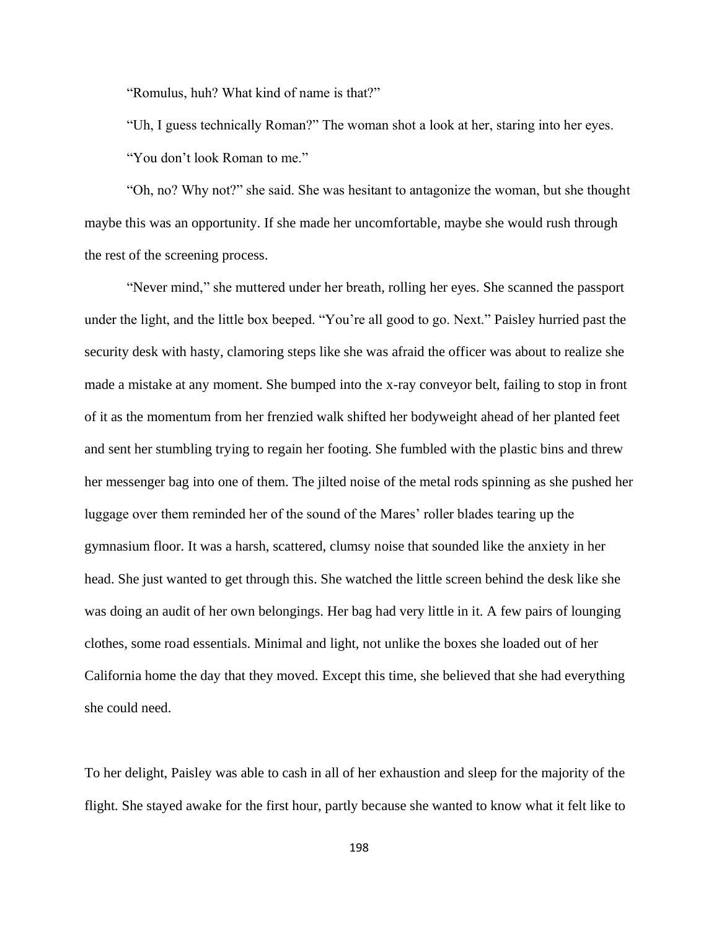"Romulus, huh? What kind of name is that?"

"Uh, I guess technically Roman?" The woman shot a look at her, staring into her eyes. "You don't look Roman to me."

"Oh, no? Why not?" she said. She was hesitant to antagonize the woman, but she thought maybe this was an opportunity. If she made her uncomfortable, maybe she would rush through the rest of the screening process.

"Never mind," she muttered under her breath, rolling her eyes. She scanned the passport under the light, and the little box beeped. "You're all good to go. Next." Paisley hurried past the security desk with hasty, clamoring steps like she was afraid the officer was about to realize she made a mistake at any moment. She bumped into the x-ray conveyor belt, failing to stop in front of it as the momentum from her frenzied walk shifted her bodyweight ahead of her planted feet and sent her stumbling trying to regain her footing. She fumbled with the plastic bins and threw her messenger bag into one of them. The jilted noise of the metal rods spinning as she pushed her luggage over them reminded her of the sound of the Mares' roller blades tearing up the gymnasium floor. It was a harsh, scattered, clumsy noise that sounded like the anxiety in her head. She just wanted to get through this. She watched the little screen behind the desk like she was doing an audit of her own belongings. Her bag had very little in it. A few pairs of lounging clothes, some road essentials. Minimal and light, not unlike the boxes she loaded out of her California home the day that they moved. Except this time, she believed that she had everything she could need.

To her delight, Paisley was able to cash in all of her exhaustion and sleep for the majority of the flight. She stayed awake for the first hour, partly because she wanted to know what it felt like to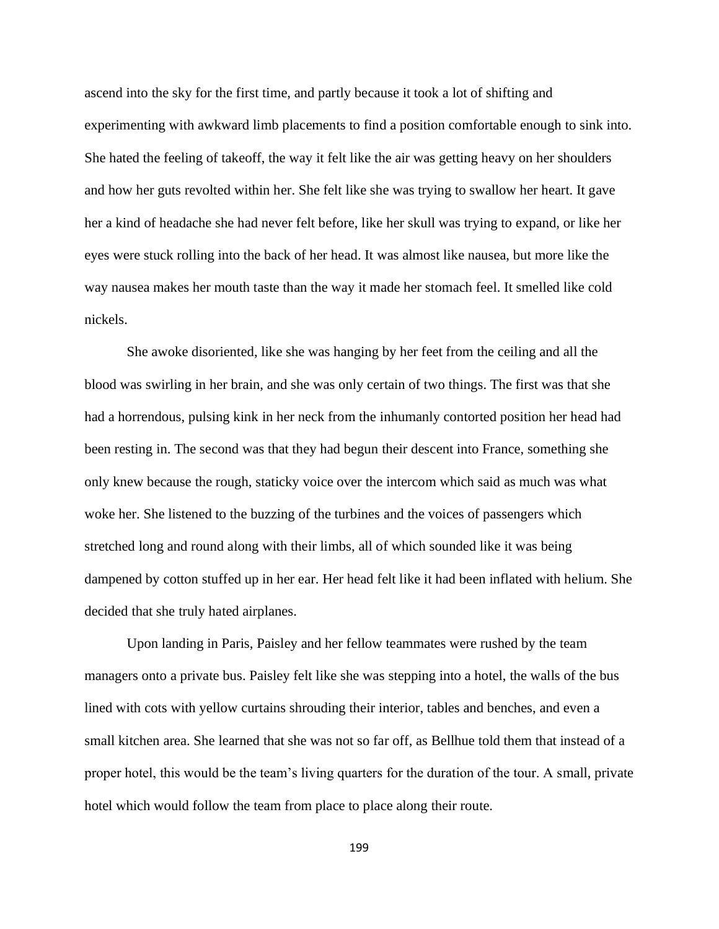ascend into the sky for the first time, and partly because it took a lot of shifting and experimenting with awkward limb placements to find a position comfortable enough to sink into. She hated the feeling of takeoff, the way it felt like the air was getting heavy on her shoulders and how her guts revolted within her. She felt like she was trying to swallow her heart. It gave her a kind of headache she had never felt before, like her skull was trying to expand, or like her eyes were stuck rolling into the back of her head. It was almost like nausea, but more like the way nausea makes her mouth taste than the way it made her stomach feel. It smelled like cold nickels.

She awoke disoriented, like she was hanging by her feet from the ceiling and all the blood was swirling in her brain, and she was only certain of two things. The first was that she had a horrendous, pulsing kink in her neck from the inhumanly contorted position her head had been resting in. The second was that they had begun their descent into France, something she only knew because the rough, staticky voice over the intercom which said as much was what woke her. She listened to the buzzing of the turbines and the voices of passengers which stretched long and round along with their limbs, all of which sounded like it was being dampened by cotton stuffed up in her ear. Her head felt like it had been inflated with helium. She decided that she truly hated airplanes.

Upon landing in Paris, Paisley and her fellow teammates were rushed by the team managers onto a private bus. Paisley felt like she was stepping into a hotel, the walls of the bus lined with cots with yellow curtains shrouding their interior, tables and benches, and even a small kitchen area. She learned that she was not so far off, as Bellhue told them that instead of a proper hotel, this would be the team's living quarters for the duration of the tour. A small, private hotel which would follow the team from place to place along their route.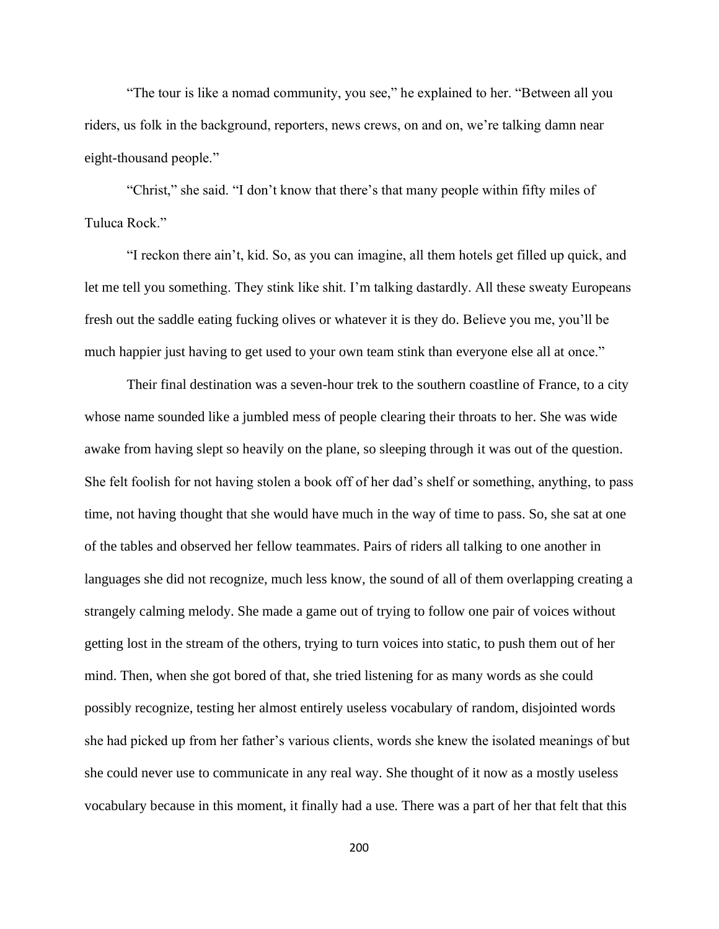"The tour is like a nomad community, you see," he explained to her. "Between all you riders, us folk in the background, reporters, news crews, on and on, we're talking damn near eight-thousand people."

"Christ," she said. "I don't know that there's that many people within fifty miles of Tuluca Rock."

"I reckon there ain't, kid. So, as you can imagine, all them hotels get filled up quick, and let me tell you something. They stink like shit. I'm talking dastardly. All these sweaty Europeans fresh out the saddle eating fucking olives or whatever it is they do. Believe you me, you'll be much happier just having to get used to your own team stink than everyone else all at once."

Their final destination was a seven-hour trek to the southern coastline of France, to a city whose name sounded like a jumbled mess of people clearing their throats to her. She was wide awake from having slept so heavily on the plane, so sleeping through it was out of the question. She felt foolish for not having stolen a book off of her dad's shelf or something, anything, to pass time, not having thought that she would have much in the way of time to pass. So, she sat at one of the tables and observed her fellow teammates. Pairs of riders all talking to one another in languages she did not recognize, much less know, the sound of all of them overlapping creating a strangely calming melody. She made a game out of trying to follow one pair of voices without getting lost in the stream of the others, trying to turn voices into static, to push them out of her mind. Then, when she got bored of that, she tried listening for as many words as she could possibly recognize, testing her almost entirely useless vocabulary of random, disjointed words she had picked up from her father's various clients, words she knew the isolated meanings of but she could never use to communicate in any real way. She thought of it now as a mostly useless vocabulary because in this moment, it finally had a use. There was a part of her that felt that this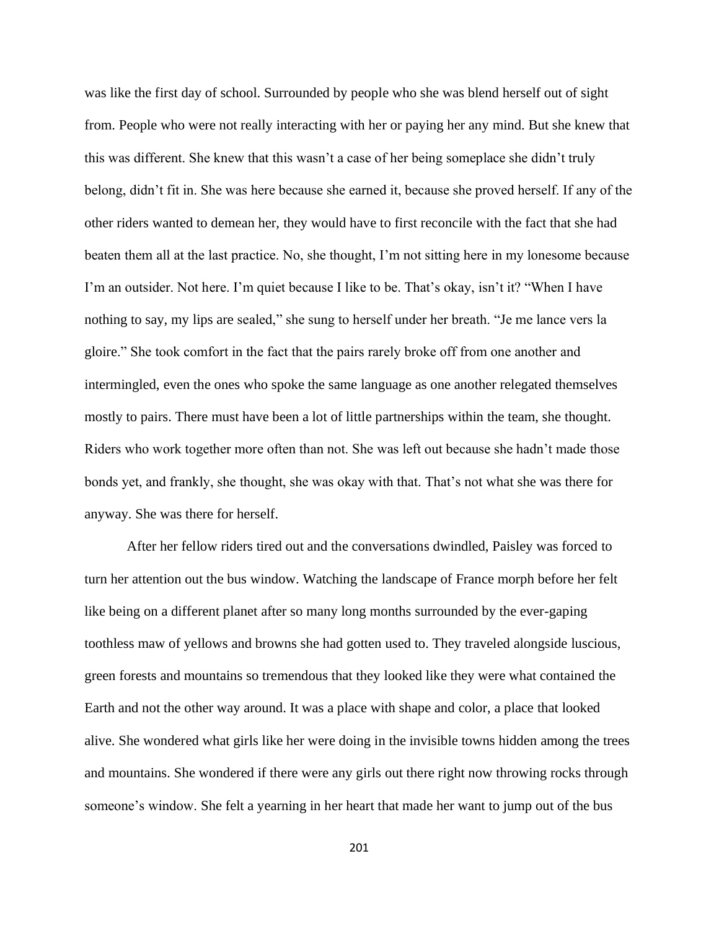was like the first day of school. Surrounded by people who she was blend herself out of sight from. People who were not really interacting with her or paying her any mind. But she knew that this was different. She knew that this wasn't a case of her being someplace she didn't truly belong, didn't fit in. She was here because she earned it, because she proved herself. If any of the other riders wanted to demean her, they would have to first reconcile with the fact that she had beaten them all at the last practice. No, she thought, I'm not sitting here in my lonesome because I'm an outsider. Not here. I'm quiet because I like to be. That's okay, isn't it? "When I have nothing to say, my lips are sealed," she sung to herself under her breath. "Je me lance vers la gloire." She took comfort in the fact that the pairs rarely broke off from one another and intermingled, even the ones who spoke the same language as one another relegated themselves mostly to pairs. There must have been a lot of little partnerships within the team, she thought. Riders who work together more often than not. She was left out because she hadn't made those bonds yet, and frankly, she thought, she was okay with that. That's not what she was there for anyway. She was there for herself.

After her fellow riders tired out and the conversations dwindled, Paisley was forced to turn her attention out the bus window. Watching the landscape of France morph before her felt like being on a different planet after so many long months surrounded by the ever-gaping toothless maw of yellows and browns she had gotten used to. They traveled alongside luscious, green forests and mountains so tremendous that they looked like they were what contained the Earth and not the other way around. It was a place with shape and color, a place that looked alive. She wondered what girls like her were doing in the invisible towns hidden among the trees and mountains. She wondered if there were any girls out there right now throwing rocks through someone's window. She felt a yearning in her heart that made her want to jump out of the bus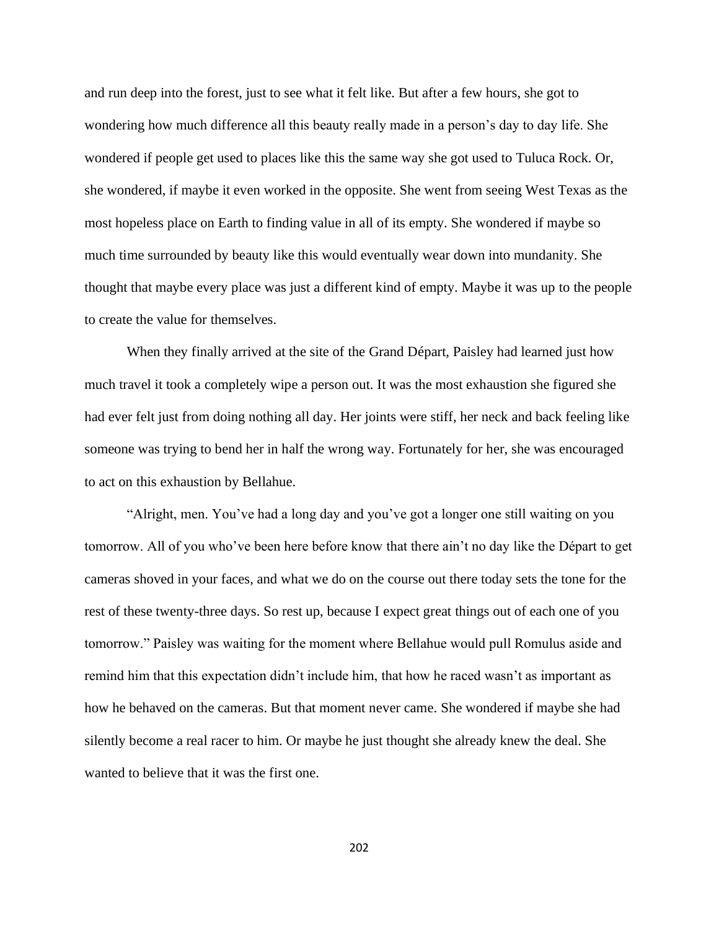and run deep into the forest, just to see what it felt like. But after a few hours, she got to wondering how much difference all this beauty really made in a person's day to day life. She wondered if people get used to places like this the same way she got used to Tuluca Rock. Or, she wondered, if maybe it even worked in the opposite. She went from seeing West Texas as the most hopeless place on Earth to finding value in all of its empty. She wondered if maybe so much time surrounded by beauty like this would eventually wear down into mundanity. She thought that maybe every place was just a different kind of empty. Maybe it was up to the people to create the value for themselves.

When they finally arrived at the site of the Grand Départ, Paisley had learned just how much travel it took a completely wipe a person out. It was the most exhaustion she figured she had ever felt just from doing nothing all day. Her joints were stiff, her neck and back feeling like someone was trying to bend her in half the wrong way. Fortunately for her, she was encouraged to act on this exhaustion by Bellahue.

"Alright, men. You've had a long day and you've got a longer one still waiting on you tomorrow. All of you who've been here before know that there ain't no day like the Départ to get cameras shoved in your faces, and what we do on the course out there today sets the tone for the rest of these twenty-three days. So rest up, because I expect great things out of each one of you tomorrow." Paisley was waiting for the moment where Bellahue would pull Romulus aside and remind him that this expectation didn't include him, that how he raced wasn't as important as how he behaved on the cameras. But that moment never came. She wondered if maybe she had silently become a real racer to him. Or maybe he just thought she already knew the deal. She wanted to believe that it was the first one.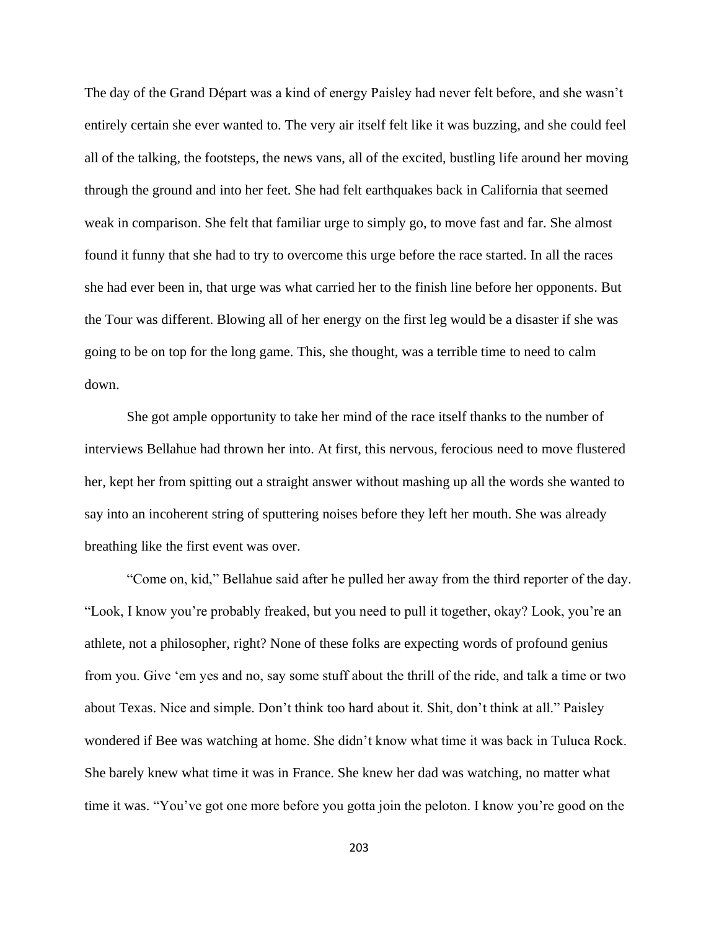The day of the Grand Départ was a kind of energy Paisley had never felt before, and she wasn't entirely certain she ever wanted to. The very air itself felt like it was buzzing, and she could feel all of the talking, the footsteps, the news vans, all of the excited, bustling life around her moving through the ground and into her feet. She had felt earthquakes back in California that seemed weak in comparison. She felt that familiar urge to simply go, to move fast and far. She almost found it funny that she had to try to overcome this urge before the race started. In all the races she had ever been in, that urge was what carried her to the finish line before her opponents. But the Tour was different. Blowing all of her energy on the first leg would be a disaster if she was going to be on top for the long game. This, she thought, was a terrible time to need to calm down.

She got ample opportunity to take her mind of the race itself thanks to the number of interviews Bellahue had thrown her into. At first, this nervous, ferocious need to move flustered her, kept her from spitting out a straight answer without mashing up all the words she wanted to say into an incoherent string of sputtering noises before they left her mouth. She was already breathing like the first event was over.

"Come on, kid," Bellahue said after he pulled her away from the third reporter of the day. "Look, I know you're probably freaked, but you need to pull it together, okay? Look, you're an athlete, not a philosopher, right? None of these folks are expecting words of profound genius from you. Give 'em yes and no, say some stuff about the thrill of the ride, and talk a time or two about Texas. Nice and simple. Don't think too hard about it. Shit, don't think at all." Paisley wondered if Bee was watching at home. She didn't know what time it was back in Tuluca Rock. She barely knew what time it was in France. She knew her dad was watching, no matter what time it was. "You've got one more before you gotta join the peloton. I know you're good on the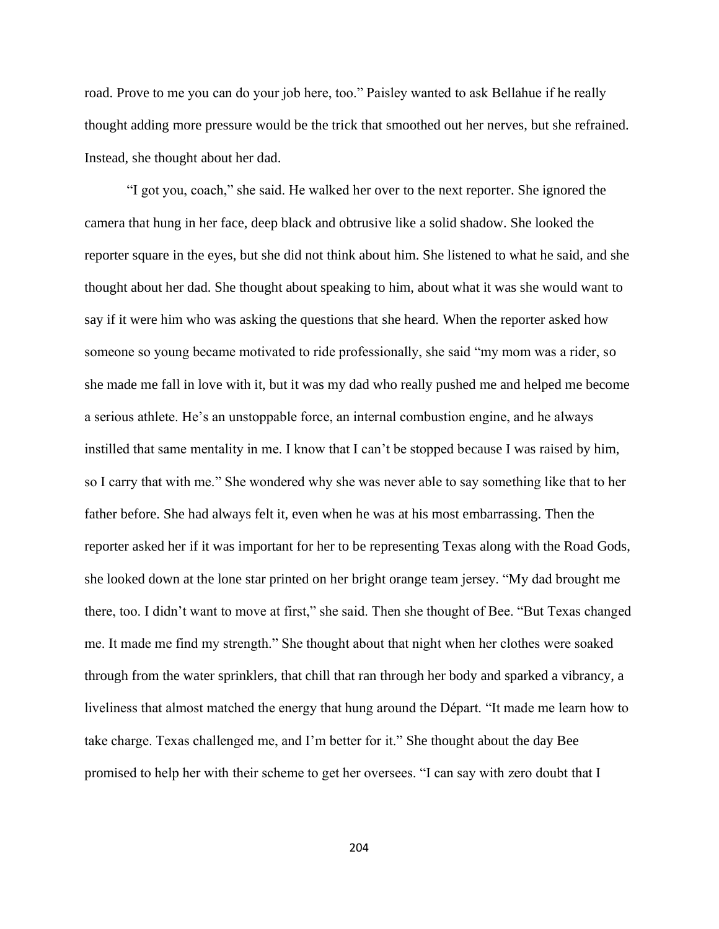road. Prove to me you can do your job here, too." Paisley wanted to ask Bellahue if he really thought adding more pressure would be the trick that smoothed out her nerves, but she refrained. Instead, she thought about her dad.

"I got you, coach," she said. He walked her over to the next reporter. She ignored the camera that hung in her face, deep black and obtrusive like a solid shadow. She looked the reporter square in the eyes, but she did not think about him. She listened to what he said, and she thought about her dad. She thought about speaking to him, about what it was she would want to say if it were him who was asking the questions that she heard. When the reporter asked how someone so young became motivated to ride professionally, she said "my mom was a rider, so she made me fall in love with it, but it was my dad who really pushed me and helped me become a serious athlete. He's an unstoppable force, an internal combustion engine, and he always instilled that same mentality in me. I know that I can't be stopped because I was raised by him, so I carry that with me." She wondered why she was never able to say something like that to her father before. She had always felt it, even when he was at his most embarrassing. Then the reporter asked her if it was important for her to be representing Texas along with the Road Gods, she looked down at the lone star printed on her bright orange team jersey. "My dad brought me there, too. I didn't want to move at first," she said. Then she thought of Bee. "But Texas changed me. It made me find my strength." She thought about that night when her clothes were soaked through from the water sprinklers, that chill that ran through her body and sparked a vibrancy, a liveliness that almost matched the energy that hung around the Départ. "It made me learn how to take charge. Texas challenged me, and I'm better for it." She thought about the day Bee promised to help her with their scheme to get her oversees. "I can say with zero doubt that I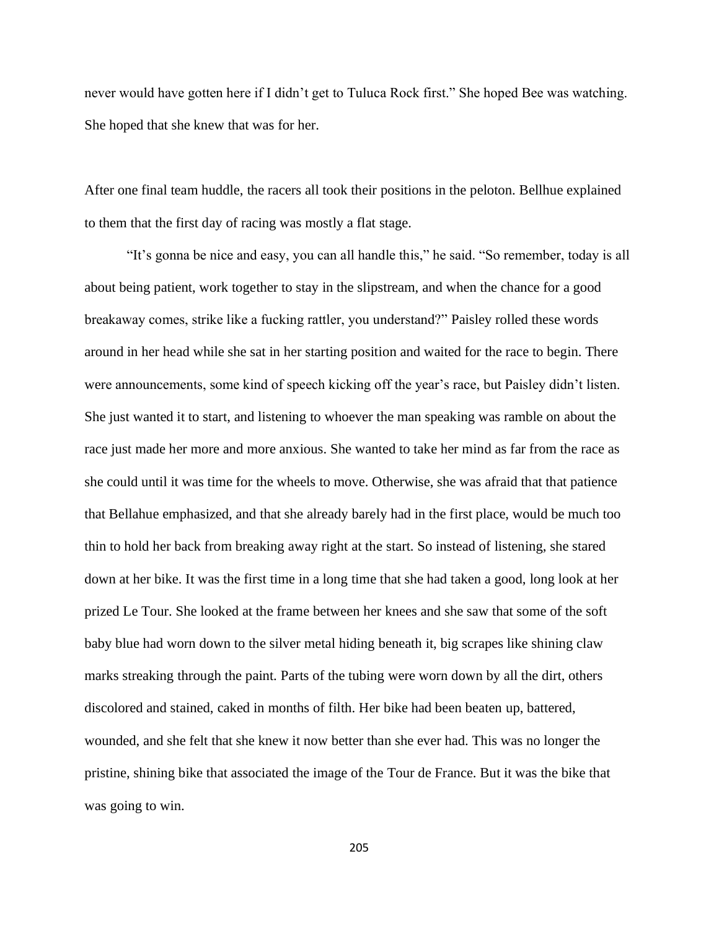never would have gotten here if I didn't get to Tuluca Rock first." She hoped Bee was watching. She hoped that she knew that was for her.

After one final team huddle, the racers all took their positions in the peloton. Bellhue explained to them that the first day of racing was mostly a flat stage.

"It's gonna be nice and easy, you can all handle this," he said. "So remember, today is all about being patient, work together to stay in the slipstream, and when the chance for a good breakaway comes, strike like a fucking rattler, you understand?" Paisley rolled these words around in her head while she sat in her starting position and waited for the race to begin. There were announcements, some kind of speech kicking off the year's race, but Paisley didn't listen. She just wanted it to start, and listening to whoever the man speaking was ramble on about the race just made her more and more anxious. She wanted to take her mind as far from the race as she could until it was time for the wheels to move. Otherwise, she was afraid that that patience that Bellahue emphasized, and that she already barely had in the first place, would be much too thin to hold her back from breaking away right at the start. So instead of listening, she stared down at her bike. It was the first time in a long time that she had taken a good, long look at her prized Le Tour. She looked at the frame between her knees and she saw that some of the soft baby blue had worn down to the silver metal hiding beneath it, big scrapes like shining claw marks streaking through the paint. Parts of the tubing were worn down by all the dirt, others discolored and stained, caked in months of filth. Her bike had been beaten up, battered, wounded, and she felt that she knew it now better than she ever had. This was no longer the pristine, shining bike that associated the image of the Tour de France. But it was the bike that was going to win.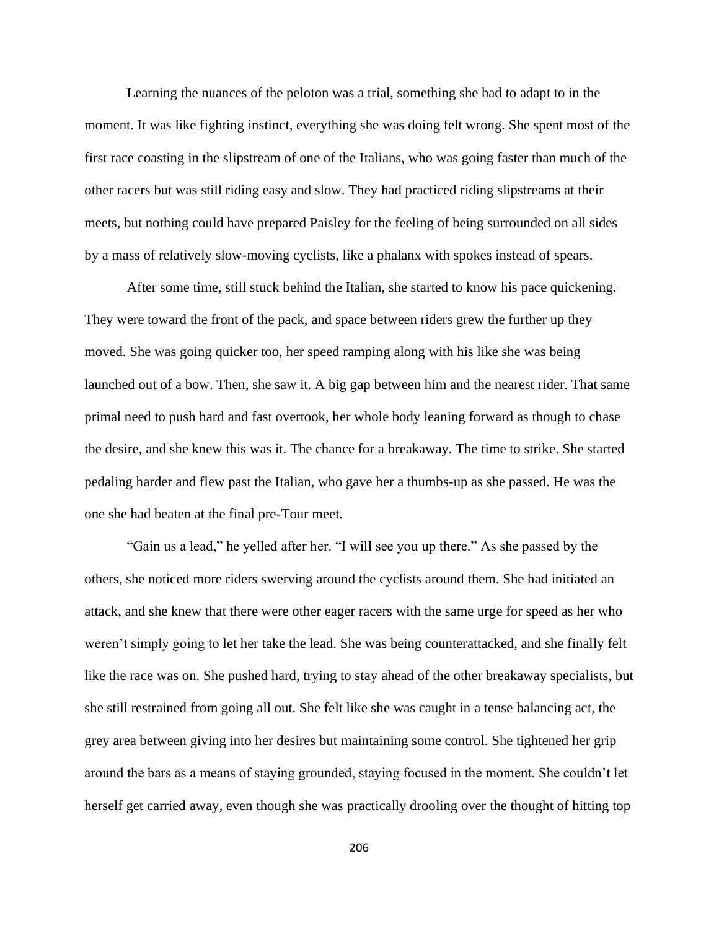Learning the nuances of the peloton was a trial, something she had to adapt to in the moment. It was like fighting instinct, everything she was doing felt wrong. She spent most of the first race coasting in the slipstream of one of the Italians, who was going faster than much of the other racers but was still riding easy and slow. They had practiced riding slipstreams at their meets, but nothing could have prepared Paisley for the feeling of being surrounded on all sides by a mass of relatively slow-moving cyclists, like a phalanx with spokes instead of spears.

After some time, still stuck behind the Italian, she started to know his pace quickening. They were toward the front of the pack, and space between riders grew the further up they moved. She was going quicker too, her speed ramping along with his like she was being launched out of a bow. Then, she saw it. A big gap between him and the nearest rider. That same primal need to push hard and fast overtook, her whole body leaning forward as though to chase the desire, and she knew this was it. The chance for a breakaway. The time to strike. She started pedaling harder and flew past the Italian, who gave her a thumbs-up as she passed. He was the one she had beaten at the final pre-Tour meet.

"Gain us a lead," he yelled after her. "I will see you up there." As she passed by the others, she noticed more riders swerving around the cyclists around them. She had initiated an attack, and she knew that there were other eager racers with the same urge for speed as her who weren't simply going to let her take the lead. She was being counterattacked, and she finally felt like the race was on. She pushed hard, trying to stay ahead of the other breakaway specialists, but she still restrained from going all out. She felt like she was caught in a tense balancing act, the grey area between giving into her desires but maintaining some control. She tightened her grip around the bars as a means of staying grounded, staying focused in the moment. She couldn't let herself get carried away, even though she was practically drooling over the thought of hitting top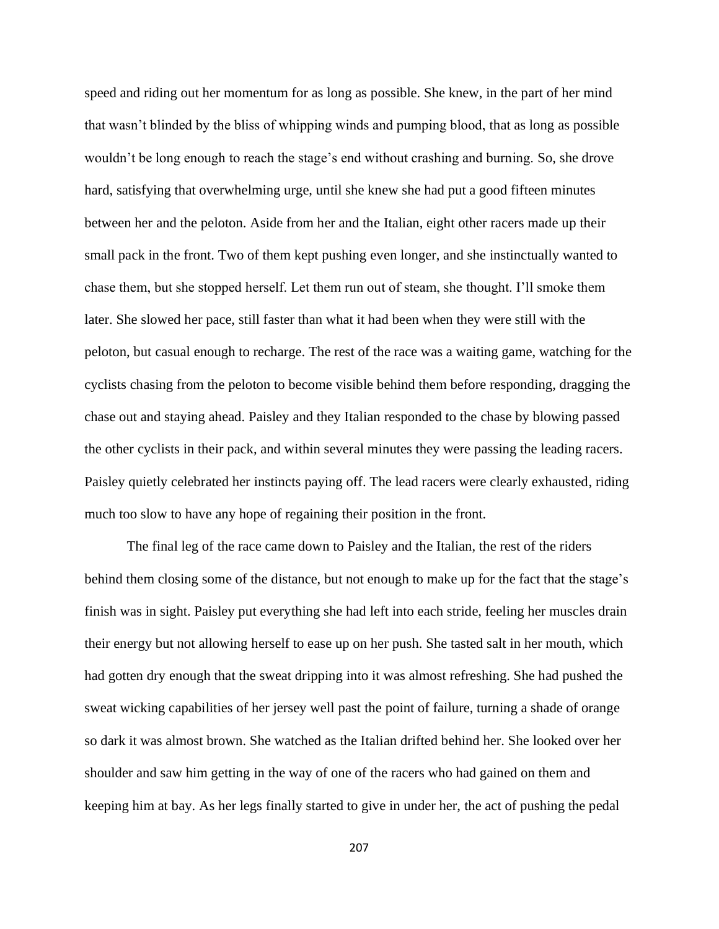speed and riding out her momentum for as long as possible. She knew, in the part of her mind that wasn't blinded by the bliss of whipping winds and pumping blood, that as long as possible wouldn't be long enough to reach the stage's end without crashing and burning. So, she drove hard, satisfying that overwhelming urge, until she knew she had put a good fifteen minutes between her and the peloton. Aside from her and the Italian, eight other racers made up their small pack in the front. Two of them kept pushing even longer, and she instinctually wanted to chase them, but she stopped herself. Let them run out of steam, she thought. I'll smoke them later. She slowed her pace, still faster than what it had been when they were still with the peloton, but casual enough to recharge. The rest of the race was a waiting game, watching for the cyclists chasing from the peloton to become visible behind them before responding, dragging the chase out and staying ahead. Paisley and they Italian responded to the chase by blowing passed the other cyclists in their pack, and within several minutes they were passing the leading racers. Paisley quietly celebrated her instincts paying off. The lead racers were clearly exhausted, riding much too slow to have any hope of regaining their position in the front.

The final leg of the race came down to Paisley and the Italian, the rest of the riders behind them closing some of the distance, but not enough to make up for the fact that the stage's finish was in sight. Paisley put everything she had left into each stride, feeling her muscles drain their energy but not allowing herself to ease up on her push. She tasted salt in her mouth, which had gotten dry enough that the sweat dripping into it was almost refreshing. She had pushed the sweat wicking capabilities of her jersey well past the point of failure, turning a shade of orange so dark it was almost brown. She watched as the Italian drifted behind her. She looked over her shoulder and saw him getting in the way of one of the racers who had gained on them and keeping him at bay. As her legs finally started to give in under her, the act of pushing the pedal

207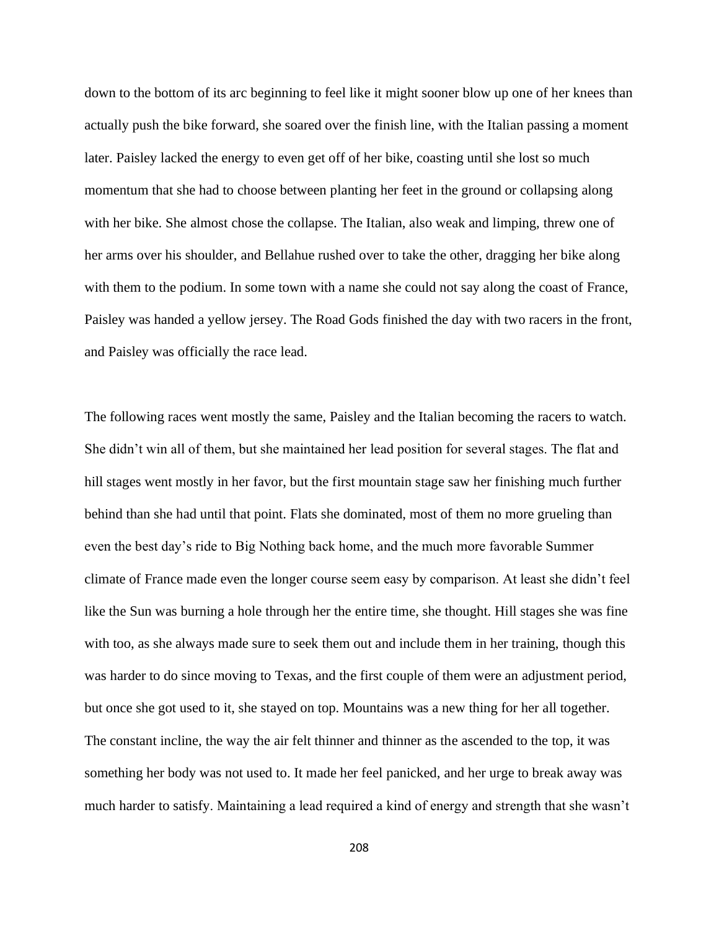down to the bottom of its arc beginning to feel like it might sooner blow up one of her knees than actually push the bike forward, she soared over the finish line, with the Italian passing a moment later. Paisley lacked the energy to even get off of her bike, coasting until she lost so much momentum that she had to choose between planting her feet in the ground or collapsing along with her bike. She almost chose the collapse. The Italian, also weak and limping, threw one of her arms over his shoulder, and Bellahue rushed over to take the other, dragging her bike along with them to the podium. In some town with a name she could not say along the coast of France, Paisley was handed a yellow jersey. The Road Gods finished the day with two racers in the front, and Paisley was officially the race lead.

The following races went mostly the same, Paisley and the Italian becoming the racers to watch. She didn't win all of them, but she maintained her lead position for several stages. The flat and hill stages went mostly in her favor, but the first mountain stage saw her finishing much further behind than she had until that point. Flats she dominated, most of them no more grueling than even the best day's ride to Big Nothing back home, and the much more favorable Summer climate of France made even the longer course seem easy by comparison. At least she didn't feel like the Sun was burning a hole through her the entire time, she thought. Hill stages she was fine with too, as she always made sure to seek them out and include them in her training, though this was harder to do since moving to Texas, and the first couple of them were an adjustment period, but once she got used to it, she stayed on top. Mountains was a new thing for her all together. The constant incline, the way the air felt thinner and thinner as the ascended to the top, it was something her body was not used to. It made her feel panicked, and her urge to break away was much harder to satisfy. Maintaining a lead required a kind of energy and strength that she wasn't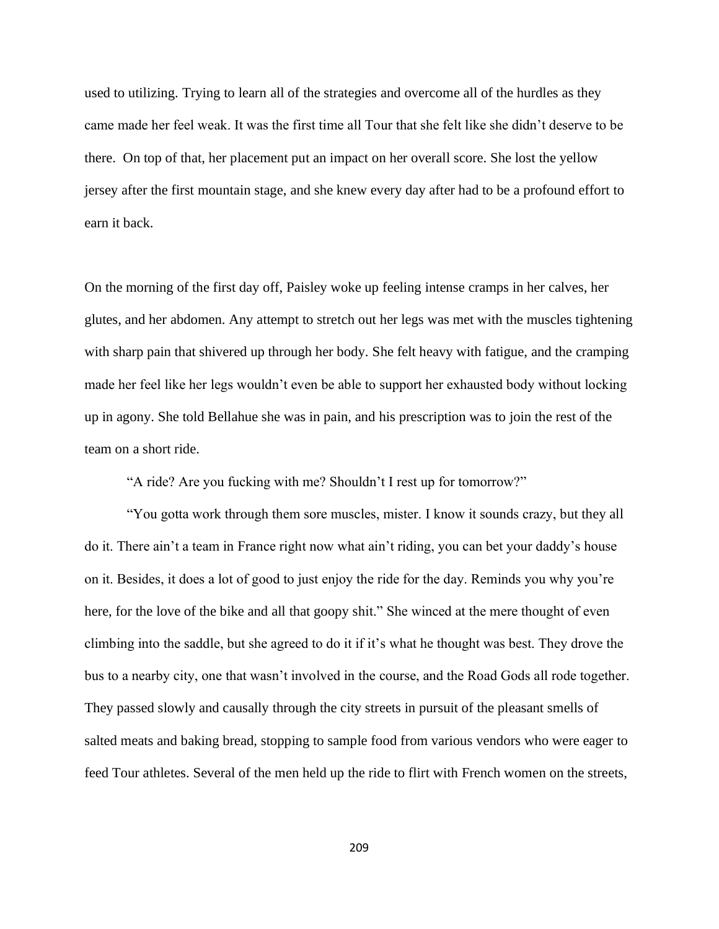used to utilizing. Trying to learn all of the strategies and overcome all of the hurdles as they came made her feel weak. It was the first time all Tour that she felt like she didn't deserve to be there. On top of that, her placement put an impact on her overall score. She lost the yellow jersey after the first mountain stage, and she knew every day after had to be a profound effort to earn it back.

On the morning of the first day off, Paisley woke up feeling intense cramps in her calves, her glutes, and her abdomen. Any attempt to stretch out her legs was met with the muscles tightening with sharp pain that shivered up through her body. She felt heavy with fatigue, and the cramping made her feel like her legs wouldn't even be able to support her exhausted body without locking up in agony. She told Bellahue she was in pain, and his prescription was to join the rest of the team on a short ride.

"A ride? Are you fucking with me? Shouldn't I rest up for tomorrow?"

"You gotta work through them sore muscles, mister. I know it sounds crazy, but they all do it. There ain't a team in France right now what ain't riding, you can bet your daddy's house on it. Besides, it does a lot of good to just enjoy the ride for the day. Reminds you why you're here, for the love of the bike and all that goopy shit." She winced at the mere thought of even climbing into the saddle, but she agreed to do it if it's what he thought was best. They drove the bus to a nearby city, one that wasn't involved in the course, and the Road Gods all rode together. They passed slowly and causally through the city streets in pursuit of the pleasant smells of salted meats and baking bread, stopping to sample food from various vendors who were eager to feed Tour athletes. Several of the men held up the ride to flirt with French women on the streets,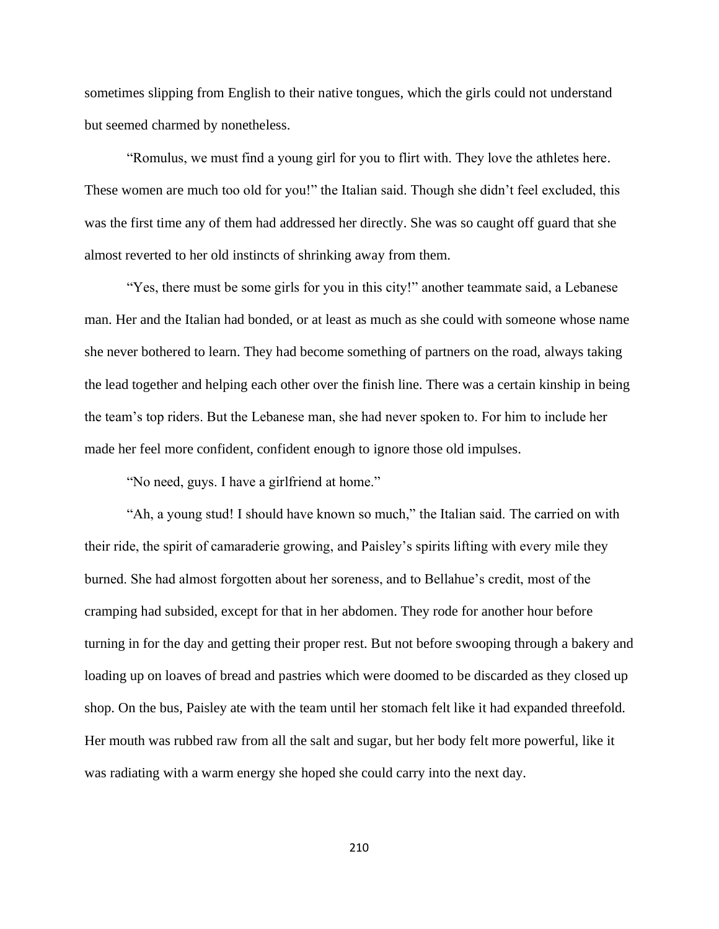sometimes slipping from English to their native tongues, which the girls could not understand but seemed charmed by nonetheless.

"Romulus, we must find a young girl for you to flirt with. They love the athletes here. These women are much too old for you!" the Italian said. Though she didn't feel excluded, this was the first time any of them had addressed her directly. She was so caught off guard that she almost reverted to her old instincts of shrinking away from them.

"Yes, there must be some girls for you in this city!" another teammate said, a Lebanese man. Her and the Italian had bonded, or at least as much as she could with someone whose name she never bothered to learn. They had become something of partners on the road, always taking the lead together and helping each other over the finish line. There was a certain kinship in being the team's top riders. But the Lebanese man, she had never spoken to. For him to include her made her feel more confident, confident enough to ignore those old impulses.

"No need, guys. I have a girlfriend at home."

"Ah, a young stud! I should have known so much," the Italian said. The carried on with their ride, the spirit of camaraderie growing, and Paisley's spirits lifting with every mile they burned. She had almost forgotten about her soreness, and to Bellahue's credit, most of the cramping had subsided, except for that in her abdomen. They rode for another hour before turning in for the day and getting their proper rest. But not before swooping through a bakery and loading up on loaves of bread and pastries which were doomed to be discarded as they closed up shop. On the bus, Paisley ate with the team until her stomach felt like it had expanded threefold. Her mouth was rubbed raw from all the salt and sugar, but her body felt more powerful, like it was radiating with a warm energy she hoped she could carry into the next day.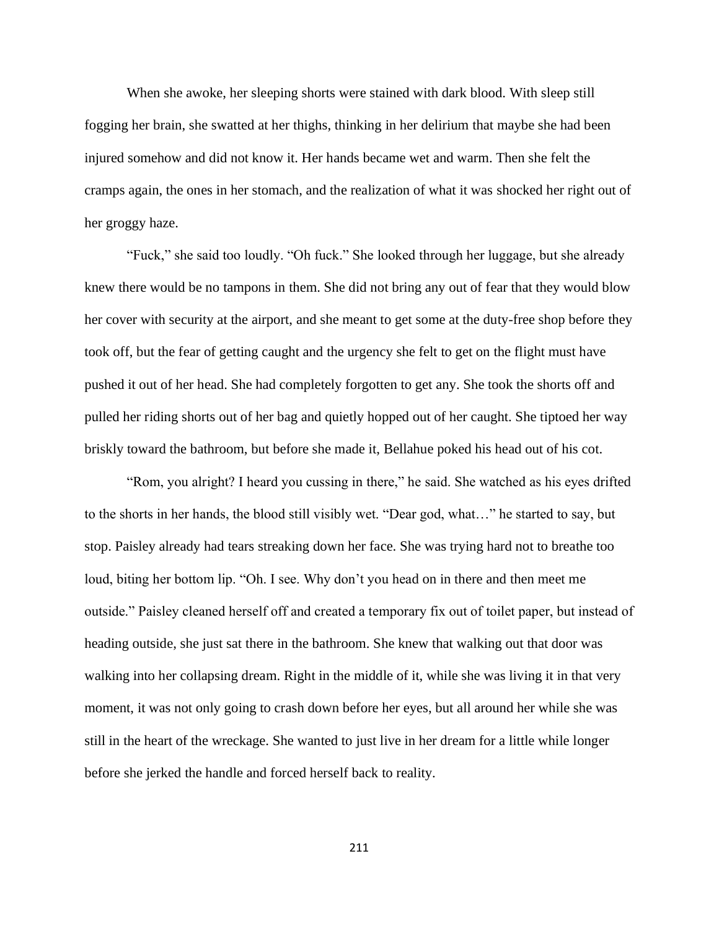When she awoke, her sleeping shorts were stained with dark blood. With sleep still fogging her brain, she swatted at her thighs, thinking in her delirium that maybe she had been injured somehow and did not know it. Her hands became wet and warm. Then she felt the cramps again, the ones in her stomach, and the realization of what it was shocked her right out of her groggy haze.

"Fuck," she said too loudly. "Oh fuck." She looked through her luggage, but she already knew there would be no tampons in them. She did not bring any out of fear that they would blow her cover with security at the airport, and she meant to get some at the duty-free shop before they took off, but the fear of getting caught and the urgency she felt to get on the flight must have pushed it out of her head. She had completely forgotten to get any. She took the shorts off and pulled her riding shorts out of her bag and quietly hopped out of her caught. She tiptoed her way briskly toward the bathroom, but before she made it, Bellahue poked his head out of his cot.

"Rom, you alright? I heard you cussing in there," he said. She watched as his eyes drifted to the shorts in her hands, the blood still visibly wet. "Dear god, what…" he started to say, but stop. Paisley already had tears streaking down her face. She was trying hard not to breathe too loud, biting her bottom lip. "Oh. I see. Why don't you head on in there and then meet me outside." Paisley cleaned herself off and created a temporary fix out of toilet paper, but instead of heading outside, she just sat there in the bathroom. She knew that walking out that door was walking into her collapsing dream. Right in the middle of it, while she was living it in that very moment, it was not only going to crash down before her eyes, but all around her while she was still in the heart of the wreckage. She wanted to just live in her dream for a little while longer before she jerked the handle and forced herself back to reality.

211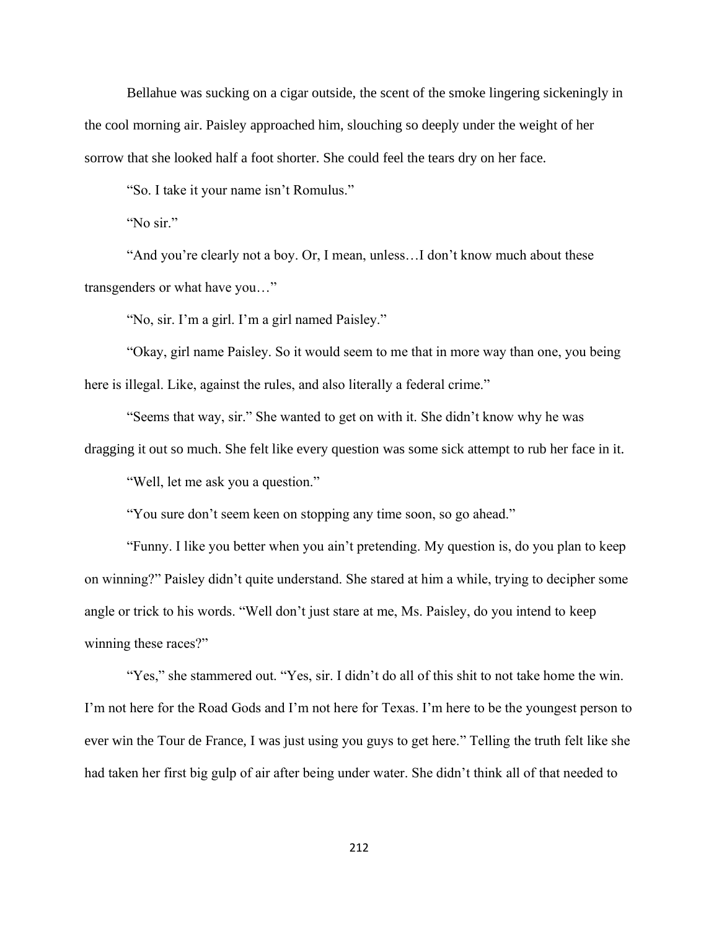Bellahue was sucking on a cigar outside, the scent of the smoke lingering sickeningly in the cool morning air. Paisley approached him, slouching so deeply under the weight of her sorrow that she looked half a foot shorter. She could feel the tears dry on her face.

"So. I take it your name isn't Romulus."

"No sir."

"And you're clearly not a boy. Or, I mean, unless...I don't know much about these transgenders or what have you…"

"No, sir. I'm a girl. I'm a girl named Paisley."

"Okay, girl name Paisley. So it would seem to me that in more way than one, you being here is illegal. Like, against the rules, and also literally a federal crime."

"Seems that way, sir." She wanted to get on with it. She didn't know why he was dragging it out so much. She felt like every question was some sick attempt to rub her face in it.

"Well, let me ask you a question."

"You sure don't seem keen on stopping any time soon, so go ahead."

"Funny. I like you better when you ain't pretending. My question is, do you plan to keep on winning?" Paisley didn't quite understand. She stared at him a while, trying to decipher some angle or trick to his words. "Well don't just stare at me, Ms. Paisley, do you intend to keep winning these races?"

"Yes," she stammered out. "Yes, sir. I didn't do all of this shit to not take home the win. I'm not here for the Road Gods and I'm not here for Texas. I'm here to be the youngest person to ever win the Tour de France, I was just using you guys to get here." Telling the truth felt like she had taken her first big gulp of air after being under water. She didn't think all of that needed to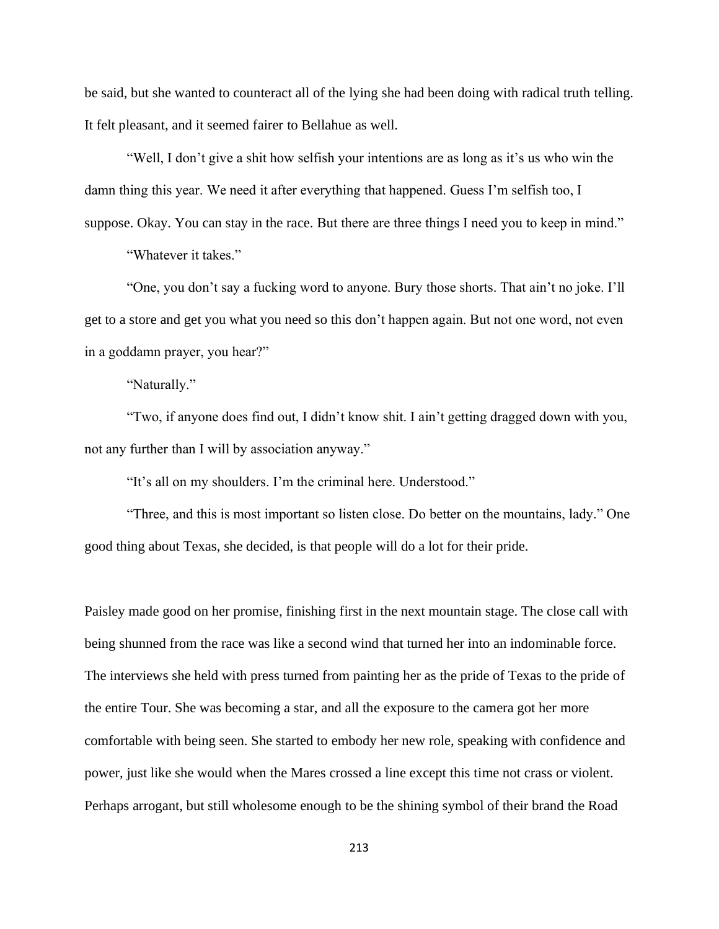be said, but she wanted to counteract all of the lying she had been doing with radical truth telling. It felt pleasant, and it seemed fairer to Bellahue as well.

"Well, I don't give a shit how selfish your intentions are as long as it's us who win the damn thing this year. We need it after everything that happened. Guess I'm selfish too, I suppose. Okay. You can stay in the race. But there are three things I need you to keep in mind."

"Whatever it takes."

"One, you don't say a fucking word to anyone. Bury those shorts. That ain't no joke. I'll get to a store and get you what you need so this don't happen again. But not one word, not even in a goddamn prayer, you hear?"

"Naturally."

"Two, if anyone does find out, I didn't know shit. I ain't getting dragged down with you, not any further than I will by association anyway."

"It's all on my shoulders. I'm the criminal here. Understood."

"Three, and this is most important so listen close. Do better on the mountains, lady." One good thing about Texas, she decided, is that people will do a lot for their pride.

Paisley made good on her promise, finishing first in the next mountain stage. The close call with being shunned from the race was like a second wind that turned her into an indominable force. The interviews she held with press turned from painting her as the pride of Texas to the pride of the entire Tour. She was becoming a star, and all the exposure to the camera got her more comfortable with being seen. She started to embody her new role, speaking with confidence and power, just like she would when the Mares crossed a line except this time not crass or violent. Perhaps arrogant, but still wholesome enough to be the shining symbol of their brand the Road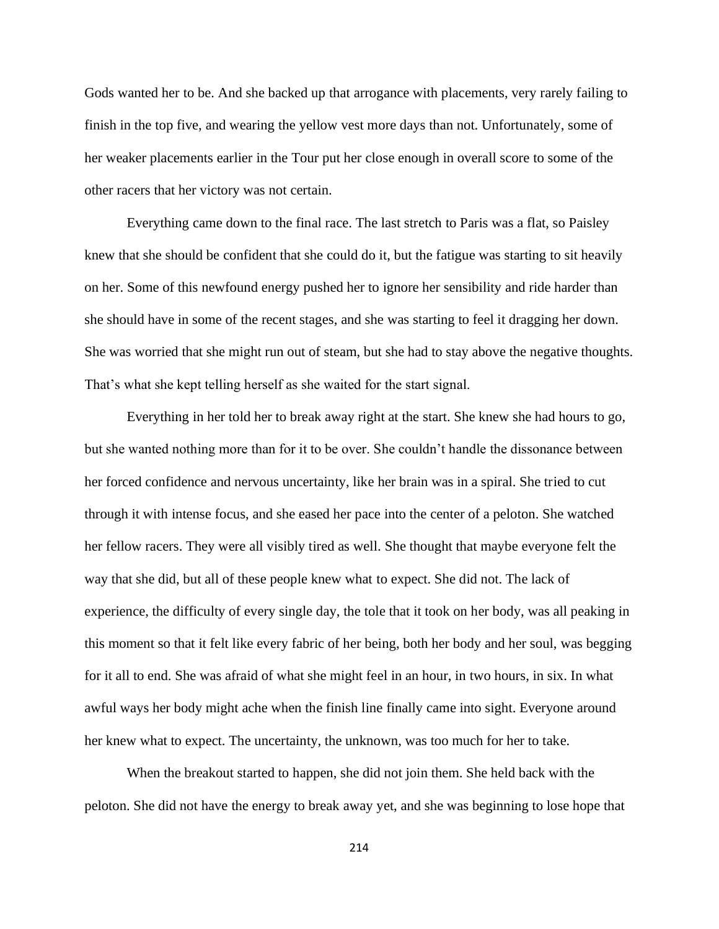Gods wanted her to be. And she backed up that arrogance with placements, very rarely failing to finish in the top five, and wearing the yellow vest more days than not. Unfortunately, some of her weaker placements earlier in the Tour put her close enough in overall score to some of the other racers that her victory was not certain.

Everything came down to the final race. The last stretch to Paris was a flat, so Paisley knew that she should be confident that she could do it, but the fatigue was starting to sit heavily on her. Some of this newfound energy pushed her to ignore her sensibility and ride harder than she should have in some of the recent stages, and she was starting to feel it dragging her down. She was worried that she might run out of steam, but she had to stay above the negative thoughts. That's what she kept telling herself as she waited for the start signal.

Everything in her told her to break away right at the start. She knew she had hours to go, but she wanted nothing more than for it to be over. She couldn't handle the dissonance between her forced confidence and nervous uncertainty, like her brain was in a spiral. She tried to cut through it with intense focus, and she eased her pace into the center of a peloton. She watched her fellow racers. They were all visibly tired as well. She thought that maybe everyone felt the way that she did, but all of these people knew what to expect. She did not. The lack of experience, the difficulty of every single day, the tole that it took on her body, was all peaking in this moment so that it felt like every fabric of her being, both her body and her soul, was begging for it all to end. She was afraid of what she might feel in an hour, in two hours, in six. In what awful ways her body might ache when the finish line finally came into sight. Everyone around her knew what to expect. The uncertainty, the unknown, was too much for her to take.

When the breakout started to happen, she did not join them. She held back with the peloton. She did not have the energy to break away yet, and she was beginning to lose hope that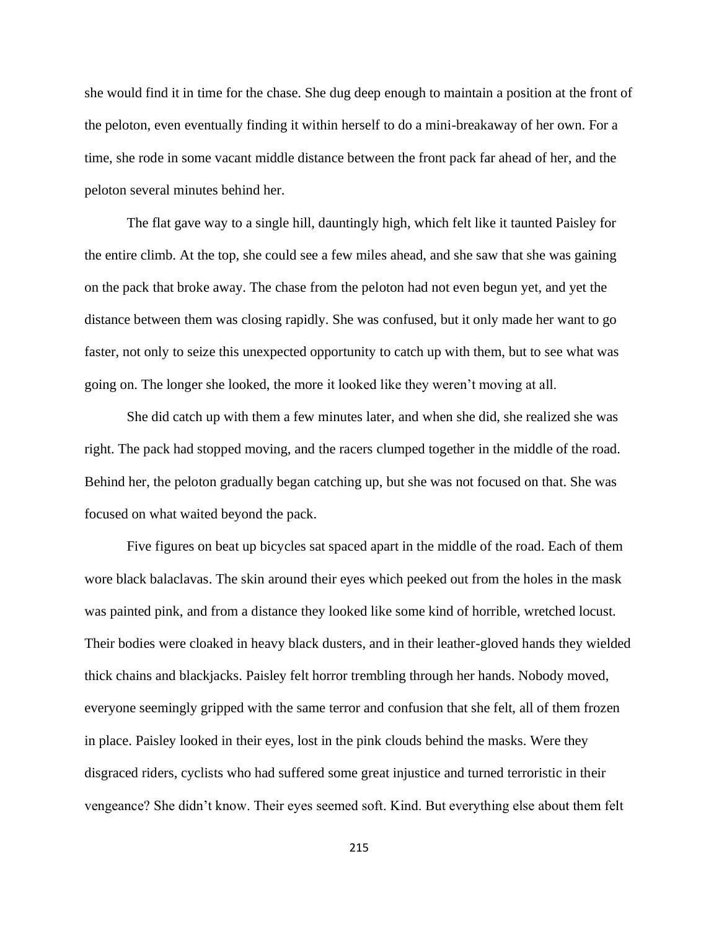she would find it in time for the chase. She dug deep enough to maintain a position at the front of the peloton, even eventually finding it within herself to do a mini-breakaway of her own. For a time, she rode in some vacant middle distance between the front pack far ahead of her, and the peloton several minutes behind her.

The flat gave way to a single hill, dauntingly high, which felt like it taunted Paisley for the entire climb. At the top, she could see a few miles ahead, and she saw that she was gaining on the pack that broke away. The chase from the peloton had not even begun yet, and yet the distance between them was closing rapidly. She was confused, but it only made her want to go faster, not only to seize this unexpected opportunity to catch up with them, but to see what was going on. The longer she looked, the more it looked like they weren't moving at all.

She did catch up with them a few minutes later, and when she did, she realized she was right. The pack had stopped moving, and the racers clumped together in the middle of the road. Behind her, the peloton gradually began catching up, but she was not focused on that. She was focused on what waited beyond the pack.

Five figures on beat up bicycles sat spaced apart in the middle of the road. Each of them wore black balaclavas. The skin around their eyes which peeked out from the holes in the mask was painted pink, and from a distance they looked like some kind of horrible, wretched locust. Their bodies were cloaked in heavy black dusters, and in their leather-gloved hands they wielded thick chains and blackjacks. Paisley felt horror trembling through her hands. Nobody moved, everyone seemingly gripped with the same terror and confusion that she felt, all of them frozen in place. Paisley looked in their eyes, lost in the pink clouds behind the masks. Were they disgraced riders, cyclists who had suffered some great injustice and turned terroristic in their vengeance? She didn't know. Their eyes seemed soft. Kind. But everything else about them felt

215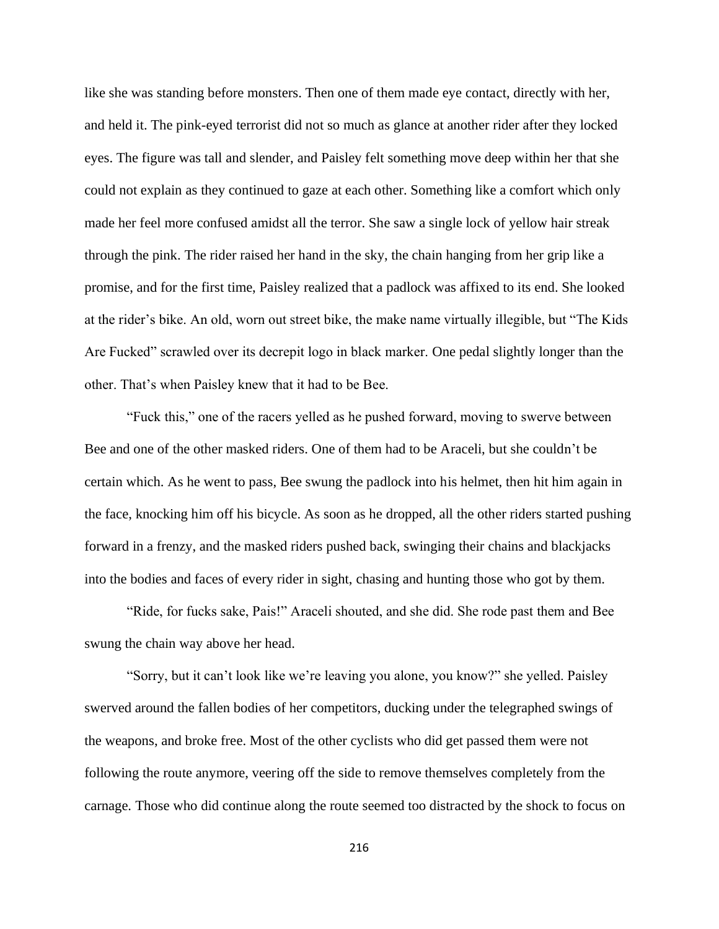like she was standing before monsters. Then one of them made eye contact, directly with her, and held it. The pink-eyed terrorist did not so much as glance at another rider after they locked eyes. The figure was tall and slender, and Paisley felt something move deep within her that she could not explain as they continued to gaze at each other. Something like a comfort which only made her feel more confused amidst all the terror. She saw a single lock of yellow hair streak through the pink. The rider raised her hand in the sky, the chain hanging from her grip like a promise, and for the first time, Paisley realized that a padlock was affixed to its end. She looked at the rider's bike. An old, worn out street bike, the make name virtually illegible, but "The Kids Are Fucked" scrawled over its decrepit logo in black marker. One pedal slightly longer than the other. That's when Paisley knew that it had to be Bee.

"Fuck this," one of the racers yelled as he pushed forward, moving to swerve between Bee and one of the other masked riders. One of them had to be Araceli, but she couldn't be certain which. As he went to pass, Bee swung the padlock into his helmet, then hit him again in the face, knocking him off his bicycle. As soon as he dropped, all the other riders started pushing forward in a frenzy, and the masked riders pushed back, swinging their chains and blackjacks into the bodies and faces of every rider in sight, chasing and hunting those who got by them.

"Ride, for fucks sake, Pais!" Araceli shouted, and she did. She rode past them and Bee swung the chain way above her head.

"Sorry, but it can't look like we're leaving you alone, you know?" she yelled. Paisley swerved around the fallen bodies of her competitors, ducking under the telegraphed swings of the weapons, and broke free. Most of the other cyclists who did get passed them were not following the route anymore, veering off the side to remove themselves completely from the carnage. Those who did continue along the route seemed too distracted by the shock to focus on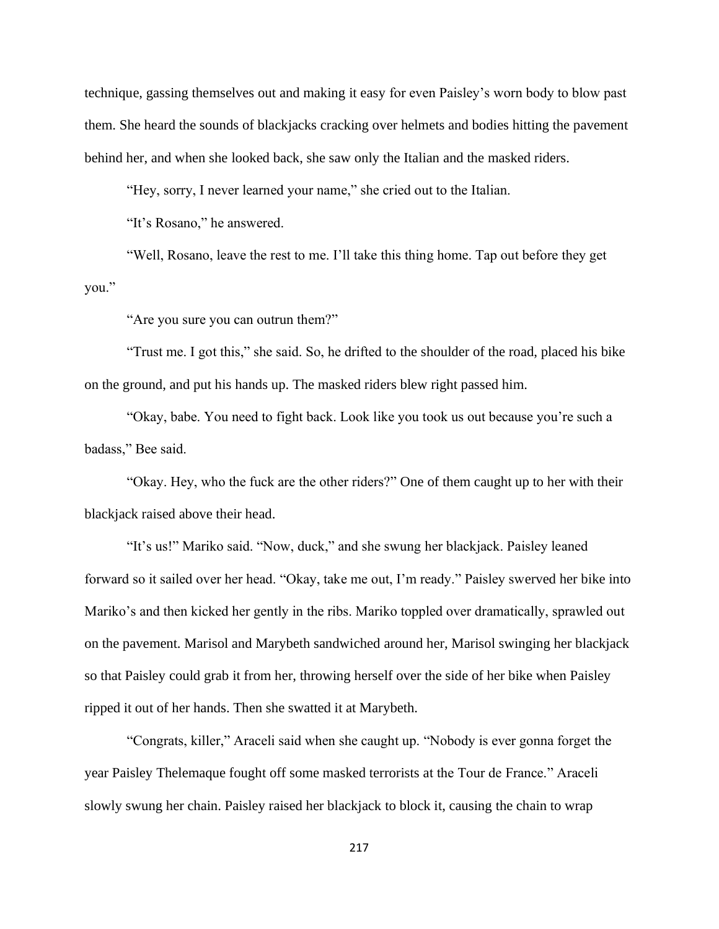technique, gassing themselves out and making it easy for even Paisley's worn body to blow past them. She heard the sounds of blackjacks cracking over helmets and bodies hitting the pavement behind her, and when she looked back, she saw only the Italian and the masked riders.

"Hey, sorry, I never learned your name," she cried out to the Italian.

"It's Rosano," he answered.

"Well, Rosano, leave the rest to me. I'll take this thing home. Tap out before they get you."

"Are you sure you can outrun them?"

"Trust me. I got this," she said. So, he drifted to the shoulder of the road, placed his bike on the ground, and put his hands up. The masked riders blew right passed him.

"Okay, babe. You need to fight back. Look like you took us out because you're such a badass," Bee said.

"Okay. Hey, who the fuck are the other riders?" One of them caught up to her with their blackjack raised above their head.

"It's us!" Mariko said. "Now, duck," and she swung her blackjack. Paisley leaned forward so it sailed over her head. "Okay, take me out, I'm ready." Paisley swerved her bike into Mariko's and then kicked her gently in the ribs. Mariko toppled over dramatically, sprawled out on the pavement. Marisol and Marybeth sandwiched around her, Marisol swinging her blackjack so that Paisley could grab it from her, throwing herself over the side of her bike when Paisley ripped it out of her hands. Then she swatted it at Marybeth.

"Congrats, killer," Araceli said when she caught up. "Nobody is ever gonna forget the year Paisley Thelemaque fought off some masked terrorists at the Tour de France." Araceli slowly swung her chain. Paisley raised her blackjack to block it, causing the chain to wrap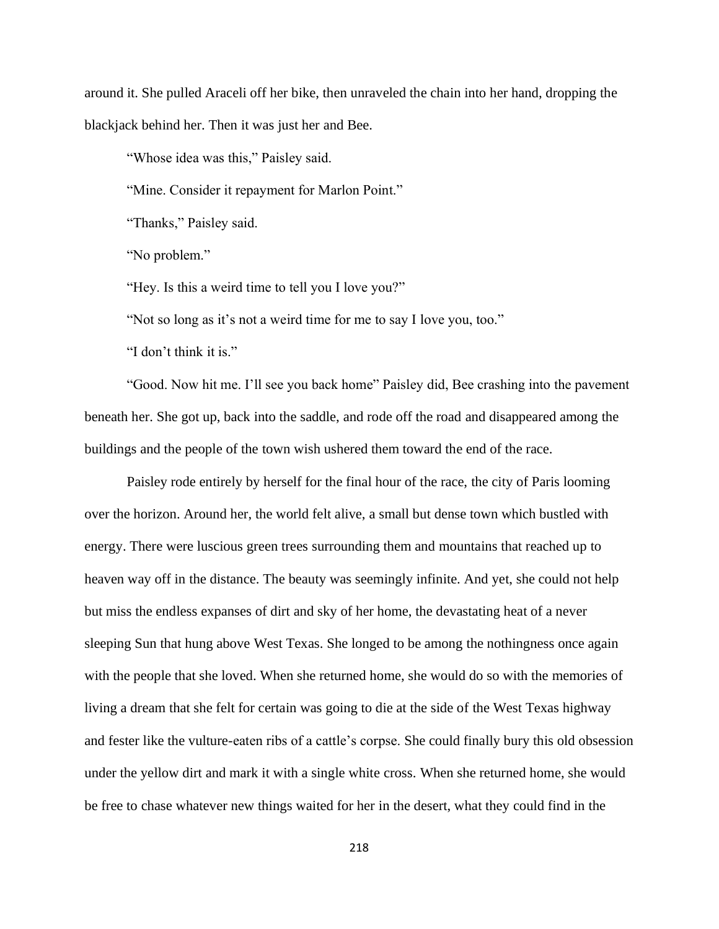around it. She pulled Araceli off her bike, then unraveled the chain into her hand, dropping the blackjack behind her. Then it was just her and Bee.

"Whose idea was this," Paisley said.

"Mine. Consider it repayment for Marlon Point."

"Thanks," Paisley said.

"No problem."

"Hey. Is this a weird time to tell you I love you?"

"Not so long as it's not a weird time for me to say I love you, too."

"I don't think it is."

"Good. Now hit me. I'll see you back home" Paisley did, Bee crashing into the pavement beneath her. She got up, back into the saddle, and rode off the road and disappeared among the buildings and the people of the town wish ushered them toward the end of the race.

Paisley rode entirely by herself for the final hour of the race, the city of Paris looming over the horizon. Around her, the world felt alive, a small but dense town which bustled with energy. There were luscious green trees surrounding them and mountains that reached up to heaven way off in the distance. The beauty was seemingly infinite. And yet, she could not help but miss the endless expanses of dirt and sky of her home, the devastating heat of a never sleeping Sun that hung above West Texas. She longed to be among the nothingness once again with the people that she loved. When she returned home, she would do so with the memories of living a dream that she felt for certain was going to die at the side of the West Texas highway and fester like the vulture-eaten ribs of a cattle's corpse. She could finally bury this old obsession under the yellow dirt and mark it with a single white cross. When she returned home, she would be free to chase whatever new things waited for her in the desert, what they could find in the